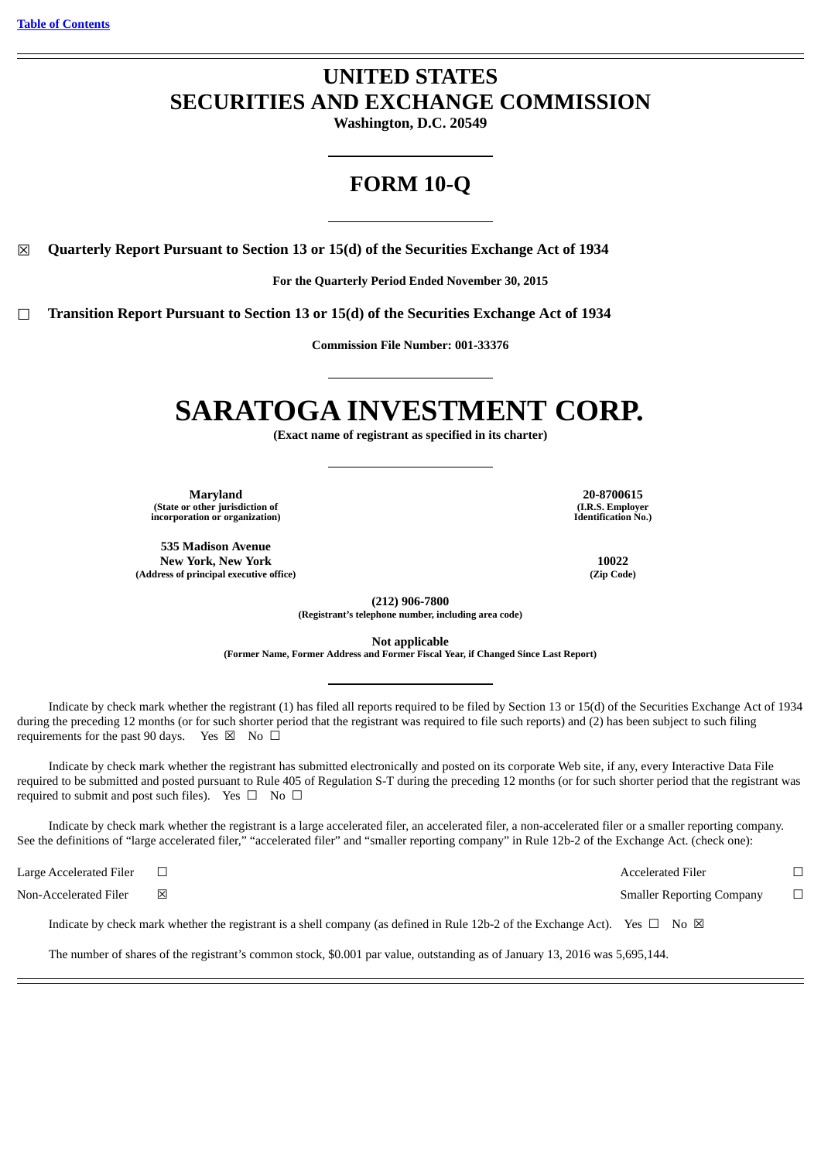# **UNITED STATES SECURITIES AND EXCHANGE COMMISSION**

**Washington, D.C. 20549**

## **FORM 10-Q**

☒ **Quarterly Report Pursuant to Section 13 or 15(d) of the Securities Exchange Act of 1934**

**For the Quarterly Period Ended November 30, 2015**

☐ **Transition Report Pursuant to Section 13 or 15(d) of the Securities Exchange Act of 1934**

**Commission File Number: 001-33376**

# **SARATOGA INVESTMENT CORP.**

**(Exact name of registrant as specified in its charter)**

**Maryland 20-8700615 (State or other jurisdiction of incorporation or organization)**

**535 Madison Avenue New York, New York 10022 (Address of principal executive office) (Zip Code)**

**(I.R.S. Employer Identification No.)**

**(212) 906-7800**

**(Registrant's telephone number, including area code)**

**Not applicable**

**(Former Name, Former Address and Former Fiscal Year, if Changed Since Last Report)**

Indicate by check mark whether the registrant (1) has filed all reports required to be filed by Section 13 or 15(d) of the Securities Exchange Act of 1934 during the preceding 12 months (or for such shorter period that the registrant was required to file such reports) and (2) has been subject to such filing requirements for the past 90 days. Yes  $\boxtimes$  No  $\Box$ 

Indicate by check mark whether the registrant has submitted electronically and posted on its corporate Web site, if any, every Interactive Data File required to be submitted and posted pursuant to Rule 405 of Regulation S-T during the preceding 12 months (or for such shorter period that the registrant was required to submit and post such files). Yes  $\Box$  No  $\Box$ 

Indicate by check mark whether the registrant is a large accelerated filer, an accelerated filer, a non-accelerated filer or a smaller reporting company. See the definitions of "large accelerated filer," "accelerated filer" and "smaller reporting company" in Rule 12b-2 of the Exchange Act. (check one):

| Large Accelerated Filer |                                                                                                                             | <b>Accelerated Filer</b>         |        |
|-------------------------|-----------------------------------------------------------------------------------------------------------------------------|----------------------------------|--------|
| Non-Accelerated Filer   | ⊠                                                                                                                           | <b>Smaller Reporting Company</b> | $\Box$ |
|                         | Indicate by check mark whether the registrant is a shell company (as defined in Rule 12b-2 of the Exchange Act). Yes $\Box$ | $No \times$                      |        |
|                         | The number of shares of the registrant's common stock, \$0.001 par value, outstanding as of January 13, 2016 was 5,695,144. |                                  |        |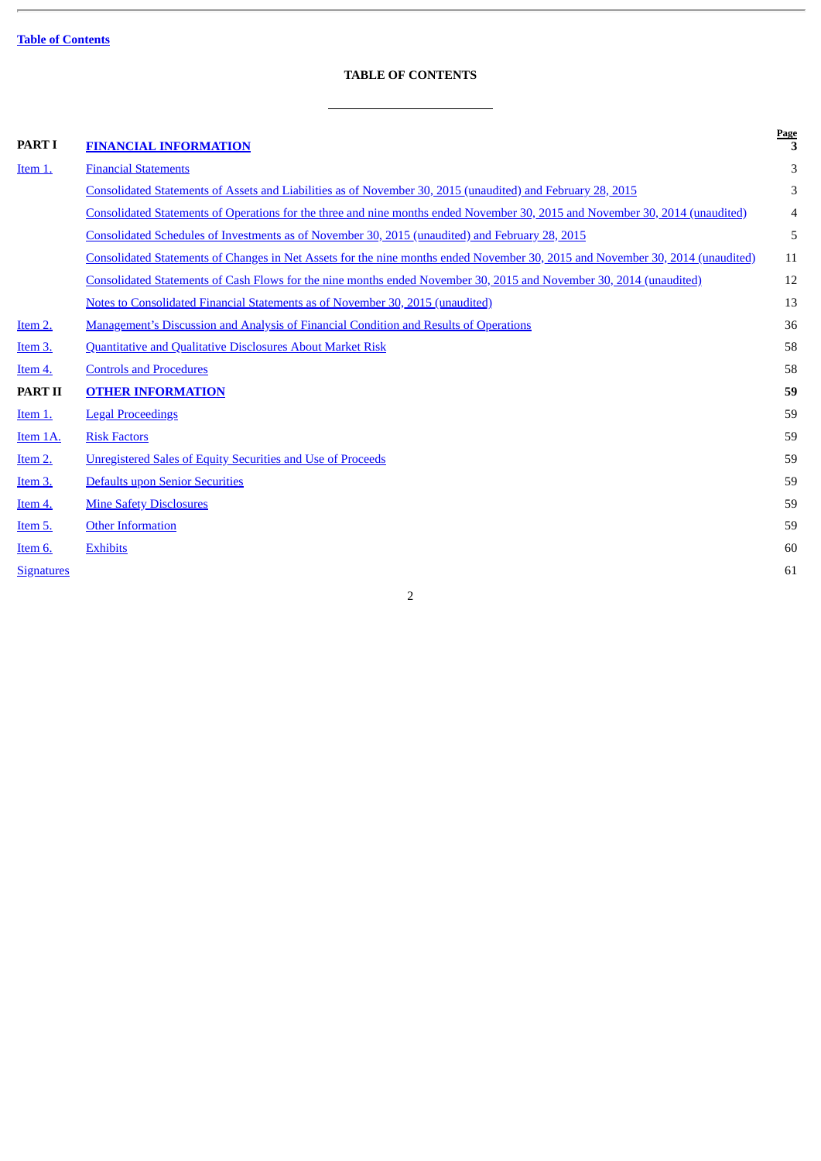$\overline{a}$ 

### **TABLE OF CONTENTS**

<span id="page-1-0"></span>

| <b>PART I</b>     | <b>FINANCIAL INFORMATION</b>                                                                                                   | <b>Page</b><br>3 |
|-------------------|--------------------------------------------------------------------------------------------------------------------------------|------------------|
| Item 1.           | <b>Financial Statements</b>                                                                                                    | 3                |
|                   | Consolidated Statements of Assets and Liabilities as of November 30, 2015 (unaudited) and February 28, 2015                    | 3                |
|                   | Consolidated Statements of Operations for the three and nine months ended November 30, 2015 and November 30, 2014 (unaudited)  | 4                |
|                   | Consolidated Schedules of Investments as of November 30, 2015 (unaudited) and February 28, 2015                                | 5                |
|                   | Consolidated Statements of Changes in Net Assets for the nine months ended November 30, 2015 and November 30, 2014 (unaudited) | 11               |
|                   | Consolidated Statements of Cash Flows for the nine months ended November 30, 2015 and November 30, 2014 (unaudited)            | 12               |
|                   | Notes to Consolidated Financial Statements as of November 30, 2015 (unaudited)                                                 | 13               |
| Item 2.           | <b>Management's Discussion and Analysis of Financial Condition and Results of Operations</b>                                   | 36               |
| Item 3.           | <b>Quantitative and Qualitative Disclosures About Market Risk</b>                                                              | 58               |
| Item 4.           | <b>Controls and Procedures</b>                                                                                                 | 58               |
| <b>PART II</b>    | <b>OTHER INFORMATION</b>                                                                                                       | 59               |
| Item 1.           | <b>Legal Proceedings</b>                                                                                                       | 59               |
| Item 1A.          | <b>Risk Factors</b>                                                                                                            | 59               |
| Item 2.           | <b>Unregistered Sales of Equity Securities and Use of Proceeds</b>                                                             | 59               |
| Item 3.           | Defaults upon Senior Securities                                                                                                | 59               |
| Item 4.           | <b>Mine Safety Disclosures</b>                                                                                                 | 59               |
| Item 5.           | <b>Other Information</b>                                                                                                       | 59               |
| Item 6.           | <b>Exhibits</b>                                                                                                                | 60               |
| <b>Signatures</b> |                                                                                                                                | 61               |
|                   |                                                                                                                                |                  |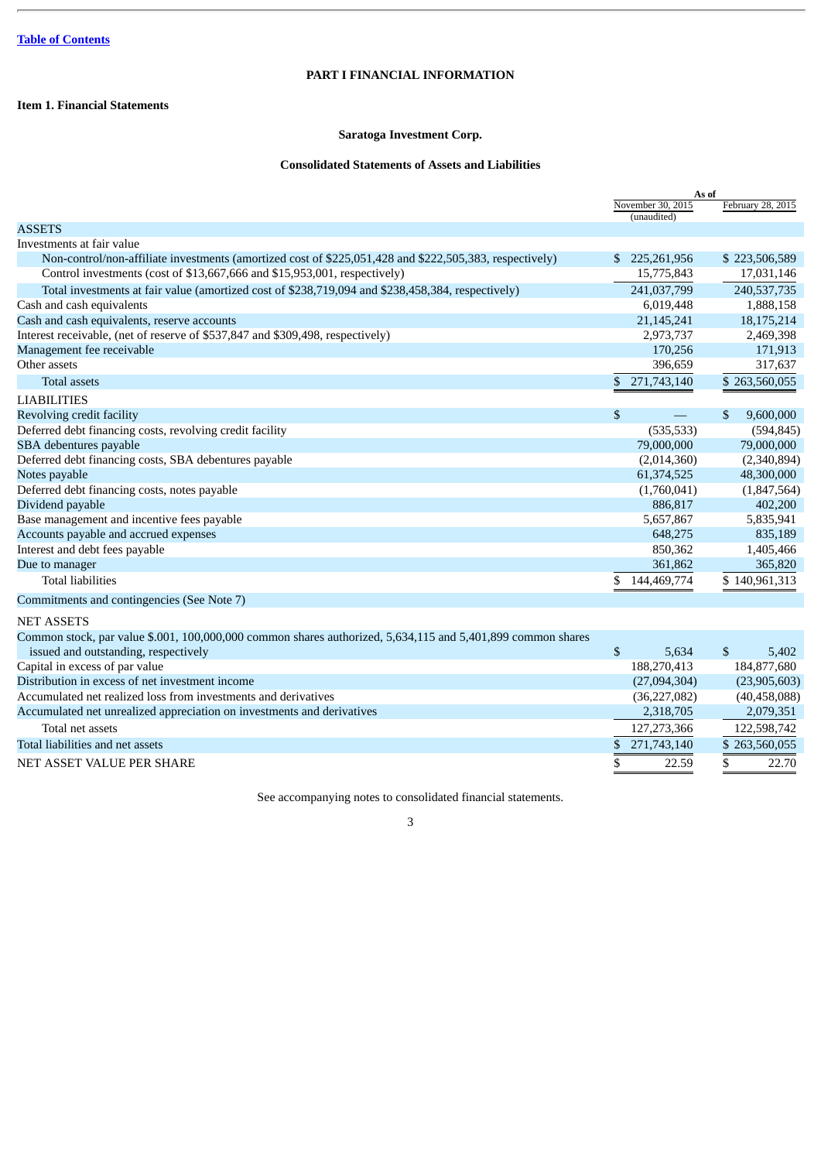### **PART I FINANCIAL INFORMATION**

### <span id="page-2-2"></span><span id="page-2-1"></span><span id="page-2-0"></span>**Item 1. Financial Statements**

### **Saratoga Investment Corp.**

### **Consolidated Statements of Assets and Liabilities**

|                                                                                                             |              |                   | As of |                   |
|-------------------------------------------------------------------------------------------------------------|--------------|-------------------|-------|-------------------|
|                                                                                                             |              | November 30, 2015 |       | February 28, 2015 |
| <b>ASSETS</b>                                                                                               |              | (unaudited)       |       |                   |
| Investments at fair value                                                                                   |              |                   |       |                   |
| Non-control/non-affiliate investments (amortized cost of \$225,051,428 and \$222,505,383, respectively)     | \$           | 225,261,956       |       | \$223,506,589     |
| Control investments (cost of \$13,667,666 and \$15,953,001, respectively)                                   |              | 15,775,843        |       | 17,031,146        |
|                                                                                                             |              |                   |       |                   |
| Total investments at fair value (amortized cost of \$238,719,094 and \$238,458,384, respectively)           |              | 241,037,799       |       | 240,537,735       |
| Cash and cash equivalents                                                                                   |              | 6,019,448         |       | 1,888,158         |
| Cash and cash equivalents, reserve accounts                                                                 |              | 21,145,241        |       | 18,175,214        |
| Interest receivable, (net of reserve of \$537,847 and \$309,498, respectively)                              |              | 2,973,737         |       | 2,469,398         |
| Management fee receivable                                                                                   |              | 170,256           |       | 171,913           |
| Other assets                                                                                                |              | 396,659           |       | 317,637           |
| <b>Total assets</b>                                                                                         | \$           | 271,743,140       |       | \$263,560,055     |
| <b>LIABILITIES</b>                                                                                          |              |                   |       |                   |
| Revolving credit facility                                                                                   | \$           | $\equiv$          | \$    | 9,600,000         |
| Deferred debt financing costs, revolving credit facility                                                    |              | (535, 533)        |       | (594, 845)        |
| SBA debentures payable                                                                                      |              | 79,000,000        |       | 79,000,000        |
| Deferred debt financing costs, SBA debentures payable                                                       |              | (2,014,360)       |       | (2,340,894)       |
| Notes payable                                                                                               |              | 61,374,525        |       | 48,300,000        |
| Deferred debt financing costs, notes payable                                                                |              | (1,760,041)       |       | (1,847,564)       |
| Dividend payable                                                                                            |              | 886,817           |       | 402,200           |
| Base management and incentive fees payable                                                                  |              | 5,657,867         |       | 5,835,941         |
| Accounts payable and accrued expenses                                                                       |              | 648,275           |       | 835,189           |
| Interest and debt fees payable                                                                              |              | 850,362           |       | 1,405,466         |
| Due to manager                                                                                              |              | 361,862           |       | 365,820           |
| <b>Total liabilities</b>                                                                                    |              | 144,469,774       |       | \$140,961,313     |
| Commitments and contingencies (See Note 7)                                                                  |              |                   |       |                   |
| <b>NET ASSETS</b>                                                                                           |              |                   |       |                   |
| Common stock, par value \$.001, 100,000,000 common shares authorized, 5,634,115 and 5,401,899 common shares |              |                   |       |                   |
| issued and outstanding, respectively                                                                        | $\mathbb{S}$ | 5,634             | \$    | 5,402             |
| Capital in excess of par value                                                                              |              | 188,270,413       |       | 184,877,680       |
| Distribution in excess of net investment income                                                             |              | (27,094,304)      |       | (23,905,603)      |
| Accumulated net realized loss from investments and derivatives                                              |              | (36, 227, 082)    |       | (40, 458, 088)    |
| Accumulated net unrealized appreciation on investments and derivatives                                      |              | 2,318,705         |       | 2,079,351         |
| Total net assets                                                                                            |              | 127,273,366       |       | 122,598,742       |
| Total liabilities and net assets                                                                            | \$           | 271,743,140       |       | \$263,560,055     |
| NET ASSET VALUE PER SHARE                                                                                   | \$           | 22.59             | \$    | 22.70             |

See accompanying notes to consolidated financial statements.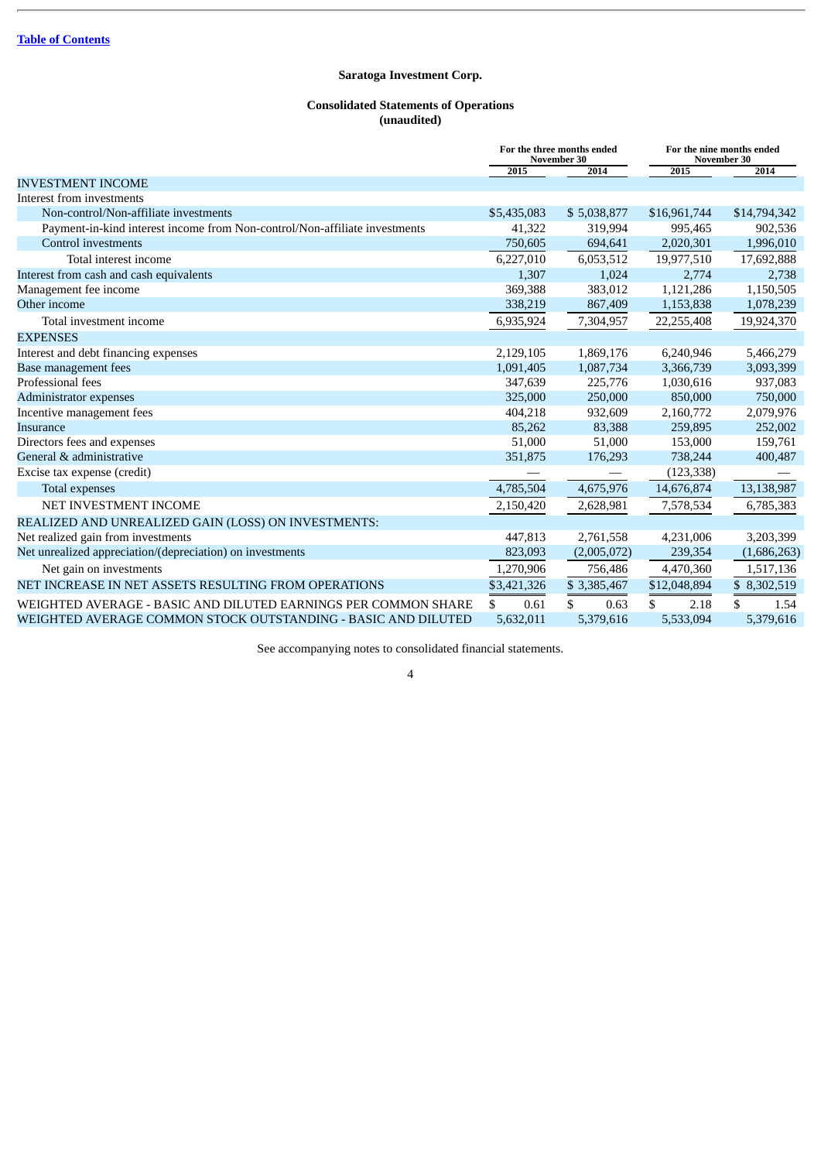### **Saratoga Investment Corp.**

#### **Consolidated Statements of Operations (unaudited)**

<span id="page-3-0"></span>

|                                                                            | For the three months ended<br><b>November 30</b> |             |              | For the nine months ended<br>November 30 |  |
|----------------------------------------------------------------------------|--------------------------------------------------|-------------|--------------|------------------------------------------|--|
|                                                                            | 2015                                             | 2014        | 2015         | 2014                                     |  |
| <b>INVESTMENT INCOME</b>                                                   |                                                  |             |              |                                          |  |
| Interest from investments                                                  |                                                  |             |              |                                          |  |
| Non-control/Non-affiliate investments                                      | \$5,435,083                                      | \$5,038,877 | \$16,961,744 | \$14,794,342                             |  |
| Payment-in-kind interest income from Non-control/Non-affiliate investments | 41,322                                           | 319,994     | 995,465      | 902,536                                  |  |
| Control investments                                                        | 750,605                                          | 694,641     | 2,020,301    | 1,996,010                                |  |
| Total interest income                                                      | 6,227,010                                        | 6,053,512   | 19,977,510   | 17,692,888                               |  |
| Interest from cash and cash equivalents                                    | 1,307                                            | 1,024       | 2,774        | 2,738                                    |  |
| Management fee income                                                      | 369,388                                          | 383,012     | 1,121,286    | 1,150,505                                |  |
| Other income                                                               | 338,219                                          | 867,409     | 1,153,838    | 1,078,239                                |  |
| Total investment income                                                    | 6,935,924                                        | 7,304,957   | 22,255,408   | 19,924,370                               |  |
| <b>EXPENSES</b>                                                            |                                                  |             |              |                                          |  |
| Interest and debt financing expenses                                       | 2,129,105                                        | 1,869,176   | 6,240,946    | 5,466,279                                |  |
| Base management fees                                                       | 1,091,405                                        | 1,087,734   | 3,366,739    | 3,093,399                                |  |
| Professional fees                                                          | 347,639                                          | 225,776     | 1,030,616    | 937,083                                  |  |
| Administrator expenses                                                     | 325,000                                          | 250,000     | 850,000      | 750,000                                  |  |
| Incentive management fees                                                  | 404,218                                          | 932,609     | 2,160,772    | 2,079,976                                |  |
| Insurance                                                                  | 85,262                                           | 83,388      | 259,895      | 252,002                                  |  |
| Directors fees and expenses                                                | 51,000                                           | 51,000      | 153,000      | 159,761                                  |  |
| General & administrative                                                   | 351,875                                          | 176,293     | 738,244      | 400,487                                  |  |
| Excise tax expense (credit)                                                |                                                  |             | (123, 338)   |                                          |  |
| Total expenses                                                             | 4,785,504                                        | 4,675,976   | 14,676,874   | 13,138,987                               |  |
| NET INVESTMENT INCOME                                                      | 2,150,420                                        | 2,628,981   | 7,578,534    | 6,785,383                                |  |
| REALIZED AND UNREALIZED GAIN (LOSS) ON INVESTMENTS:                        |                                                  |             |              |                                          |  |
| Net realized gain from investments                                         | 447,813                                          | 2,761,558   | 4,231,006    | 3,203,399                                |  |
| Net unrealized appreciation/(depreciation) on investments                  | 823,093                                          | (2,005,072) | 239,354      | (1,686,263)                              |  |
| Net gain on investments                                                    | 1,270,906                                        | 756,486     | 4,470,360    | 1,517,136                                |  |
| NET INCREASE IN NET ASSETS RESULTING FROM OPERATIONS                       | \$3,421,326                                      | \$3,385,467 | \$12,048,894 | \$8,302,519                              |  |
| WEIGHTED AVERAGE - BASIC AND DILUTED EARNINGS PER COMMON SHARE             | \$<br>0.61                                       | \$<br>0.63  | \$<br>2.18   | \$<br>1.54                               |  |
| WEIGHTED AVERAGE COMMON STOCK OUTSTANDING - BASIC AND DILUTED              | 5,632,011                                        | 5,379,616   | 5,533,094    | 5,379,616                                |  |

See accompanying notes to consolidated financial statements.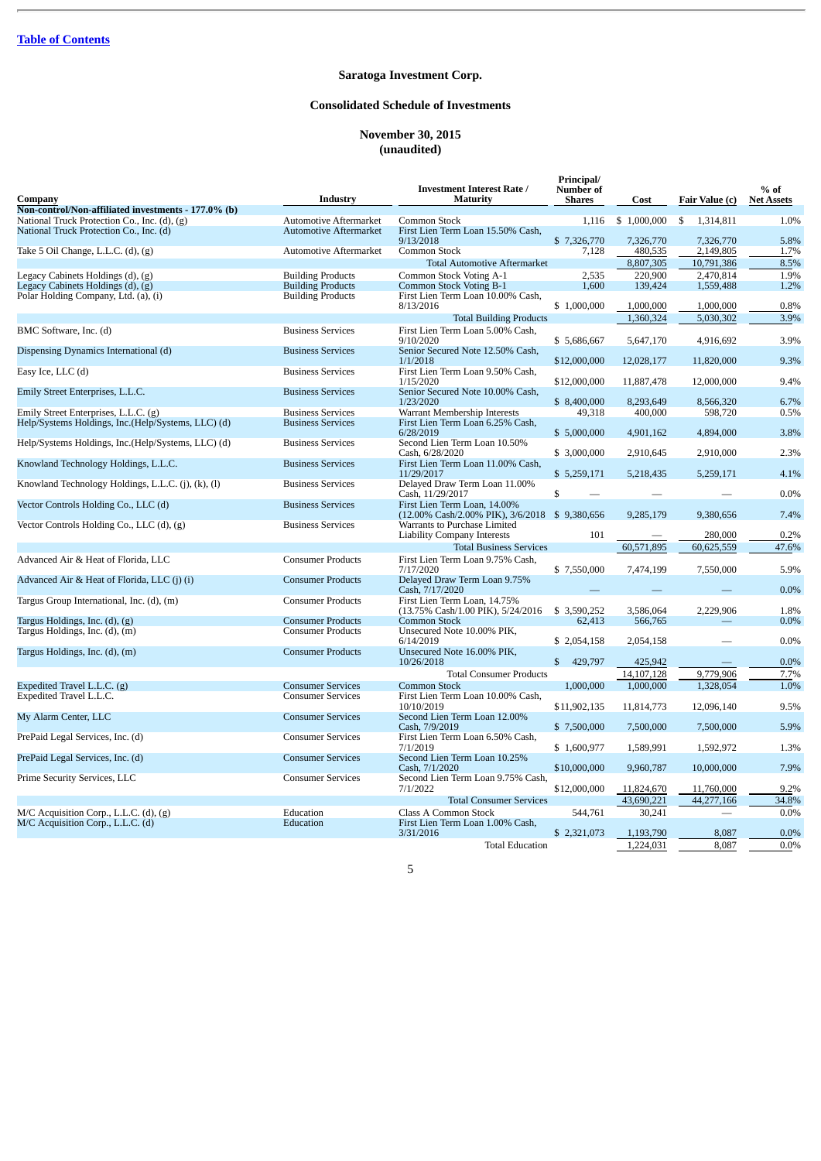### **Saratoga Investment Corp.**

### **Consolidated Schedule of Investments**

#### **November 30, 2015 (unaudited)**

<span id="page-4-0"></span>

| Company<br><b>Industry</b>                                                              |                                                                | <b>Investment Interest Rate /</b><br><b>Maturity</b>                          | Principal/<br><b>Number</b> of<br>Shares | Cost                 | Fair Value (c)         | $%$ of<br><b>Net Assets</b> |  |
|-----------------------------------------------------------------------------------------|----------------------------------------------------------------|-------------------------------------------------------------------------------|------------------------------------------|----------------------|------------------------|-----------------------------|--|
| Non-control/Non-affiliated investments - 177.0% (b)                                     |                                                                |                                                                               |                                          |                      |                        |                             |  |
| National Truck Protection Co., Inc. (d), (g)<br>National Truck Protection Co., Inc. (d) | <b>Automotive Aftermarket</b><br><b>Automotive Aftermarket</b> | Common Stock<br>First Lien Term Loan 15.50% Cash,                             | 1,116                                    | \$1,000,000          | \$<br>1,314,811        | 1.0%<br>5.8%                |  |
| Take 5 Oil Change, L.L.C. (d), (g)                                                      | <b>Automotive Aftermarket</b>                                  | 9/13/2018<br>Common Stock                                                     | \$7,326,770<br>7,128                     | 7.326.770<br>480,535 | 7.326.770<br>2,149,805 | 1.7%                        |  |
|                                                                                         |                                                                | <b>Total Automotive Aftermarket</b>                                           |                                          | 8.807.305            | 10,791,386             | 8.5%                        |  |
|                                                                                         |                                                                |                                                                               |                                          | 220,900              | 2,470,814              | 1.9%                        |  |
| Legacy Cabinets Holdings (d), (g)<br>Legacy Cabinets Holdings (d), (g)                  | <b>Building Products</b><br><b>Building Products</b>           | Common Stock Voting A-1<br>Common Stock Voting B-1                            | 2,535<br>1.600                           | 139,424              | 1,559,488              | 1.2%                        |  |
| Polar Holding Company, Ltd. (a), (i)                                                    | <b>Building Products</b>                                       | First Lien Term Loan 10.00% Cash.                                             |                                          |                      |                        |                             |  |
|                                                                                         |                                                                | 8/13/2016                                                                     | \$1,000,000                              | 1,000,000            | 1,000,000              | 0.8%                        |  |
|                                                                                         |                                                                | <b>Total Building Products</b>                                                |                                          | 1,360,324            | 5,030,302              | 3.9%                        |  |
| BMC Software, Inc. (d)                                                                  | <b>Business Services</b>                                       | First Lien Term Loan 5.00% Cash,                                              |                                          |                      |                        |                             |  |
|                                                                                         |                                                                | 9/10/2020                                                                     | \$5,686,667                              | 5,647,170            | 4,916,692              | 3.9%                        |  |
| Dispensing Dynamics International (d)                                                   | <b>Business Services</b>                                       | Senior Secured Note 12.50% Cash,<br>1/1/2018                                  | \$12,000,000                             | 12,028,177           | 11,820,000             | 9.3%                        |  |
| Easy Ice, LLC (d)                                                                       | <b>Business Services</b>                                       | First Lien Term Loan 9.50% Cash,<br>1/15/2020                                 | \$12,000,000                             | 11,887,478           | 12,000,000             | 9.4%                        |  |
| Emily Street Enterprises, L.L.C.                                                        | <b>Business Services</b>                                       | Senior Secured Note 10.00% Cash,<br>1/23/2020                                 |                                          |                      |                        |                             |  |
| Emily Street Enterprises, L.L.C. (g)                                                    | <b>Business Services</b>                                       | Warrant Membership Interests                                                  | \$8,400,000<br>49,318                    | 8,293,649<br>400,000 | 8,566,320<br>598,720   | 6.7%<br>0.5%                |  |
| Help/Systems Holdings, Inc.(Help/Systems, LLC) (d)                                      | <b>Business Services</b>                                       | First Lien Term Loan 6.25% Cash,                                              |                                          |                      |                        |                             |  |
|                                                                                         |                                                                | 6/28/2019                                                                     | \$5,000,000                              | 4,901,162            | 4,894,000              | 3.8%                        |  |
| Help/Systems Holdings, Inc.(Help/Systems, LLC) (d)                                      | <b>Business Services</b>                                       | Second Lien Term Loan 10.50%<br>Cash, 6/28/2020                               | \$ 3,000,000                             | 2,910,645            | 2,910,000              | 2.3%                        |  |
| Knowland Technology Holdings, L.L.C.                                                    | <b>Business Services</b>                                       | First Lien Term Loan 11.00% Cash,<br>11/29/2017                               | \$5,259,171                              | 5,218,435            | 5,259,171              | 4.1%                        |  |
| Knowland Technology Holdings, L.L.C. (j), (k), (l)                                      | <b>Business Services</b>                                       | Delayed Draw Term Loan 11.00%<br>Cash. 11/29/2017                             | \$                                       |                      |                        | $0.0\%$                     |  |
| Vector Controls Holding Co., LLC (d)                                                    | <b>Business Services</b>                                       | First Lien Term Loan, 14.00%<br>(12.00% Cash/2.00% PIK), 3/6/2018 \$9,380,656 |                                          | 9,285,179            | 9,380,656              | 7.4%                        |  |
| Vector Controls Holding Co., LLC (d), (g)                                               | <b>Business Services</b>                                       | Warrants to Purchase Limited<br><b>Liability Company Interests</b>            | 101                                      |                      | 280,000                | 0.2%                        |  |
|                                                                                         |                                                                | <b>Total Business Services</b>                                                |                                          | 60,571,895           | 60,625,559             | 47.6%                       |  |
| Advanced Air & Heat of Florida, LLC                                                     | <b>Consumer Products</b>                                       | First Lien Term Loan 9.75% Cash,<br>7/17/2020                                 | \$7,550,000                              | 7,474,199            | 7,550,000              | 5.9%                        |  |
| Advanced Air & Heat of Florida, LLC (j) (i)                                             | <b>Consumer Products</b>                                       | Delayed Draw Term Loan 9.75%<br>Cash, 7/17/2020                               |                                          |                      |                        | 0.0%                        |  |
| Targus Group International, Inc. (d), (m)                                               | <b>Consumer Products</b>                                       | First Lien Term Loan, 14.75%<br>(13.75% Cash/1.00 PIK), 5/24/2016             | \$ 3,590,252                             | 3.586.064            | 2.229.906              | 1.8%                        |  |
| Targus Holdings, Inc. (d), (g)                                                          | <b>Consumer Products</b>                                       | Common Stock                                                                  | 62,413                                   | 566,765              |                        | $0.0\%$                     |  |
| Targus Holdings, Inc. (d), (m)                                                          | <b>Consumer Products</b>                                       | Unsecured Note 10.00% PIK,<br>6/14/2019                                       | \$2,054,158                              | 2,054,158            |                        | 0.0%                        |  |
| Targus Holdings, Inc. (d), (m)                                                          | <b>Consumer Products</b>                                       | Unsecured Note 16.00% PIK,                                                    |                                          |                      |                        |                             |  |
|                                                                                         |                                                                | 10/26/2018                                                                    | 429,797<br>\$                            | 425,942              |                        | 0.0%                        |  |
|                                                                                         |                                                                | <b>Total Consumer Products</b>                                                |                                          | 14,107,128           | 9,779,906              | 7.7%                        |  |
| Expedited Travel L.L.C. (g)                                                             | <b>Consumer Services</b>                                       | <b>Common Stock</b>                                                           | 1,000,000                                | 1,000,000            | 1.328.054              | 1.0%                        |  |
| Expedited Travel L.L.C.                                                                 | <b>Consumer Services</b>                                       | First Lien Term Loan 10.00% Cash,                                             |                                          |                      |                        |                             |  |
|                                                                                         |                                                                | 10/10/2019                                                                    | \$11,902,135                             | 11,814,773           | 12,096,140             | 9.5%                        |  |
| My Alarm Center, LLC                                                                    | <b>Consumer Services</b>                                       | Second Lien Term Loan 12.00%<br>Cash. 7/9/2019                                | \$7,500,000                              | 7,500,000            | 7,500,000              | 5.9%                        |  |
| PrePaid Legal Services, Inc. (d)                                                        | <b>Consumer Services</b>                                       | First Lien Term Loan 6.50% Cash,<br>7/1/2019                                  | \$1,600,977                              | 1,589,991            | 1,592,972              | 1.3%                        |  |
| PrePaid Legal Services, Inc. (d)                                                        | <b>Consumer Services</b>                                       | Second Lien Term Loan 10.25%<br>Cash, 7/1/2020                                | \$10,000,000                             | 9,960,787            | 10,000,000             | 7.9%                        |  |
| Prime Security Services, LLC                                                            | <b>Consumer Services</b>                                       | Second Lien Term Loan 9.75% Cash,<br>7/1/2022                                 | \$12,000,000                             | 11,824,670           | 11,760,000             | 9.2%                        |  |
|                                                                                         |                                                                | <b>Total Consumer Services</b>                                                |                                          | 43,690,221           | 44,277,166             | 34.8%                       |  |
| M/C Acquisition Corp., L.L.C. (d), (g)                                                  | Education                                                      | Class A Common Stock                                                          | 544,761                                  | 30,241               | $\equiv$               | 0.0%                        |  |
| M/C Acquisition Corp., L.L.C. (d)                                                       | Education                                                      | First Lien Term Loan 1.00% Cash,<br>3/31/2016                                 | \$2,321,073                              | 1,193,790            | 8,087                  | 0.0%                        |  |
|                                                                                         |                                                                | <b>Total Education</b>                                                        |                                          | 1,224,031            | 8,087                  | 0.0%                        |  |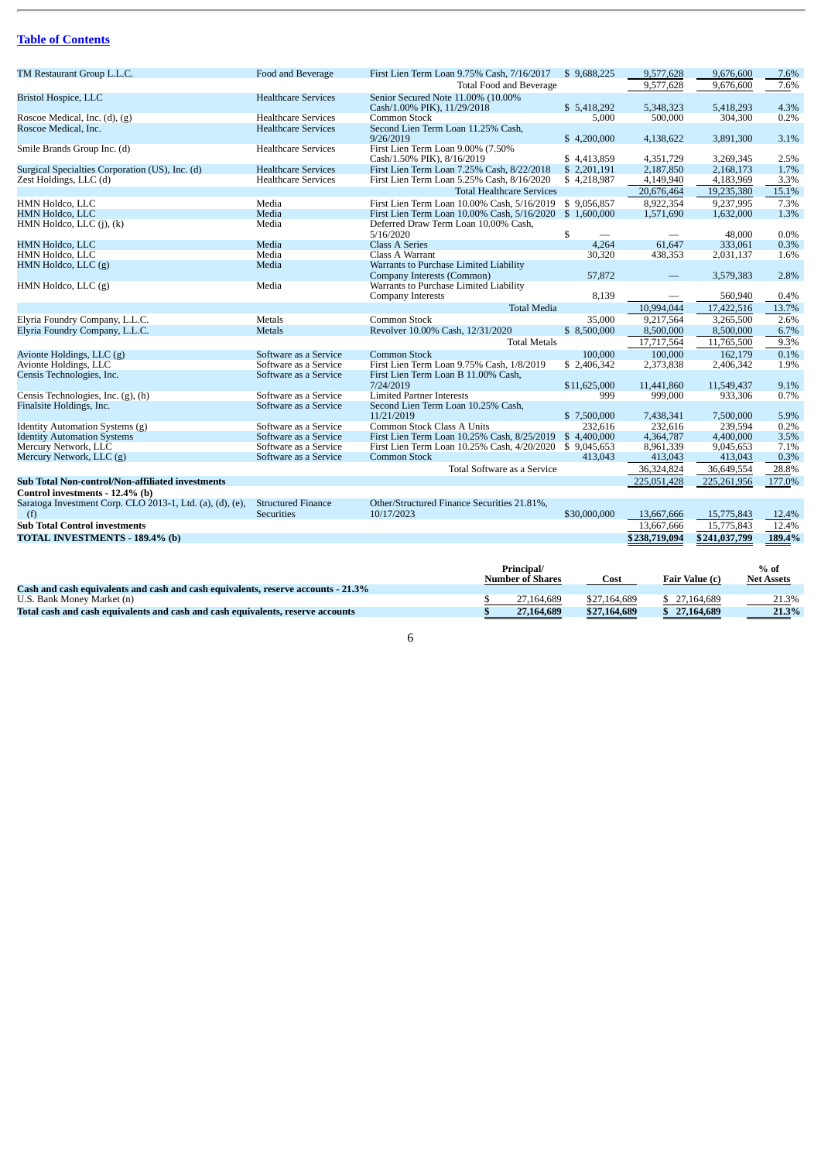| TM Restaurant Group L.L.C.                                                        | Food and Beverage          | First Lien Term Loan 9.75% Cash, 7/16/2017               | \$9,688,225  | 9,577,628     | 9,676,600      | 7.6%              |
|-----------------------------------------------------------------------------------|----------------------------|----------------------------------------------------------|--------------|---------------|----------------|-------------------|
|                                                                                   |                            | Total Food and Beverage                                  |              | 9,577,628     | 9,676,600      | 7.6%              |
| <b>Bristol Hospice, LLC</b>                                                       | <b>Healthcare Services</b> | Senior Secured Note 11.00% (10.00%                       |              |               |                |                   |
|                                                                                   |                            | Cash/1.00% PIK), 11/29/2018                              | \$5,418,292  | 5,348,323     | 5,418,293      | 4.3%              |
| Roscoe Medical, Inc. (d), (g)                                                     | <b>Healthcare Services</b> | Common Stock                                             | 5,000        | 500,000       | 304,300        | 0.2%              |
| Roscoe Medical, Inc.                                                              | <b>Healthcare Services</b> | Second Lien Term Loan 11.25% Cash,                       |              |               |                |                   |
|                                                                                   |                            | 9/26/2019                                                | \$4,200,000  | 4,138,622     | 3,891,300      | 3.1%              |
| Smile Brands Group Inc. (d)                                                       | <b>Healthcare Services</b> | First Lien Term Loan 9.00% (7.50%                        |              |               |                |                   |
|                                                                                   |                            | Cash/1.50% PIK), 8/16/2019                               | \$4,413,859  | 4,351,729     | 3,269,345      | 2.5%              |
| Surgical Specialties Corporation (US), Inc. (d)                                   | <b>Healthcare Services</b> | First Lien Term Loan 7.25% Cash, 8/22/2018               | \$ 2,201,191 | 2,187,850     | 2,168,173      | 1.7%              |
| Zest Holdings, LLC (d)                                                            | <b>Healthcare Services</b> | First Lien Term Loan 5.25% Cash, 8/16/2020               | \$4,218,987  | 4,149,940     | 4,183,969      | 3.3%              |
|                                                                                   |                            | <b>Total Healthcare Services</b>                         |              | 20,676,464    | 19,235,380     | 15.1%             |
| HMN Holdco, LLC                                                                   | Media                      | First Lien Term Loan 10.00% Cash, 5/16/2019              | \$9,056,857  | 8.922.354     | 9.237.995      | 7.3%              |
| <b>HMN Holdco, LLC</b>                                                            | Media                      | First Lien Term Loan 10.00% Cash, 5/16/2020              | \$1,600,000  | 1,571,690     | 1,632,000      | 1.3%              |
| HMN Holdco, LLC (j), (k)                                                          | Media                      | Deferred Draw Term Loan 10.00% Cash,                     |              |               |                |                   |
|                                                                                   |                            | 5/16/2020                                                | \$           |               | 48,000         | $0.0\%$           |
| HMN Holdco, LLC                                                                   | Media                      | <b>Class A Series</b>                                    | 4,264        | 61,647        | 333,061        | 0.3%              |
| <b>HMN Holdco, LLC</b>                                                            | Media                      | Class A Warrant                                          | 30,320       | 438,353       | 2,031,137      | 1.6%              |
| HMN Holdco, LLC (g)                                                               | Media                      | Warrants to Purchase Limited Liability                   |              |               |                |                   |
|                                                                                   |                            | Company Interests (Common)                               | 57,872       |               | 3,579,383      | 2.8%              |
| HMN Holdco, LLC (g)                                                               | Media                      | Warrants to Purchase Limited Liability                   |              |               |                |                   |
|                                                                                   |                            | Company Interests                                        | 8,139        |               | 560,940        | 0.4%              |
|                                                                                   |                            | <b>Total Media</b>                                       |              | 10,994,044    | 17,422,516     | 13.7%             |
| Elyria Foundry Company, L.L.C.                                                    | <b>Metals</b>              | Common Stock                                             | 35,000       | 9,217,564     | 3.265.500      | 2.6%              |
| Elyria Foundry Company, L.L.C.                                                    | <b>Metals</b>              | Revolver 10.00% Cash, 12/31/2020                         | \$8,500,000  | 8,500,000     | 8,500,000      | 6.7%              |
|                                                                                   |                            | <b>Total Metals</b>                                      |              | 17,717,564    | 11,765,500     | 9.3%              |
| Avionte Holdings, LLC (g)                                                         | Software as a Service      | <b>Common Stock</b>                                      | 100,000      | 100,000       | 162,179        | 0.1%              |
| Avionte Holdings, LLC                                                             | Software as a Service      | First Lien Term Loan 9.75% Cash, 1/8/2019                | \$2,406,342  | 2,373,838     | 2,406,342      | 1.9%              |
| Censis Technologies, Inc.                                                         | Software as a Service      | First Lien Term Loan B 11.00% Cash,                      |              |               |                |                   |
|                                                                                   |                            | 7/24/2019                                                | \$11,625,000 | 11,441,860    | 11,549,437     | 9.1%              |
| Censis Technologies, Inc. (g), (h)                                                | Software as a Service      | <b>Limited Partner Interests</b>                         | 999          | 999,000       | 933,306        | 0.7%              |
| Finalsite Holdings, Inc.                                                          | Software as a Service      | Second Lien Term Loan 10.25% Cash,                       |              |               |                |                   |
|                                                                                   |                            | 11/21/2019                                               | \$7,500,000  | 7,438,341     | 7,500,000      | 5.9%              |
| Identity Automation Systems (g)                                                   | Software as a Service      | Common Stock Class A Units                               | 232,616      | 232,616       | 239,594        | 0.2%              |
| <b>Identity Automation Systems</b>                                                | Software as a Service      | First Lien Term Loan 10.25% Cash, 8/25/2019              | \$4,400,000  | 4,364,787     | 4,400,000      | 3.5%              |
| Mercury Network, LLC                                                              | Software as a Service      | First Lien Term Loan 10.25% Cash, 4/20/2020 \$ 9,045,653 |              | 8,961,339     | 9,045,653      | 7.1%              |
| Mercury Network, LLC (g)                                                          | Software as a Service      | <b>Common Stock</b>                                      | 413,043      | 413,043       | 413,043        | 0.3%              |
|                                                                                   |                            | Total Software as a Service                              |              | 36,324,824    | 36,649,554     | 28.8%             |
| <b>Sub Total Non-control/Non-affiliated investments</b>                           |                            |                                                          |              | 225,051,428   | 225,261,956    | 177.0%            |
| Control investments - 12.4% (b)                                                   |                            |                                                          |              |               |                |                   |
| Saratoga Investment Corp. CLO 2013-1, Ltd. (a), (d), (e),                         | <b>Structured Finance</b>  | Other/Structured Finance Securities 21.81%,              |              |               |                |                   |
| (f)                                                                               | <b>Securities</b>          | 10/17/2023                                               | \$30,000,000 | 13,667,666    | 15,775,843     | 12.4%             |
| <b>Sub Total Control investments</b>                                              |                            |                                                          |              | 13,667,666    | 15,775,843     | 12.4%             |
| TOTAL INVESTMENTS - 189.4% (b)                                                    |                            |                                                          |              | \$238,719,094 | \$241,037,799  | 189.4%            |
|                                                                                   |                            |                                                          |              |               |                |                   |
|                                                                                   |                            |                                                          |              |               |                |                   |
|                                                                                   |                            | Principal/                                               |              |               |                | $%$ of            |
|                                                                                   |                            | <b>Number of Shares</b>                                  | Cost         |               | Fair Value (c) | <b>Net Assets</b> |
| Cash and cash equivalents and cash and cash equivalents, reserve accounts - 21.3% |                            |                                                          |              |               |                |                   |
| U.S. Bank Money Market (n)                                                        |                            | \$<br>27,164,689                                         | \$27,164,689 |               | \$27,164,689   | 21.3%             |

7,164,689 7,164,689 7,164,689 7,164,689 7,164,689 7,164,689 7,164,689 7,164,689 7,164,689 27,164,689 21.3 6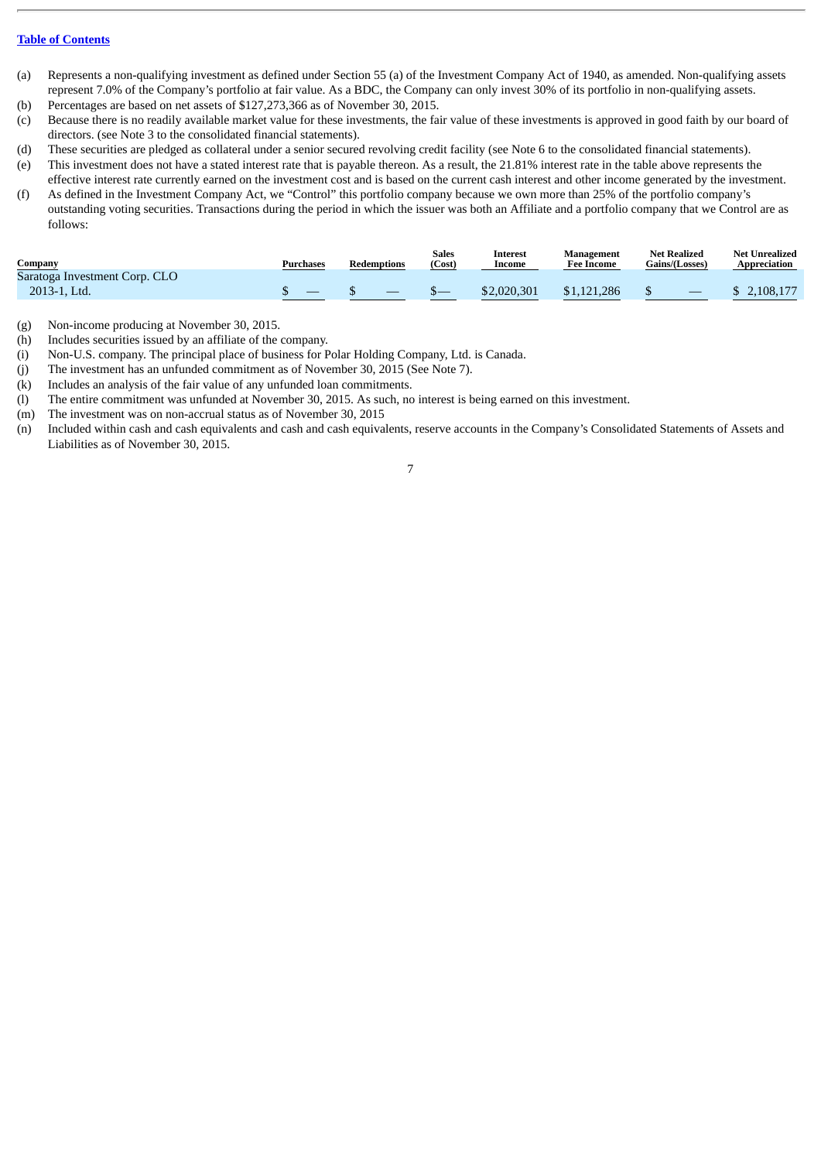- (a) Represents a non-qualifying investment as defined under Section 55 (a) of the Investment Company Act of 1940, as amended. Non-qualifying assets represent 7.0% of the Company's portfolio at fair value. As a BDC, the Company can only invest 30% of its portfolio in non-qualifying assets.
- (b) Percentages are based on net assets of \$127,273,366 as of November 30, 2015.
- (c) Because there is no readily available market value for these investments, the fair value of these investments is approved in good faith by our board of directors. (see Note 3 to the consolidated financial statements).
- (d) These securities are pledged as collateral under a senior secured revolving credit facility (see Note 6 to the consolidated financial statements).
- (e) This investment does not have a stated interest rate that is payable thereon. As a result, the 21.81% interest rate in the table above represents the effective interest rate currently earned on the investment cost and is based on the current cash interest and other income generated by the investment.
- (f) As defined in the Investment Company Act, we "Control" this portfolio company because we own more than 25% of the portfolio company's outstanding voting securities. Transactions during the period in which the issuer was both an Affiliate and a portfolio company that we Control are as follows:

| Company                       | Purchases | <b>Redemptions</b>             | Sales<br>(Cost) | Interest<br>Income | Management<br><b>Fee Income</b> | Net Realized<br>Gains/(Losses) | <b>Net Unrealized</b><br>Appreciation |
|-------------------------------|-----------|--------------------------------|-----------------|--------------------|---------------------------------|--------------------------------|---------------------------------------|
| Saratoga Investment Corp. CLO |           |                                |                 |                    |                                 |                                |                                       |
| 2013-1. Ltd.                  |           | $\qquad \qquad \longleftarrow$ |                 | \$2,020,301        | \$1,121,286                     |                                | 2.108.177                             |

- (g) Non-income producing at November 30, 2015.
- (h) Includes securities issued by an affiliate of the company.
- (i) Non-U.S. company. The principal place of business for Polar Holding Company, Ltd. is Canada.
- (j) The investment has an unfunded commitment as of November 30, 2015 (See Note 7).
- (k) Includes an analysis of the fair value of any unfunded loan commitments.
- (l) The entire commitment was unfunded at November 30, 2015. As such, no interest is being earned on this investment.
- (m) The investment was on non-accrual status as of November 30, 2015
- (n) Included within cash and cash equivalents and cash and cash equivalents, reserve accounts in the Company's Consolidated Statements of Assets and Liabilities as of November 30, 2015.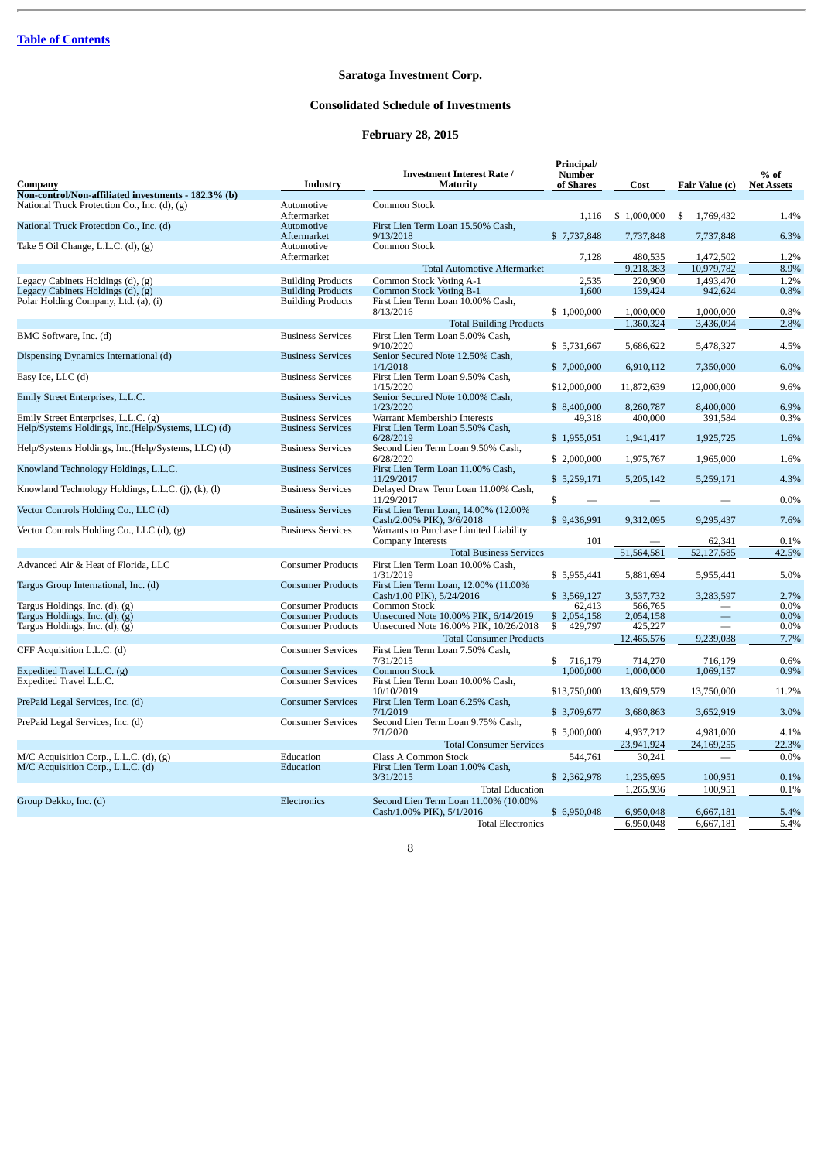### **Saratoga Investment Corp.**

### **Consolidated Schedule of Investments**

### **February 28, 2015**

| Company                                                          | Industry                                             | <b>Investment Interest Rate /</b><br>Maturity                      | Principal/<br>Number<br>of Shares | Cost                     | Fair Value (c)           | $%$ of<br><b>Net Assets</b> |
|------------------------------------------------------------------|------------------------------------------------------|--------------------------------------------------------------------|-----------------------------------|--------------------------|--------------------------|-----------------------------|
| Non-control/Non-affiliated investments - 182.3% (b)              |                                                      |                                                                    |                                   |                          |                          |                             |
| National Truck Protection Co., Inc. (d), (g)                     | Automotive<br>Aftermarket                            | Common Stock                                                       | 1,116                             | \$1,000,000              | 1,769,432<br>\$          | 1.4%                        |
| National Truck Protection Co., Inc. (d)                          | Automotive<br>Aftermarket                            | First Lien Term Loan 15.50% Cash,<br>9/13/2018                     | \$7,737,848                       | 7,737,848                | 7,737,848                | 6.3%                        |
| Take 5 Oil Change, L.L.C. (d), (g)                               | Automotive<br>Aftermarket                            | Common Stock                                                       | 7,128                             | 480,535                  | 1,472,502                | 1.2%                        |
|                                                                  |                                                      | <b>Total Automotive Aftermarket</b>                                |                                   | 9,218,383                | 10,979,782               | 8.9%                        |
| Legacy Cabinets Holdings (d), (g)                                | <b>Building Products</b>                             | Common Stock Voting A-1                                            | 2,535                             | 220,900                  | 1,493,470                | 1.2%                        |
| Legacy Cabinets Holdings (d), (g)                                | <b>Building Products</b>                             | Common Stock Voting B-1                                            | 1,600                             | 139,424                  | 942,624                  | 0.8%                        |
| Polar Holding Company, Ltd. (a), (i)                             | <b>Building Products</b>                             | First Lien Term Loan 10.00% Cash,                                  |                                   |                          |                          |                             |
|                                                                  |                                                      | 8/13/2016                                                          | \$1,000,000                       | 1,000,000                | 1,000,000                | 0.8%                        |
|                                                                  |                                                      | <b>Total Building Products</b>                                     |                                   | 1,360,324                | 3,436,094                | 2.8%                        |
| BMC Software, Inc. (d)                                           | <b>Business Services</b>                             | First Lien Term Loan 5.00% Cash,<br>9/10/2020                      | \$5,731,667                       | 5,686,622                | 5,478,327                | 4.5%                        |
| Dispensing Dynamics International (d)                            | <b>Business Services</b>                             | Senior Secured Note 12.50% Cash,<br>1/1/2018                       | \$7,000,000                       | 6,910,112                | 7,350,000                | 6.0%                        |
| Easy Ice, LLC (d)                                                | <b>Business Services</b>                             | First Lien Term Loan 9.50% Cash,                                   |                                   |                          |                          |                             |
|                                                                  |                                                      | 1/15/2020                                                          | \$12,000,000                      | 11,872,639               | 12,000,000               | 9.6%                        |
| Emily Street Enterprises, L.L.C.                                 | <b>Business Services</b>                             | Senior Secured Note 10.00% Cash,<br>1/23/2020                      | \$8,400,000                       | 8,260,787                | 8,400,000                | 6.9%                        |
| Emily Street Enterprises, L.L.C. (g)                             | <b>Business Services</b>                             | Warrant Membership Interests                                       | 49,318                            | 400,000                  | 391,584                  | 0.3%                        |
| Help/Systems Holdings, Inc.(Help/Systems, LLC) (d)               | <b>Business Services</b>                             | First Lien Term Loan 5.50% Cash,<br>6/28/2019                      | \$1,955,051                       | 1,941,417                | 1,925,725                | 1.6%                        |
| Help/Systems Holdings, Inc.(Help/Systems, LLC) (d)               | <b>Business Services</b>                             | Second Lien Term Loan 9.50% Cash,<br>6/28/2020                     | \$2,000,000                       | 1,975,767                | 1,965,000                | 1.6%                        |
| Knowland Technology Holdings, L.L.C.                             | <b>Business Services</b>                             | First Lien Term Loan 11.00% Cash,<br>11/29/2017                    | \$5,259,171                       | 5,205,142                | 5,259,171                | 4.3%                        |
| Knowland Technology Holdings, L.L.C. (j), (k), (l)               | <b>Business Services</b>                             | Delayed Draw Term Loan 11.00% Cash,<br>11/29/2017                  | \$                                | $\overline{\phantom{0}}$ | $\overline{\phantom{0}}$ | 0.0%                        |
| Vector Controls Holding Co., LLC (d)                             | <b>Business Services</b>                             | First Lien Term Loan, 14.00% (12.00%<br>Cash/2.00% PIK), 3/6/2018  | \$9,436,991                       | 9,312,095                | 9,295,437                | 7.6%                        |
| Vector Controls Holding Co., LLC (d), (g)                        | <b>Business Services</b>                             | Warrants to Purchase Limited Liability<br>Company Interests        | 101                               |                          | 62,341                   | 0.1%                        |
|                                                                  |                                                      | <b>Total Business Services</b>                                     |                                   | 51,564,581               | 52,127,585               | 42.5%                       |
| Advanced Air & Heat of Florida, LLC                              | <b>Consumer Products</b>                             | First Lien Term Loan 10.00% Cash,<br>1/31/2019                     | \$ 5,955,441                      | 5,881,694                | 5,955,441                | 5.0%                        |
| Targus Group International, Inc. (d)                             | <b>Consumer Products</b>                             | First Lien Term Loan, 12.00% (11.00%                               |                                   |                          |                          |                             |
|                                                                  |                                                      | Cash/1.00 PIK), 5/24/2016                                          | \$3,569,127                       | 3,537,732                | 3,283,597                | 2.7%                        |
| Targus Holdings, Inc. (d), (g)                                   | <b>Consumer Products</b>                             | Common Stock<br>Unsecured Note 10.00% PIK, 6/14/2019               | 62,413<br>\$2,054,158             | 566,765<br>2,054,158     | $\equiv$                 | 0.0%<br>$0.0\%$             |
| Targus Holdings, Inc. (d), (g)<br>Targus Holdings, Inc. (d), (g) | <b>Consumer Products</b><br><b>Consumer Products</b> | Unsecured Note 16.00% PIK, 10/26/2018                              | $\mathbb{S}$<br>429,797           | 425,227                  |                          | $0.0\%$                     |
|                                                                  |                                                      |                                                                    |                                   |                          |                          |                             |
| CFF Acquisition L.L.C. (d)                                       | <b>Consumer Services</b>                             | <b>Total Consumer Products</b><br>First Lien Term Loan 7.50% Cash, |                                   | 12,465,576               | 9,239,038                | 7.7%                        |
|                                                                  |                                                      | 7/31/2015                                                          | \$ 716,179                        | 714,270                  | 716,179                  | 0.6%                        |
| Expedited Travel L.L.C. (g)                                      | <b>Consumer Services</b>                             | Common Stock                                                       | 1,000,000                         | 1,000,000                | 1,069,157                | 0.9%                        |
| Expedited Travel L.L.C.                                          | <b>Consumer Services</b>                             | First Lien Term Loan 10.00% Cash,<br>10/10/2019                    | \$13,750,000                      | 13,609,579               | 13,750,000               | 11.2%                       |
| PrePaid Legal Services, Inc. (d)                                 | <b>Consumer Services</b>                             | First Lien Term Loan 6.25% Cash,<br>7/1/2019                       | \$ 3,709,677                      | 3,680,863                | 3,652,919                | 3.0%                        |
| PrePaid Legal Services, Inc. (d)                                 | <b>Consumer Services</b>                             | Second Lien Term Loan 9.75% Cash,<br>7/1/2020                      | \$5,000,000                       | 4,937,212                | 4,981,000                | 4.1%                        |
|                                                                  |                                                      | <b>Total Consumer Services</b>                                     |                                   | 23,941,924               | 24,169,255               | 22.3%                       |
| M/C Acquisition Corp., L.L.C. (d), (g)                           | Education                                            | Class A Common Stock                                               | 544,761                           | 30,241                   | $\overline{\phantom{0}}$ | 0.0%                        |
| M/C Acquisition Corp., L.L.C. (d)                                | Education                                            | First Lien Term Loan 1.00% Cash,<br>3/31/2015                      |                                   |                          |                          |                             |
|                                                                  |                                                      |                                                                    | \$2,362,978                       | 1,235,695                | 100,951                  | 0.1%                        |
|                                                                  |                                                      | <b>Total Education</b>                                             |                                   | 1,265,936                | 100,951                  | 0.1%                        |
| Group Dekko, Inc. (d)                                            | Electronics                                          | Second Lien Term Loan 11.00% (10.00%<br>Cash/1.00% PIK), 5/1/2016  | \$ 6.950,048                      | 6,950,048                | 6,667,181                | 5.4%                        |

8

Total Electronics  $\frac{0,950,040}{6,950,048}$   $\frac{0,007,101}{6,667,181}$   $\frac{0.34}{6,667,181}$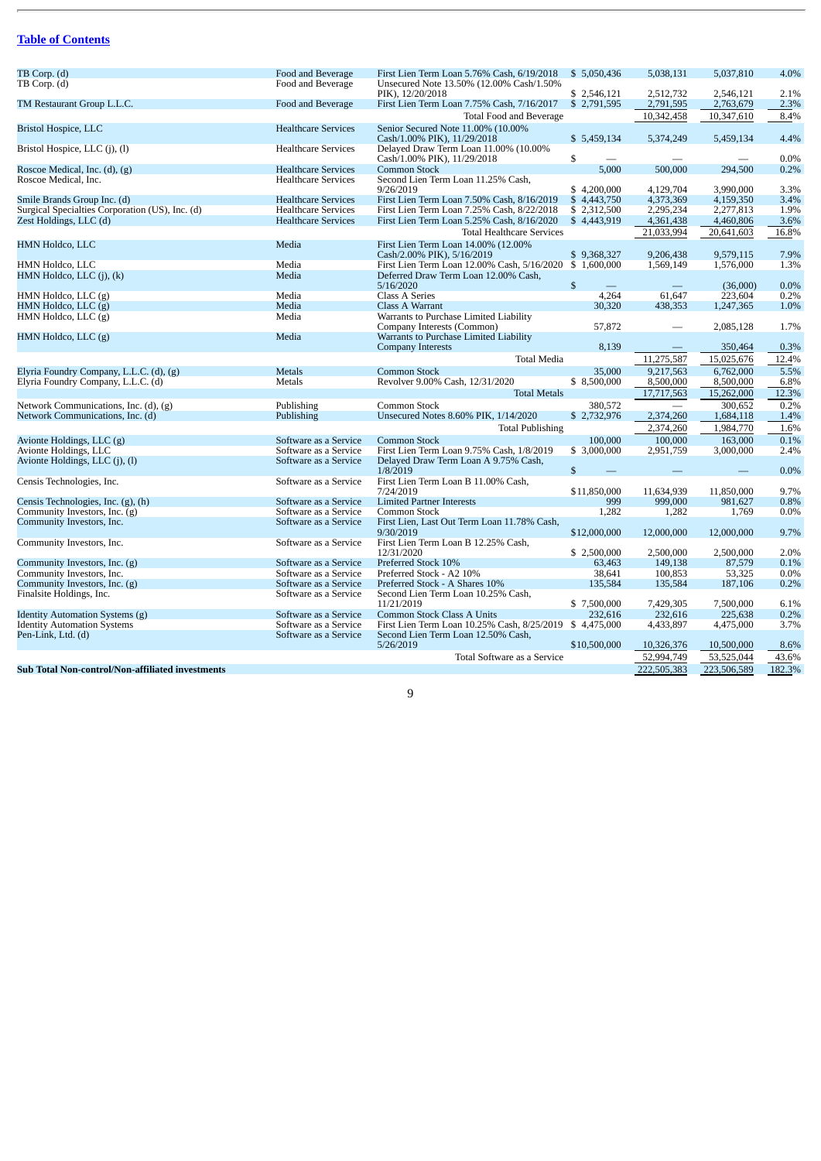| TB Corp. (d)                                            | Food and Beverage          | First Lien Term Loan 5.76% Cash, 6/19/2018                           | \$5,050,436  | 5.038.131                     | 5.037.810   | 4.0%    |
|---------------------------------------------------------|----------------------------|----------------------------------------------------------------------|--------------|-------------------------------|-------------|---------|
| TB Corp. (d)                                            | Food and Beverage          | Unsecured Note 13.50% (12.00% Cash/1.50%                             |              |                               |             |         |
|                                                         |                            | PIK), 12/20/2018                                                     | \$2,546,121  | 2.512.732                     | 2.546.121   | 2.1%    |
| TM Restaurant Group L.L.C.                              | Food and Beverage          | First Lien Term Loan 7.75% Cash, 7/16/2017                           | \$2,791,595  | 2,791,595                     | 2,763,679   | 2.3%    |
|                                                         |                            | <b>Total Food and Beverage</b>                                       |              | 10,342,458                    | 10,347,610  | 8.4%    |
| <b>Bristol Hospice, LLC</b>                             | <b>Healthcare Services</b> | Senior Secured Note 11.00% (10.00%<br>Cash/1.00% PIK), 11/29/2018    | \$5,459,134  | 5,374,249                     | 5,459,134   | 4.4%    |
| Bristol Hospice, LLC (j), (l)                           | <b>Healthcare Services</b> | Delayed Draw Term Loan 11.00% (10.00%<br>Cash/1.00% PIK), 11/29/2018 | \$           |                               |             | $0.0\%$ |
| Roscoe Medical, Inc. (d), (g)                           | <b>Healthcare Services</b> | Common Stock                                                         | 5,000        | 500,000                       | 294,500     | 0.2%    |
| Roscoe Medical, Inc.                                    | <b>Healthcare Services</b> | Second Lien Term Loan 11.25% Cash,<br>9/26/2019                      | \$4,200,000  | 4,129,704                     | 3,990,000   | 3.3%    |
| Smile Brands Group Inc. (d)                             | <b>Healthcare Services</b> | First Lien Term Loan 7.50% Cash, 8/16/2019                           | \$4,443,750  | 4,373,369                     | 4,159,350   | 3.4%    |
| Surgical Specialties Corporation (US), Inc. (d)         | <b>Healthcare Services</b> | First Lien Term Loan 7.25% Cash, 8/22/2018                           | \$ 2,312,500 | 2,295,234                     | 2,277,813   | 1.9%    |
| Zest Holdings, LLC (d)                                  | <b>Healthcare Services</b> | First Lien Term Loan 5.25% Cash, 8/16/2020                           | \$4,443,919  | 4,361,438                     | 4,460,806   | 3.6%    |
|                                                         |                            | <b>Total Healthcare Services</b>                                     |              | 21,033,994                    | 20,641,603  | 16.8%   |
| <b>HMN Holdco, LLC</b>                                  | Media                      | First Lien Term Loan 14.00% (12.00%                                  |              |                               |             |         |
|                                                         |                            | Cash/2.00% PIK), 5/16/2019                                           | \$9,368,327  | 9,206,438                     | 9.579.115   | 7.9%    |
| HMN Holdco, LLC                                         | Media                      | First Lien Term Loan 12.00% Cash, 5/16/2020 \$ 1,600,000             |              | 1,569,149                     | 1,576,000   | 1.3%    |
| HMN Holdco, LLC (i), (k)                                | Media                      | Deferred Draw Term Loan 12.00% Cash,                                 |              |                               |             |         |
|                                                         |                            | 5/16/2020                                                            | $\mathbb{S}$ |                               | (36,000)    | $0.0\%$ |
| HMN Holdco, LLC (g)                                     | Media                      | Class A Series                                                       | 4,264        | 61,647                        | 223,604     | 0.2%    |
| HMN Holdco, LLC (g)                                     | Media                      | Class A Warrant                                                      | 30,320       | 438,353                       | 1,247,365   | 1.0%    |
| HMN Holdco, LLC (g)                                     | Media                      | Warrants to Purchase Limited Liability<br>Company Interests (Common) | 57,872       | $\overbrace{\phantom{aaaaa}}$ | 2,085,128   | 1.7%    |
| HMN Holdco, LLC (g)                                     | Media                      | Warrants to Purchase Limited Liability                               |              |                               |             |         |
|                                                         |                            | <b>Company Interests</b>                                             | 8,139        |                               | 350,464     | 0.3%    |
|                                                         |                            | <b>Total Media</b>                                                   |              | 11,275,587                    | 15,025,676  | 12.4%   |
| Elyria Foundry Company, L.L.C. (d), (g)                 | <b>Metals</b>              | <b>Common Stock</b>                                                  | 35,000       | 9.217.563                     | 6.762.000   | 5.5%    |
| Elyria Foundry Company, L.L.C. (d)                      | <b>Metals</b>              | Revolver 9.00% Cash, 12/31/2020                                      | \$8,500,000  | 8,500,000                     | 8,500,000   | 6.8%    |
|                                                         |                            | <b>Total Metals</b>                                                  |              | 17,717,563                    | 15,262,000  | 12.3%   |
| Network Communications, Inc. (d), (g)                   | Publishing                 | Common Stock                                                         | 380,572      |                               | 300,652     | 0.2%    |
| Network Communications, Inc. (d)                        | Publishing                 | Unsecured Notes 8.60% PIK, 1/14/2020                                 | \$2,732,976  | 2,374,260                     | 1,684,118   | 1.4%    |
|                                                         |                            | <b>Total Publishing</b>                                              |              | 2,374,260                     | 1,984,770   | 1.6%    |
| Avionte Holdings, LLC (g)                               | Software as a Service      | <b>Common Stock</b>                                                  | 100,000      | 100,000                       | 163,000     | 0.1%    |
| Avionte Holdings, LLC                                   | Software as a Service      | First Lien Term Loan 9.75% Cash, 1/8/2019                            | \$ 3,000,000 | 2,951,759                     | 3,000,000   | 2.4%    |
| Avionte Holdings, LLC (j), (l)                          | Software as a Service      | Delayed Draw Term Loan A 9.75% Cash,<br>1/8/2019                     | \$           |                               |             | $0.0\%$ |
| Censis Technologies, Inc.                               | Software as a Service      | First Lien Term Loan B 11.00% Cash,                                  |              |                               |             |         |
|                                                         |                            | 7/24/2019                                                            | \$11,850,000 | 11,634,939                    | 11,850,000  | 9.7%    |
| Censis Technologies, Inc. (g), (h)                      | Software as a Service      | <b>Limited Partner Interests</b>                                     | 999          | 999,000                       | 981,627     | 0.8%    |
| Community Investors, Inc. (g)                           | Software as a Service      | Common Stock                                                         | 1,282        | 1,282                         | 1,769       | $0.0\%$ |
| Community Investors, Inc.                               | Software as a Service      | First Lien, Last Out Term Loan 11.78% Cash.<br>9/30/2019             | \$12,000,000 | 12,000,000                    | 12,000,000  | 9.7%    |
| Community Investors, Inc.                               | Software as a Service      | First Lien Term Loan B 12.25% Cash,<br>12/31/2020                    | \$2,500,000  | 2.500.000                     | 2.500,000   | 2.0%    |
| Community Investors, Inc. (g)                           | Software as a Service      | Preferred Stock 10%                                                  | 63,463       | 149,138                       | 87,579      | 0.1%    |
| Community Investors, Inc.                               | Software as a Service      | Preferred Stock - A2 10%                                             | 38.641       | 100.853                       | 53.325      | $0.0\%$ |
| Community Investors, Inc. (g)                           | Software as a Service      | Preferred Stock - A Shares 10%                                       | 135,584      | 135,584                       | 187,106     | 0.2%    |
| Finalsite Holdings, Inc.                                | Software as a Service      | Second Lien Term Loan 10.25% Cash,                                   |              |                               |             |         |
|                                                         |                            | 11/21/2019                                                           | \$7,500,000  | 7,429,305                     | 7,500,000   | 6.1%    |
| Identity Automation Systems (g)                         | Software as a Service      | Common Stock Class A Units                                           | 232,616      | 232,616                       | 225,638     | 0.2%    |
| <b>Identity Automation Systems</b>                      | Software as a Service      | First Lien Term Loan 10.25% Cash, 8/25/2019 \$4,475,000              |              | 4,433,897                     | 4,475,000   | 3.7%    |
| Pen-Link, Ltd. (d)                                      | Software as a Service      | Second Lien Term Loan 12.50% Cash,<br>5/26/2019                      | \$10,500,000 | 10,326,376                    | 10,500,000  | 8.6%    |
|                                                         |                            | Total Software as a Service                                          |              | 52,994,749                    | 53,525,044  | 43.6%   |
| <b>Sub Total Non-control/Non-affiliated investments</b> |                            |                                                                      |              | 222,505,383                   | 223,506,589 | 182.3%  |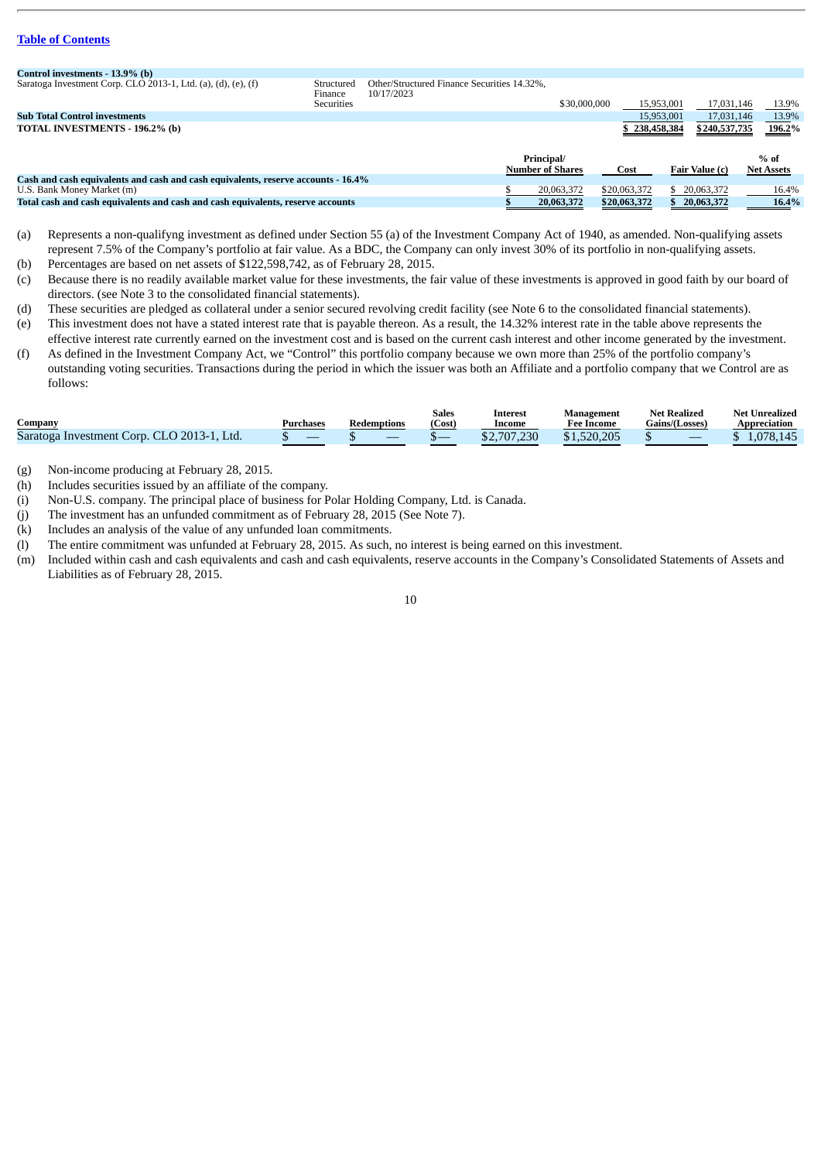| Control investments - 13.9% (b)                                                   |                       |                                                           |                         |               |                |                   |
|-----------------------------------------------------------------------------------|-----------------------|-----------------------------------------------------------|-------------------------|---------------|----------------|-------------------|
| Saratoga Investment Corp. CLO 2013-1, Ltd. (a), (d), (e), (f)                     | Structured<br>Finance | Other/Structured Finance Securities 14.32%.<br>10/17/2023 |                         |               |                |                   |
|                                                                                   | Securities            |                                                           | \$30,000,000            | 15,953,001    | 17,031,146     | 13.9%             |
| <b>Sub Total Control investments</b>                                              |                       |                                                           |                         | 15,953,001    | 17,031,146     | 13.9%             |
| TOTAL INVESTMENTS - 196.2% (b)                                                    |                       |                                                           |                         | \$238,458,384 | \$240,537,735  | 196.2%            |
|                                                                                   |                       |                                                           | Principal/              |               |                | $%$ of            |
|                                                                                   |                       |                                                           | <b>Number of Shares</b> | Cost          | Fair Value (c) | <b>Net Assets</b> |
| Cash and cash equivalents and cash and cash equivalents, reserve accounts - 16.4% |                       |                                                           |                         |               |                |                   |
| U.S. Bank Money Market (m)                                                        |                       |                                                           | 20.063.372              | \$20,063,372  | \$ 20,063,372  | 16.4%             |
| Total cash and cash equivalents and cash and cash equivalents, reserve accounts   |                       |                                                           | 20,063,372              | \$20,063,372  | \$20,063,372   | 16.4%             |

(a) Represents a non-qualifyng investment as defined under Section 55 (a) of the Investment Company Act of 1940, as amended. Non-qualifying assets represent 7.5% of the Company's portfolio at fair value. As a BDC, the Company can only invest 30% of its portfolio in non-qualifying assets. (b) Percentages are based on net assets of \$122,598,742, as of February 28, 2015.

- (c) Because there is no readily available market value for these investments, the fair value of these investments is approved in good faith by our board of directors. (see Note 3 to the consolidated financial statements).
- (d) These securities are pledged as collateral under a senior secured revolving credit facility (see Note 6 to the consolidated financial statements).
- (e) This investment does not have a stated interest rate that is payable thereon. As a result, the 14.32% interest rate in the table above represents the effective interest rate currently earned on the investment cost and is based on the current cash interest and other income generated by the investment.
- (f) As defined in the Investment Company Act, we "Control" this portfolio company because we own more than 25% of the portfolio company's outstanding voting securities. Transactions during the period in which the issuer was both an Affiliate and a portfolio company that we Control are as follows:

| <b>Company</b>                             | Purchases | Redemptions | Sales<br>'Cost) | Interest<br>Income | Management<br>Fee Income | <b>Net Realized</b><br>Gains/(Losses) | <b>Net Unrealized</b><br>Appreciation |
|--------------------------------------------|-----------|-------------|-----------------|--------------------|--------------------------|---------------------------------------|---------------------------------------|
| Saratoga Investment Corp. CLO 2013-1, Ltd. |           |             |                 | 707.230            | 1.520.205                |                                       | .078.145                              |

(g) Non-income producing at February 28, 2015.

- (h) Includes securities issued by an affiliate of the company.
- (i) Non-U.S. company. The principal place of business for Polar Holding Company, Ltd. is Canada.
- (j) The investment has an unfunded commitment as of February 28, 2015 (See Note 7).
- (k) Includes an analysis of the value of any unfunded loan commitments.
- (l) The entire commitment was unfunded at February 28, 2015. As such, no interest is being earned on this investment.
- (m) Included within cash and cash equivalents and cash and cash equivalents, reserve accounts in the Company's Consolidated Statements of Assets and Liabilities as of February 28, 2015.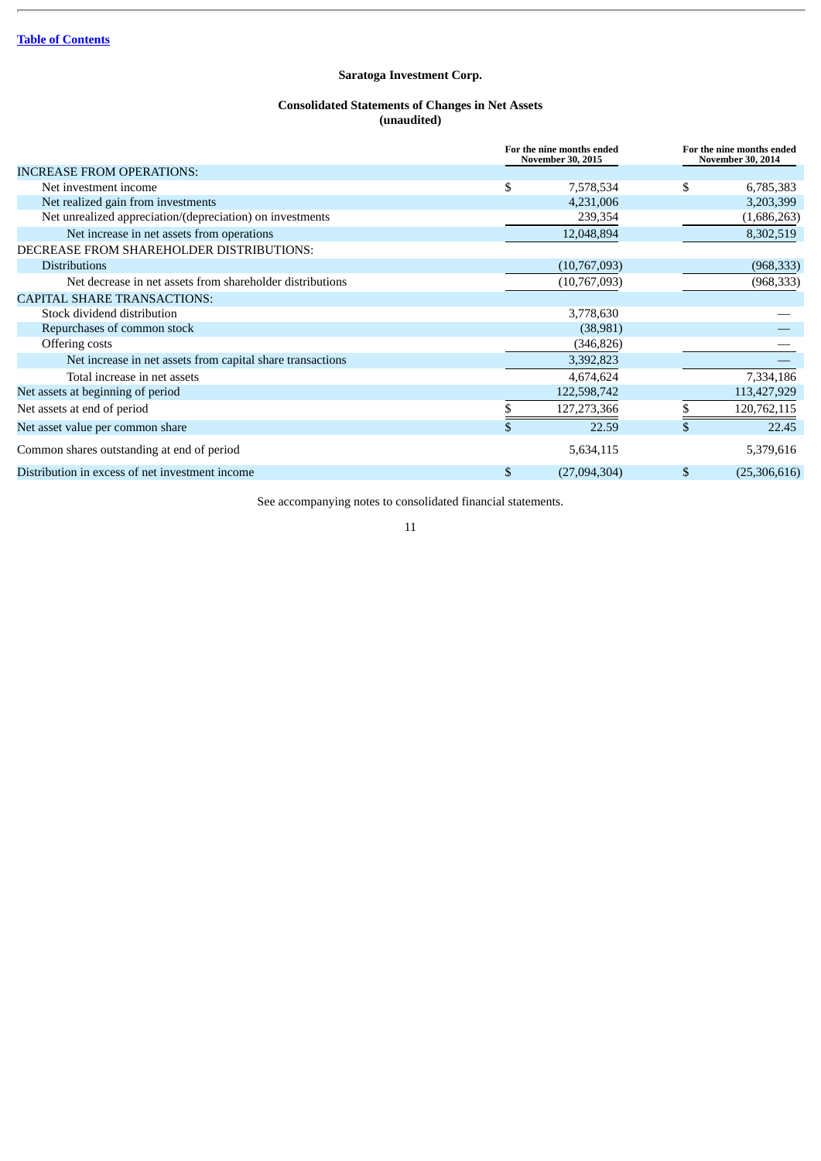### **Saratoga Investment Corp.**

#### **Consolidated Statements of Changes in Net Assets (unaudited)**

<span id="page-10-0"></span>

|                                                            |    | For the nine months ended<br><b>November 30, 2015</b> |     | For the nine months ended<br><b>November 30, 2014</b> |
|------------------------------------------------------------|----|-------------------------------------------------------|-----|-------------------------------------------------------|
| <b>INCREASE FROM OPERATIONS:</b>                           |    |                                                       |     |                                                       |
| Net investment income                                      | \$ | 7,578,534                                             | \$  | 6,785,383                                             |
| Net realized gain from investments                         |    | 4,231,006                                             |     | 3,203,399                                             |
| Net unrealized appreciation/(depreciation) on investments  |    | 239,354                                               |     | (1,686,263)                                           |
| Net increase in net assets from operations                 |    | 12,048,894                                            |     | 8,302,519                                             |
| DECREASE FROM SHAREHOLDER DISTRIBUTIONS:                   |    |                                                       |     |                                                       |
| <b>Distributions</b>                                       |    | (10,767,093)                                          |     | (968, 333)                                            |
| Net decrease in net assets from shareholder distributions  |    | (10,767,093)                                          |     | (968, 333)                                            |
| <b>CAPITAL SHARE TRANSACTIONS:</b>                         |    |                                                       |     |                                                       |
| Stock dividend distribution                                |    | 3,778,630                                             |     |                                                       |
| Repurchases of common stock                                |    | (38, 981)                                             |     |                                                       |
| Offering costs                                             |    | (346, 826)                                            |     |                                                       |
| Net increase in net assets from capital share transactions |    | 3,392,823                                             |     |                                                       |
| Total increase in net assets                               |    | 4,674,624                                             |     | 7,334,186                                             |
| Net assets at beginning of period                          |    | 122,598,742                                           |     | 113,427,929                                           |
| Net assets at end of period                                |    | 127,273,366                                           |     | 120,762,115                                           |
| Net asset value per common share                           |    | 22.59                                                 | \$. | 22.45                                                 |
| Common shares outstanding at end of period                 |    | 5,634,115                                             |     | 5,379,616                                             |
| Distribution in excess of net investment income            | \$ | (27,094,304)                                          | \$  | (25,306,616)                                          |

See accompanying notes to consolidated financial statements.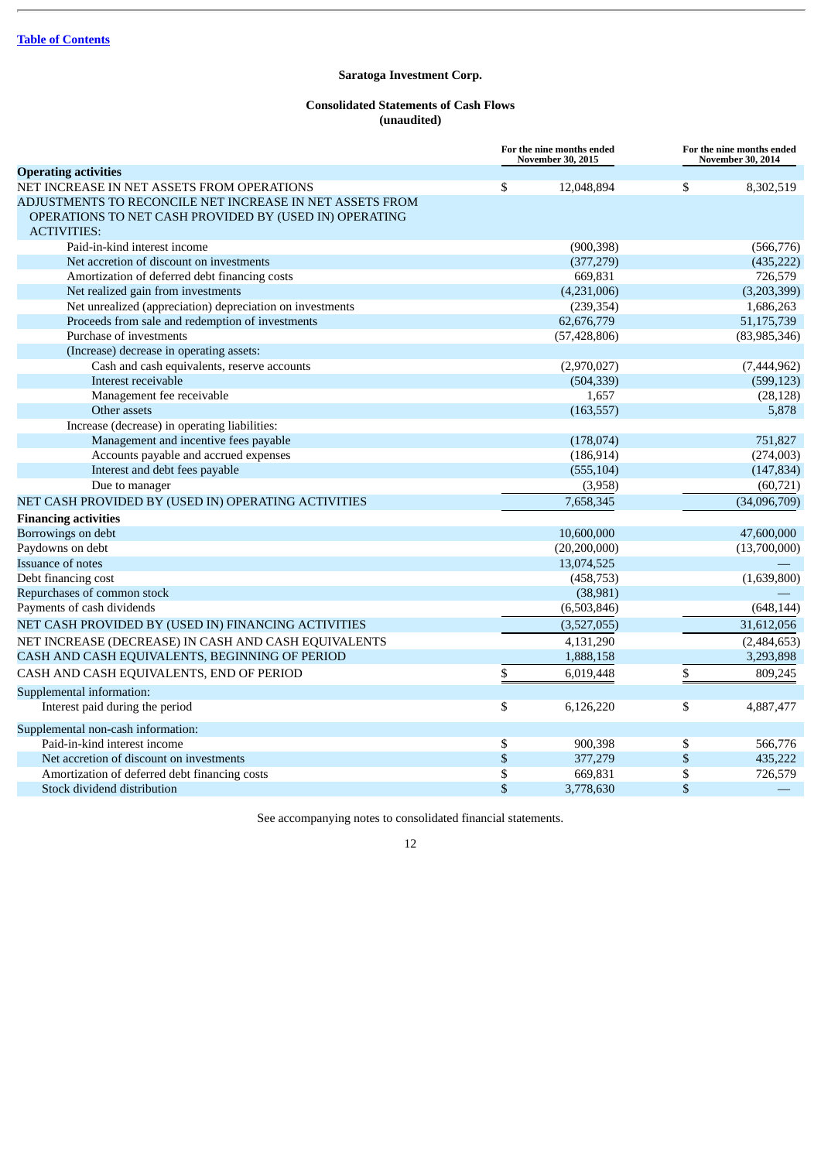### **Saratoga Investment Corp.**

### **Consolidated Statements of Cash Flows (unaudited)**

<span id="page-11-0"></span>

|                                                           | For the nine months ended<br><b>November 30, 2015</b> |                | For the nine months ended<br><b>November 30, 2014</b> |
|-----------------------------------------------------------|-------------------------------------------------------|----------------|-------------------------------------------------------|
| <b>Operating activities</b>                               |                                                       |                |                                                       |
| NET INCREASE IN NET ASSETS FROM OPERATIONS                | \$<br>12,048,894                                      | \$             | 8,302,519                                             |
| ADJUSTMENTS TO RECONCILE NET INCREASE IN NET ASSETS FROM  |                                                       |                |                                                       |
| OPERATIONS TO NET CASH PROVIDED BY (USED IN) OPERATING    |                                                       |                |                                                       |
| <b>ACTIVITIES:</b>                                        |                                                       |                |                                                       |
| Paid-in-kind interest income                              | (900, 398)                                            |                | (566, 776)                                            |
| Net accretion of discount on investments                  | (377, 279)                                            |                | (435, 222)                                            |
| Amortization of deferred debt financing costs             | 669,831                                               |                | 726,579                                               |
| Net realized gain from investments                        | (4,231,006)                                           |                | (3,203,399)                                           |
| Net unrealized (appreciation) depreciation on investments | (239, 354)                                            |                | 1,686,263                                             |
| Proceeds from sale and redemption of investments          | 62,676,779                                            |                | 51,175,739                                            |
| Purchase of investments                                   | (57, 428, 806)                                        |                | (83,985,346)                                          |
| (Increase) decrease in operating assets:                  |                                                       |                |                                                       |
| Cash and cash equivalents, reserve accounts               | (2,970,027)                                           |                | (7,444,962)                                           |
| Interest receivable                                       | (504, 339)                                            |                | (599, 123)                                            |
| Management fee receivable                                 | 1,657                                                 |                | (28, 128)                                             |
| Other assets                                              | (163, 557)                                            |                | 5,878                                                 |
| Increase (decrease) in operating liabilities:             |                                                       |                |                                                       |
| Management and incentive fees payable                     | (178, 074)                                            |                | 751,827                                               |
| Accounts payable and accrued expenses                     | (186, 914)                                            |                | (274,003)                                             |
| Interest and debt fees payable                            | (555, 104)                                            |                | (147, 834)                                            |
| Due to manager                                            | (3,958)                                               |                | (60, 721)                                             |
| NET CASH PROVIDED BY (USED IN) OPERATING ACTIVITIES       | 7,658,345                                             |                | (34,096,709)                                          |
| <b>Financing activities</b>                               |                                                       |                |                                                       |
| Borrowings on debt                                        | 10,600,000                                            |                | 47,600,000                                            |
| Paydowns on debt                                          | (20, 200, 000)                                        |                | (13,700,000)                                          |
| <b>Issuance of notes</b>                                  | 13,074,525                                            |                |                                                       |
| Debt financing cost                                       | (458, 753)                                            |                | (1,639,800)                                           |
| Repurchases of common stock                               | (38, 981)                                             |                |                                                       |
| Payments of cash dividends                                | (6,503,846)                                           |                | (648, 144)                                            |
| NET CASH PROVIDED BY (USED IN) FINANCING ACTIVITIES       | (3,527,055)                                           |                | 31,612,056                                            |
| NET INCREASE (DECREASE) IN CASH AND CASH EQUIVALENTS      | 4,131,290                                             |                | (2,484,653)                                           |
| CASH AND CASH EQUIVALENTS, BEGINNING OF PERIOD            | 1,888,158                                             |                | 3,293,898                                             |
|                                                           |                                                       |                |                                                       |
| CASH AND CASH EQUIVALENTS, END OF PERIOD                  | \$<br>6,019,448                                       | \$             | 809,245                                               |
| Supplemental information:                                 |                                                       |                |                                                       |
| Interest paid during the period                           | \$<br>6,126,220                                       | \$             | 4,887,477                                             |
| Supplemental non-cash information:                        |                                                       |                |                                                       |
| Paid-in-kind interest income                              | \$<br>900,398                                         | \$             | 566,776                                               |
| Net accretion of discount on investments                  | \$<br>377,279                                         | \$             | 435,222                                               |
| Amortization of deferred debt financing costs             | \$<br>669,831                                         | \$             | 726,579                                               |
| Stock dividend distribution                               | \$<br>3,778,630                                       | $\mathfrak{S}$ |                                                       |

See accompanying notes to consolidated financial statements.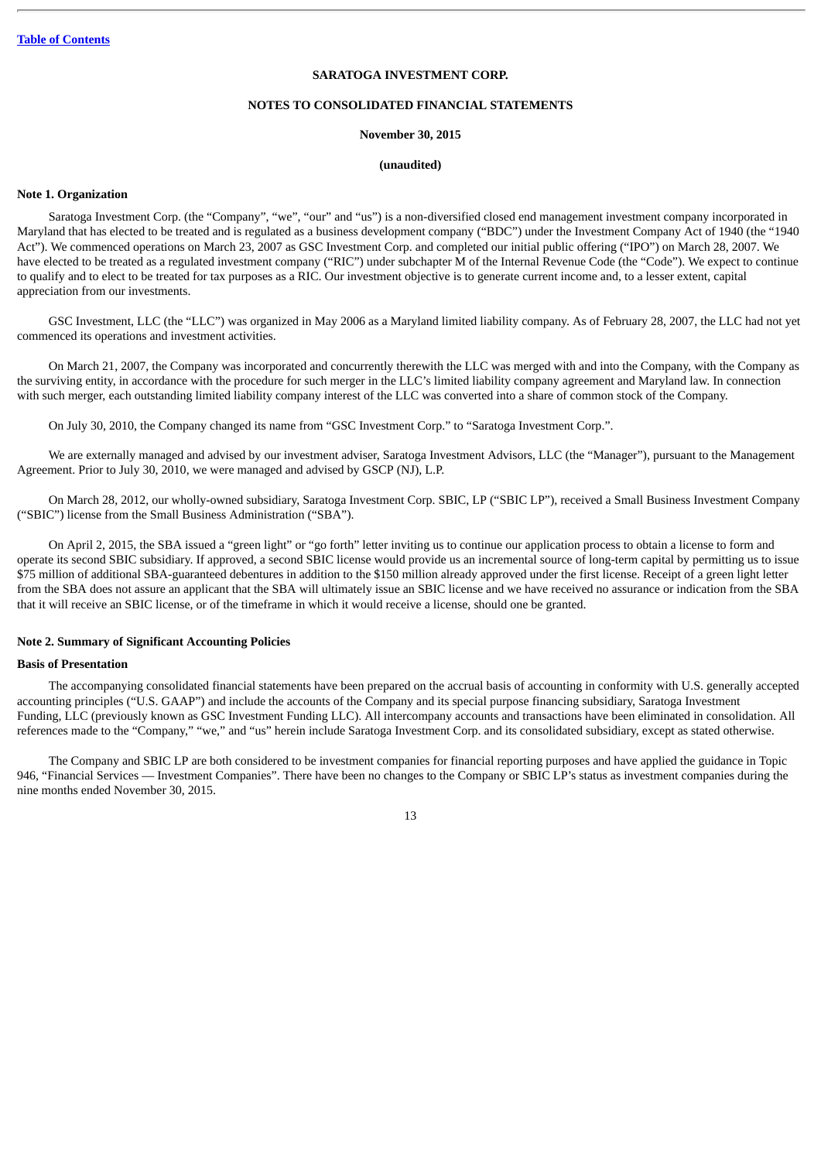#### **SARATOGA INVESTMENT CORP.**

#### **NOTES TO CONSOLIDATED FINANCIAL STATEMENTS**

#### **November 30, 2015**

#### **(unaudited)**

#### <span id="page-12-0"></span>**Note 1. Organization**

Saratoga Investment Corp. (the "Company", "we", "our" and "us") is a non-diversified closed end management investment company incorporated in Maryland that has elected to be treated and is regulated as a business development company ("BDC") under the Investment Company Act of 1940 (the "1940 Act"). We commenced operations on March 23, 2007 as GSC Investment Corp. and completed our initial public offering ("IPO") on March 28, 2007. We have elected to be treated as a regulated investment company ("RIC") under subchapter M of the Internal Revenue Code (the "Code"). We expect to continue to qualify and to elect to be treated for tax purposes as a RIC. Our investment objective is to generate current income and, to a lesser extent, capital appreciation from our investments.

GSC Investment, LLC (the "LLC") was organized in May 2006 as a Maryland limited liability company. As of February 28, 2007, the LLC had not yet commenced its operations and investment activities.

On March 21, 2007, the Company was incorporated and concurrently therewith the LLC was merged with and into the Company, with the Company as the surviving entity, in accordance with the procedure for such merger in the LLC's limited liability company agreement and Maryland law. In connection with such merger, each outstanding limited liability company interest of the LLC was converted into a share of common stock of the Company.

On July 30, 2010, the Company changed its name from "GSC Investment Corp." to "Saratoga Investment Corp.".

We are externally managed and advised by our investment adviser, Saratoga Investment Advisors, LLC (the "Manager"), pursuant to the Management Agreement. Prior to July 30, 2010, we were managed and advised by GSCP (NJ), L.P.

On March 28, 2012, our wholly-owned subsidiary, Saratoga Investment Corp. SBIC, LP ("SBIC LP"), received a Small Business Investment Company ("SBIC") license from the Small Business Administration ("SBA").

On April 2, 2015, the SBA issued a "green light" or "go forth" letter inviting us to continue our application process to obtain a license to form and operate its second SBIC subsidiary. If approved, a second SBIC license would provide us an incremental source of long-term capital by permitting us to issue \$75 million of additional SBA-guaranteed debentures in addition to the \$150 million already approved under the first license. Receipt of a green light letter from the SBA does not assure an applicant that the SBA will ultimately issue an SBIC license and we have received no assurance or indication from the SBA that it will receive an SBIC license, or of the timeframe in which it would receive a license, should one be granted.

#### **Note 2. Summary of Significant Accounting Policies**

#### **Basis of Presentation**

The accompanying consolidated financial statements have been prepared on the accrual basis of accounting in conformity with U.S. generally accepted accounting principles ("U.S. GAAP") and include the accounts of the Company and its special purpose financing subsidiary, Saratoga Investment Funding, LLC (previously known as GSC Investment Funding LLC). All intercompany accounts and transactions have been eliminated in consolidation. All references made to the "Company," "we," and "us" herein include Saratoga Investment Corp. and its consolidated subsidiary, except as stated otherwise.

The Company and SBIC LP are both considered to be investment companies for financial reporting purposes and have applied the guidance in Topic 946, "Financial Services — Investment Companies". There have been no changes to the Company or SBIC LP's status as investment companies during the nine months ended November 30, 2015.

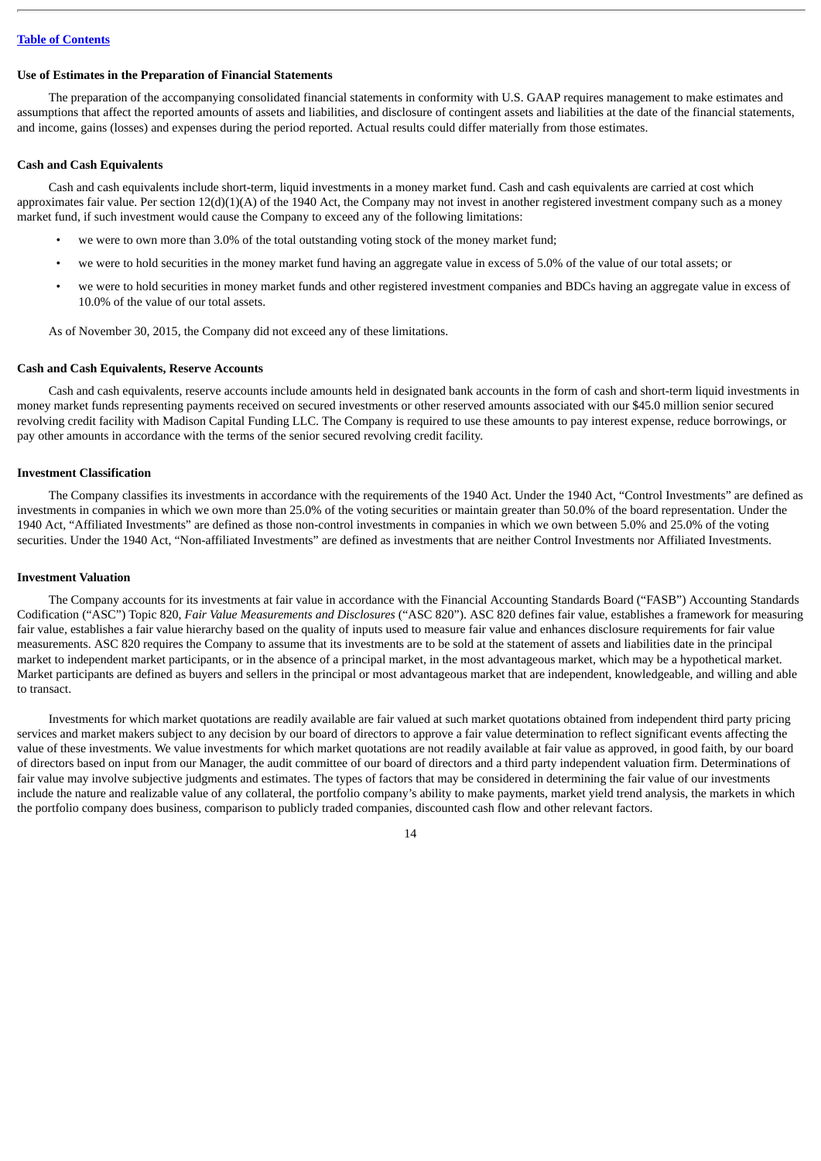#### **Use of Estimates in the Preparation of Financial Statements**

The preparation of the accompanying consolidated financial statements in conformity with U.S. GAAP requires management to make estimates and assumptions that affect the reported amounts of assets and liabilities, and disclosure of contingent assets and liabilities at the date of the financial statements, and income, gains (losses) and expenses during the period reported. Actual results could differ materially from those estimates.

#### **Cash and Cash Equivalents**

Cash and cash equivalents include short-term, liquid investments in a money market fund. Cash and cash equivalents are carried at cost which approximates fair value. Per section  $12(d)(1)(A)$  of the 1940 Act, the Company may not invest in another registered investment company such as a money market fund, if such investment would cause the Company to exceed any of the following limitations:

- we were to own more than 3.0% of the total outstanding voting stock of the money market fund;
- we were to hold securities in the money market fund having an aggregate value in excess of 5.0% of the value of our total assets; or
- we were to hold securities in money market funds and other registered investment companies and BDCs having an aggregate value in excess of 10.0% of the value of our total assets.

As of November 30, 2015, the Company did not exceed any of these limitations.

#### **Cash and Cash Equivalents, Reserve Accounts**

Cash and cash equivalents, reserve accounts include amounts held in designated bank accounts in the form of cash and short-term liquid investments in money market funds representing payments received on secured investments or other reserved amounts associated with our \$45.0 million senior secured revolving credit facility with Madison Capital Funding LLC. The Company is required to use these amounts to pay interest expense, reduce borrowings, or pay other amounts in accordance with the terms of the senior secured revolving credit facility.

#### **Investment Classification**

The Company classifies its investments in accordance with the requirements of the 1940 Act. Under the 1940 Act, "Control Investments" are defined as investments in companies in which we own more than 25.0% of the voting securities or maintain greater than 50.0% of the board representation. Under the 1940 Act, "Affiliated Investments" are defined as those non-control investments in companies in which we own between 5.0% and 25.0% of the voting securities. Under the 1940 Act, "Non-affiliated Investments" are defined as investments that are neither Control Investments nor Affiliated Investments.

#### **Investment Valuation**

The Company accounts for its investments at fair value in accordance with the Financial Accounting Standards Board ("FASB") Accounting Standards Codification ("ASC") Topic 820, *Fair Value Measurements and Disclosures* ("ASC 820"). ASC 820 defines fair value, establishes a framework for measuring fair value, establishes a fair value hierarchy based on the quality of inputs used to measure fair value and enhances disclosure requirements for fair value measurements. ASC 820 requires the Company to assume that its investments are to be sold at the statement of assets and liabilities date in the principal market to independent market participants, or in the absence of a principal market, in the most advantageous market, which may be a hypothetical market. Market participants are defined as buyers and sellers in the principal or most advantageous market that are independent, knowledgeable, and willing and able to transact.

Investments for which market quotations are readily available are fair valued at such market quotations obtained from independent third party pricing services and market makers subject to any decision by our board of directors to approve a fair value determination to reflect significant events affecting the value of these investments. We value investments for which market quotations are not readily available at fair value as approved, in good faith, by our board of directors based on input from our Manager, the audit committee of our board of directors and a third party independent valuation firm. Determinations of fair value may involve subjective judgments and estimates. The types of factors that may be considered in determining the fair value of our investments include the nature and realizable value of any collateral, the portfolio company's ability to make payments, market yield trend analysis, the markets in which the portfolio company does business, comparison to publicly traded companies, discounted cash flow and other relevant factors.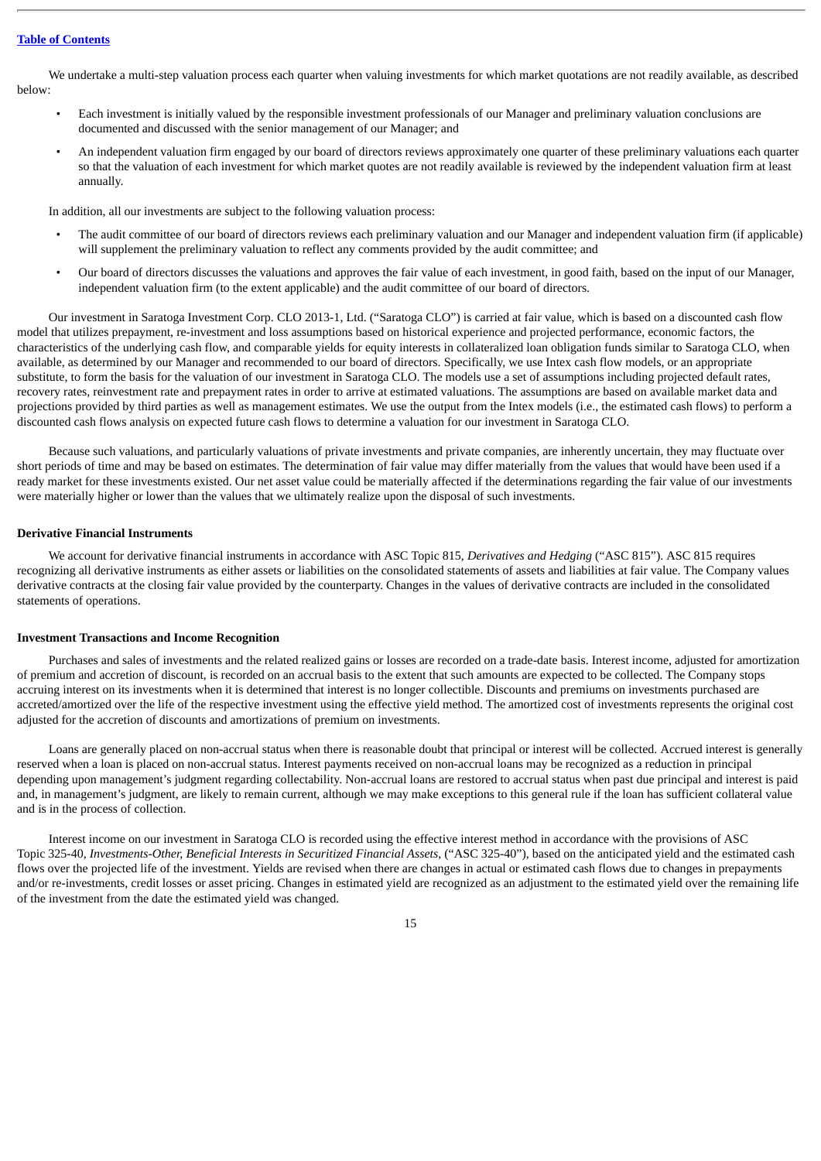We undertake a multi-step valuation process each quarter when valuing investments for which market quotations are not readily available, as described below:

- Each investment is initially valued by the responsible investment professionals of our Manager and preliminary valuation conclusions are documented and discussed with the senior management of our Manager; and
- An independent valuation firm engaged by our board of directors reviews approximately one quarter of these preliminary valuations each quarter so that the valuation of each investment for which market quotes are not readily available is reviewed by the independent valuation firm at least annually.

In addition, all our investments are subject to the following valuation process:

- The audit committee of our board of directors reviews each preliminary valuation and our Manager and independent valuation firm (if applicable) will supplement the preliminary valuation to reflect any comments provided by the audit committee; and
- Our board of directors discusses the valuations and approves the fair value of each investment, in good faith, based on the input of our Manager, independent valuation firm (to the extent applicable) and the audit committee of our board of directors.

Our investment in Saratoga Investment Corp. CLO 2013-1, Ltd. ("Saratoga CLO") is carried at fair value, which is based on a discounted cash flow model that utilizes prepayment, re-investment and loss assumptions based on historical experience and projected performance, economic factors, the characteristics of the underlying cash flow, and comparable yields for equity interests in collateralized loan obligation funds similar to Saratoga CLO, when available, as determined by our Manager and recommended to our board of directors. Specifically, we use Intex cash flow models, or an appropriate substitute, to form the basis for the valuation of our investment in Saratoga CLO. The models use a set of assumptions including projected default rates, recovery rates, reinvestment rate and prepayment rates in order to arrive at estimated valuations. The assumptions are based on available market data and projections provided by third parties as well as management estimates. We use the output from the Intex models (i.e., the estimated cash flows) to perform a discounted cash flows analysis on expected future cash flows to determine a valuation for our investment in Saratoga CLO.

Because such valuations, and particularly valuations of private investments and private companies, are inherently uncertain, they may fluctuate over short periods of time and may be based on estimates. The determination of fair value may differ materially from the values that would have been used if a ready market for these investments existed. Our net asset value could be materially affected if the determinations regarding the fair value of our investments were materially higher or lower than the values that we ultimately realize upon the disposal of such investments.

#### **Derivative Financial Instruments**

We account for derivative financial instruments in accordance with ASC Topic 815, *Derivatives and Hedging* ("ASC 815"). ASC 815 requires recognizing all derivative instruments as either assets or liabilities on the consolidated statements of assets and liabilities at fair value. The Company values derivative contracts at the closing fair value provided by the counterparty. Changes in the values of derivative contracts are included in the consolidated statements of operations.

#### **Investment Transactions and Income Recognition**

Purchases and sales of investments and the related realized gains or losses are recorded on a trade-date basis. Interest income, adjusted for amortization of premium and accretion of discount, is recorded on an accrual basis to the extent that such amounts are expected to be collected. The Company stops accruing interest on its investments when it is determined that interest is no longer collectible. Discounts and premiums on investments purchased are accreted/amortized over the life of the respective investment using the effective yield method. The amortized cost of investments represents the original cost adjusted for the accretion of discounts and amortizations of premium on investments.

Loans are generally placed on non-accrual status when there is reasonable doubt that principal or interest will be collected. Accrued interest is generally reserved when a loan is placed on non-accrual status. Interest payments received on non-accrual loans may be recognized as a reduction in principal depending upon management's judgment regarding collectability. Non-accrual loans are restored to accrual status when past due principal and interest is paid and, in management's judgment, are likely to remain current, although we may make exceptions to this general rule if the loan has sufficient collateral value and is in the process of collection.

Interest income on our investment in Saratoga CLO is recorded using the effective interest method in accordance with the provisions of ASC Topic 325-40, *Investments-Other, Beneficial Interests in Securitized Financial Assets*, ("ASC 325-40"), based on the anticipated yield and the estimated cash flows over the projected life of the investment. Yields are revised when there are changes in actual or estimated cash flows due to changes in prepayments and/or re-investments, credit losses or asset pricing. Changes in estimated yield are recognized as an adjustment to the estimated yield over the remaining life of the investment from the date the estimated yield was changed.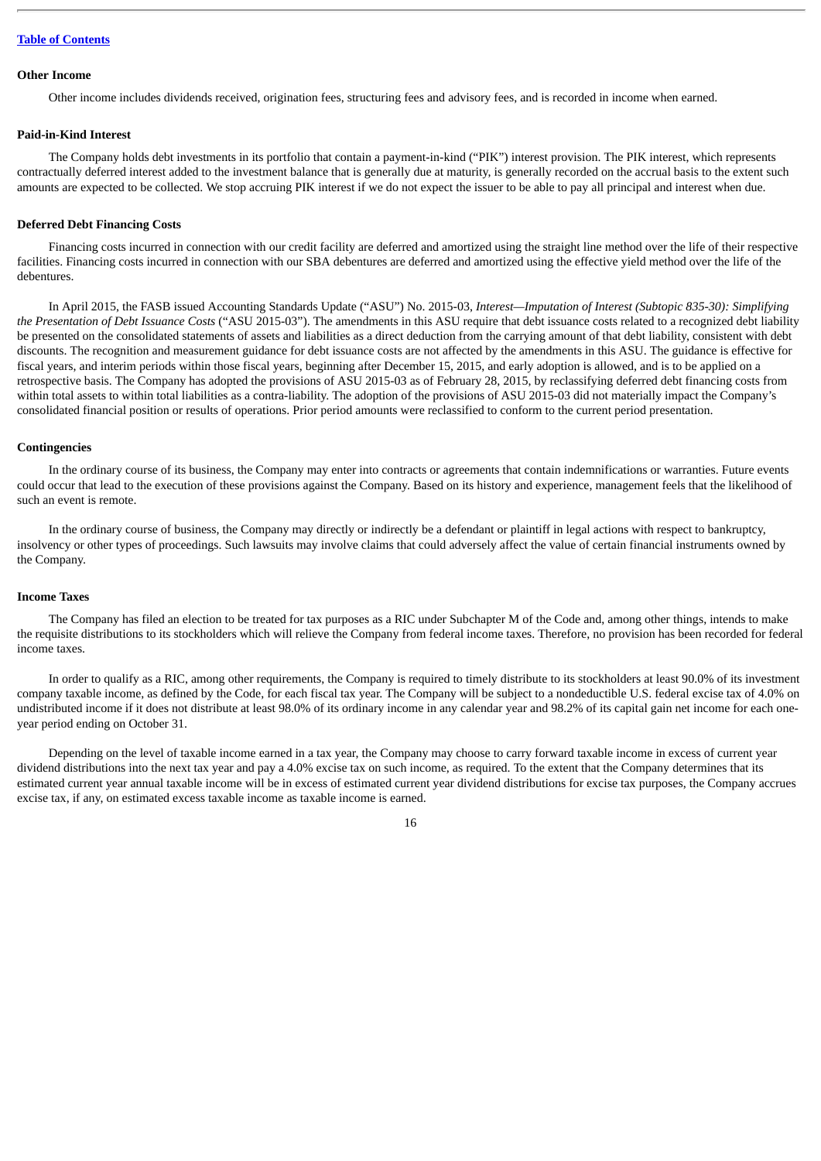#### **Other Income**

Other income includes dividends received, origination fees, structuring fees and advisory fees, and is recorded in income when earned.

#### **Paid-in-Kind Interest**

The Company holds debt investments in its portfolio that contain a payment-in-kind ("PIK") interest provision. The PIK interest, which represents contractually deferred interest added to the investment balance that is generally due at maturity, is generally recorded on the accrual basis to the extent such amounts are expected to be collected. We stop accruing PIK interest if we do not expect the issuer to be able to pay all principal and interest when due.

#### **Deferred Debt Financing Costs**

Financing costs incurred in connection with our credit facility are deferred and amortized using the straight line method over the life of their respective facilities. Financing costs incurred in connection with our SBA debentures are deferred and amortized using the effective yield method over the life of the debentures.

In April 2015, the FASB issued Accounting Standards Update ("ASU") No. 2015-03, *Interest—Imputation of Interest (Subtopic 835-30): Simplifying the Presentation of Debt Issuance Costs* ("ASU 2015-03"). The amendments in this ASU require that debt issuance costs related to a recognized debt liability be presented on the consolidated statements of assets and liabilities as a direct deduction from the carrying amount of that debt liability, consistent with debt discounts. The recognition and measurement guidance for debt issuance costs are not affected by the amendments in this ASU. The guidance is effective for fiscal years, and interim periods within those fiscal years, beginning after December 15, 2015, and early adoption is allowed, and is to be applied on a retrospective basis. The Company has adopted the provisions of ASU 2015-03 as of February 28, 2015, by reclassifying deferred debt financing costs from within total assets to within total liabilities as a contra-liability. The adoption of the provisions of ASU 2015-03 did not materially impact the Company's consolidated financial position or results of operations. Prior period amounts were reclassified to conform to the current period presentation.

#### **Contingencies**

In the ordinary course of its business, the Company may enter into contracts or agreements that contain indemnifications or warranties. Future events could occur that lead to the execution of these provisions against the Company. Based on its history and experience, management feels that the likelihood of such an event is remote.

In the ordinary course of business, the Company may directly or indirectly be a defendant or plaintiff in legal actions with respect to bankruptcy, insolvency or other types of proceedings. Such lawsuits may involve claims that could adversely affect the value of certain financial instruments owned by the Company.

#### **Income Taxes**

The Company has filed an election to be treated for tax purposes as a RIC under Subchapter M of the Code and, among other things, intends to make the requisite distributions to its stockholders which will relieve the Company from federal income taxes. Therefore, no provision has been recorded for federal income taxes.

In order to qualify as a RIC, among other requirements, the Company is required to timely distribute to its stockholders at least 90.0% of its investment company taxable income, as defined by the Code, for each fiscal tax year. The Company will be subject to a nondeductible U.S. federal excise tax of 4.0% on undistributed income if it does not distribute at least 98.0% of its ordinary income in any calendar year and 98.2% of its capital gain net income for each oneyear period ending on October 31.

Depending on the level of taxable income earned in a tax year, the Company may choose to carry forward taxable income in excess of current year dividend distributions into the next tax year and pay a 4.0% excise tax on such income, as required. To the extent that the Company determines that its estimated current year annual taxable income will be in excess of estimated current year dividend distributions for excise tax purposes, the Company accrues excise tax, if any, on estimated excess taxable income as taxable income is earned.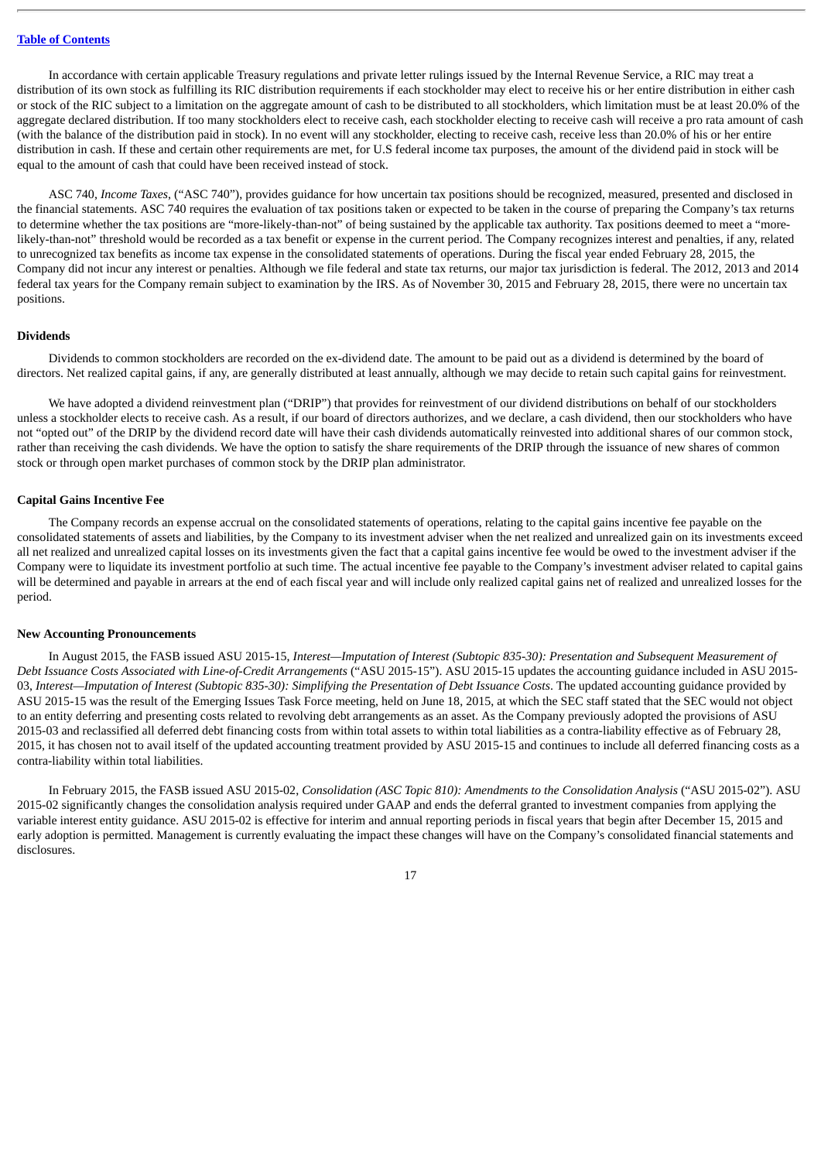In accordance with certain applicable Treasury regulations and private letter rulings issued by the Internal Revenue Service, a RIC may treat a distribution of its own stock as fulfilling its RIC distribution requirements if each stockholder may elect to receive his or her entire distribution in either cash or stock of the RIC subject to a limitation on the aggregate amount of cash to be distributed to all stockholders, which limitation must be at least 20.0% of the aggregate declared distribution. If too many stockholders elect to receive cash, each stockholder electing to receive cash will receive a pro rata amount of cash (with the balance of the distribution paid in stock). In no event will any stockholder, electing to receive cash, receive less than 20.0% of his or her entire distribution in cash. If these and certain other requirements are met, for U.S federal income tax purposes, the amount of the dividend paid in stock will be equal to the amount of cash that could have been received instead of stock.

ASC 740, *Income Taxes*, ("ASC 740"), provides guidance for how uncertain tax positions should be recognized, measured, presented and disclosed in the financial statements. ASC 740 requires the evaluation of tax positions taken or expected to be taken in the course of preparing the Company's tax returns to determine whether the tax positions are "more-likely-than-not" of being sustained by the applicable tax authority. Tax positions deemed to meet a "morelikely-than-not" threshold would be recorded as a tax benefit or expense in the current period. The Company recognizes interest and penalties, if any, related to unrecognized tax benefits as income tax expense in the consolidated statements of operations. During the fiscal year ended February 28, 2015, the Company did not incur any interest or penalties. Although we file federal and state tax returns, our major tax jurisdiction is federal. The 2012, 2013 and 2014 federal tax years for the Company remain subject to examination by the IRS. As of November 30, 2015 and February 28, 2015, there were no uncertain tax positions.

#### **Dividends**

Dividends to common stockholders are recorded on the ex-dividend date. The amount to be paid out as a dividend is determined by the board of directors. Net realized capital gains, if any, are generally distributed at least annually, although we may decide to retain such capital gains for reinvestment.

We have adopted a dividend reinvestment plan ("DRIP") that provides for reinvestment of our dividend distributions on behalf of our stockholders unless a stockholder elects to receive cash. As a result, if our board of directors authorizes, and we declare, a cash dividend, then our stockholders who have not "opted out" of the DRIP by the dividend record date will have their cash dividends automatically reinvested into additional shares of our common stock, rather than receiving the cash dividends. We have the option to satisfy the share requirements of the DRIP through the issuance of new shares of common stock or through open market purchases of common stock by the DRIP plan administrator.

#### **Capital Gains Incentive Fee**

The Company records an expense accrual on the consolidated statements of operations, relating to the capital gains incentive fee payable on the consolidated statements of assets and liabilities, by the Company to its investment adviser when the net realized and unrealized gain on its investments exceed all net realized and unrealized capital losses on its investments given the fact that a capital gains incentive fee would be owed to the investment adviser if the Company were to liquidate its investment portfolio at such time. The actual incentive fee payable to the Company's investment adviser related to capital gains will be determined and payable in arrears at the end of each fiscal year and will include only realized capital gains net of realized and unrealized losses for the period.

#### **New Accounting Pronouncements**

In August 2015, the FASB issued ASU 2015-15, *Interest—Imputation of Interest (Subtopic 835-30): Presentation and Subsequent Measurement of Debt Issuance Costs Associated with Line-of-Credit Arrangements* ("ASU 2015-15"). ASU 2015-15 updates the accounting guidance included in ASU 2015- 03, Interest—Imputation of Interest (Subtopic 835-30): Simplifying the Presentation of Debt Issuance Costs. The updated accounting guidance provided by ASU 2015-15 was the result of the Emerging Issues Task Force meeting, held on June 18, 2015, at which the SEC staff stated that the SEC would not object to an entity deferring and presenting costs related to revolving debt arrangements as an asset. As the Company previously adopted the provisions of ASU 2015-03 and reclassified all deferred debt financing costs from within total assets to within total liabilities as a contra-liability effective as of February 28, 2015, it has chosen not to avail itself of the updated accounting treatment provided by ASU 2015-15 and continues to include all deferred financing costs as a contra-liability within total liabilities.

In February 2015, the FASB issued ASU 2015-02, *Consolidation (ASC Topic 810): Amendments to the Consolidation Analysis* ("ASU 2015-02"). ASU 2015-02 significantly changes the consolidation analysis required under GAAP and ends the deferral granted to investment companies from applying the variable interest entity guidance. ASU 2015-02 is effective for interim and annual reporting periods in fiscal years that begin after December 15, 2015 and early adoption is permitted. Management is currently evaluating the impact these changes will have on the Company's consolidated financial statements and disclosures.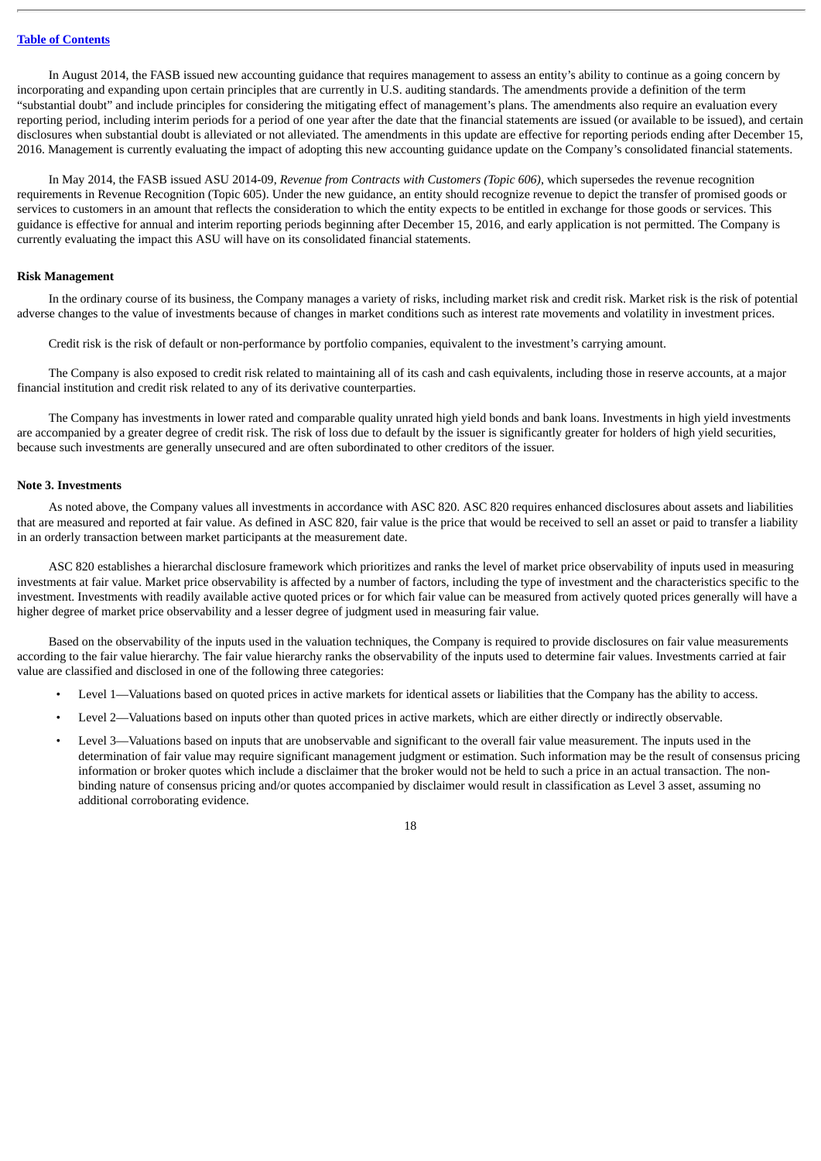In August 2014, the FASB issued new accounting guidance that requires management to assess an entity's ability to continue as a going concern by incorporating and expanding upon certain principles that are currently in U.S. auditing standards. The amendments provide a definition of the term "substantial doubt" and include principles for considering the mitigating effect of management's plans. The amendments also require an evaluation every reporting period, including interim periods for a period of one year after the date that the financial statements are issued (or available to be issued), and certain disclosures when substantial doubt is alleviated or not alleviated. The amendments in this update are effective for reporting periods ending after December 15, 2016. Management is currently evaluating the impact of adopting this new accounting guidance update on the Company's consolidated financial statements.

In May 2014, the FASB issued ASU 2014-09, *Revenue from Contracts with Customers (Topic 606)*, which supersedes the revenue recognition requirements in Revenue Recognition (Topic 605). Under the new guidance, an entity should recognize revenue to depict the transfer of promised goods or services to customers in an amount that reflects the consideration to which the entity expects to be entitled in exchange for those goods or services. This guidance is effective for annual and interim reporting periods beginning after December 15, 2016, and early application is not permitted. The Company is currently evaluating the impact this ASU will have on its consolidated financial statements.

#### **Risk Management**

In the ordinary course of its business, the Company manages a variety of risks, including market risk and credit risk. Market risk is the risk of potential adverse changes to the value of investments because of changes in market conditions such as interest rate movements and volatility in investment prices.

Credit risk is the risk of default or non-performance by portfolio companies, equivalent to the investment's carrying amount.

The Company is also exposed to credit risk related to maintaining all of its cash and cash equivalents, including those in reserve accounts, at a major financial institution and credit risk related to any of its derivative counterparties.

The Company has investments in lower rated and comparable quality unrated high yield bonds and bank loans. Investments in high yield investments are accompanied by a greater degree of credit risk. The risk of loss due to default by the issuer is significantly greater for holders of high yield securities, because such investments are generally unsecured and are often subordinated to other creditors of the issuer.

#### **Note 3. Investments**

As noted above, the Company values all investments in accordance with ASC 820. ASC 820 requires enhanced disclosures about assets and liabilities that are measured and reported at fair value. As defined in ASC 820, fair value is the price that would be received to sell an asset or paid to transfer a liability in an orderly transaction between market participants at the measurement date.

ASC 820 establishes a hierarchal disclosure framework which prioritizes and ranks the level of market price observability of inputs used in measuring investments at fair value. Market price observability is affected by a number of factors, including the type of investment and the characteristics specific to the investment. Investments with readily available active quoted prices or for which fair value can be measured from actively quoted prices generally will have a higher degree of market price observability and a lesser degree of judgment used in measuring fair value.

Based on the observability of the inputs used in the valuation techniques, the Company is required to provide disclosures on fair value measurements according to the fair value hierarchy. The fair value hierarchy ranks the observability of the inputs used to determine fair values. Investments carried at fair value are classified and disclosed in one of the following three categories:

- Level 1—Valuations based on quoted prices in active markets for identical assets or liabilities that the Company has the ability to access.
- Level 2—Valuations based on inputs other than quoted prices in active markets, which are either directly or indirectly observable.
- Level 3—Valuations based on inputs that are unobservable and significant to the overall fair value measurement. The inputs used in the determination of fair value may require significant management judgment or estimation. Such information may be the result of consensus pricing information or broker quotes which include a disclaimer that the broker would not be held to such a price in an actual transaction. The nonbinding nature of consensus pricing and/or quotes accompanied by disclaimer would result in classification as Level 3 asset, assuming no additional corroborating evidence.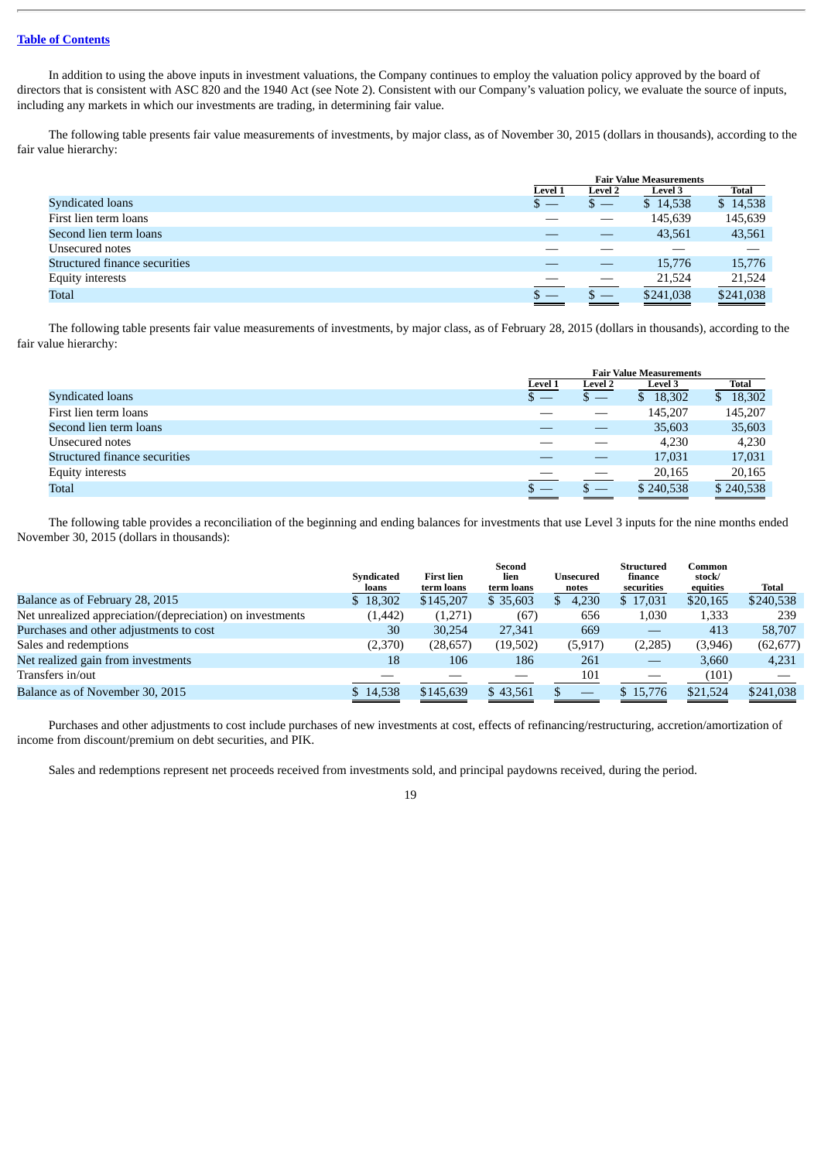In addition to using the above inputs in investment valuations, the Company continues to employ the valuation policy approved by the board of directors that is consistent with ASC 820 and the 1940 Act (see Note 2). Consistent with our Company's valuation policy, we evaluate the source of inputs, including any markets in which our investments are trading, in determining fair value.

The following table presents fair value measurements of investments, by major class, as of November 30, 2015 (dollars in thousands), according to the fair value hierarchy:

|                               |                | <b>Fair Value Measurements</b>      |                |           |
|-------------------------------|----------------|-------------------------------------|----------------|-----------|
|                               | <b>Level 1</b> | <b>Level 2</b>                      | <b>Level 3</b> | Total     |
| Syndicated loans              |                | S.<br>$\overbrace{\phantom{aaaaa}}$ | \$14,538       | \$14,538  |
| First lien term loans         |                |                                     | 145,639        | 145,639   |
| Second lien term loans        |                |                                     | 43,561         | 43,561    |
| Unsecured notes               |                |                                     |                |           |
| Structured finance securities |                |                                     | 15,776         | 15,776    |
| Equity interests              |                |                                     | 21,524         | 21,524    |
| <b>Total</b>                  |                |                                     | \$241,038      | \$241,038 |

The following table presents fair value measurements of investments, by major class, as of February 28, 2015 (dollars in thousands), according to the fair value hierarchy:

|                               | <b>Fair Value Measurements</b> |                |                |              |  |
|-------------------------------|--------------------------------|----------------|----------------|--------------|--|
|                               | Level 1                        | <b>Level 2</b> | <b>Level 3</b> | Total        |  |
| Syndicated loans              |                                |                | \$18,302       | 18,302<br>S. |  |
| First lien term loans         |                                |                | 145,207        | 145,207      |  |
| Second lien term loans        |                                |                | 35,603         | 35,603       |  |
| Unsecured notes               |                                |                | 4.230          | 4,230        |  |
| Structured finance securities |                                |                | 17,031         | 17,031       |  |
| Equity interests              |                                |                | 20,165         | 20,165       |  |
| <b>Total</b>                  |                                |                | \$240,538      | \$240,538    |  |

The following table provides a reconciliation of the beginning and ending balances for investments that use Level 3 inputs for the nine months ended November 30, 2015 (dollars in thousands):

|                                                           | <b>Syndicated</b><br>loans | <b>First lien</b><br>term loans | Second<br>lien<br>term loans | <b>Unsecured</b><br>notes | <b>Structured</b><br>finance<br>securities | Common<br>stock/<br>equities | Total     |
|-----------------------------------------------------------|----------------------------|---------------------------------|------------------------------|---------------------------|--------------------------------------------|------------------------------|-----------|
| Balance as of February 28, 2015                           | \$18,302                   | \$145,207                       | \$35,603                     | 4,230<br>\$               | \$17,031                                   | \$20,165                     | \$240,538 |
| Net unrealized appreciation/(depreciation) on investments | (1, 442)                   | (1,271)                         | (67)                         | 656                       | 1,030                                      | 1,333                        | 239       |
| Purchases and other adjustments to cost                   | 30                         | 30,254                          | 27,341                       | 669                       |                                            | 413                          | 58,707    |
| Sales and redemptions                                     | (2,370)                    | (28, 657)                       | (19,502)                     | (5, 917)                  | (2,285)                                    | (3,946)                      | (62, 677) |
| Net realized gain from investments                        | 18                         | 106                             | 186                          | 261                       |                                            | 3,660                        | 4,231     |
| Transfers in/out                                          |                            |                                 |                              | 101                       |                                            | (101)                        |           |
| Balance as of November 30, 2015                           | \$14,538                   | \$145,639                       | \$43,561                     |                           | \$15,776                                   | \$21,524                     | \$241,038 |

Purchases and other adjustments to cost include purchases of new investments at cost, effects of refinancing/restructuring, accretion/amortization of income from discount/premium on debt securities, and PIK.

Sales and redemptions represent net proceeds received from investments sold, and principal paydowns received, during the period.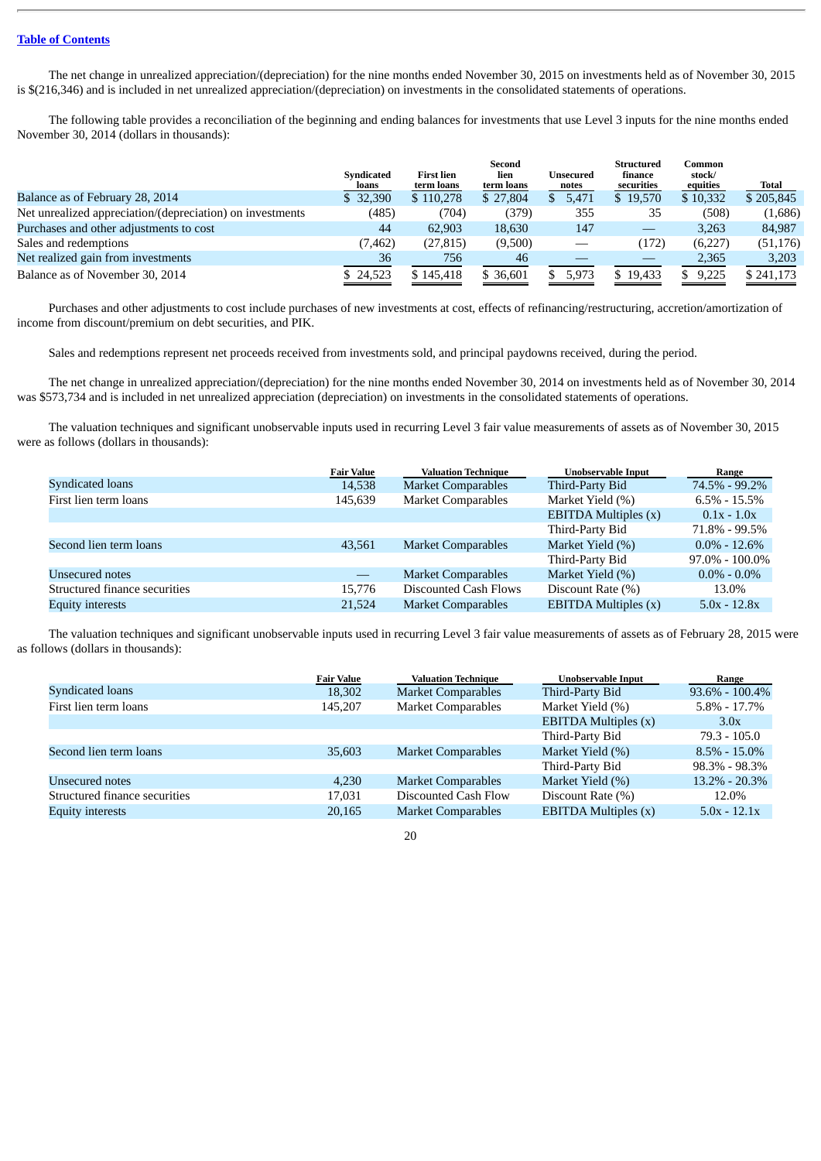The net change in unrealized appreciation/(depreciation) for the nine months ended November 30, 2015 on investments held as of November 30, 2015 is \$(216,346) and is included in net unrealized appreciation/(depreciation) on investments in the consolidated statements of operations.

The following table provides a reconciliation of the beginning and ending balances for investments that use Level 3 inputs for the nine months ended November 30, 2014 (dollars in thousands):

|                                                           | <b>Syndicated</b><br>loans | <b>First lien</b><br>term loans | Second<br>lien<br>term loans | <b>Unsecured</b><br>notes | <b>Structured</b><br>finance<br>securities | Common<br>stock/<br>equities | Total     |
|-----------------------------------------------------------|----------------------------|---------------------------------|------------------------------|---------------------------|--------------------------------------------|------------------------------|-----------|
| Balance as of February 28, 2014                           | \$ 32,390                  | \$110,278                       | \$27.804                     | 5,471                     | \$19,570                                   | \$10,332                     | \$205,845 |
| Net unrealized appreciation/(depreciation) on investments | (485)                      | (704)                           | (379)                        | 355                       | 35                                         | (508)                        | (1,686)   |
| Purchases and other adjustments to cost                   | 44                         | 62,903                          | 18,630                       | 147                       |                                            | 3.263                        | 84,987    |
| Sales and redemptions                                     | (7, 462)                   | (27, 815)                       | (9,500)                      |                           | (172)                                      | (6,227)                      | (51, 176) |
| Net realized gain from investments                        | 36                         | 756                             | 46                           |                           |                                            | 2,365                        | 3,203     |
| Balance as of November 30, 2014                           | \$24.523                   | \$145,418                       | \$ 36,601                    | 5,973                     | \$19,433                                   | 9,225                        | \$241,173 |

Purchases and other adjustments to cost include purchases of new investments at cost, effects of refinancing/restructuring, accretion/amortization of income from discount/premium on debt securities, and PIK.

Sales and redemptions represent net proceeds received from investments sold, and principal paydowns received, during the period.

The net change in unrealized appreciation/(depreciation) for the nine months ended November 30, 2014 on investments held as of November 30, 2014 was \$573,734 and is included in net unrealized appreciation (depreciation) on investments in the consolidated statements of operations.

The valuation techniques and significant unobservable inputs used in recurring Level 3 fair value measurements of assets as of November 30, 2015 were as follows (dollars in thousands):

|                               | <b>Fair Value</b>               | <b>Valuation Technique</b> | Unobservable Input          | Range              |
|-------------------------------|---------------------------------|----------------------------|-----------------------------|--------------------|
| Syndicated loans              | 14,538                          | <b>Market Comparables</b>  | Third-Party Bid             | 74.5% - 99.2%      |
| First lien term loans         | 145,639                         | <b>Market Comparables</b>  | Market Yield (%)            | $6.5\% - 15.5\%$   |
|                               |                                 |                            | <b>EBITDA Multiples (x)</b> | $0.1x - 1.0x$      |
|                               |                                 |                            | Third-Party Bid             | 71.8% - 99.5%      |
| Second lien term loans        | 43,561                          | <b>Market Comparables</b>  | Market Yield (%)            | $0.0\% - 12.6\%$   |
|                               |                                 |                            | Third-Party Bid             | $97.0\% - 100.0\%$ |
| Unsecured notes               | $\hspace{0.1mm}-\hspace{0.1mm}$ | <b>Market Comparables</b>  | Market Yield (%)            | $0.0\% - 0.0\%$    |
| Structured finance securities | 15.776                          | Discounted Cash Flows      | Discount Rate $(\%)$        | 13.0%              |
| <b>Equity interests</b>       | 21,524                          | <b>Market Comparables</b>  | <b>EBITDA Multiples (x)</b> | $5.0x - 12.8x$     |

The valuation techniques and significant unobservable inputs used in recurring Level 3 fair value measurements of assets as of February 28, 2015 were as follows (dollars in thousands):

|                               | <b>Fair Value</b> | <b>Valuation Technique</b> | <b>Unobservable Input</b>   | Range              |
|-------------------------------|-------------------|----------------------------|-----------------------------|--------------------|
| Syndicated loans              | 18,302            | <b>Market Comparables</b>  | Third-Party Bid             | $93.6\% - 100.4\%$ |
| First lien term loans         | 145,207           | <b>Market Comparables</b>  | Market Yield (%)            | $5.8\% - 17.7\%$   |
|                               |                   |                            | <b>EBITDA Multiples (x)</b> | 3.0x               |
|                               |                   |                            | Third-Party Bid             | 79.3 - 105.0       |
| Second lien term loans        | 35,603            | <b>Market Comparables</b>  | Market Yield (%)            | $8.5\% - 15.0\%$   |
|                               |                   |                            | Third-Party Bid             | 98.3% - 98.3%      |
| Unsecured notes               | 4,230             | <b>Market Comparables</b>  | Market Yield (%)            | $13.2\% - 20.3\%$  |
| Structured finance securities | 17,031            | Discounted Cash Flow       | Discount Rate $(\%)$        | 12.0%              |
| <b>Equity interests</b>       | 20,165            | <b>Market Comparables</b>  | <b>EBITDA Multiples (x)</b> | $5.0x - 12.1x$     |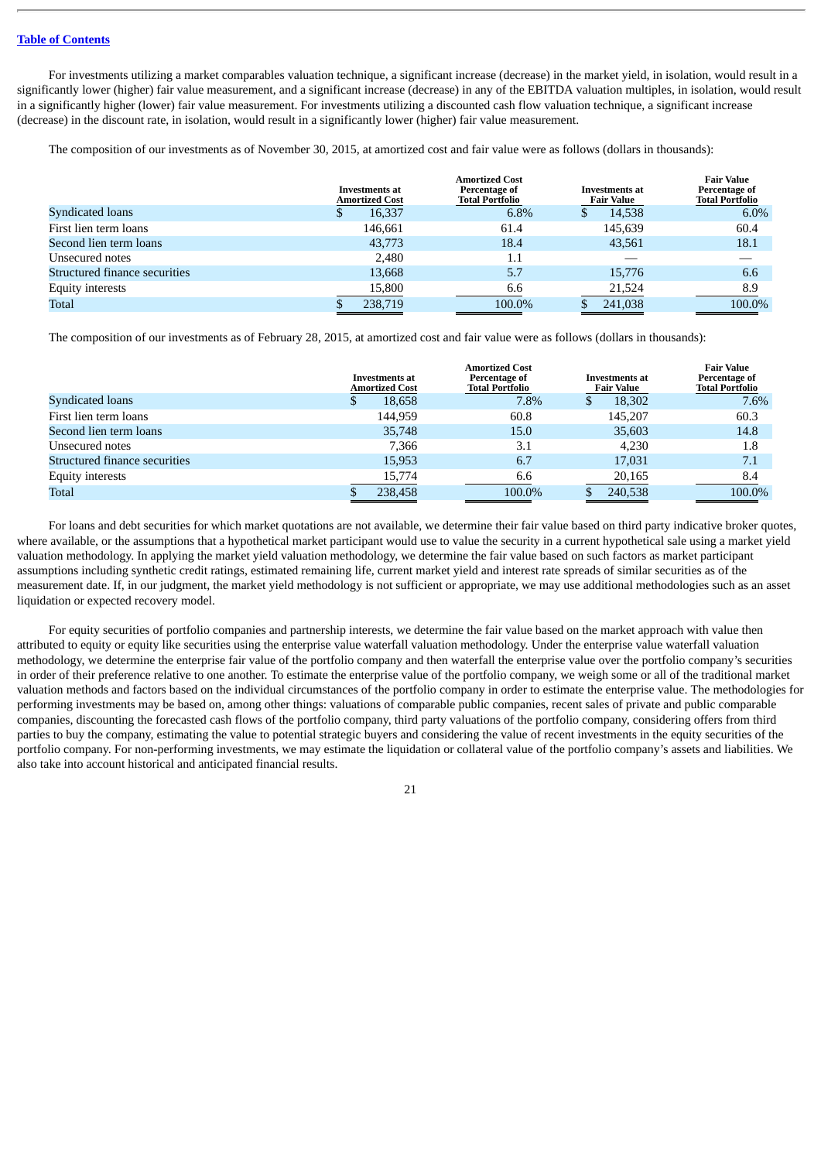For investments utilizing a market comparables valuation technique, a significant increase (decrease) in the market yield, in isolation, would result in a significantly lower (higher) fair value measurement, and a significant increase (decrease) in any of the EBITDA valuation multiples, in isolation, would result in a significantly higher (lower) fair value measurement. For investments utilizing a discounted cash flow valuation technique, a significant increase (decrease) in the discount rate, in isolation, would result in a significantly lower (higher) fair value measurement.

The composition of our investments as of November 30, 2015, at amortized cost and fair value were as follows (dollars in thousands):

|                               | Investments at<br><b>Amortized Cost</b> | <b>Amortized Cost</b><br>Percentage of<br><b>Total Portfolio</b> | Investments at<br><b>Fair Value</b> | <b>Fair Value</b><br>Percentage of<br><b>Total Portfolio</b> |
|-------------------------------|-----------------------------------------|------------------------------------------------------------------|-------------------------------------|--------------------------------------------------------------|
| Syndicated loans              | 16,337                                  | 6.8%                                                             | 14,538                              | $6.0\%$                                                      |
| First lien term loans         | 146,661                                 | 61.4                                                             | 145,639                             | 60.4                                                         |
| Second lien term loans        | 43,773                                  | 18.4                                                             | 43,561                              | 18.1                                                         |
| Unsecured notes               | 2,480                                   | 1.1                                                              |                                     |                                                              |
| Structured finance securities | 13,668                                  | 5.7                                                              | 15,776                              | 6.6                                                          |
| <b>Equity interests</b>       | 15,800                                  | 6.6                                                              | 21,524                              | 8.9                                                          |
| Total                         | 238.719                                 | 100.0%                                                           | 241,038                             | 100.0%                                                       |

The composition of our investments as of February 28, 2015, at amortized cost and fair value were as follows (dollars in thousands):

|                               | Investments at<br><b>Amortized Cost</b> | <b>Amortized Cost</b><br>Percentage of<br><b>Total Portfolio</b> | Investments at<br><b>Fair Value</b> | <b>Fair Value</b><br>Percentage of<br><b>Total Portfolio</b> |
|-------------------------------|-----------------------------------------|------------------------------------------------------------------|-------------------------------------|--------------------------------------------------------------|
| Syndicated loans              | 18,658                                  | $7.8\%$                                                          | 18,302<br>D                         | 7.6%                                                         |
| First lien term loans         | 144,959                                 | 60.8                                                             | 145,207                             | 60.3                                                         |
| Second lien term loans        | 35,748                                  | 15.0                                                             | 35,603                              | 14.8                                                         |
| Unsecured notes               | 7.366                                   | 3.1                                                              | 4.230                               | 1.8                                                          |
| Structured finance securities | 15,953                                  | 6.7                                                              | 17,031                              | 7.1                                                          |
| Equity interests              | 15,774                                  | 6.6                                                              | 20,165                              | 8.4                                                          |
| Total                         | 238,458                                 | 100.0%                                                           | 240,538                             | 100.0%                                                       |

For loans and debt securities for which market quotations are not available, we determine their fair value based on third party indicative broker quotes, where available, or the assumptions that a hypothetical market participant would use to value the security in a current hypothetical sale using a market yield valuation methodology. In applying the market yield valuation methodology, we determine the fair value based on such factors as market participant assumptions including synthetic credit ratings, estimated remaining life, current market yield and interest rate spreads of similar securities as of the measurement date. If, in our judgment, the market yield methodology is not sufficient or appropriate, we may use additional methodologies such as an asset liquidation or expected recovery model.

For equity securities of portfolio companies and partnership interests, we determine the fair value based on the market approach with value then attributed to equity or equity like securities using the enterprise value waterfall valuation methodology. Under the enterprise value waterfall valuation methodology, we determine the enterprise fair value of the portfolio company and then waterfall the enterprise value over the portfolio company's securities in order of their preference relative to one another. To estimate the enterprise value of the portfolio company, we weigh some or all of the traditional market valuation methods and factors based on the individual circumstances of the portfolio company in order to estimate the enterprise value. The methodologies for performing investments may be based on, among other things: valuations of comparable public companies, recent sales of private and public comparable companies, discounting the forecasted cash flows of the portfolio company, third party valuations of the portfolio company, considering offers from third parties to buy the company, estimating the value to potential strategic buyers and considering the value of recent investments in the equity securities of the portfolio company. For non-performing investments, we may estimate the liquidation or collateral value of the portfolio company's assets and liabilities. We also take into account historical and anticipated financial results.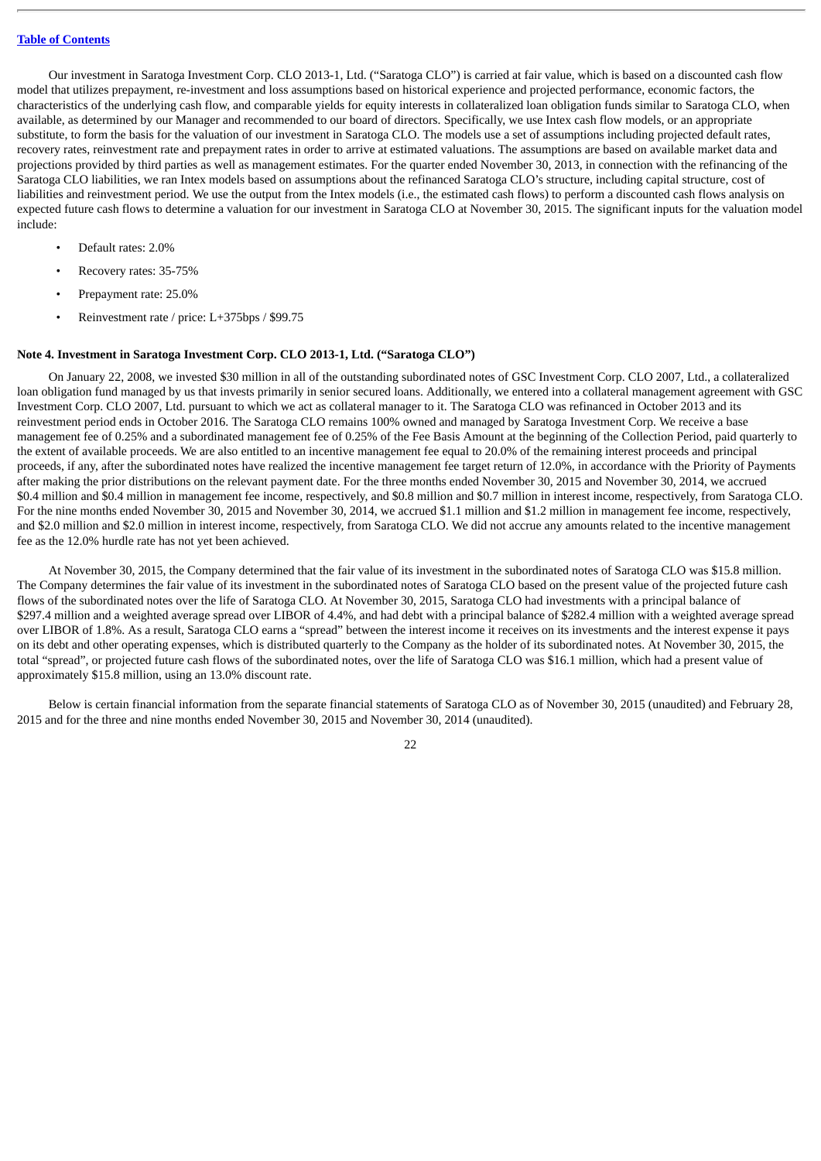Our investment in Saratoga Investment Corp. CLO 2013-1, Ltd. ("Saratoga CLO") is carried at fair value, which is based on a discounted cash flow model that utilizes prepayment, re-investment and loss assumptions based on historical experience and projected performance, economic factors, the characteristics of the underlying cash flow, and comparable yields for equity interests in collateralized loan obligation funds similar to Saratoga CLO, when available, as determined by our Manager and recommended to our board of directors. Specifically, we use Intex cash flow models, or an appropriate substitute, to form the basis for the valuation of our investment in Saratoga CLO. The models use a set of assumptions including projected default rates, recovery rates, reinvestment rate and prepayment rates in order to arrive at estimated valuations. The assumptions are based on available market data and projections provided by third parties as well as management estimates. For the quarter ended November 30, 2013, in connection with the refinancing of the Saratoga CLO liabilities, we ran Intex models based on assumptions about the refinanced Saratoga CLO's structure, including capital structure, cost of liabilities and reinvestment period. We use the output from the Intex models (i.e., the estimated cash flows) to perform a discounted cash flows analysis on expected future cash flows to determine a valuation for our investment in Saratoga CLO at November 30, 2015. The significant inputs for the valuation model include:

- Default rates: 2.0%
- Recovery rates: 35-75%
- Prepayment rate: 25.0%
- Reinvestment rate / price: L+375bps / \$99.75

#### **Note 4. Investment in Saratoga Investment Corp. CLO 2013-1, Ltd. ("Saratoga CLO")**

On January 22, 2008, we invested \$30 million in all of the outstanding subordinated notes of GSC Investment Corp. CLO 2007, Ltd., a collateralized loan obligation fund managed by us that invests primarily in senior secured loans. Additionally, we entered into a collateral management agreement with GSC Investment Corp. CLO 2007, Ltd. pursuant to which we act as collateral manager to it. The Saratoga CLO was refinanced in October 2013 and its reinvestment period ends in October 2016. The Saratoga CLO remains 100% owned and managed by Saratoga Investment Corp. We receive a base management fee of 0.25% and a subordinated management fee of 0.25% of the Fee Basis Amount at the beginning of the Collection Period, paid quarterly to the extent of available proceeds. We are also entitled to an incentive management fee equal to 20.0% of the remaining interest proceeds and principal proceeds, if any, after the subordinated notes have realized the incentive management fee target return of 12.0%, in accordance with the Priority of Payments after making the prior distributions on the relevant payment date. For the three months ended November 30, 2015 and November 30, 2014, we accrued \$0.4 million and \$0.4 million in management fee income, respectively, and \$0.8 million and \$0.7 million in interest income, respectively, from Saratoga CLO. For the nine months ended November 30, 2015 and November 30, 2014, we accrued \$1.1 million and \$1.2 million in management fee income, respectively, and \$2.0 million and \$2.0 million in interest income, respectively, from Saratoga CLO. We did not accrue any amounts related to the incentive management fee as the 12.0% hurdle rate has not yet been achieved.

At November 30, 2015, the Company determined that the fair value of its investment in the subordinated notes of Saratoga CLO was \$15.8 million. The Company determines the fair value of its investment in the subordinated notes of Saratoga CLO based on the present value of the projected future cash flows of the subordinated notes over the life of Saratoga CLO. At November 30, 2015, Saratoga CLO had investments with a principal balance of \$297.4 million and a weighted average spread over LIBOR of 4.4%, and had debt with a principal balance of \$282.4 million with a weighted average spread over LIBOR of 1.8%. As a result, Saratoga CLO earns a "spread" between the interest income it receives on its investments and the interest expense it pays on its debt and other operating expenses, which is distributed quarterly to the Company as the holder of its subordinated notes. At November 30, 2015, the total "spread", or projected future cash flows of the subordinated notes, over the life of Saratoga CLO was \$16.1 million, which had a present value of approximately \$15.8 million, using an 13.0% discount rate.

Below is certain financial information from the separate financial statements of Saratoga CLO as of November 30, 2015 (unaudited) and February 28, 2015 and for the three and nine months ended November 30, 2015 and November 30, 2014 (unaudited).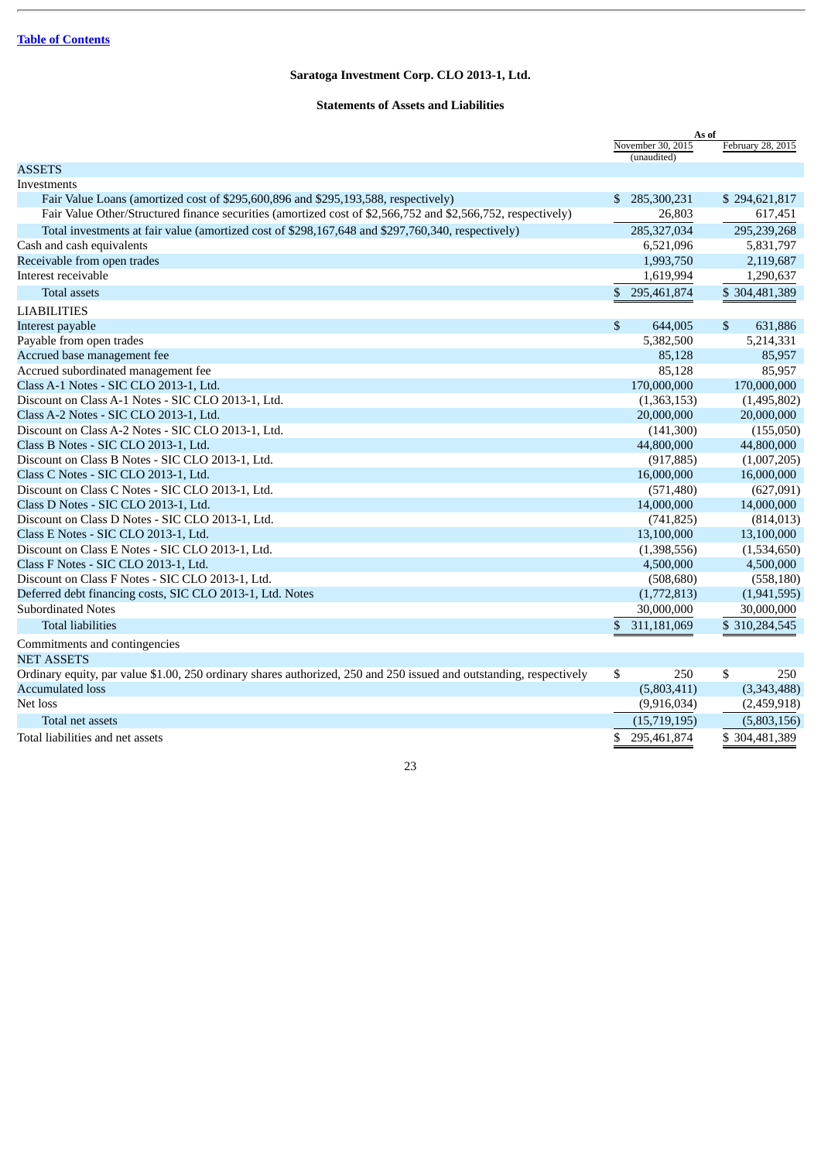### **Saratoga Investment Corp. CLO 2013-1, Ltd.**

### **Statements of Assets and Liabilities**

|                                                                                                                     |              | As of                            |                |                   |
|---------------------------------------------------------------------------------------------------------------------|--------------|----------------------------------|----------------|-------------------|
|                                                                                                                     |              | November 30, 2015<br>(unaudited) |                | February 28, 2015 |
| <b>ASSETS</b>                                                                                                       |              |                                  |                |                   |
| Investments                                                                                                         |              |                                  |                |                   |
| Fair Value Loans (amortized cost of \$295,600,896 and \$295,193,588, respectively)                                  | \$.          | 285,300,231                      |                | \$294,621,817     |
| Fair Value Other/Structured finance securities (amortized cost of \$2,566,752 and \$2,566,752, respectively)        |              | 26,803                           |                | 617,451           |
| Total investments at fair value (amortized cost of \$298,167,648 and \$297,760,340, respectively)                   |              | 285,327,034                      |                | 295,239,268       |
| Cash and cash equivalents                                                                                           |              | 6,521,096                        |                | 5,831,797         |
| Receivable from open trades                                                                                         |              | 1,993,750                        |                | 2,119,687         |
| Interest receivable                                                                                                 |              | 1,619,994                        |                | 1,290,637         |
| <b>Total assets</b>                                                                                                 | \$           | 295,461,874                      |                | \$304,481,389     |
| <b>LIABILITIES</b>                                                                                                  |              |                                  |                |                   |
| Interest payable                                                                                                    | \$           | 644,005                          | $\mathfrak{S}$ | 631,886           |
| Payable from open trades                                                                                            |              | 5,382,500                        |                | 5,214,331         |
| Accrued base management fee                                                                                         |              | 85,128                           |                | 85,957            |
| Accrued subordinated management fee                                                                                 |              | 85,128                           |                | 85,957            |
| Class A-1 Notes - SIC CLO 2013-1, Ltd.                                                                              |              | 170,000,000                      |                | 170,000,000       |
| Discount on Class A-1 Notes - SIC CLO 2013-1, Ltd.                                                                  |              | (1,363,153)                      |                | (1,495,802)       |
| Class A-2 Notes - SIC CLO 2013-1, Ltd.                                                                              |              | 20,000,000                       |                | 20,000,000        |
| Discount on Class A-2 Notes - SIC CLO 2013-1, Ltd.                                                                  |              | (141,300)                        |                | (155,050)         |
| Class B Notes - SIC CLO 2013-1, Ltd.                                                                                |              | 44,800,000                       |                | 44,800,000        |
| Discount on Class B Notes - SIC CLO 2013-1, Ltd.                                                                    |              | (917, 885)                       |                | (1,007,205)       |
| Class C Notes - SIC CLO 2013-1, Ltd.                                                                                |              | 16,000,000                       |                | 16,000,000        |
| Discount on Class C Notes - SIC CLO 2013-1, Ltd.                                                                    |              | (571, 480)                       |                | (627,091)         |
| Class D Notes - SIC CLO 2013-1, Ltd.                                                                                |              | 14,000,000                       |                | 14,000,000        |
| Discount on Class D Notes - SIC CLO 2013-1, Ltd.                                                                    |              | (741, 825)                       |                | (814, 013)        |
| Class E Notes - SIC CLO 2013-1, Ltd.                                                                                |              | 13,100,000                       |                | 13,100,000        |
| Discount on Class E Notes - SIC CLO 2013-1, Ltd.                                                                    |              | (1,398,556)                      |                | (1,534,650)       |
| Class F Notes - SIC CLO 2013-1, Ltd.                                                                                |              | 4,500,000                        |                | 4,500,000         |
| Discount on Class F Notes - SIC CLO 2013-1, Ltd.                                                                    |              | (508, 680)                       |                | (558, 180)        |
| Deferred debt financing costs, SIC CLO 2013-1, Ltd. Notes                                                           |              | (1,772,813)                      |                | (1,941,595)       |
| <b>Subordinated Notes</b>                                                                                           |              | 30,000,000                       |                | 30,000,000        |
| <b>Total liabilities</b>                                                                                            | $\mathbb{S}$ | 311,181,069                      |                | \$310,284,545     |
| Commitments and contingencies                                                                                       |              |                                  |                |                   |
| <b>NET ASSETS</b>                                                                                                   |              |                                  |                |                   |
| Ordinary equity, par value \$1.00, 250 ordinary shares authorized, 250 and 250 issued and outstanding, respectively | \$           | 250                              | \$             | 250               |
| <b>Accumulated loss</b>                                                                                             |              | (5,803,411)                      |                | (3,343,488)       |
| Net loss                                                                                                            |              | (9,916,034)                      |                | (2,459,918)       |
| Total net assets                                                                                                    |              | (15,719,195)                     |                | (5,803,156)       |
| Total liabilities and net assets                                                                                    | \$           | 295,461,874                      |                | \$304,481,389     |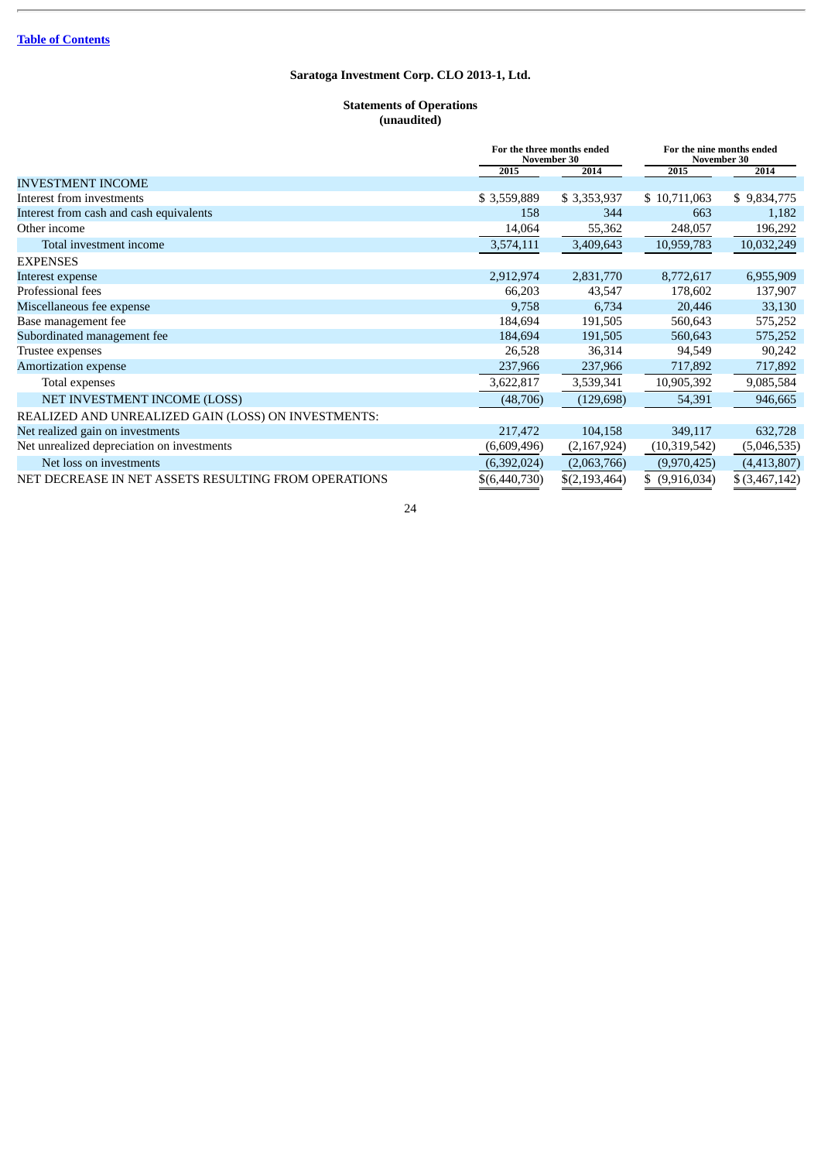### **Saratoga Investment Corp. CLO 2013-1, Ltd.**

#### **Statements of Operations (unaudited)**

|                                                      | For the three months ended<br><b>November 30</b> |               | For the nine months ended<br><b>November 30</b> |                   |
|------------------------------------------------------|--------------------------------------------------|---------------|-------------------------------------------------|-------------------|
|                                                      | 2015                                             | 2014          | 2015                                            | 2014              |
| <b>INVESTMENT INCOME</b>                             |                                                  |               |                                                 |                   |
| Interest from investments                            | \$3,559,889                                      | \$3,353,937   | \$10,711,063                                    | \$9,834,775       |
| Interest from cash and cash equivalents              | 158                                              | 344           | 663                                             | 1,182             |
| Other income                                         | 14,064                                           | 55,362        | 248,057                                         | 196,292           |
| Total investment income                              | 3,574,111                                        | 3,409,643     | 10,959,783                                      | 10,032,249        |
| <b>EXPENSES</b>                                      |                                                  |               |                                                 |                   |
| Interest expense                                     | 2,912,974                                        | 2,831,770     | 8,772,617                                       | 6,955,909         |
| Professional fees                                    | 66,203                                           | 43,547        | 178,602                                         | 137,907           |
| Miscellaneous fee expense                            | 9,758                                            | 6,734         | 20,446                                          | 33,130            |
| Base management fee                                  | 184,694                                          | 191,505       | 560,643                                         | 575,252           |
| Subordinated management fee                          | 184,694                                          | 191,505       | 560,643                                         | 575,252           |
| Trustee expenses                                     | 26,528                                           | 36,314        | 94,549                                          | 90,242            |
| <b>Amortization expense</b>                          | 237,966                                          | 237,966       | 717,892                                         | 717,892           |
| Total expenses                                       | 3,622,817                                        | 3,539,341     | 10,905,392                                      | 9,085,584         |
| NET INVESTMENT INCOME (LOSS)                         | (48,706)                                         | (129, 698)    | 54,391                                          | 946,665           |
| REALIZED AND UNREALIZED GAIN (LOSS) ON INVESTMENTS:  |                                                  |               |                                                 |                   |
| Net realized gain on investments                     | 217,472                                          | 104,158       | 349,117                                         | 632,728           |
| Net unrealized depreciation on investments           | (6,609,496)                                      | (2,167,924)   | (10,319,542)                                    | (5,046,535)       |
| Net loss on investments                              | (6,392,024)                                      | (2,063,766)   | (9,970,425)                                     | (4,413,807)       |
| NET DECREASE IN NET ASSETS RESULTING FROM OPERATIONS | \$(6,440,730)                                    | \$(2,193,464) | $$$ (9,916,034)                                 | $$$ $(3,467,142)$ |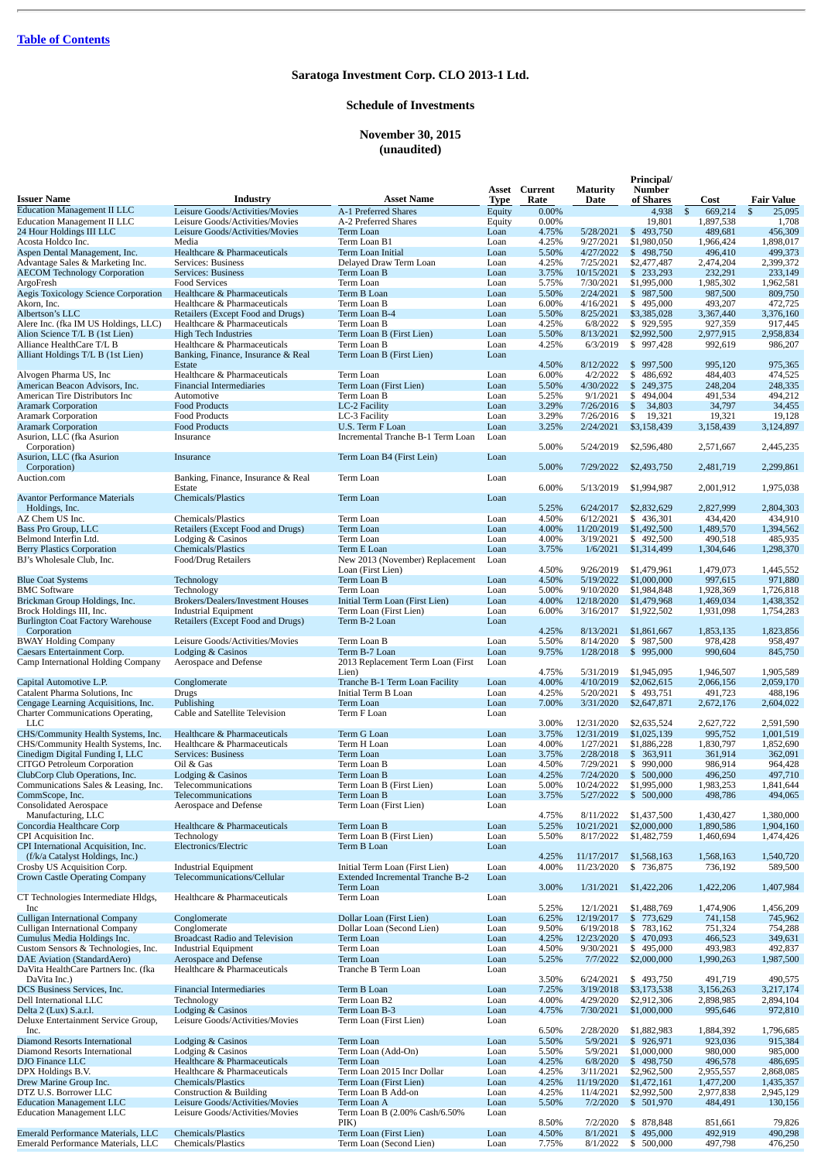### **Saratoga Investment Corp. CLO 2013-1 Ltd.**

### **Schedule of Investments**

#### **November 30, 2015 (unaudited)**

|                                                                          |                                                      |                                              |              | <b>Asset Current</b> | <b>Maturity</b>         | Principal/<br>Number       |                        |                        |
|--------------------------------------------------------------------------|------------------------------------------------------|----------------------------------------------|--------------|----------------------|-------------------------|----------------------------|------------------------|------------------------|
| <b>Issuer Name</b>                                                       | Industry                                             | Asset Name                                   | Type         | Rate                 | Date                    | of Shares                  | Cost                   | <b>Fair Value</b>      |
| <b>Education Management II LLC</b>                                       | Leisure Goods/Activities/Movies                      | A-1 Preferred Shares                         | Equity       | 0.00%                |                         | 4,938                      | \$<br>669,214          | \$<br>25,095           |
| <b>Education Management II LLC</b>                                       | Leisure Goods/Activities/Movies                      | A-2 Preferred Shares                         | Equity       | $0.00\%$             |                         | 19,801                     | 1,897,538              | 1,708                  |
| 24 Hour Holdings III LLC<br>Acosta Holdco Inc.                           | Leisure Goods/Activities/Movies<br>Media             | Term Loan<br>Term Loan B1                    | Loan<br>Loan | 4.75%<br>4.25%       | 5/28/2021<br>9/27/2021  | \$493,750<br>\$1,980,050   | 489,681<br>1,966,424   | 456,309<br>1,898,017   |
| Aspen Dental Management, Inc.                                            | Healthcare & Pharmaceuticals                         | Term Loan Initial                            | Loan         | 5.50%                | 4/27/2022               | \$498,750                  | 496,410                | 499,373                |
| Advantage Sales & Marketing Inc.                                         | Services: Business                                   | Delayed Draw Term Loan                       | Loan         | 4.25%                | 7/25/2021               | \$2,477,487                | 2,474,204              | 2,399,372              |
| <b>AECOM Technology Corporation</b>                                      | Services: Business                                   | Term Loan B                                  | Loan         | 3.75%                | 10/15/2021              | \$233,293                  | 232,291                | 233,149                |
| ArgoFresh                                                                | <b>Food Services</b>                                 | Term Loan                                    | Loan         | 5.75%                | 7/30/2021               | \$1,995,000                | 1,985,302              | 1,962,581              |
| <b>Aegis Toxicology Science Corporation</b>                              | Healthcare & Pharmaceuticals                         | Term B Loan                                  | Loan         | 5.50%                | 2/24/2021               | \$987,500                  | 987,500                | 809,750                |
| Akorn, Inc.                                                              | Healthcare & Pharmaceuticals                         | Term Loan B                                  | Loan         | 6.00%                | 4/16/2021               | \$495,000                  | 493,207                | 472,725                |
| Albertson's LLC                                                          | Retailers (Except Food and Drugs)                    | Term Loan B-4                                | Loan         | 5.50%                | 8/25/2021               | \$3,385,028                | 3,367,440              | 3,376,160              |
| Alere Inc. (fka IM US Holdings, LLC)                                     | Healthcare & Pharmaceuticals                         | Term Loan B                                  | Loan         | 4.25%                | 6/8/2022                | \$929,595                  | 927,359                | 917,445                |
| Alion Science T/L B (1st Lien)                                           | <b>High Tech Industries</b>                          | Term Loan B (First Lien)                     | Loan         | 5.50%                | 8/13/2021               | \$2,992,500                | 2,977,915              | 2,958,834              |
| Alliance HealthCare T/L B                                                | Healthcare & Pharmaceuticals                         | Term Loan B                                  | Loan         | 4.25%                | 6/3/2019                | \$997,428                  | 992,619                | 986,207                |
| Alliant Holdings T/L B (1st Lien)                                        | Banking, Finance, Insurance & Real<br>Estate         | Term Loan B (First Lien)                     | Loan         | 4.50%                | 8/12/2022               | \$997,500                  | 995,120                | 975,365                |
| Alvogen Pharma US, Inc                                                   | Healthcare & Pharmaceuticals                         | Term Loan                                    | Loan         | 6.00%                | 4/2/2022                | \$486,692                  | 484,403                | 474,525                |
| American Beacon Advisors, Inc.                                           | <b>Financial Intermediaries</b>                      | Term Loan (First Lien)                       | Loan         | 5.50%                | 4/30/2022               | $\mathbb{S}$<br>249,375    | 248,204                | 248,335                |
| American Tire Distributors Inc                                           | Automotive                                           | Term Loan B                                  | Loan         | 5.25%                | 9/1/2021                | \$494,004                  | 491,534                | 494,212                |
| <b>Aramark Corporation</b>                                               | <b>Food Products</b>                                 | LC-2 Facility                                | Loan         | 3.29%                | 7/26/2016               | \$<br>34,803               | 34,797                 | 34,455                 |
| <b>Aramark Corporation</b>                                               | Food Products                                        | LC-3 Facility                                | Loan         | 3.29%                | 7/26/2016               | $\mathbb{S}$<br>19,321     | 19,321                 | 19,128                 |
| <b>Aramark Corporation</b>                                               | <b>Food Products</b>                                 | U.S. Term F Loan                             | Loan         | 3.25%                | 2/24/2021               | \$3,158,439                | 3,158,439              | 3,124,897              |
| Asurion, LLC (fka Asurion                                                | Insurance                                            | Incremental Tranche B-1 Term Loan            | Loan         |                      |                         |                            |                        |                        |
| Corporation)                                                             |                                                      |                                              |              | 5.00%                | 5/24/2019               | \$2,596,480                | 2.571.667              | 2,445,235              |
| Asurion, LLC (fka Asurion                                                | Insurance                                            | Term Loan B4 (First Lein)                    | Loan         |                      |                         |                            |                        |                        |
| Corporation)                                                             |                                                      | Term Loan                                    |              | 5.00%                | 7/29/2022               | \$2,493,750                | 2,481,719              | 2,299,861              |
| Auction.com                                                              | Banking, Finance, Insurance & Real<br>Estate         |                                              | Loan         | 6.00%                | 5/13/2019               | \$1,994,987                | 2,001,912              | 1,975,038              |
| <b>Avantor Performance Materials</b>                                     | <b>Chemicals/Plastics</b>                            | Term Loan                                    | Loan         |                      |                         |                            |                        |                        |
| Holdings, Inc.                                                           |                                                      |                                              |              | 5.25%                | 6/24/2017               | \$2,832,629                | 2,827,999              | 2,804,303              |
| AZ Chem US Inc.                                                          | Chemicals/Plastics                                   | Term Loan                                    | Loan         | 4.50%                | 6/12/2021               | \$436,301                  | 434,420                | 434,910                |
| Bass Pro Group, LLC                                                      | Retailers (Except Food and Drugs)                    | Term Loan                                    | Loan         | 4.00%                | 11/20/2019              | \$1,492,500                | 1,489,570              | 1,394,562              |
| Belmond Interfin Ltd.                                                    | Lodging & Casinos                                    | Term Loan                                    | Loan         | 4.00%                | 3/19/2021               | \$492,500                  | 490,518                | 485,935                |
| <b>Berry Plastics Corporation</b>                                        | Chemicals/Plastics                                   | Term E Loan                                  | Loan         | 3.75%                | 1/6/2021                | \$1,314,499                | 1,304,646              | 1,298,370              |
| BJ's Wholesale Club, Inc.                                                | Food/Drug Retailers                                  | New 2013 (November) Replacement              | Loan         |                      |                         |                            |                        |                        |
|                                                                          |                                                      | Loan (First Lien)                            |              | 4.50%                | 9/26/2019               | \$1,479,961                | 1,479,073              | 1,445,552              |
| <b>Blue Coat Systems</b>                                                 | Technology                                           | Term Loan B                                  | Loan         | 4.50%                | 5/19/2022               | \$1,000,000                | 997,615                | 971,880                |
| <b>BMC Software</b>                                                      | Technology                                           | Term Loan                                    | Loan         | 5.00%                | 9/10/2020               | \$1,984,848                | 1,928,369              | 1,726,818              |
| Brickman Group Holdings, Inc.                                            | Brokers/Dealers/Investment Houses                    | Initial Term Loan (First Lien)               | Loan         | 4.00%                | 12/18/2020              | \$1,479,968                | 1,469,034              | 1,438,352              |
| Brock Holdings III, Inc.<br><b>Burlington Coat Factory Warehouse</b>     | <b>Industrial Equipment</b>                          | Term Loan (First Lien)<br>Term B-2 Loan      | Loan<br>Loan | 6.00%                | 3/16/2017               | \$1,922,502                | 1,931,098              | 1,754,283              |
| Corporation                                                              | Retailers (Except Food and Drugs)                    |                                              |              | 4.25%                | 8/13/2021               | \$1,861,667                | 1,853,135              | 1,823,856              |
| <b>BWAY Holding Company</b>                                              | Leisure Goods/Activities/Movies                      | Term Loan B                                  | Loan         | 5.50%                | 8/14/2020               | \$987,500                  | 978,428                | 958,497                |
| Caesars Entertainment Corp.                                              | Lodging & Casinos                                    | Term B-7 Loan                                | Loan         | 9.75%                | 1/28/2018               | \$995,000                  | 990,604                | 845,750                |
| Camp International Holding Company                                       | Aerospace and Defense                                | 2013 Replacement Term Loan (First            | Loan         |                      |                         |                            |                        |                        |
|                                                                          |                                                      | Lien)                                        |              | 4.75%                | 5/31/2019               | \$1,945,095                | 1,946,507              | 1,905,589              |
| Capital Automotive L.P.                                                  | Conglomerate                                         | Tranche B-1 Term Loan Facility               | Loan         | 4.00%                | 4/10/2019               | \$2,062,615                | 2,066,156              | 2,059,170              |
| Catalent Pharma Solutions, Inc.                                          | Drugs                                                | Initial Term B Loan                          | Loan         | 4.25%                | 5/20/2021               | \$493,751                  | 491,723                | 488,196                |
| Cengage Learning Acquisitions, Inc.                                      | Publishing                                           | Term Loan                                    | Loan         | 7.00%                | 3/31/2020               | \$2,647,871                | 2,672,176              | 2,604,022              |
| Charter Communications Operating,                                        | Cable and Satellite Television                       | Term F Loan                                  | Loan         |                      |                         |                            |                        |                        |
| <b>LLC</b>                                                               | Healthcare & Pharmaceuticals                         |                                              |              | 3.00%                | 12/31/2020              | \$2,635,524                | 2,627,722              | 2,591,590              |
| CHS/Community Health Systems, Inc.<br>CHS/Community Health Systems, Inc. | Healthcare & Pharmaceuticals                         | Term G Loan<br>Term H Loan                   | Loan<br>Loan | 3.75%<br>4.00%       | 12/31/2019<br>1/27/2021 | \$1,025,139<br>\$1,886,228 | 995,752<br>1,830,797   | 1,001,519<br>1,852,690 |
| Cinedigm Digital Funding I, LLC                                          | Services: Business                                   | Term Loan                                    | Loan         | 3.75%                | 2/28/2018               | \$ 363,911                 | 361,914                | 362,091                |
| <b>CITGO Petroleum Corporation</b>                                       | Oil & Gas                                            | Term Loan B                                  | Loan         | 4.50%                | 7/29/2021               | \$990,000                  | 986,914                | 964,428                |
| ClubCorp Club Operations, Inc.                                           | Lodging & Casinos                                    | Term Loan B                                  | Loan         | 4.25%                | 7/24/2020               | \$500,000                  | 496,250                | 497,710                |
| Communications Sales & Leasing, Inc.                                     | Telecommunications                                   | Term Loan B (First Lien)                     | Loan         | 5.00%                | 10/24/2022              | \$1,995,000                | 1,983,253              | 1,841,644              |
| CommScope, Inc.                                                          | Telecommunications                                   | Term Loan B                                  | Loan         | 3.75%                | 5/27/2022               | \$ 500,000                 | 498,786                | 494,065                |
| <b>Consolidated Aerospace</b>                                            | Aerospace and Defense                                | Term Loan (First Lien)                       | Loan         |                      |                         |                            |                        |                        |
| Manufacturing, LLC                                                       |                                                      |                                              |              | 4.75%                | 8/11/2022               | \$1,437,500                | 1,430,427              | 1,380,000              |
| Concordia Healthcare Corp                                                | Healthcare & Pharmaceuticals                         | Term Loan B                                  | Loan         | 5.25%                | 10/21/2021              | \$2,000,000                | 1,890,586              | 1,904,160              |
| CPI Acquisition Inc.                                                     | Technology                                           | Term Loan B (First Lien)                     | Loan         | 5.50%                | 8/17/2022               | \$1,482,759                | 1,460,694              | 1,474,426              |
| CPI International Acquisition, Inc.<br>(f/k/a Catalyst Holdings, Inc.)   | Electronics/Electric                                 | Term B Loan                                  | Loan         | 4.25%                | 11/17/2017              | \$1,568,163                | 1,568,163              | 1,540,720              |
| Crosby US Acquisition Corp.                                              | <b>Industrial Equipment</b>                          | Initial Term Loan (First Lien)               | Loan         | 4.00%                | 11/23/2020              | \$736,875                  | 736,192                | 589,500                |
| <b>Crown Castle Operating Company</b>                                    | Telecommunications/Cellular                          | Extended Incremental Tranche B-2             | Loan         |                      |                         |                            |                        |                        |
|                                                                          |                                                      | Term Loan                                    |              | 3.00%                | 1/31/2021               | \$1,422,206                | 1,422,206              | 1,407,984              |
| CT Technologies Intermediate Hldgs,                                      | Healthcare & Pharmaceuticals                         | Term Loan                                    | Loan         |                      |                         |                            |                        |                        |
| Inc                                                                      |                                                      |                                              |              | 5.25%                | 12/1/2021               | \$1,488,769                | 1,474,906              | 1,456,209              |
| <b>Culligan International Company</b>                                    | Conglomerate                                         | Dollar Loan (First Lien)                     | Loan         | 6.25%                | 12/19/2017              | \$773,629                  | 741,158                | 745,962                |
| Culligan International Company                                           | Conglomerate                                         | Dollar Loan (Second Lien)                    | Loan         | 9.50%                | 6/19/2018               | \$783,162                  | 751,324                | 754,288                |
| Cumulus Media Holdings Inc.                                              | <b>Broadcast Radio and Television</b>                | Term Loan                                    | Loan         | 4.25%                | 12/23/2020              | \$470,093                  | 466,523                | 349,631                |
| Custom Sensors & Technologies, Inc.                                      | <b>Industrial Equipment</b>                          | Term Loan                                    | Loan         | 4.50%                | 9/30/2021               | \$495,000                  | 493,983                | 492,837                |
| DAE Aviation (StandardAero)                                              | Aerospace and Defense                                | Term Loan<br>Tranche B Term Loan             | Loan         | 5.25%                | 7/7/2022                | \$2,000,000                | 1,990,263              | 1,987,500              |
| DaVita HealthCare Partners Inc. (fka<br>DaVita Inc.)                     | Healthcare & Pharmaceuticals                         |                                              | Loan         | 3.50%                | 6/24/2021               | \$493,750                  | 491,719                | 490,575                |
| DCS Business Services, Inc.                                              | <b>Financial Intermediaries</b>                      | Term B Loan                                  | Loan         | 7.25%                | 3/19/2018               | \$3,173,538                | 3,156,263              | 3,217,174              |
| Dell International LLC                                                   | Technology                                           | Term Loan B2                                 | Loan         | 4.00%                | 4/29/2020               | \$2,912,306                | 2,898,985              | 2,894,104              |
| Delta 2 (Lux) S.a.r.l.                                                   | Lodging & Casinos                                    | Term Loan B-3                                | Loan         | 4.75%                | 7/30/2021               | \$1,000,000                | 995,646                | 972,810                |
| Deluxe Entertainment Service Group,                                      | Leisure Goods/Activities/Movies                      | Term Loan (First Lien)                       | Loan         |                      |                         |                            |                        |                        |
| Inc.                                                                     |                                                      |                                              |              | 6.50%                | 2/28/2020               | \$1,882,983                | 1,884,392              | 1,796,685              |
| Diamond Resorts International                                            | Lodging & Casinos                                    | Term Loan                                    | Loan         | 5.50%                | 5/9/2021                | \$926,971                  | 923,036                | 915,384                |
| Diamond Resorts International                                            | Lodging & Casinos                                    | Term Loan (Add-On)                           | Loan         | 5.50%                | 5/9/2021                | \$1,000,000                | 980,000                | 985,000                |
| <b>DJO Finance LLC</b>                                                   | Healthcare & Pharmaceuticals                         | Term Loan                                    | Loan         | 4.25%                | 6/8/2020                | \$498,750                  | 496,578                | 486,695                |
| DPX Holdings B.V.                                                        | Healthcare & Pharmaceuticals                         | Term Loan 2015 Incr Dollar                   | Loan         | 4.25%                | 3/11/2021               | \$2,962,500                | 2,955,557              | 2,868,085              |
| Drew Marine Group Inc.<br>DTZ U.S. Borrower LLC                          | <b>Chemicals/Plastics</b><br>Construction & Building | Term Loan (First Lien)<br>Term Loan B Add-on | Loan<br>Loan | 4.25%<br>4.25%       | 11/19/2020<br>11/4/2021 | \$1,472,161<br>\$2,992,500 | 1,477,200<br>2,977,838 | 1,435,357<br>2,945,129 |
| <b>Education Management LLC</b>                                          | Leisure Goods/Activities/Movies                      | Term Loan A                                  | Loan         | 5.50%                | 7/2/2020                | \$501,970                  | 484,491                | 130,156                |
| <b>Education Management LLC</b>                                          | Leisure Goods/Activities/Movies                      | Term Loan B (2.00% Cash/6.50%                | Loan         |                      |                         |                            |                        |                        |
|                                                                          |                                                      | PIK)                                         |              | 8.50%                | 7/2/2020                | \$ 878,848                 | 851,661                | 79,826                 |
| Emerald Performance Materials, LLC                                       | Chemicals/Plastics                                   | Term Loan (First Lien)                       | Loan         | 4.50%                | 8/1/2021                | \$495,000                  | 492,919                | 490,298                |
| Emerald Performance Materials, LLC                                       | Chemicals/Plastics                                   | Term Loan (Second Lien)                      | Loan         | 7.75%                | 8/1/2022                | \$ 500,000                 | 497,798                | 476,250                |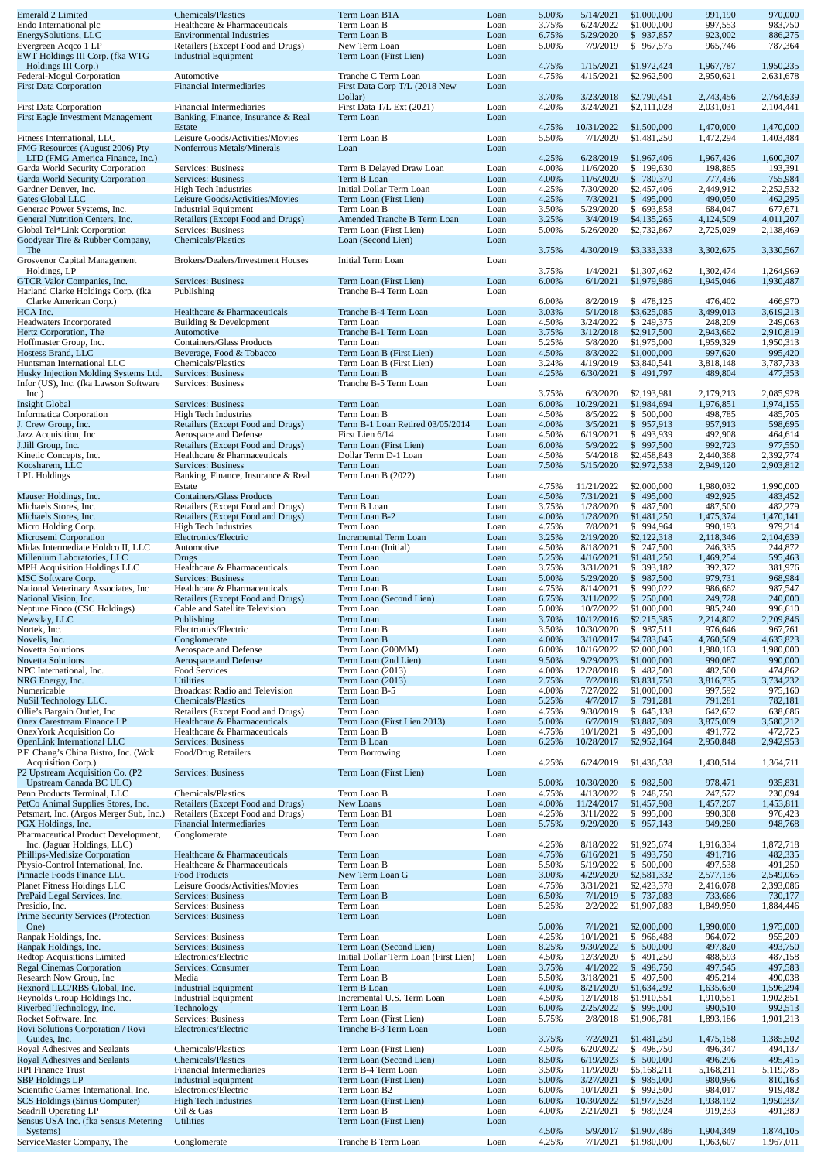| <b>Emerald 2 Limited</b>                | Chemicals/Plastics                 | Term Loan B1A                         | Loan | 5.00% | 5/14/2021  | \$1,000,000 | 991,190   | 970,000   |
|-----------------------------------------|------------------------------------|---------------------------------------|------|-------|------------|-------------|-----------|-----------|
| Endo International plc                  | Healthcare & Pharmaceuticals       | Term Loan B                           | Loan | 3.75% | 6/24/2022  | \$1,000,000 | 997,553   | 983,750   |
| EnergySolutions, LLC                    | <b>Environmental Industries</b>    | Term Loan B                           | Loan | 6.75% | 5/29/2020  | \$937,857   | 923,002   | 886,275   |
| Evergreen Acqco 1 LP                    | Retailers (Except Food and Drugs)  | New Term Loan                         | Loan | 5.00% | 7/9/2019   | \$967,575   | 965,746   | 787,364   |
| EWT Holdings III Corp. (fka WTG         | Industrial Equipment               | Term Loan (First Lien)                | Loan |       |            |             |           |           |
|                                         |                                    |                                       |      |       | 1/15/2021  |             |           | 1,950,235 |
| Holdings III Corp.)                     |                                    |                                       |      | 4.75% |            | \$1,972,424 | 1,967,787 |           |
| Federal-Mogul Corporation               | Automotive                         | Tranche C Term Loan                   | Loan | 4.75% | 4/15/2021  | \$2,962,500 | 2,950,621 | 2,631,678 |
| <b>First Data Corporation</b>           | <b>Financial Intermediaries</b>    | First Data Corp T/L (2018 New         | Loan | 3.70% | 3/23/2018  | \$2,790,451 |           |           |
|                                         |                                    | Dollar)                               |      |       |            |             | 2,743,456 | 2,764,639 |
| <b>First Data Corporation</b>           | Financial Intermediaries           | First Data T/L Ext (2021)             | Loan | 4.20% | 3/24/2021  | \$2,111,028 | 2,031,031 | 2,104,441 |
| First Eagle Investment Management       | Banking, Finance, Insurance & Real | Term Loan                             | Loan |       |            |             |           |           |
|                                         | Estate                             |                                       |      | 4.75% | 10/31/2022 | \$1,500,000 | 1,470,000 | 1,470,000 |
| Fitness International, LLC              | Leisure Goods/Activities/Movies    | Term Loan B                           | Loan | 5.50% | 7/1/2020   | \$1,481,250 | 1,472,294 | 1,403,484 |
| FMG Resources (August 2006) Pty         | Nonferrous Metals/Minerals         | Loan                                  | Loan |       |            |             |           |           |
| LTD (FMG America Finance, Inc.)         |                                    |                                       |      | 4.25% | 6/28/2019  | \$1,967,406 | 1,967,426 | 1,600,307 |
| Garda World Security Corporation        | Services: Business                 | Term B Delayed Draw Loan              | Loan | 4.00% | 11/6/2020  | \$199,630   | 198,865   | 193,391   |
| Garda World Security Corporation        | Services: Business                 | Term B Loan                           | Loan | 4.00% | 11/6/2020  | \$780,370   | 777,436   | 755,984   |
| Gardner Denver, Inc.                    | <b>High Tech Industries</b>        | Initial Dollar Term Loan              | Loan | 4.25% | 7/30/2020  | \$2,457,406 | 2,449,912 | 2,252,532 |
| Gates Global LLC                        | Leisure Goods/Activities/Movies    | Term Loan (First Lien)                | Loan | 4.25% | 7/3/2021   | \$495,000   | 490,050   | 462,295   |
| Generac Power Systems, Inc.             | <b>Industrial Equipment</b>        | Term Loan B                           | Loan | 3.50% | 5/29/2020  | \$693,858   | 684,047   | 677,671   |
| General Nutrition Centers, Inc.         | Retailers (Except Food and Drugs)  | Amended Tranche B Term Loan           | Loan | 3.25% | 3/4/2019   | \$4,135,265 | 4,124,509 | 4,011,207 |
| Global Tel*Link Corporation             | Services: Business                 | Term Loan (First Lien)                | Loan | 5.00% | 5/26/2020  | \$2,732,867 | 2,725,029 | 2,138,469 |
| Goodyear Tire & Rubber Company,         | Chemicals/Plastics                 | Loan (Second Lien)                    | Loan |       |            |             |           |           |
| The                                     |                                    |                                       |      | 3.75% | 4/30/2019  | \$3,333,333 | 3,302,675 | 3,330,567 |
|                                         | Brokers/Dealers/Investment Houses  | Initial Term Loan                     | Loan |       |            |             |           |           |
| Grosvenor Capital Management            |                                    |                                       |      |       |            |             |           |           |
| Holdings, LP                            |                                    |                                       |      | 3.75% | 1/4/2021   | \$1,307,462 | 1,302,474 | 1,264,969 |
| GTCR Valor Companies, Inc.              | Services: Business                 | Term Loan (First Lien)                | Loan | 6.00% | 6/1/2021   | \$1,979,986 | 1,945,046 | 1,930,487 |
| Harland Clarke Holdings Corp. (fka      | Publishing                         | Tranche B-4 Term Loan                 | Loan |       |            |             |           |           |
| Clarke American Corp.)                  |                                    |                                       |      | 6.00% | 8/2/2019   | \$478,125   | 476,402   | 466,970   |
| HCA Inc.                                | Healthcare & Pharmaceuticals       | Tranche B-4 Term Loan                 | Loan | 3.03% | 5/1/2018   | \$3,625,085 | 3,499,013 | 3,619,213 |
| Headwaters Incorporated                 | Building & Development             | Term Loan                             | Loan | 4.50% | 3/24/2022  | \$249,375   | 248,209   | 249,063   |
| Hertz Corporation, The                  | Automotive                         | Tranche B-1 Term Loan                 | Loan | 3.75% | 3/12/2018  | \$2,917,500 | 2,943,662 | 2,910,819 |
| Hoffmaster Group, Inc.                  | Containers/Glass Products          | Term Loan                             | Loan | 5.25% | 5/8/2020   | \$1,975,000 | 1,959,329 | 1,950,313 |
| Hostess Brand, LLC                      | Beverage, Food & Tobacco           | Term Loan B (First Lien)              | Loan | 4.50% | 8/3/2022   | \$1,000,000 | 997,620   | 995,420   |
| Huntsman International LLC              | Chemicals/Plastics                 | Term Loan B (First Lien)              | Loan | 3.24% | 4/19/2019  | \$3,840,541 | 3,818,148 | 3,787,733 |
| Husky Injection Molding Systems Ltd.    | Services: Business                 | Term Loan B                           | Loan | 4.25% | 6/30/2021  | \$491,797   | 489,804   | 477,353   |
| Infor (US), Inc. (fka Lawson Software   | Services: Business                 | Tranche B-5 Term Loan                 | Loan |       |            |             |           |           |
| Inc.)                                   |                                    |                                       |      | 3.75% | 6/3/2020   | \$2,193,981 | 2,179,213 | 2,085,928 |
| <b>Insight Global</b>                   | Services: Business                 | Term Loan                             | Loan | 6.00% | 10/29/2021 | \$1,984,694 | 1,976,851 | 1,974,155 |
|                                         |                                    |                                       |      |       |            |             |           |           |
| <b>Informatica Corporation</b>          | <b>High Tech Industries</b>        | Term Loan B                           | Loan | 4.50% | 8/5/2022   | \$ 500,000  | 498,785   | 485,705   |
| J. Crew Group, Inc.                     | Retailers (Except Food and Drugs)  | Term B-1 Loan Retired 03/05/2014      | Loan | 4.00% | 3/5/2021   | \$957,913   | 957,913   | 598,695   |
| Jazz Acquisition, Inc.                  | Aerospace and Defense              | First Lien 6/14                       | Loan | 4.50% | 6/19/2021  | \$493,939   | 492,908   | 464,614   |
| J.Jill Group, Inc.                      | Retailers (Except Food and Drugs)  | Term Loan (First Lien)                | Loan | 6.00% | 5/9/2022   | \$997,500   | 992,723   | 977,550   |
| Kinetic Concepts, Inc.                  | Healthcare & Pharmaceuticals       | Dollar Term D-1 Loan                  | Loan | 4.50% | 5/4/2018   | \$2,458,843 | 2,440,368 | 2,392,774 |
| Koosharem, LLC                          | Services: Business                 | Term Loan                             | Loan | 7.50% | 5/15/2020  | \$2,972,538 | 2,949,120 | 2,903,812 |
| LPL Holdings                            | Banking, Finance, Insurance & Real | Term Loan B (2022)                    | Loan |       |            |             |           |           |
|                                         | Estate                             |                                       |      | 4.75% | 11/21/2022 | \$2,000,000 | 1,980,032 | 1,990,000 |
| Mauser Holdings, Inc.                   | Containers/Glass Products          | Term Loan                             | Loan | 4.50% | 7/31/2021  | \$495,000   | 492,925   | 483,452   |
| Michaels Stores, Inc.                   | Retailers (Except Food and Drugs)  | Term B Loan                           | Loan | 3.75% | 1/28/2020  | \$487,500   | 487,500   | 482,279   |
| Michaels Stores, Inc.                   | Retailers (Except Food and Drugs)  | Term Loan B-2                         | Loan | 4.00% | 1/28/2020  | \$1,481,250 | 1,475,374 | 1,470,141 |
| Micro Holding Corp.                     | <b>High Tech Industries</b>        | Term Loan                             | Loan | 4.75% | 7/8/2021   | \$994,964   | 990,193   | 979,214   |
|                                         |                                    |                                       |      | 3.25% |            | \$2,122,318 |           | 2,104,639 |
| Microsemi Corporation                   | Electronics/Electric               | Incremental Term Loan                 | Loan |       | 2/19/2020  |             | 2,118,346 |           |
| Midas Intermediate Holdco II, LLC       | Automotive                         | Term Loan (Initial)                   | Loan | 4.50% | 8/18/2021  | \$247,500   | 246,335   | 244,872   |
| Millenium Laboratories, LLC             | Drugs                              | Term Loan                             | Loan | 5.25% | 4/16/2021  | \$1,481,250 | 1,469,254 | 595,463   |
| MPH Acquisition Holdings LLC            | Healthcare & Pharmaceuticals       | Term Loan                             | Loan | 3.75% | 3/31/2021  | \$ 393,182  | 392.372   | 381,976   |
| MSC Software Corp.                      | Services: Business                 | Term Loan                             | Loan | 5.00% | 5/29/2020  | \$987,500   | 979,731   | 968,984   |
| National Veterinary Associates, Inc.    | Healthcare & Pharmaceuticals       | Term Loan B                           | Loan | 4.75% | 8/14/2021  | \$990,022   | 986,662   | 987,547   |
| National Vision, Inc.                   | Retailers (Except Food and Drugs)  | Term Loan (Second Lien)               | Loan | 6.75% | 3/11/2022  | \$250,000   | 249,728   | 240,000   |
| Neptune Finco (CSC Holdings)            | Cable and Satellite Television     | Term Loan                             | Loan | 5.00% | 10/7/2022  | \$1,000,000 | 985,240   | 996,610   |
| Newsday, LLC                            | Publishing                         | Term Loan                             | Loan | 3.70% | 10/12/2016 | \$2,215,385 | 2,214,802 | 2,209,846 |
| Nortek, Inc.                            | Electronics/Electric               | Term Loan B                           | Loan | 3.50% | 10/30/2020 | \$987,511   | 976,646   | 967,761   |
| Novelis, Inc.                           | Conglomerate                       | Term Loan B                           | Loan | 4.00% | 3/10/2017  | \$4,783,045 | 4,760,569 | 4,635,823 |
| Novetta Solutions                       | Aerospace and Defense              | Term Loan (200MM)                     | Loan | 6.00% | 10/16/2022 | \$2,000,000 | 1,980,163 | 1,980,000 |
| <b>Novetta Solutions</b>                | Aerospace and Defense              | Term Loan (2nd Lien)                  | Loan | 9.50% | 9/29/2023  | \$1,000,000 | 990,087   | 990,000   |
| NPC International, Inc.                 | Food Services                      | Term Loan (2013)                      | Loan | 4.00% | 12/28/2018 | \$482,500   | 482,500   | 474,862   |
| NRG Energy, Inc.                        | <b>Utilities</b>                   | Term Loan (2013)                      | Loan | 2.75% | 7/2/2018   | \$3,831,750 | 3,816,735 | 3,734,232 |
| Numericable                             | Broadcast Radio and Television     | Term Loan B-5                         | Loan | 4.00% | 7/27/2022  | \$1,000,000 | 997,592   | 975,160   |
|                                         |                                    | Term Loan                             |      |       |            | \$791,281   |           |           |
| NuSil Technology LLC.                   | Chemicals/Plastics                 |                                       | Loan | 5.25% | 4/7/2017   |             | 791,281   | 782,181   |
| Ollie's Bargain Outlet, Inc             | Retailers (Except Food and Drugs)  | Term Loan                             | Loan | 4.75% | 9/30/2019  | \$645,138   | 642,652   | 638,686   |
| Onex Carestream Finance LP              | Healthcare & Pharmaceuticals       | Term Loan (First Lien 2013)           | Loan | 5.00% | 6/7/2019   | \$3,887,309 | 3,875,009 | 3,580,212 |
| <b>OnexYork Acquisition Co</b>          | Healthcare & Pharmaceuticals       | Term Loan B                           | Loan | 4.75% | 10/1/2021  | \$495,000   | 491,772   | 472,725   |
| <b>OpenLink International LLC</b>       | Services: Business                 | Term B Loan                           | Loan | 6.25% | 10/28/2017 | \$2,952,164 | 2,950,848 | 2,942,953 |
| P.F. Chang's China Bistro, Inc. (Wok    | Food/Drug Retailers                | Term Borrowing                        | Loan |       |            |             |           |           |
| Acquisition Corp.)                      |                                    |                                       |      | 4.25% | 6/24/2019  | \$1,436,538 | 1,430,514 | 1,364,711 |
| P2 Upstream Acquisition Co. (P2         | Services: Business                 | Term Loan (First Lien)                | Loan |       |            |             |           |           |
| Upstream Canada BC ULC)                 |                                    |                                       |      | 5.00% | 10/30/2020 | \$982,500   | 978,471   | 935,831   |
| Penn Products Terminal, LLC             | Chemicals/Plastics                 | Term Loan B                           | Loan | 4.75% | 4/13/2022  | \$248,750   | 247,572   | 230,094   |
| PetCo Animal Supplies Stores, Inc.      | Retailers (Except Food and Drugs)  | New Loans                             | Loan | 4.00% | 11/24/2017 | \$1,457,908 | 1,457,267 | 1,453,811 |
| Petsmart, Inc. (Argos Merger Sub, Inc.) | Retailers (Except Food and Drugs)  | Term Loan B1                          | Loan | 4.25% | 3/11/2022  | \$995,000   | 990,308   | 976,423   |
| PGX Holdings, Inc.                      | <b>Financial Intermediaries</b>    | Term Loan                             | Loan | 5.75% | 9/29/2020  | \$957,143   | 949,280   | 948,768   |
| Pharmaceutical Product Development,     | Conglomerate                       | Term Loan                             | Loan |       |            |             |           |           |
| Inc. (Jaguar Holdings, LLC)             |                                    |                                       |      | 4.25% | 8/18/2022  | \$1,925,674 | 1,916,334 | 1,872,718 |
| Phillips-Medisize Corporation           | Healthcare & Pharmaceuticals       | Term Loan                             | Loan | 4.75% | 6/16/2021  | \$493,750   | 491,716   | 482,335   |
| Physio-Control International, Inc.      | Healthcare & Pharmaceuticals       | Term Loan B                           | Loan | 5.50% | 5/19/2022  | \$500,000   | 497,538   | 491,250   |
| Pinnacle Foods Finance LLC              | <b>Food Products</b>               | New Term Loan G                       | Loan | 3.00% | 4/29/2020  | \$2,581,332 | 2,577,136 | 2,549,065 |
|                                         |                                    |                                       |      |       |            |             |           |           |
| Planet Fitness Holdings LLC             | Leisure Goods/Activities/Movies    | Term Loan                             | Loan | 4.75% | 3/31/2021  | \$2,423,378 | 2,416,078 | 2,393,086 |
| PrePaid Legal Services, Inc.            | Services: Business                 | Term Loan B                           | Loan | 6.50% | 7/1/2019   | \$737,083   | 733,666   | 730,177   |
| Presidio, Inc.                          | Services: Business                 | Term Loan                             | Loan | 5.25% | 2/2/2022   | \$1,907,083 | 1,849,950 | 1,884,446 |
| Prime Security Services (Protection     | Services: Business                 | Term Loan                             | Loan |       |            |             |           |           |
| One)                                    |                                    |                                       |      | 5.00% | 7/1/2021   | \$2,000,000 | 1,990,000 | 1,975,000 |
| Ranpak Holdings, Inc.                   | Services: Business                 | Term Loan                             | Loan | 4.25% | 10/1/2021  | \$966,488   | 964,072   | 955,209   |
| Ranpak Holdings, Inc.                   | Services: Business                 | Term Loan (Second Lien)               | Loan | 8.25% | 9/30/2022  | \$500,000   | 497,820   | 493,750   |
| Redtop Acquisitions Limited             | Electronics/Electric               | Initial Dollar Term Loan (First Lien) | Loan | 4.50% | 12/3/2020  | \$491,250   | 488,593   | 487,158   |
| <b>Regal Cinemas Corporation</b>        | Services: Consumer                 | Term Loan                             | Loan | 3.75% | 4/1/2022   | \$498,750   | 497,545   | 497,583   |
| Research Now Group, Inc.                | Media                              | Term Loan B                           | Loan | 5.50% | 3/18/2021  | \$497,500   | 495,214   | 490,038   |
| Rexnord LLC/RBS Global, Inc.            | <b>Industrial Equipment</b>        | Term B Loan                           | Loan | 4.00% | 8/21/2020  | \$1,634,292 | 1,635,630 | 1,596,294 |
| Reynolds Group Holdings Inc.            | <b>Industrial Equipment</b>        | Incremental U.S. Term Loan            | Loan | 4.50% | 12/1/2018  | \$1,910,551 | 1,910,551 | 1,902,851 |
| Riverbed Technology, Inc.               |                                    | Term Loan B                           | Loan | 6.00% | 2/25/2022  | \$995,000   | 990,510   | 992,513   |
|                                         |                                    |                                       | Loan | 5.75% | 2/8/2018   |             |           | 1,901,213 |
|                                         | Technology                         |                                       |      |       |            |             |           |           |
| Rocket Software, Inc.                   | Services: Business                 | Term Loan (First Lien)                |      |       |            | \$1,906,781 | 1,893,186 |           |
| Rovi Solutions Corporation / Rovi       | Electronics/Electric               | Tranche B-3 Term Loan                 | Loan |       |            |             |           |           |
| Guides, Inc.                            |                                    |                                       |      | 3.75% | 7/2/2021   | \$1,481,250 | 1,475,158 | 1,385,502 |
| Royal Adhesives and Sealants            | Chemicals/Plastics                 | Term Loan (First Lien)                | Loan | 4.50% | 6/20/2022  | \$498,750   | 496,347   | 494,137   |
| Royal Adhesives and Sealants            | Chemicals/Plastics                 | Term Loan (Second Lien)               | Loan | 8.50% | 6/19/2023  | \$500,000   | 496,296   | 495,415   |
| <b>RPI Finance Trust</b>                | Financial Intermediaries           | Term B-4 Term Loan                    | Loan | 3.50% | 11/9/2020  | \$5,168,211 | 5,168,211 | 5,119,785 |
| <b>SBP Holdings LP</b>                  | <b>Industrial Equipment</b>        | Term Loan (First Lien)                | Loan | 5.00% | 3/27/2021  | \$985,000   | 980,996   | 810,163   |
| Scientific Games International, Inc.    | Electronics/Electric               | Term Loan B2                          | Loan | 6.00% | 10/1/2021  | \$992,500   | 984,017   | 919,482   |
| <b>SCS Holdings (Sirius Computer)</b>   | <b>High Tech Industries</b>        | Term Loan (First Lien)                | Loan | 6.00% | 10/30/2022 | \$1,977,528 | 1,938,192 | 1,950,337 |
| Seadrill Operating LP                   | Oil & Gas                          | Term Loan B                           | Loan | 4.00% | 2/21/2021  | \$989,924   | 919,233   | 491,389   |
| Sensus USA Inc. (fka Sensus Metering    | <b>Utilities</b>                   | Term Loan (First Lien)                | Loan |       |            |             |           |           |
| Systems)                                |                                    |                                       |      | 4.50% | 5/9/2017   | \$1,907,486 | 1,904,349 | 1,874,105 |
| ServiceMaster Company, The              | Conglomerate                       | Tranche B Term Loan                   | Loan | 4.25% | 7/1/2021   | \$1,980,000 | 1,963,607 | 1,967,011 |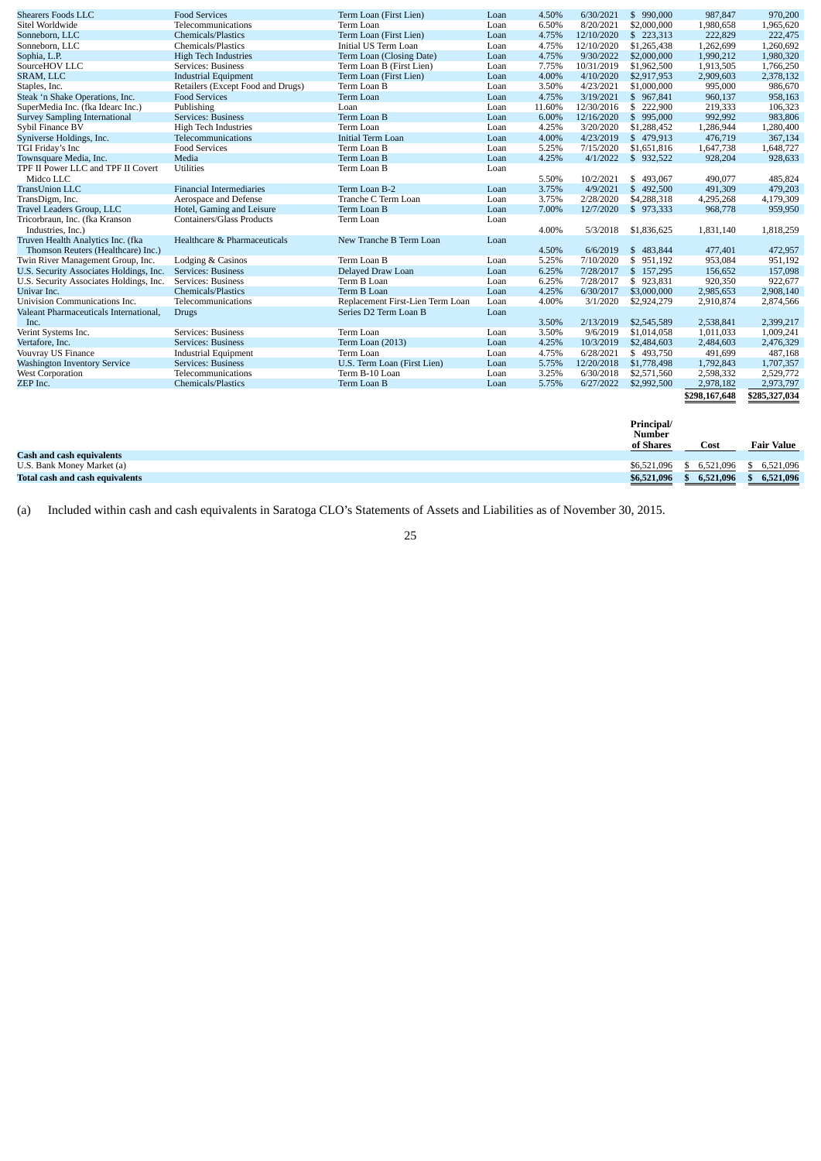|                                                          |                                                   |                                  |              |                |                        | Principal/<br><b>Museuboy</b> |                      |                      |
|----------------------------------------------------------|---------------------------------------------------|----------------------------------|--------------|----------------|------------------------|-------------------------------|----------------------|----------------------|
|                                                          |                                                   |                                  |              |                |                        |                               | \$298,167,648        | \$285,327,034        |
| ZEP Inc.                                                 | Chemicals/Plastics                                | Term Loan B                      | Loan         | 5.75%          | 6/27/2022              | \$2,992,500                   | 2,978,182            | 2,973,797            |
| <b>West Corporation</b>                                  | Telecommunications                                | Term B-10 Loan                   | Loan         | 3.25%          | 6/30/2018              | \$2,571,560                   | 2,598,332            | 2,529,772            |
| <b>Washington Inventory Service</b>                      | Services: Business                                | U.S. Term Loan (First Lien)      | Loan         | 5.75%          | 12/20/2018             | \$1,778,498                   | 1,792,843            | 1,707,357            |
| Vouvray US Finance                                       | <b>Industrial Equipment</b>                       | Term Loan                        | Loan         | 4.75%          | 6/28/2021              | \$493,750                     | 491,699              | 487,168              |
| Vertafore, Inc.                                          | Services: Business                                | Term Loan (2013)                 | Loan         | 4.25%          | 10/3/2019              | \$2,484,603                   | 2,484,603            | 2,476,329            |
| Verint Systems Inc.                                      | Services: Business                                | Term Loan                        | Loan         | 3.50%          | 9/6/2019               | \$1,014,058                   | 1,011,033            | 1,009,241            |
| Valeant Pharmaceuticals International,<br>Inc.           | <b>Drugs</b>                                      | Series D2 Term Loan B            | Loan         | 3.50%          | 2/13/2019              | \$2,545,589                   | 2,538,841            | 2,399,217            |
| Univision Communications Inc.                            | Telecommunications                                | Replacement First-Lien Term Loan | Loan         | 4.00%          | 3/1/2020               | \$2,924,279                   | 2,910,874            | 2,874,566            |
| Univar Inc.                                              | Chemicals/Plastics                                | Term B Loan                      | Loan         | 4.25%          | 6/30/2017              | \$3,000,000                   | 2,985,653            | 2,908,140            |
| U.S. Security Associates Holdings, Inc.                  |                                                   |                                  | Loan         | 6.25%          | 7/28/2017              | \$923,831                     | 920,350              | 922,677              |
| U.S. Security Associates Holdings, Inc.                  | Services: Business                                | Delayed Draw Loan<br>Term B Loan |              | 6.25%          | 7/28/2017              | \$157,295                     | 156,652              | 157,098              |
| Twin River Management Group, Inc.                        | Services: Business                                |                                  | Loan<br>Loan | 5.25%          | 7/10/2020              | \$951,192                     | 953,084              | 951,192              |
| Thomson Reuters (Healthcare) Inc.)                       | Lodging & Casinos                                 | Term Loan B                      |              | 4.50%          | 6/6/2019               | \$483,844                     | 477,401              | 472,957              |
| Truven Health Analytics Inc. (fka                        | Healthcare & Pharmaceuticals                      | New Tranche B Term Loan          | Loan         |                |                        |                               |                      |                      |
| Industries, Inc.)                                        |                                                   |                                  |              | 4.00%          | 5/3/2018               | \$1,836,625                   | 1,831,140            | 1,818,259            |
| Tricorbraun, Inc. (fka Kranson                           | Containers/Glass Products                         | Term Loan                        | Loan         |                |                        |                               |                      |                      |
| Travel Leaders Group, LLC                                | Hotel, Gaming and Leisure                         | Term Loan B                      | Loan         | 7.00%          | 12/7/2020              | \$973,333                     | 968,778              | 959,950              |
| TransDigm, Inc.                                          | Aerospace and Defense                             | Tranche C Term Loan              | Loan         | 3.75%          | 2/28/2020              | \$4,288,318                   | 4,295,268            | 4,179,309            |
| <b>TransUnion LLC</b>                                    | <b>Financial Intermediaries</b>                   | Term Loan B-2                    | Loan         | 3.75%          | 4/9/2021               | \$492,500                     | 491,309              | 479,203              |
| Midco LLC                                                |                                                   |                                  |              | 5.50%          | 10/2/2021              | \$493,067                     | 490,077              | 485,824              |
| TPF II Power LLC and TPF II Covert                       | Utilities                                         | Term Loan B                      | Loan         |                |                        |                               |                      |                      |
| Townsquare Media, Inc.                                   | Media                                             | Term Loan B                      | Loan         | 4.25%          | 4/1/2022               | \$932,522                     | 928,204              | 928,633              |
| Syniverse Holdings, Inc.<br>TGI Friday's Inc             | Food Services                                     | Term Loan B                      | Loan         | 5.25%          | 7/15/2020              | \$1,651,816                   | 1,647,738            | 1,648,727            |
|                                                          | <b>High Tech Industries</b><br>Telecommunications | <b>Initial Term Loan</b>         | Loan         | 4.25%<br>4.00% | 3/20/2020<br>4/23/2019 | \$1,288,452<br>\$479,913      | 1,286,944<br>476,719 | 1,280,400<br>367,134 |
| <b>Survey Sampling International</b><br>Sybil Finance BV |                                                   | Term Loan B<br>Term Loan         | Loan<br>Loan | 6.00%          | 12/16/2020             | \$995,000                     | 992,992              | 983,806              |
| SuperMedia Inc. (fka Idearc Inc.)                        | Publishing<br>Services: Business                  | Loan                             | Loan         | 11.60%         | 12/30/2016             | \$222,900                     | 219,333              | 106,323              |
| Steak 'n Shake Operations, Inc.                          | <b>Food Services</b>                              | Term Loan                        | Loan         | 4.75%          | 3/19/2021              | \$967,841                     | 960,137              | 958,163              |
| Staples, Inc.                                            | Retailers (Except Food and Drugs)                 | Term Loan B                      | Loan         | 3.50%          | 4/23/2021              | \$1,000,000                   | 995,000              | 986,670              |
| SRAM, LLC                                                | <b>Industrial Equipment</b>                       | Term Loan (First Lien)           | Loan         | 4.00%          | 4/10/2020              | \$2,917,953                   | 2,909,603            | 2,378,132            |
| SourceHOV LLC                                            | Services: Business                                | Term Loan B (First Lien)         | Loan         | 7.75%          | 10/31/2019             | \$1,962,500                   | 1,913,505            | 1,766,250            |
| Sophia, L.P.                                             | <b>High Tech Industries</b>                       | Term Loan (Closing Date)         | Loan         | 4.75%          | 9/30/2022              | \$2,000,000                   | 1,990,212            | 1,980,320            |
| Sonneborn, LLC                                           | Chemicals/Plastics                                | Initial US Term Loan             | Loan         | 4.75%          | 12/10/2020             | \$1,265,438                   | 1,262,699            | 1,260,692            |
| Sonneborn, LLC                                           | <b>Chemicals/Plastics</b>                         | Term Loan (First Lien)           | Loan         | 4.75%          | 12/10/2020             | \$223,313                     | 222,829              | 222,475              |
| Sitel Worldwide                                          | Telecommunications                                | Term Loan                        | Loan         | 6.50%          | 8/20/2021              | \$2,000,000                   | 1,980,658            | 1,965,620            |
| <b>Shearers Foods LLC</b>                                | <b>Food Services</b>                              | Term Loan (First Lien)           | Loan         | 4.50%          | 6/30/2021              | \$990,000                     | 987,847              | 970,200              |
|                                                          |                                                   |                                  |              |                |                        |                               |                      |                      |

|                                  | Number<br>of Shares | Cost                      | <b>Fair Value</b> |
|----------------------------------|---------------------|---------------------------|-------------------|
| <b>Cash and cash equivalents</b> |                     |                           |                   |
| U.S. Bank Money Market (a)       | \$6,521,096         | \$ 6,521,096 \$ 6,521,096 |                   |
| Total cash and cash equivalents  | \$6,521,096         | 6,521,096                 | 6,521,096         |

(a) Included within cash and cash equivalents in Saratoga CLO's Statements of Assets and Liabilities as of November 30, 2015.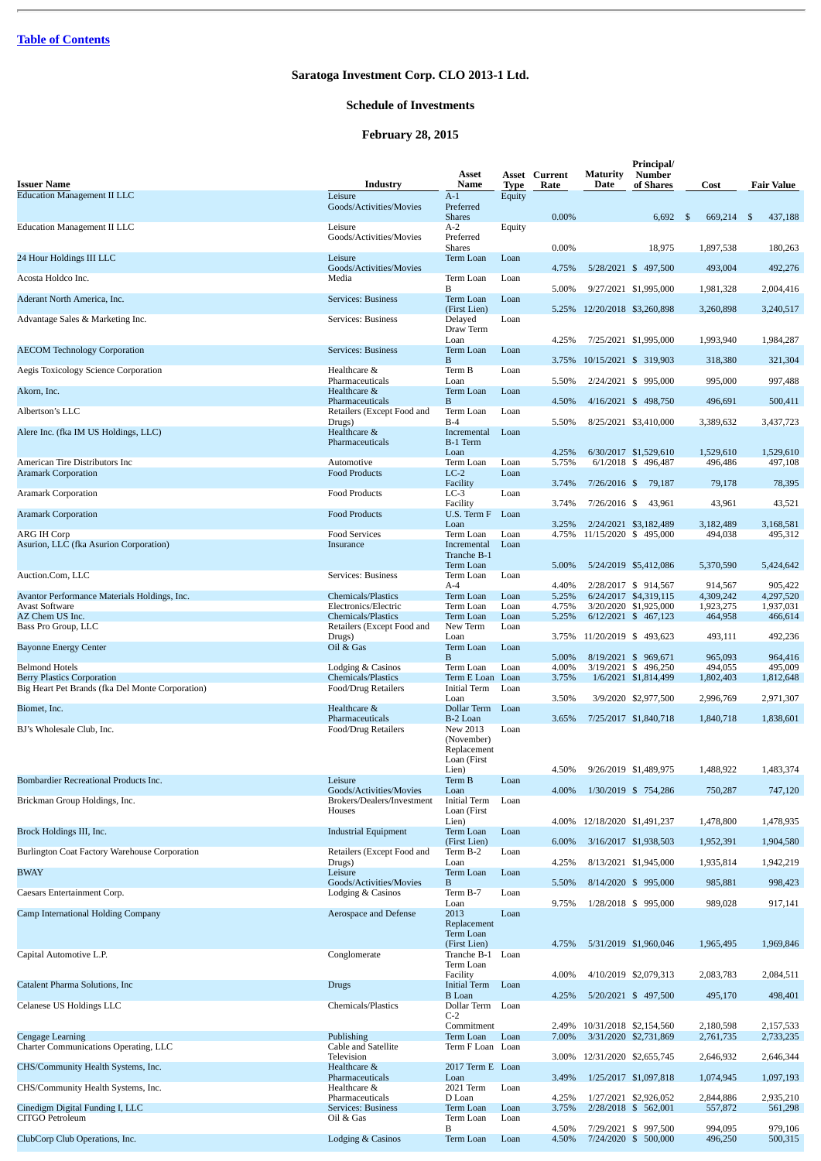### **Saratoga Investment Corp. CLO 2013-1 Ltd.**

### **Schedule of Investments**

### **February 28, 2015**

| <b>Issuer Name</b>                                                                                             | Industry                                                        | Asset<br>Name                                 | <b>Type</b>  | <b>Asset Current</b> | <b>Maturity</b><br>Date      | Principal/<br>Number<br>of Shares              |     | Cost                   | <b>Fair Value</b>      |
|----------------------------------------------------------------------------------------------------------------|-----------------------------------------------------------------|-----------------------------------------------|--------------|----------------------|------------------------------|------------------------------------------------|-----|------------------------|------------------------|
| <b>Education Management II LLC</b>                                                                             | Leisure                                                         | $A-1$                                         | Equity       | Rate                 |                              |                                                |     |                        |                        |
|                                                                                                                | Goods/Activities/Movies                                         | Preferred<br><b>Shares</b>                    |              | 0.00%                |                              | 6,692                                          | -\$ | 669,214 \$             | 437,188                |
| Education Management II LLC                                                                                    | Leisure<br>Goods/Activities/Movies                              | $A-2$<br>Preferred<br><b>Shares</b>           | Equity       | 0.00%                |                              | 18,975                                         |     | 1,897,538              | 180,263                |
| 24 Hour Holdings III LLC                                                                                       | Leisure                                                         | Term Loan                                     | Loan         |                      |                              |                                                |     |                        |                        |
| Acosta Holdco Inc.                                                                                             | Goods/Activities/Movies<br>Media                                | Term Loan                                     | Loan         | 4.75%                |                              | 5/28/2021 \$ 497,500                           |     | 493,004                | 492,276                |
| Aderant North America, Inc.                                                                                    | Services: Business                                              | B<br>Term Loan                                | Loan         | 5.00%                |                              | 9/27/2021 \$1,995,000                          |     | 1,981,328              | 2,004,416              |
| Advantage Sales & Marketing Inc.                                                                               | Services: Business                                              | (First Lien)<br>Delayed<br>Draw Term          | Loan         |                      | 5.25% 12/20/2018 \$3,260,898 |                                                |     | 3,260,898              | 3,240,517              |
| <b>AECOM Technology Corporation</b>                                                                            | Services: Business                                              | Loan<br>Term Loan                             | Loan         | 4.25%                |                              | 7/25/2021 \$1,995,000                          |     | 1,993,940              | 1,984,287              |
|                                                                                                                |                                                                 | B                                             |              |                      | 3.75% 10/15/2021 \$ 319,903  |                                                |     | 318,380                | 321,304                |
| Aegis Toxicology Science Corporation                                                                           | Healthcare &<br>Pharmaceuticals                                 | Term B<br>Loan                                | Loan         | 5.50%                |                              | 2/24/2021 \$ 995,000                           |     | 995,000                | 997,488                |
| Akorn, Inc.                                                                                                    | Healthcare &<br>Pharmaceuticals                                 | Term Loan<br>B                                | Loan         | 4.50%                |                              | 4/16/2021 \$ 498,750                           |     | 496,691                | 500,411                |
| Albertson's LLC                                                                                                | Retailers (Except Food and<br>Drugs)                            | Term Loan<br>$B-4$                            | Loan         | 5.50%                |                              | 8/25/2021 \$3,410,000                          |     | 3,389,632              | 3,437,723              |
| Alere Inc. (fka IM US Holdings, LLC)                                                                           | Healthcare &<br>Pharmaceuticals                                 | Incremental<br>B-1 Term                       | Loan         |                      |                              |                                                |     |                        |                        |
| American Tire Distributors Inc                                                                                 | Automotive                                                      | Loan<br>Term Loan                             | Loan         | 4.25%<br>5.75%       |                              | 6/30/2017 \$1,529,610<br>6/1/2018 \$496,487    |     | 1,529,610<br>496,486   | 1,529,610<br>497,108   |
| <b>Aramark Corporation</b>                                                                                     | <b>Food Products</b>                                            | $LC-2$<br>Facility                            | Loan         | 3.74%                | 7/26/2016 \$                 | 79,187                                         |     | 79,178                 | 78,395                 |
| <b>Aramark Corporation</b>                                                                                     | Food Products                                                   | $LC-3$<br>Facility                            | Loan         | 3.74%                |                              | 7/26/2016 \$ 43,961                            |     | 43,961                 | 43,521                 |
| <b>Aramark Corporation</b>                                                                                     | <b>Food Products</b>                                            | U.S. Term F                                   | Loan         |                      |                              |                                                |     |                        |                        |
| ARG IH Corp<br>Asurion, LLC (fka Asurion Corporation)                                                          | <b>Food Services</b><br>Insurance                               | Loan<br>Term Loan<br>Incremental              | Loan<br>Loan | 3.25%                | 4.75% 11/15/2020 \$ 495,000  | 2/24/2021 \$3,182,489                          |     | 3,182,489<br>494,038   | 3,168,581<br>495,312   |
| Auction.Com, LLC                                                                                               | Services: Business                                              | Tranche B-1<br>Term Loan<br>Term Loan         | Loan         | 5.00%                |                              | 5/24/2019 \$5,412,086                          |     | 5,370,590              | 5,424,642              |
|                                                                                                                |                                                                 | $A-4$                                         |              | 4.40%                |                              | 2/28/2017 \$ 914,567                           |     | 914,567                | 905,422                |
| Avantor Performance Materials Holdings, Inc.<br><b>Avast Software</b>                                          | Chemicals/Plastics<br>Electronics/Electric                      | Term Loan<br>Term Loan                        | Loan<br>Loan | 5.25%<br>4.75%       |                              | 6/24/2017 \$4,319,115<br>3/20/2020 \$1,925,000 |     | 4,309,242<br>1,923,275 | 4,297,520<br>1,937,031 |
| AZ Chem US Inc.<br>Bass Pro Group, LLC                                                                         | Chemicals/Plastics<br>Retailers (Except Food and                | Term Loan<br>New Term                         | Loan<br>Loan | 5.25%                |                              | 6/12/2021 \$ 467,123                           |     | 464,958                | 466,614                |
|                                                                                                                | Drugs)                                                          | Loan                                          |              |                      | 3.75% 11/20/2019 \$ 493,623  |                                                |     | 493,111                | 492,236                |
| <b>Bayonne Energy Center</b>                                                                                   | Oil & Gas                                                       | Term Loan<br>B                                | Loan         | 5.00%                |                              | 8/19/2021 \$ 969,671                           |     | 965,093                | 964,416                |
| <b>Belmond Hotels</b><br><b>Berry Plastics Corporation</b><br>Big Heart Pet Brands (fka Del Monte Corporation) | Lodging & Casinos<br>Chemicals/Plastics<br>Food/Drug Retailers  | Term Loan<br>Term E Loan Loan<br>Initial Term | Loan<br>Loan | 4.00%<br>3.75%       |                              | 3/19/2021 \$ 496,250<br>1/6/2021 \$1,814,499   |     | 494,055<br>1,802,403   | 495,009<br>1,812,648   |
| Biomet, Inc.                                                                                                   | Healthcare &                                                    | Loan<br>Dollar Term                           | Loan         | 3.50%                |                              | 3/9/2020 \$2,977,500                           |     | 2,996,769              | 2,971,307              |
| BJ's Wholesale Club, Inc.                                                                                      | Pharmaceuticals<br>Food/Drug Retailers                          | B-2 Loan<br>New 2013                          | Loan         | 3.65%                |                              | 7/25/2017 \$1,840,718                          |     | 1,840,718              | 1,838,601              |
|                                                                                                                |                                                                 | (November)<br>Replacement<br>Loan (First      |              |                      |                              |                                                |     |                        |                        |
| Bombardier Recreational Products Inc.                                                                          | Leisure                                                         | Lien)<br>Term B                               | Loan         | 4.50%                |                              | 9/26/2019 \$1,489,975                          |     | 1,488,922              | 1.483.374              |
| Brickman Group Holdings, Inc.                                                                                  | Goods/Activities/Movies<br>Brokers/Dealers/Investment<br>Houses | Loan<br>Initial Term Loan<br>Loan (First      |              | 4.00%                |                              | 1/30/2019 \$ 754,286                           |     | 750,287                | 747,120                |
|                                                                                                                |                                                                 | Lien)                                         |              |                      | 4.00% 12/18/2020 \$1,491,237 |                                                |     | 1,478,800              | 1,478,935              |
| Brock Holdings III, Inc.                                                                                       | <b>Industrial Equipment</b>                                     | Term Loan<br>(First Lien)                     | Loan         | 6.00%                |                              | 3/16/2017 \$1,938,503                          |     | 1,952,391              | 1,904,580              |
| Burlington Coat Factory Warehouse Corporation                                                                  | Retailers (Except Food and<br>Drugs)                            | Term B-2<br>Loan                              | Loan         | 4.25%                |                              | 8/13/2021 \$1,945,000                          |     | 1,935,814              | 1,942,219              |
| <b>BWAY</b>                                                                                                    | Leisure<br>Goods/Activities/Movies                              | Term Loan<br>B                                | Loan         | 5.50%                |                              | 8/14/2020 \$995,000                            |     | 985,881                | 998,423                |
| Caesars Entertainment Corp.                                                                                    | Lodging & Casinos                                               | Term B-7                                      | Loan         |                      |                              |                                                |     |                        |                        |
| Camp International Holding Company                                                                             | Aerospace and Defense                                           | Loan<br>2013<br>Replacement                   | Loan         | 9.75%                |                              | 1/28/2018 \$ 995,000                           |     | 989,028                | 917,141                |
| Capital Automotive L.P.                                                                                        | Conglomerate                                                    | Term Loan<br>(First Lien)<br>Tranche B-1 Loan |              | 4.75%                |                              | 5/31/2019 \$1,960,046                          |     | 1,965,495              | 1,969,846              |
|                                                                                                                |                                                                 | Term Loan<br>Facility                         |              | 4.00%                |                              | 4/10/2019 \$2,079,313                          |     | 2,083,783              | 2,084,511              |
| Catalent Pharma Solutions, Inc.                                                                                | <b>Drugs</b>                                                    | Initial Term<br><b>B</b> Loan                 | Loan         | 4.25%                |                              | 5/20/2021 \$ 497,500                           |     | 495,170                | 498,401                |
| Celanese US Holdings LLC                                                                                       | Chemicals/Plastics                                              | Dollar Term Loan<br>$C-2$                     |              |                      |                              |                                                |     |                        |                        |
| Cengage Learning                                                                                               | Publishing                                                      | Commitment<br>Term Loan                       | Loan         | 7.00%                | 2.49% 10/31/2018 \$2,154,560 | 3/31/2020 \$2,731,869                          |     | 2,180,598<br>2,761,735 | 2,157,533<br>2,733,235 |
| Charter Communications Operating, LLC                                                                          | Cable and Satellite<br>Television                               | Term F Loan Loan                              |              |                      | 3.00% 12/31/2020 \$2,655,745 |                                                |     | 2,646,932              | 2,646,344              |
| CHS/Community Health Systems, Inc.                                                                             | Healthcare &<br>Pharmaceuticals                                 | 2017 Term E Loan<br>Loan                      |              | 3.49%                |                              | 1/25/2017 \$1,097,818                          |     | 1,074,945              | 1,097,193              |
| CHS/Community Health Systems, Inc.                                                                             | Healthcare &<br>Pharmaceuticals                                 | 2021 Term<br>D Loan                           | Loan         | 4.25%                |                              | 1/27/2021 \$2,926,052                          |     | 2,844,886              | 2,935,210              |
| Cinedigm Digital Funding I, LLC                                                                                | Services: Business                                              | Term Loan                                     | Loan         | 3.75%                |                              | 2/28/2018 \$ 562,001                           |     | 557,872                | 561,298                |
| CITGO Petroleum                                                                                                | Oil & Gas                                                       | Term Loan<br>B                                | Loan         | 4.50%                |                              | 7/29/2021 \$ 997,500                           |     | 994,095                | 979,106                |
| ClubCorp Club Operations, Inc.                                                                                 | Lodging & Casinos                                               | Term Loan                                     | Loan         | 4.50%                |                              | 7/24/2020 \$ 500,000                           |     | 496,250                | 500,315                |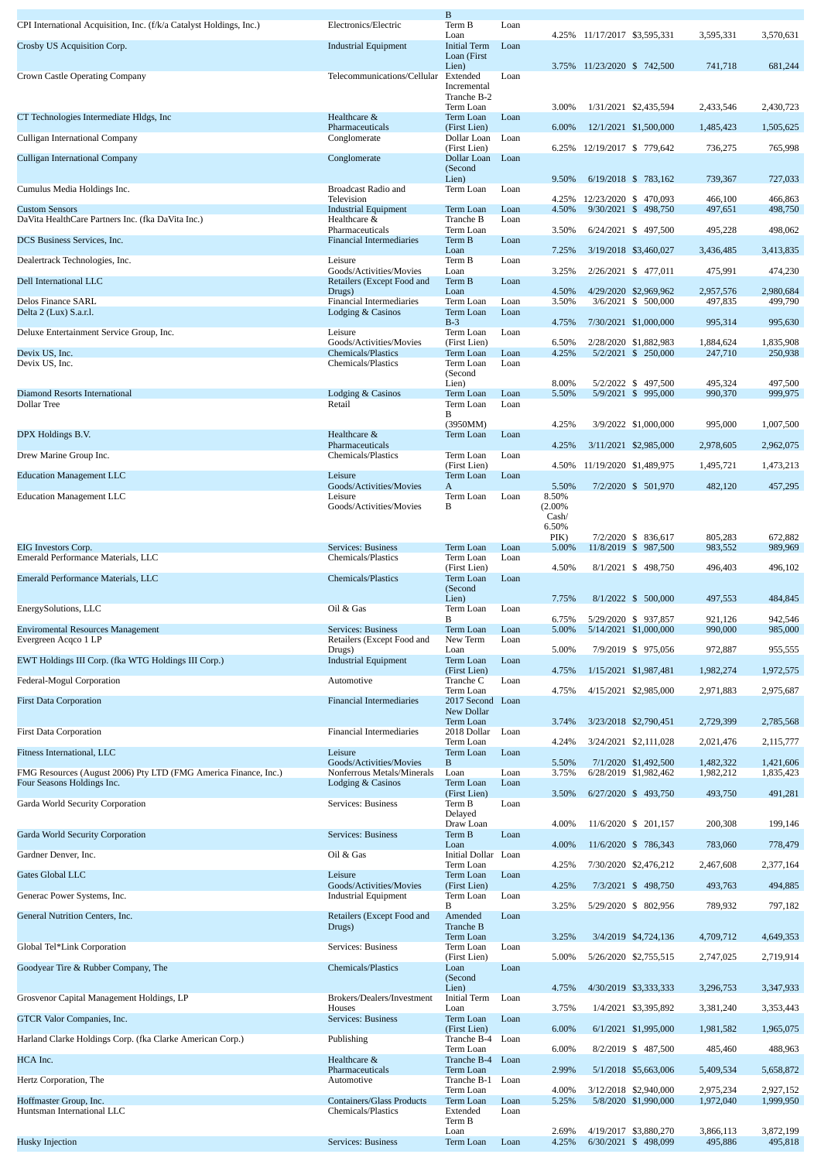|                                                                            |                                                               | B                                           |              |                                   |                              |                                               |                        |                        |
|----------------------------------------------------------------------------|---------------------------------------------------------------|---------------------------------------------|--------------|-----------------------------------|------------------------------|-----------------------------------------------|------------------------|------------------------|
| CPI International Acquisition, Inc. (f/k/a Catalyst Holdings, Inc.)        | Electronics/Electric                                          | Term B<br>Loan                              | Loan         |                                   | 4.25% 11/17/2017 \$3,595,331 |                                               | 3,595,331              | 3,570,631              |
| Crosby US Acquisition Corp.                                                | <b>Industrial Equipment</b>                                   | <b>Initial Term</b><br>Loan (First<br>Lien) | Loan         |                                   | 3.75% 11/23/2020 \$ 742,500  |                                               | 741,718                | 681,244                |
| Crown Castle Operating Company                                             | Telecommunications/Cellular                                   | Extended<br>Incremental<br>Tranche B-2      | Loan         |                                   |                              |                                               |                        |                        |
| CT Technologies Intermediate Hldgs, Inc                                    | Healthcare &                                                  | Term Loan<br>Term Loan                      | Loan         | 3.00%                             |                              | 1/31/2021 \$2,435,594                         | 2,433,546              | 2,430,723              |
| Culligan International Company                                             | Pharmaceuticals<br>Conglomerate                               | (First Lien)<br>Dollar Loan                 | Loan         | 6.00%                             |                              | 12/1/2021 \$1,500,000                         | 1,485,423              | 1,505,625              |
| <b>Culligan International Company</b>                                      | Conglomerate                                                  | (First Lien)<br>Dollar Loan<br>(Second      | Loan         |                                   | 6.25% 12/19/2017 \$ 779,642  |                                               | 736,275                | 765,998                |
| Cumulus Media Holdings Inc.                                                | Broadcast Radio and                                           | Lien)<br>Term Loan                          | Loan         | 9.50%                             |                              | 6/19/2018 \$ 783,162                          | 739,367                | 727,033                |
|                                                                            | Television                                                    |                                             |              |                                   | 4.25% 12/23/2020 \$ 470,093  |                                               | 466,100                | 466,863                |
| <b>Custom Sensors</b><br>DaVita HealthCare Partners Inc. (fka DaVita Inc.) | <b>Industrial Equipment</b><br>Healthcare &                   | Term Loan<br>Tranche B                      | Loan<br>Loan | 4.50%                             |                              | 9/30/2021 \$ 498,750                          | 497,651                | 498,750                |
| DCS Business Services, Inc.                                                | Pharmaceuticals<br><b>Financial Intermediaries</b>            | Term Loan<br>Term B                         | Loan         | 3.50%                             |                              | 6/24/2021 \$ 497,500                          | 495,228                | 498,062                |
| Dealertrack Technologies, Inc.                                             | Leisure                                                       | Loan<br>Term B                              | Loan         | 7.25%                             |                              | 3/19/2018 \$3,460,027                         | 3,436,485              | 3,413,835              |
| Dell International LLC                                                     | Goods/Activities/Movies<br>Retailers (Except Food and         | Loan<br>Term B                              | Loan         | 3.25%                             |                              | 2/26/2021 \$ 477,011                          | 475,991                | 474,230                |
|                                                                            | Drugs)                                                        | Loan                                        |              | 4.50%                             |                              | 4/29/2020 \$2,969,962                         | 2,957,576              | 2,980,684              |
| Delos Finance SARL<br>Delta 2 (Lux) S.a.r.l.                               | <b>Financial Intermediaries</b><br>Lodging & Casinos          | Term Loan<br>Term Loan<br>$B-3$             | Loan<br>Loan | 3.50%<br>4.75%                    |                              | 3/6/2021 \$ 500,000<br>7/30/2021 \$1,000,000  | 497,835<br>995,314     | 499,790<br>995,630     |
| Deluxe Entertainment Service Group, Inc.                                   | Leisure<br>Goods/Activities/Movies                            | Term Loan<br>(First Lien)                   | Loan         | 6.50%                             |                              | 2/28/2020 \$1,882,983                         | 1,884,624              | 1,835,908              |
| Devix US, Inc.                                                             | Chemicals/Plastics                                            | Term Loan                                   | Loan         | 4.25%                             |                              | 5/2/2021 \$ 250,000                           | 247,710                | 250,938                |
| Devix US, Inc.                                                             | Chemicals/Plastics                                            | Term Loan<br>(Second<br>Lien)               | Loan         | 8.00%                             |                              | 5/2/2022 \$ 497,500                           | 495,324                | 497,500                |
| Diamond Resorts International<br>Dollar Tree                               | Lodging & Casinos<br>Retail                                   | Term Loan<br>Term Loan                      | Loan<br>Loan | 5.50%                             |                              | 5/9/2021 \$ 995,000                           | 990,370                | 999,975                |
|                                                                            |                                                               | В<br>(3950MM)                               |              | 4.25%                             |                              | 3/9/2022 \$1,000,000                          | 995,000                | 1,007,500              |
| DPX Holdings B.V.                                                          | Healthcare &                                                  | Term Loan                                   | Loan         |                                   |                              |                                               |                        |                        |
| Drew Marine Group Inc.                                                     | Pharmaceuticals<br>Chemicals/Plastics                         | Term Loan                                   | Loan         | 4.25%                             |                              | 3/11/2021 \$2,985,000                         | 2,978,605              | 2,962,075              |
| <b>Education Management LLC</b>                                            | Leisure                                                       | (First Lien)<br>Term Loan                   | Loan         |                                   | 4.50% 11/19/2020 \$1,489,975 |                                               | 1,495,721              | 1,473,213              |
| <b>Education Management LLC</b>                                            | Goods/Activities/Movies<br>Leisure<br>Goods/Activities/Movies | A<br>Term Loan<br>B                         | Loan         | 5.50%<br>8.50%<br>(2.00%<br>Cash/ |                              | 7/2/2020 \$ 501,970                           | 482,120                | 457,295                |
|                                                                            |                                                               |                                             |              | 6.50%<br>PIK)                     |                              | 7/2/2020 \$ 836,617                           | 805,283                | 672,882                |
| EIG Investors Corp.<br>Emerald Performance Materials, LLC                  | Services: Business<br>Chemicals/Plastics                      | Term Loan<br>Term Loan                      | Loan<br>Loan | 5.00%                             |                              | 11/8/2019 \$ 987,500                          | 983,552                | 989,969                |
|                                                                            |                                                               | (First Lien)                                |              | 4.50%                             |                              | 8/1/2021 \$ 498,750                           | 496,403                | 496,102                |
| Emerald Performance Materials, LLC                                         | Chemicals/Plastics                                            | Term Loan<br>(Second<br>Lien)               | Loan         | 7.75%                             |                              | 8/1/2022 \$ 500,000                           | 497,553                | 484,845                |
| EnergySolutions, LLC                                                       | Oil & Gas                                                     | Term Loan<br>В                              | Loan         | 6.75%                             |                              | 5/29/2020 \$ 937,857                          | 921,126                | 942,546                |
| <b>Enviromental Resources Management</b><br>Evergreen Acqco 1 LP           | Services: Business<br>Retailers (Except Food and              | Term Loan Loan<br>New Term                  | Loan         | 5.00%                             |                              | 5/14/2021 \$1,000,000                         | 990,000                | 985,000                |
|                                                                            | Drugs)<br><b>Industrial Equipment</b>                         | Loan<br>Term Loan                           |              | 5.00%                             |                              | 7/9/2019 \$ 975,056                           | 972,887                | 955,555                |
| EWT Holdings III Corp. (fka WTG Holdings III Corp.)                        |                                                               | (First Lien)                                | Loan         | 4.75%                             |                              | 1/15/2021 \$1,987,481                         | 1,982,274              | 1,972,575              |
| Federal-Mogul Corporation                                                  | Automotive                                                    | Tranche C<br>Term Loan                      | Loan         | 4.75%                             |                              | 4/15/2021 \$2,985,000                         | 2,971,883              | 2,975,687              |
| <b>First Data Corporation</b>                                              | <b>Financial Intermediaries</b>                               | 2017 Second Loan<br>New Dollar<br>Term Loan |              | 3.74%                             |                              | 3/23/2018 \$2,790,451                         | 2,729,399              | 2,785,568              |
| <b>First Data Corporation</b>                                              | <b>Financial Intermediaries</b>                               | 2018 Dollar<br>Term Loan                    | Loan         | 4.24%                             |                              | 3/24/2021 \$2,111,028                         | 2,021,476              | 2,115,777              |
| Fitness International, LLC                                                 | Leisure                                                       | Term Loan                                   | Loan         |                                   |                              |                                               |                        |                        |
| FMG Resources (August 2006) Pty LTD (FMG America Finance, Inc.)            | Goods/Activities/Movies<br>Nonferrous Metals/Minerals         | B<br>Loan                                   | Loan         | 5.50%<br>3.75%                    |                              | 7/1/2020 \$1,492,500<br>6/28/2019 \$1,982,462 | 1,482,322<br>1,982,212 | 1,421,606<br>1,835,423 |
| Four Seasons Holdings Inc.                                                 | Lodging & Casinos                                             | Term Loan<br>(First Lien)                   | Loan         | 3.50%                             |                              | 6/27/2020 \$ 493,750                          | 493,750                | 491,281                |
| Garda World Security Corporation                                           | Services: Business                                            | Term B<br>Delayed                           | Loan         |                                   |                              |                                               |                        |                        |
| Garda World Security Corporation                                           | Services: Business                                            | Draw Loan<br>Term B                         | Loan         | 4.00%                             |                              | 11/6/2020 \$ 201,157                          | 200,308                | 199,146                |
| Gardner Denver, Inc.                                                       | Oil & Gas                                                     | Loan<br>Initial Dollar Loan                 |              | 4.00%                             |                              | 11/6/2020 \$ 786,343                          | 783,060                | 778,479                |
| <b>Gates Global LLC</b>                                                    | Leisure                                                       | Term Loan<br>Term Loan                      | Loan         | 4.25%                             |                              | 7/30/2020 \$2,476,212                         | 2,467,608              | 2,377,164              |
|                                                                            | Goods/Activities/Movies                                       | (First Lien)                                |              | 4.25%                             |                              | 7/3/2021 \$ 498,750                           | 493,763                | 494,885                |
| Generac Power Systems, Inc.                                                | <b>Industrial Equipment</b>                                   | Term Loan<br>В                              | Loan         | 3.25%                             |                              | 5/29/2020 \$ 802,956                          | 789,932                | 797,182                |
| General Nutrition Centers, Inc.                                            | Retailers (Except Food and<br>Drugs)                          | Amended<br>Tranche B<br>Term Loan           | Loan         | 3.25%                             |                              | 3/4/2019 \$4,724,136                          | 4,709,712              | 4,649,353              |
| Global Tel*Link Corporation                                                | Services: Business                                            | Term Loan<br>(First Lien)                   | Loan         | 5.00%                             |                              | 5/26/2020 \$2,755,515                         | 2,747,025              | 2,719,914              |
| Goodyear Tire & Rubber Company, The                                        | Chemicals/Plastics                                            | Loan<br>(Second                             | Loan         |                                   |                              |                                               |                        |                        |
| Grosvenor Capital Management Holdings, LP                                  | Brokers/Dealers/Investment                                    | Lien)<br>Initial Term                       | Loan         | 4.75%                             |                              | 4/30/2019 \$3,333,333                         | 3,296,753              | 3,347,933              |
| GTCR Valor Companies, Inc.                                                 | Houses<br>Services: Business                                  | Loan<br>Term Loan                           | Loan         | 3.75%                             |                              | 1/4/2021 \$3,395,892                          | 3,381,240              | 3,353,443              |
| Harland Clarke Holdings Corp. (fka Clarke American Corp.)                  | Publishing                                                    | (First Lien)<br>Tranche B-4                 | Loan         | 6.00%                             |                              | 6/1/2021 \$1,995,000                          | 1,981,582              | 1,965,075              |
|                                                                            |                                                               | Term Loan                                   |              | 6.00%                             |                              | 8/2/2019 \$ 487,500                           | 485,460                | 488,963                |
| HCA Inc.                                                                   | Healthcare &<br>Pharmaceuticals                               | Tranche B-4<br>Term Loan                    | Loan         | 2.99%                             |                              | 5/1/2018 \$5,663,006                          | 5,409,534              | 5,658,872              |
| Hertz Corporation, The                                                     | Automotive                                                    | Tranche B-1<br>Term Loan                    | Loan         | 4.00%                             |                              | 3/12/2018 \$2,940,000                         | 2,975,234              | 2,927,152              |
| Hoffmaster Group, Inc.<br>Huntsman International LLC                       | Containers/Glass Products<br>Chemicals/Plastics               | Term Loan<br>Extended<br>Term B             | Loan<br>Loan | 5.25%                             |                              | 5/8/2020 \$1,990,000                          | 1,972,040              | 1,999,950              |
| Husky Injection                                                            | Services: Business                                            | Loan<br>Term Loan                           | Loan         | 2.69%<br>4.25%                    |                              | 4/19/2017 \$3,880,270<br>6/30/2021 \$ 498,099 | 3,866,113<br>495,886   | 3,872,199<br>495,818   |
|                                                                            |                                                               |                                             |              |                                   |                              |                                               |                        |                        |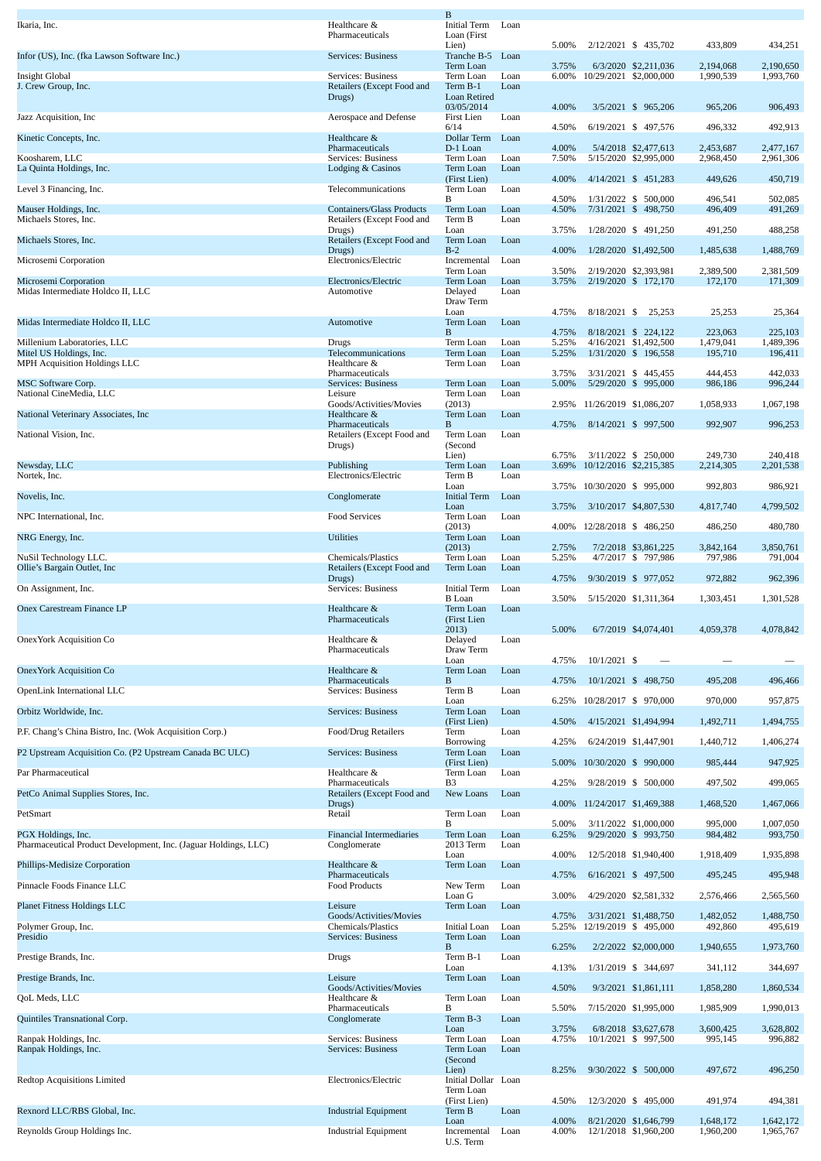|                                                                 |                                                  | B                           |              |                |                              |                                               |                        |                        |
|-----------------------------------------------------------------|--------------------------------------------------|-----------------------------|--------------|----------------|------------------------------|-----------------------------------------------|------------------------|------------------------|
| Ikaria, Inc.                                                    | Healthcare &<br>Pharmaceuticals                  | Initial Term<br>Loan (First | Loan         |                |                              |                                               |                        |                        |
| Infor (US), Inc. (fka Lawson Software Inc.)                     | Services: Business                               | Lien)<br>Tranche B-5        | Loan         | 5.00%          |                              | 2/12/2021 \$ 435,702                          | 433,809                | 434,251                |
|                                                                 |                                                  | Term Loan                   |              | 3.75%          |                              | 6/3/2020 \$2,211,036                          | 2,194,068              | 2,190,650              |
| Insight Global<br>J. Crew Group, Inc.                           | Services: Business<br>Retailers (Except Food and | Term Loan<br>Term B-1       | Loan<br>Loan |                | 6.00% 10/29/2021 \$2,000,000 |                                               | 1,990,539              | 1,993,760              |
|                                                                 | Drugs)                                           | Loan Retired<br>03/05/2014  |              | 4.00%          |                              | 3/5/2021 \$ 965,206                           | 965,206                | 906,493                |
| Jazz Acquisition, Inc                                           | Aerospace and Defense                            | First Lien                  | Loan         |                |                              |                                               |                        |                        |
| Kinetic Concepts, Inc.                                          | Healthcare &                                     | 6/14<br>Dollar Term         | Loan         | 4.50%          |                              | 6/19/2021 \$ 497,576                          | 496,332                | 492,913                |
| Koosharem, LLC                                                  | Pharmaceuticals<br>Services: Business            | D-1 Loan<br>Term Loan       | Loan         | 4.00%<br>7.50% |                              | 5/4/2018 \$2,477,613<br>5/15/2020 \$2,995,000 | 2,453,687<br>2,968,450 | 2,477,167<br>2,961,306 |
| La Quinta Holdings, Inc.                                        | Lodging & Casinos                                | Term Loan                   | Loan         | 4.00%          |                              |                                               |                        |                        |
| Level 3 Financing, Inc.                                         | Telecommunications                               | (First Lien)<br>Term Loan   | Loan         |                |                              | 4/14/2021 \$ 451,283                          | 449,626                | 450,719                |
| Mauser Holdings, Inc.                                           | <b>Containers/Glass Products</b>                 | B<br>Term Loan              | Loan         | 4.50%<br>4.50% |                              | 1/31/2022 \$ 500,000<br>7/31/2021 \$ 498,750  | 496,541<br>496,409     | 502,085<br>491,269     |
| Michaels Stores, Inc.                                           | Retailers (Except Food and<br>Drugs)             | Term B<br>Loan              | Loan         | 3.75%          |                              | 1/28/2020 \$ 491,250                          | 491,250                | 488,258                |
| Michaels Stores, Inc.                                           | Retailers (Except Food and                       | Term Loan                   | Loan         |                |                              |                                               |                        |                        |
| Microsemi Corporation                                           | Drugs)<br>Electronics/Electric                   | $B-2$<br>Incremental        | Loan         | 4.00%          |                              | 1/28/2020 \$1,492,500                         | 1,485,638              | 1,488,769              |
| Microsemi Corporation                                           | Electronics/Electric                             | Term Loan<br>Term Loan      | Loan         | 3.50%<br>3.75% |                              | 2/19/2020 \$2,393,981<br>2/19/2020 \$ 172,170 | 2,389,500<br>172,170   | 2,381,509<br>171,309   |
| Midas Intermediate Holdco II, LLC                               | Automotive                                       | Delayed                     | Loan         |                |                              |                                               |                        |                        |
|                                                                 |                                                  | Draw Term<br>Loan           |              | 4.75%          |                              | 8/18/2021 \$ 25,253                           | 25,253                 | 25,364                 |
| Midas Intermediate Holdco II, LLC                               | Automotive                                       | Term Loan<br>B              | Loan         | 4.75%          |                              | 8/18/2021 \$ 224,122                          | 223,063                | 225,103                |
| Millenium Laboratories, LLC<br>Mitel US Holdings, Inc.          | Drugs<br>Telecommunications                      | Term Loan<br>Term Loan      | Loan<br>Loan | 5.25%<br>5.25% |                              | 4/16/2021 \$1,492,500<br>1/31/2020 \$ 196,558 | 1,479,041<br>195,710   | 1,489,396<br>196,411   |
| MPH Acquisition Holdings LLC                                    | Healthcare &                                     | Term Loan                   | Loan         |                |                              |                                               |                        |                        |
| MSC Software Corp.                                              | Pharmaceuticals<br>Services: Business            | Term Loan                   | Loan         | 3.75%<br>5.00% |                              | 3/31/2021 \$ 445,455<br>5/29/2020 \$ 995,000  | 444,453<br>986,186     | 442,033<br>996,244     |
| National CineMedia, LLC                                         | Leisure<br>Goods/Activities/Movies               | Term Loan<br>(2013)         | Loan         |                | 2.95% 11/26/2019 \$1,086,207 |                                               | 1,058,933              | 1,067,198              |
| National Veterinary Associates, Inc                             | Healthcare &                                     | Term Loan                   | Loan         |                |                              |                                               |                        |                        |
| National Vision, Inc.                                           | Pharmaceuticals<br>Retailers (Except Food and    | B<br>Term Loan              | Loan         | 4.75%          |                              | 8/14/2021 \$ 997,500                          | 992,907                | 996,253                |
|                                                                 | Drugs)                                           | (Second<br>Lien)            |              | 6.75%          |                              | 3/11/2022 \$ 250,000                          | 249,730                | 240,418                |
| Newsday, LLC                                                    | Publishing                                       | Term Loan                   | Loan         |                | 3.69% 10/12/2016 \$2,215,385 |                                               | 2,214,305              | 2,201,538              |
| Nortek, Inc.                                                    | Electronics/Electric                             | Term B<br>Loan              | Loan         |                | 3.75% 10/30/2020 \$ 995,000  |                                               | 992,803                | 986,921                |
| Novelis, Inc.                                                   | Conglomerate                                     | <b>Initial Term</b><br>Loan | Loan         | 3.75%          |                              | 3/10/2017 \$4,807,530                         | 4,817,740              | 4,799,502              |
| NPC International, Inc.                                         | <b>Food Services</b>                             | Term Loan                   | Loan         |                |                              |                                               |                        |                        |
| NRG Energy, Inc.                                                | Utilities                                        | (2013)<br>Term Loan         | Loan         |                | 4.00% 12/28/2018 \$486,250   |                                               | 486,250                | 480,780                |
| NuSil Technology LLC.                                           | Chemicals/Plastics                               | (2013)<br>Term Loan         | Loan         | 2.75%<br>5.25% |                              | 7/2/2018 \$3,861,225<br>4/7/2017 \$ 797,986   | 3,842,164<br>797,986   | 3,850,761<br>791,004   |
| Ollie's Bargain Outlet, Inc                                     | Retailers (Except Food and<br>Drugs)             | Term Loan                   | Loan         | 4.75%          |                              | 9/30/2019 \$ 977,052                          | 972,882                | 962,396                |
| On Assignment, Inc.                                             | Services: Business                               | Initial Term                | Loan         |                |                              |                                               |                        |                        |
| <b>Onex Carestream Finance LP</b>                               | Healthcare &                                     | <b>B</b> Loan<br>Term Loan  | Loan         | 3.50%          |                              | 5/15/2020 \$1,311,364                         | 1,303,451              | 1,301,528              |
|                                                                 | Pharmaceuticals                                  | (First Lien<br>2013)        |              | 5.00%          |                              | 6/7/2019 \$4,074,401                          | 4 059 378              | 4,078,842              |
| <b>OnexYork Acquisition Co</b>                                  | Healthcare &<br>Pharmaceuticals                  | Delayed<br>Draw Term        | Loan         |                |                              |                                               |                        |                        |
|                                                                 |                                                  | Loan                        |              | 4.75%          | 10/1/2021 \$                 |                                               |                        |                        |
| <b>OnexYork Acquisition Co</b>                                  | Healthcare &<br>Pharmaceuticals                  | Term Loan<br>B              | Loan         | 4.75%          |                              | 10/1/2021 \$ 498,750                          | 495,208                | 496,466                |
| OpenLink International LLC                                      | Services: Business                               | Term B<br>Loan              | Loan         |                | 6.25% 10/28/2017 \$ 970,000  |                                               | 970,000                | 957,875                |
| Orbitz Worldwide, Inc.                                          | Services: Business                               | Term Loan                   | Loan         |                |                              |                                               |                        |                        |
| P.F. Chang's China Bistro, Inc. (Wok Acquisition Corp.)         | Food/Drug Retailers                              | (First Lien)<br>Term        | Loan         | 4.50%          |                              | 4/15/2021 \$1,494,994                         | 1,492,711              | 1,494,755              |
| P2 Upstream Acquisition Co. (P2 Upstream Canada BC ULC)         | Services: Business                               | Borrowing<br>Term Loan      | Loan         | 4.25%          |                              | 6/24/2019 \$1,447,901                         | 1,440,712              | 1,406,274              |
|                                                                 | Healthcare &                                     | (First Lien)                |              |                | 5.00% 10/30/2020 \$ 990,000  |                                               | 985,444                | 947,925                |
| Par Pharmaceutical                                              | Pharmaceuticals                                  | Term Loan<br>B <sub>3</sub> | Loan         | 4.25%          |                              | 9/28/2019 \$ 500,000                          | 497,502                | 499,065                |
| PetCo Animal Supplies Stores, Inc.                              | Retailers (Except Food and<br>Drugs)             | New Loans                   | Loan         |                | 4.00% 11/24/2017 \$1,469,388 |                                               | 1,468,520              | 1,467,066              |
| PetSmart                                                        | Retail                                           | Term Loan<br>В              | Loan         | 5.00%          |                              | 3/11/2022 \$1,000,000                         | 995,000                | 1,007,050              |
| PGX Holdings, Inc.                                              | <b>Financial Intermediaries</b>                  | Term Loan                   | Loan         | 6.25%          |                              | 9/29/2020 \$ 993,750                          | 984,482                | 993,750                |
| Pharmaceutical Product Development, Inc. (Jaguar Holdings, LLC) | Conglomerate                                     | 2013 Term<br>Loan           | Loan         | 4.00%          |                              | 12/5/2018 \$1,940,400                         | 1,918,409              | 1,935,898              |
| Phillips-Medisize Corporation                                   | Healthcare &<br>Pharmaceuticals                  | Term Loan                   | Loan         | 4.75%          |                              | 6/16/2021 \$ 497,500                          | 495,245                | 495,948                |
| Pinnacle Foods Finance LLC                                      | <b>Food Products</b>                             | New Term<br>Loan G          | Loan         | 3.00%          |                              | 4/29/2020 \$2,581,332                         | 2,576,466              | 2,565,560              |
| Planet Fitness Holdings LLC                                     | Leisure                                          | Term Loan                   | Loan         |                |                              |                                               |                        |                        |
| Polymer Group, Inc.                                             | Goods/Activities/Movies<br>Chemicals/Plastics    | Initial Loan                | Loan         | 4.75%<br>5.25% | 12/19/2019 \$ 495,000        | 3/31/2021 \$1,488,750                         | 1,482,052<br>492,860   | 1,488,750<br>495,619   |
| Presidio                                                        | Services: Business                               | Term Loan<br>B              | Loan         | 6.25%          |                              | 2/2/2022 \$2,000,000                          | 1,940,655              | 1,973,760              |
| Prestige Brands, Inc.                                           | Drugs                                            | Term B-1                    | Loan         |                |                              |                                               |                        |                        |
| Prestige Brands, Inc.                                           | Leisure                                          | Loan<br>Term Loan           | Loan         | 4.13%          |                              | 1/31/2019 \$ 344,697                          | 341,112                | 344,697                |
| QoL Meds, LLC                                                   | Goods/Activities/Movies<br>Healthcare &          | Term Loan                   | Loan         | 4.50%          |                              | 9/3/2021 \$1,861,111                          | 1,858,280              | 1,860,534              |
| Quintiles Transnational Corp.                                   | Pharmaceuticals<br>Conglomerate                  | B<br>Term B-3               | Loan         | 5.50%          |                              | 7/15/2020 \$1,995,000                         | 1,985,909              | 1,990,013              |
|                                                                 |                                                  | Loan                        |              | 3.75%          |                              | 6/8/2018 \$3,627,678                          | 3,600,425              | 3,628,802              |
| Ranpak Holdings, Inc.<br>Ranpak Holdings, Inc.                  | Services: Business<br>Services: Business         | Term Loan<br>Term Loan      | Loan<br>Loan | 4.75%          |                              | 10/1/2021 \$ 997,500                          | 995,145                | 996,882                |
|                                                                 |                                                  | (Second<br>Lien)            |              | 8.25%          |                              | 9/30/2022 \$ 500,000                          | 497,672                | 496,250                |
| Redtop Acquisitions Limited                                     | Electronics/Electric                             | Initial Dollar Loan         |              |                |                              |                                               |                        |                        |
|                                                                 |                                                  | Term Loan<br>(First Lien)   |              | 4.50%          |                              | 12/3/2020 \$ 495,000                          | 491,974                | 494,381                |
| Rexnord LLC/RBS Global, Inc.                                    | <b>Industrial Equipment</b>                      | Term B<br>Loan              | Loan         | 4.00%          |                              | 8/21/2020 \$1,646,799                         | 1,648,172              | 1,642,172              |
| Reynolds Group Holdings Inc.                                    | <b>Industrial Equipment</b>                      | Incremental<br>U.S. Term    | Loan         | 4.00%          |                              | 12/1/2018 \$1,960,200                         | 1,960,200              | 1,965,767              |
|                                                                 |                                                  |                             |              |                |                              |                                               |                        |                        |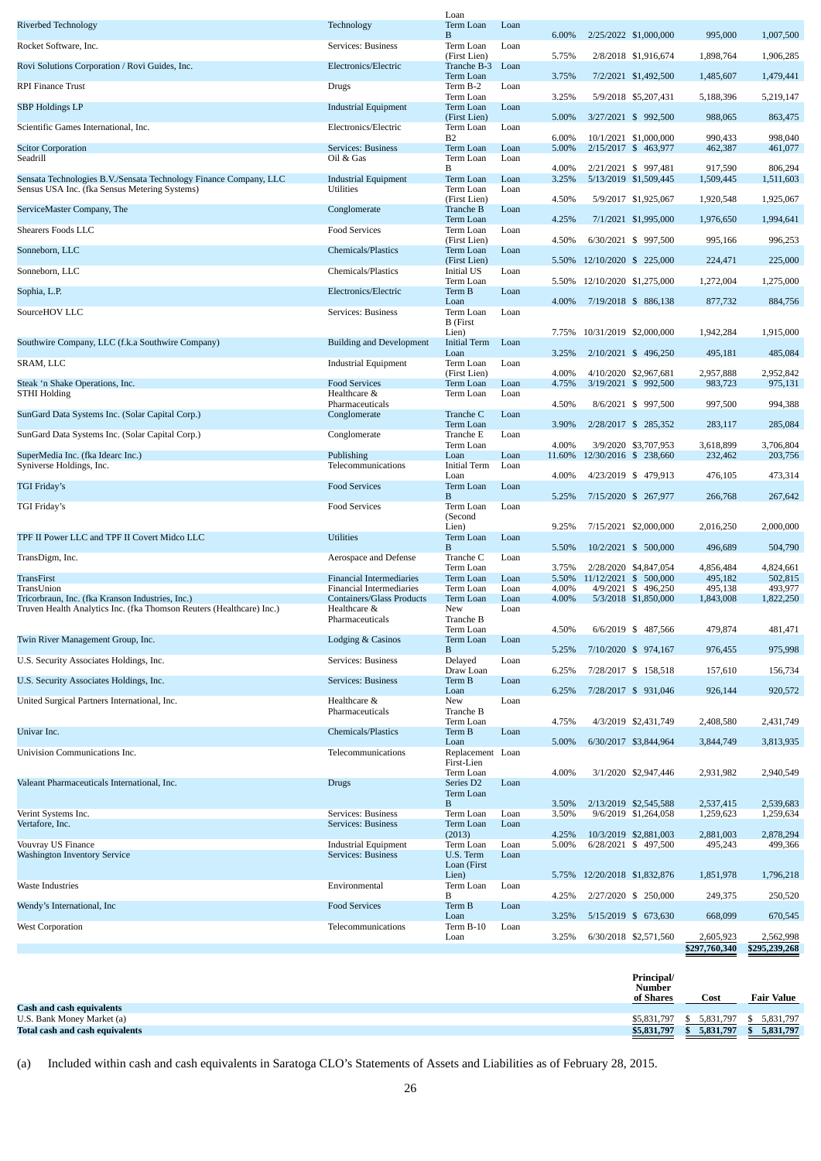|                                                                      |                                                             | Loan                        |              |                |                              |                       |                    |                    |
|----------------------------------------------------------------------|-------------------------------------------------------------|-----------------------------|--------------|----------------|------------------------------|-----------------------|--------------------|--------------------|
| Riverbed Technology                                                  | Technology                                                  | Term Loan                   | Loan         |                |                              |                       |                    |                    |
|                                                                      |                                                             | В                           |              | 6.00%          |                              | 2/25/2022 \$1,000,000 | 995,000            | 1,007,500          |
| Rocket Software, Inc.                                                | Services: Business                                          | Term Loan<br>(First Lien)   | Loan         | 5.75%          |                              | 2/8/2018 \$1,916,674  | 1,898,764          | 1,906,285          |
| Rovi Solutions Corporation / Rovi Guides, Inc.                       | Electronics/Electric                                        | Tranche B-3                 | Loan         |                |                              |                       |                    |                    |
|                                                                      |                                                             | Term Loan                   |              | 3.75%          |                              | 7/2/2021 \$1,492,500  | 1,485,607          | 1,479,441          |
| <b>RPI Finance Trust</b>                                             | Drugs                                                       | Term B-2                    | Loan         |                |                              |                       |                    |                    |
|                                                                      |                                                             | Term Loan                   |              | 3.25%          |                              | 5/9/2018 \$5,207,431  | 5,188,396          | 5,219,147          |
| <b>SBP Holdings LP</b>                                               | <b>Industrial Equipment</b>                                 | Term Loan<br>(First Lien)   | Loan         | 5.00%          |                              | 3/27/2021 \$ 992,500  | 988,065            | 863,475            |
| Scientific Games International, Inc.                                 | Electronics/Electric                                        | Term Loan                   | Loan         |                |                              |                       |                    |                    |
|                                                                      |                                                             | <b>B2</b>                   |              | 6.00%          |                              | 10/1/2021 \$1,000,000 | 990,433            | 998,040            |
| <b>Scitor Corporation</b>                                            | Services: Business                                          | Term Loan                   | Loan         | 5.00%          |                              | 2/15/2017 \$ 463,977  | 462,387            | 461,077            |
| Seadrill                                                             | Oil & Gas                                                   | Term Loan<br>В              | Loan         | 4.00%          |                              | 2/21/2021 \$ 997,481  | 917,590            | 806,294            |
| Sensata Technologies B.V./Sensata Technology Finance Company, LLC    | <b>Industrial Equipment</b>                                 | Term Loan                   | Loan         | 3.25%          |                              | 5/13/2019 \$1,509,445 | 1,509,445          | 1,511,603          |
| Sensus USA Inc. (fka Sensus Metering Systems)                        | Utilities                                                   | Term Loan                   | Loan         |                |                              |                       |                    |                    |
|                                                                      |                                                             | (First Lien)                |              | 4.50%          |                              | 5/9/2017 \$1,925,067  | 1,920,548          | 1,925,067          |
| ServiceMaster Company, The                                           | Conglomerate                                                | Tranche B                   | Loan         |                |                              |                       |                    |                    |
| Shearers Foods LLC                                                   | <b>Food Services</b>                                        | Term Loan<br>Term Loan      | Loan         | 4.25%          |                              | 7/1/2021 \$1,995,000  | 1,976,650          | 1,994,641          |
|                                                                      |                                                             | (First Lien)                |              | 4.50%          |                              | 6/30/2021 \$ 997,500  | 995,166            | 996,253            |
| Sonneborn, LLC                                                       | Chemicals/Plastics                                          | Term Loan                   | Loan         |                |                              |                       |                    |                    |
|                                                                      |                                                             | (First Lien)                |              |                | 5.50% 12/10/2020 \$ 225,000  |                       | 224,471            | 225,000            |
| Sonneborn, LLC                                                       | Chemicals/Plastics                                          | Initial US<br>Term Loan     | Loan         |                | 5.50% 12/10/2020 \$1,275,000 |                       | 1,272,004          | 1,275,000          |
| Sophia, L.P.                                                         | Electronics/Electric                                        | Term B                      | Loan         |                |                              |                       |                    |                    |
|                                                                      |                                                             | Loan                        |              |                | 4.00% 7/19/2018 \$886,138    |                       | 877,732            | 884,756            |
| SourceHOV LLC                                                        | Services: Business                                          | Term Loan                   | Loan         |                |                              |                       |                    |                    |
|                                                                      |                                                             | <b>B</b> (First             |              |                |                              |                       |                    |                    |
|                                                                      |                                                             | Lien)                       |              |                | 7.75% 10/31/2019 \$2,000,000 |                       | 1,942,284          | 1,915,000          |
| Southwire Company, LLC (f.k.a Southwire Company)                     | <b>Building and Development</b>                             | <b>Initial Term</b><br>Loan | Loan         | 3.25%          |                              | 2/10/2021 \$ 496,250  | 495,181            | 485,084            |
| SRAM, LLC                                                            | Industrial Equipment                                        | Term Loan                   | Loan         |                |                              |                       |                    |                    |
|                                                                      |                                                             | (First Lien)                |              | 4.00%          |                              | 4/10/2020 \$2,967,681 | 2,957,888          | 2,952,842          |
| Steak 'n Shake Operations, Inc.                                      | <b>Food Services</b>                                        | Term Loan                   | Loan         | 4.75%          |                              | 3/19/2021 \$ 992,500  | 983,723            | 975,131            |
| <b>STHI Holding</b>                                                  | Healthcare &                                                | Term Loan                   | Loan         | 4.50%          |                              |                       | 997,500            |                    |
| SunGard Data Systems Inc. (Solar Capital Corp.)                      | Pharmaceuticals<br>Conglomerate                             | Tranche C                   | Loan         |                |                              | 8/6/2021 \$ 997,500   |                    | 994,388            |
|                                                                      |                                                             | Term Loan                   |              | 3.90%          |                              | 2/28/2017 \$ 285,352  | 283,117            | 285,084            |
| SunGard Data Systems Inc. (Solar Capital Corp.)                      | Conglomerate                                                | Tranche E                   | Loan         |                |                              |                       |                    |                    |
|                                                                      |                                                             | Term Loan                   |              | 4.00%          |                              | 3/9/2020 \$3,707,953  | 3,618,899          | 3,706,804          |
| SuperMedia Inc. (fka Idearc Inc.)<br>Syniverse Holdings, Inc.        | Publishing<br>Telecommunications                            | Loan<br><b>Initial Term</b> | Loan<br>Loan | 11.60%         | 12/30/2016 \$ 238,660        |                       | 232,462            | 203,756            |
|                                                                      |                                                             | Loan                        |              | 4.00%          |                              | 4/23/2019 \$ 479,913  | 476,105            | 473,314            |
| TGI Friday's                                                         | <b>Food Services</b>                                        | Term Loan                   | Loan         |                |                              |                       |                    |                    |
|                                                                      |                                                             | B                           |              | 5.25%          |                              | 7/15/2020 \$ 267,977  | 266,768            | 267,642            |
| TGI Friday's                                                         | <b>Food Services</b>                                        | Term Loan                   | Loan         |                |                              |                       |                    |                    |
|                                                                      |                                                             | (Second                     |              | 9.25%          |                              | 7/15/2021 \$2,000,000 | 2,016,250          | 2,000,000          |
| TPF II Power LLC and TPF II Covert Midco LLC                         | <b>Utilities</b>                                            | Lien)<br>Term Loan          | Loan         |                |                              |                       |                    |                    |
|                                                                      |                                                             | B                           |              | 5.50%          |                              | 10/2/2021 \$ 500,000  | 496,689            | 504,790            |
| TransDigm, Inc.                                                      | Aerospace and Defense                                       | Tranche C                   | Loan         |                |                              |                       |                    |                    |
|                                                                      |                                                             | Term Loan                   |              | 3.75%          |                              | 2/28/2020 \$4,847,054 | 4,856,484          | 4,824,661          |
| TransFirst<br>TransUnion                                             | Financial Intermediaries<br><b>Financial Intermediaries</b> | Term Loan<br>Term Loan      | Loan<br>Loan | 5.50%<br>4.00% | 11/12/2021 \$ 500,000        | 4/9/2021 \$ 496,250   | 495,182<br>495,138 | 502,815<br>493,977 |
| Tricorbraun, Inc. (fka Kranson Industries, Inc.)                     | Containers/Glass Products                                   | Term Loan                   | Loan         | 4.00%          |                              | 5/3/2018 \$1,850,000  | 1,843,008          | 1,822,250          |
| Truven Health Analytics Inc. (fka Thomson Reuters (Healthcare) Inc.) | Healthcare &                                                | New                         | Loan         |                |                              |                       |                    |                    |
|                                                                      | Pharmaceuticals                                             | Tranche B                   |              |                |                              |                       |                    |                    |
|                                                                      |                                                             | Term Loan                   |              | 4.50%          |                              | 6/6/2019 \$ 487,566   | 479,874            | 481,471            |
| Twin River Management Group, Inc.                                    | Lodging & Casinos                                           | Term Loan<br>В              | Loan         | 5.25%          |                              | 7/10/2020 \$ 974,167  | 976,455            | 975,998            |
| U.S. Security Associates Holdings, Inc.                              | Services: Business                                          | Delayed                     | Loan         |                |                              |                       |                    |                    |
|                                                                      |                                                             | Draw Loan                   |              | 6.25%          |                              | 7/28/2017 \$ 158,518  | 157,610            | 156,734            |
| U.S. Security Associates Holdings, Inc.                              | Services: Business                                          | Term B                      | Loan         |                |                              |                       |                    |                    |
| United Surgical Partners International, Inc.                         |                                                             | Loan                        |              | 6.25%          |                              | 7/28/2017 \$ 931,046  | 926,144            | 920,572            |
|                                                                      | Healthcare &<br>Pharmaceuticals                             | New<br>Tranche B            | Loan         |                |                              |                       |                    |                    |
|                                                                      |                                                             | Term Loan                   |              | 4.75%          |                              | 4/3/2019 \$2,431,749  | 2,408,580          | 2,431,749          |
| Univar Inc.                                                          | Chemicals/Plastics                                          | Term B                      | Loan         |                |                              |                       |                    |                    |
|                                                                      |                                                             | Loan                        |              | 5.00%          |                              | 6/30/2017 \$3,844,964 | 3,844,749          | 3,813,935          |
| Univision Communications Inc.                                        | Telecommunications                                          | Replacement Loan            |              |                |                              |                       |                    |                    |
|                                                                      |                                                             | First-Lien<br>Term Loan     |              | 4.00%          |                              | 3/1/2020 \$2,947,446  | 2,931,982          | 2,940,549          |
| Valeant Pharmaceuticals International, Inc.                          | Drugs                                                       | Series D <sub>2</sub>       | Loan         |                |                              |                       |                    |                    |
|                                                                      |                                                             | Term Loan                   |              |                |                              |                       |                    |                    |
|                                                                      |                                                             | В                           |              | 3.50%          |                              | 2/13/2019 \$2,545,588 | 2,537,415          | 2,539,683          |
| Verint Systems Inc.<br>Vertafore, Inc.                               | Services: Business<br>Services: Business                    | Term Loan<br>Term Loan      | Loan<br>Loan | 3.50%          |                              | 9/6/2019 \$1,264,058  | 1,259,623          | 1,259,634          |
|                                                                      |                                                             | (2013)                      |              | 4.25%          |                              | 10/3/2019 \$2,881,003 | 2,881,003          | 2,878,294          |
| Vouvray US Finance                                                   | Industrial Equipment                                        | Term Loan                   | Loan         | 5.00%          |                              | 6/28/2021 \$ 497,500  | 495,243            | 499,366            |
| Washington Inventory Service                                         | Services: Business                                          | U.S. Term                   | Loan         |                |                              |                       |                    |                    |
|                                                                      |                                                             | Loan (First                 |              |                |                              |                       |                    |                    |
| Waste Industries                                                     | Environmental                                               | Lien)<br>Term Loan          | Loan         |                | 5.75% 12/20/2018 \$1,832,876 |                       | 1,851,978          | 1,796,218          |
|                                                                      |                                                             | В                           |              | 4.25%          |                              | 2/27/2020 \$ 250,000  | 249,375            | 250,520            |
| Wendy's International, Inc                                           | <b>Food Services</b>                                        | Term B                      | Loan         |                |                              |                       |                    |                    |
|                                                                      |                                                             | Loan                        |              | 3.25%          |                              | 5/15/2019 \$ 673,630  | 668,099            | 670,545            |
| <b>West Corporation</b>                                              | Telecommunications                                          | Term B-10<br>Loan           | Loan         | 3.25%          |                              | 6/30/2018 \$2,571,560 | 2,605,923          | 2,562,998          |
|                                                                      |                                                             |                             |              |                |                              |                       | \$297,760,340      | \$295,239,268      |
|                                                                      |                                                             |                             |              |                |                              |                       |                    |                    |
|                                                                      |                                                             |                             |              |                |                              |                       |                    |                    |

|                                  | Principal/<br>Number<br>of Shares | Cost      | <b>Fair Value</b> |
|----------------------------------|-----------------------------------|-----------|-------------------|
| <b>Cash and cash equivalents</b> |                                   |           |                   |
| U.S. Bank Money Market (a)       | \$5,831,797                       | 5,831,797 | \$ 5,831,797      |
| Total cash and cash equivalents  | \$5,831,797                       | 5,831,797 | 5,831,797         |

(a) Included within cash and cash equivalents in Saratoga CLO's Statements of Assets and Liabilities as of February 28, 2015.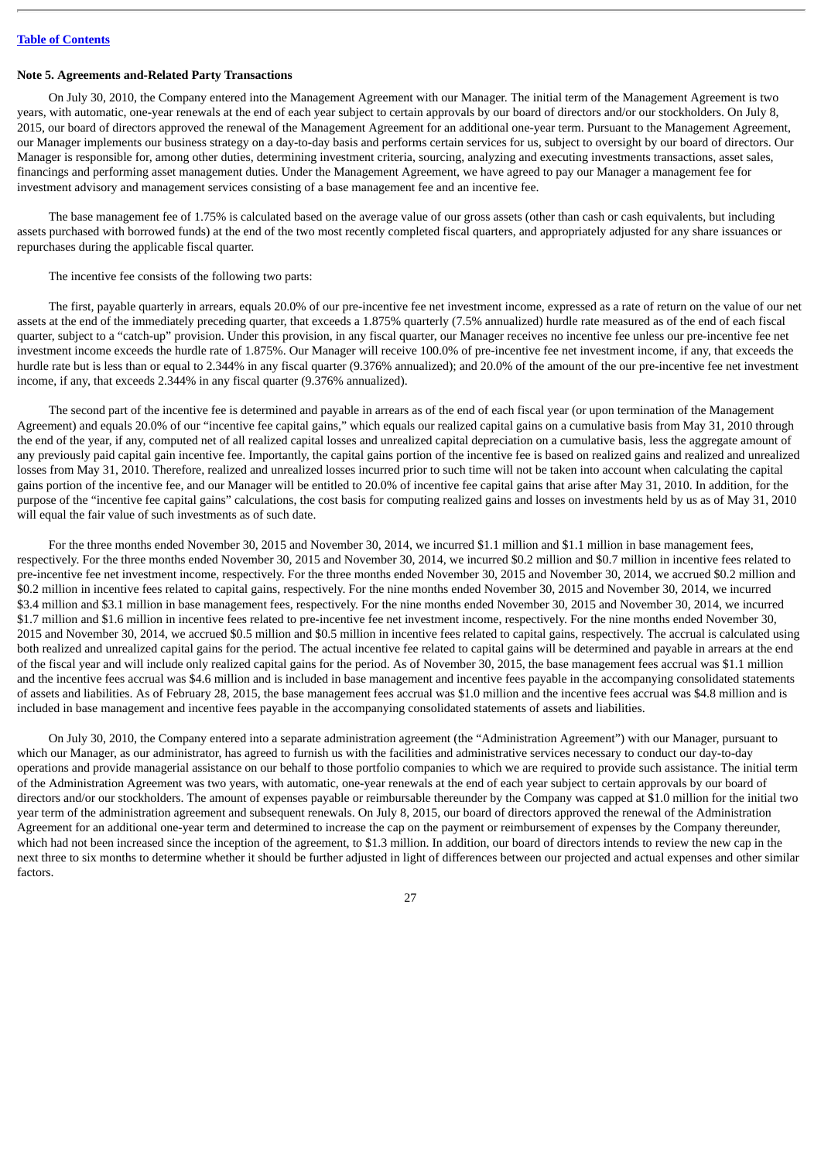#### **Note 5. Agreements and-Related Party Transactions**

On July 30, 2010, the Company entered into the Management Agreement with our Manager. The initial term of the Management Agreement is two years, with automatic, one-year renewals at the end of each year subject to certain approvals by our board of directors and/or our stockholders. On July 8, 2015, our board of directors approved the renewal of the Management Agreement for an additional one-year term. Pursuant to the Management Agreement, our Manager implements our business strategy on a day-to-day basis and performs certain services for us, subject to oversight by our board of directors. Our Manager is responsible for, among other duties, determining investment criteria, sourcing, analyzing and executing investments transactions, asset sales, financings and performing asset management duties. Under the Management Agreement, we have agreed to pay our Manager a management fee for investment advisory and management services consisting of a base management fee and an incentive fee.

The base management fee of 1.75% is calculated based on the average value of our gross assets (other than cash or cash equivalents, but including assets purchased with borrowed funds) at the end of the two most recently completed fiscal quarters, and appropriately adjusted for any share issuances or repurchases during the applicable fiscal quarter.

The incentive fee consists of the following two parts:

The first, payable quarterly in arrears, equals 20.0% of our pre-incentive fee net investment income, expressed as a rate of return on the value of our net assets at the end of the immediately preceding quarter, that exceeds a 1.875% quarterly (7.5% annualized) hurdle rate measured as of the end of each fiscal quarter, subject to a "catch-up" provision. Under this provision, in any fiscal quarter, our Manager receives no incentive fee unless our pre-incentive fee net investment income exceeds the hurdle rate of 1.875%. Our Manager will receive 100.0% of pre-incentive fee net investment income, if any, that exceeds the hurdle rate but is less than or equal to 2.344% in any fiscal quarter (9.376% annualized); and 20.0% of the amount of the our pre-incentive fee net investment income, if any, that exceeds 2.344% in any fiscal quarter (9.376% annualized).

The second part of the incentive fee is determined and payable in arrears as of the end of each fiscal year (or upon termination of the Management Agreement) and equals 20.0% of our "incentive fee capital gains," which equals our realized capital gains on a cumulative basis from May 31, 2010 through the end of the year, if any, computed net of all realized capital losses and unrealized capital depreciation on a cumulative basis, less the aggregate amount of any previously paid capital gain incentive fee. Importantly, the capital gains portion of the incentive fee is based on realized gains and realized and unrealized losses from May 31, 2010. Therefore, realized and unrealized losses incurred prior to such time will not be taken into account when calculating the capital gains portion of the incentive fee, and our Manager will be entitled to 20.0% of incentive fee capital gains that arise after May 31, 2010. In addition, for the purpose of the "incentive fee capital gains" calculations, the cost basis for computing realized gains and losses on investments held by us as of May 31, 2010 will equal the fair value of such investments as of such date.

For the three months ended November 30, 2015 and November 30, 2014, we incurred \$1.1 million and \$1.1 million in base management fees, respectively. For the three months ended November 30, 2015 and November 30, 2014, we incurred \$0.2 million and \$0.7 million in incentive fees related to pre-incentive fee net investment income, respectively. For the three months ended November 30, 2015 and November 30, 2014, we accrued \$0.2 million and \$0.2 million in incentive fees related to capital gains, respectively. For the nine months ended November 30, 2015 and November 30, 2014, we incurred \$3.4 million and \$3.1 million in base management fees, respectively. For the nine months ended November 30, 2015 and November 30, 2014, we incurred \$1.7 million and \$1.6 million in incentive fees related to pre-incentive fee net investment income, respectively. For the nine months ended November 30, 2015 and November 30, 2014, we accrued \$0.5 million and \$0.5 million in incentive fees related to capital gains, respectively. The accrual is calculated using both realized and unrealized capital gains for the period. The actual incentive fee related to capital gains will be determined and payable in arrears at the end of the fiscal year and will include only realized capital gains for the period. As of November 30, 2015, the base management fees accrual was \$1.1 million and the incentive fees accrual was \$4.6 million and is included in base management and incentive fees payable in the accompanying consolidated statements of assets and liabilities. As of February 28, 2015, the base management fees accrual was \$1.0 million and the incentive fees accrual was \$4.8 million and is included in base management and incentive fees payable in the accompanying consolidated statements of assets and liabilities.

On July 30, 2010, the Company entered into a separate administration agreement (the "Administration Agreement") with our Manager, pursuant to which our Manager, as our administrator, has agreed to furnish us with the facilities and administrative services necessary to conduct our day-to-day operations and provide managerial assistance on our behalf to those portfolio companies to which we are required to provide such assistance. The initial term of the Administration Agreement was two years, with automatic, one-year renewals at the end of each year subject to certain approvals by our board of directors and/or our stockholders. The amount of expenses payable or reimbursable thereunder by the Company was capped at \$1.0 million for the initial two year term of the administration agreement and subsequent renewals. On July 8, 2015, our board of directors approved the renewal of the Administration Agreement for an additional one-year term and determined to increase the cap on the payment or reimbursement of expenses by the Company thereunder, which had not been increased since the inception of the agreement, to \$1.3 million. In addition, our board of directors intends to review the new cap in the next three to six months to determine whether it should be further adjusted in light of differences between our projected and actual expenses and other similar factors.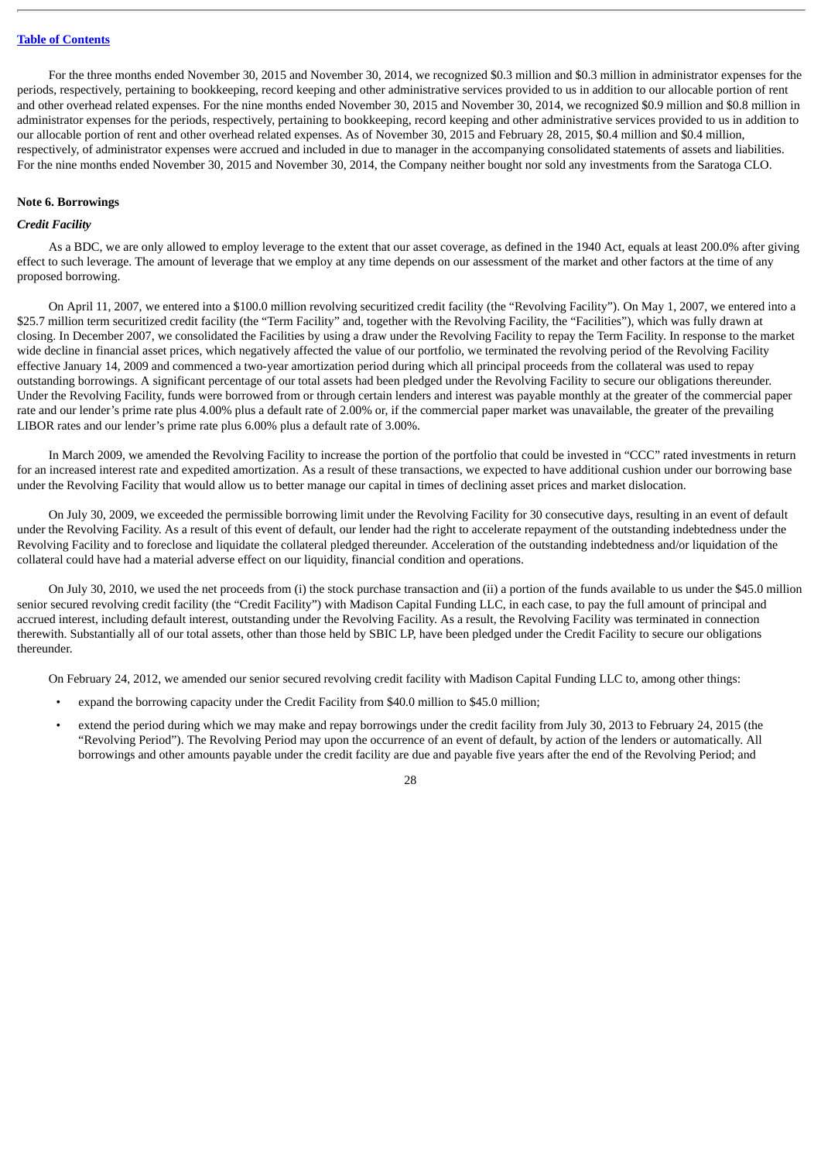For the three months ended November 30, 2015 and November 30, 2014, we recognized \$0.3 million and \$0.3 million in administrator expenses for the periods, respectively, pertaining to bookkeeping, record keeping and other administrative services provided to us in addition to our allocable portion of rent and other overhead related expenses. For the nine months ended November 30, 2015 and November 30, 2014, we recognized \$0.9 million and \$0.8 million in administrator expenses for the periods, respectively, pertaining to bookkeeping, record keeping and other administrative services provided to us in addition to our allocable portion of rent and other overhead related expenses. As of November 30, 2015 and February 28, 2015, \$0.4 million and \$0.4 million, respectively, of administrator expenses were accrued and included in due to manager in the accompanying consolidated statements of assets and liabilities. For the nine months ended November 30, 2015 and November 30, 2014, the Company neither bought nor sold any investments from the Saratoga CLO.

#### **Note 6. Borrowings**

#### *Credit Facility*

As a BDC, we are only allowed to employ leverage to the extent that our asset coverage, as defined in the 1940 Act, equals at least 200.0% after giving effect to such leverage. The amount of leverage that we employ at any time depends on our assessment of the market and other factors at the time of any proposed borrowing.

On April 11, 2007, we entered into a \$100.0 million revolving securitized credit facility (the "Revolving Facility"). On May 1, 2007, we entered into a \$25.7 million term securitized credit facility (the "Term Facility" and, together with the Revolving Facility, the "Facilities"), which was fully drawn at closing. In December 2007, we consolidated the Facilities by using a draw under the Revolving Facility to repay the Term Facility. In response to the market wide decline in financial asset prices, which negatively affected the value of our portfolio, we terminated the revolving period of the Revolving Facility effective January 14, 2009 and commenced a two-year amortization period during which all principal proceeds from the collateral was used to repay outstanding borrowings. A significant percentage of our total assets had been pledged under the Revolving Facility to secure our obligations thereunder. Under the Revolving Facility, funds were borrowed from or through certain lenders and interest was payable monthly at the greater of the commercial paper rate and our lender's prime rate plus 4.00% plus a default rate of 2.00% or, if the commercial paper market was unavailable, the greater of the prevailing LIBOR rates and our lender's prime rate plus 6.00% plus a default rate of 3.00%.

In March 2009, we amended the Revolving Facility to increase the portion of the portfolio that could be invested in "CCC" rated investments in return for an increased interest rate and expedited amortization. As a result of these transactions, we expected to have additional cushion under our borrowing base under the Revolving Facility that would allow us to better manage our capital in times of declining asset prices and market dislocation.

On July 30, 2009, we exceeded the permissible borrowing limit under the Revolving Facility for 30 consecutive days, resulting in an event of default under the Revolving Facility. As a result of this event of default, our lender had the right to accelerate repayment of the outstanding indebtedness under the Revolving Facility and to foreclose and liquidate the collateral pledged thereunder. Acceleration of the outstanding indebtedness and/or liquidation of the collateral could have had a material adverse effect on our liquidity, financial condition and operations.

On July 30, 2010, we used the net proceeds from (i) the stock purchase transaction and (ii) a portion of the funds available to us under the \$45.0 million senior secured revolving credit facility (the "Credit Facility") with Madison Capital Funding LLC, in each case, to pay the full amount of principal and accrued interest, including default interest, outstanding under the Revolving Facility. As a result, the Revolving Facility was terminated in connection therewith. Substantially all of our total assets, other than those held by SBIC LP, have been pledged under the Credit Facility to secure our obligations thereunder.

On February 24, 2012, we amended our senior secured revolving credit facility with Madison Capital Funding LLC to, among other things:

- expand the borrowing capacity under the Credit Facility from \$40.0 million to \$45.0 million;
- extend the period during which we may make and repay borrowings under the credit facility from July 30, 2013 to February 24, 2015 (the "Revolving Period"). The Revolving Period may upon the occurrence of an event of default, by action of the lenders or automatically. All borrowings and other amounts payable under the credit facility are due and payable five years after the end of the Revolving Period; and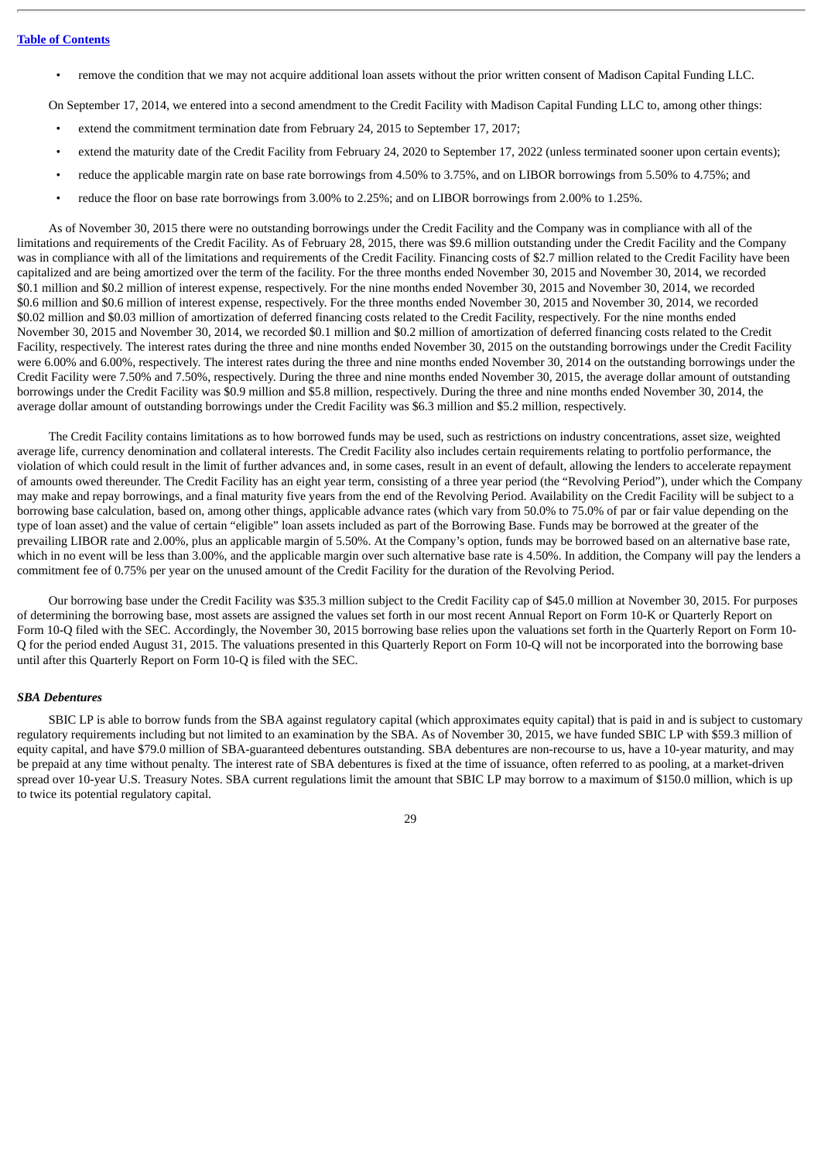• remove the condition that we may not acquire additional loan assets without the prior written consent of Madison Capital Funding LLC.

On September 17, 2014, we entered into a second amendment to the Credit Facility with Madison Capital Funding LLC to, among other things:

- extend the commitment termination date from February 24, 2015 to September 17, 2017;
- extend the maturity date of the Credit Facility from February 24, 2020 to September 17, 2022 (unless terminated sooner upon certain events);
- reduce the applicable margin rate on base rate borrowings from 4.50% to 3.75%, and on LIBOR borrowings from 5.50% to 4.75%; and
- reduce the floor on base rate borrowings from 3.00% to 2.25%; and on LIBOR borrowings from 2.00% to 1.25%.

As of November 30, 2015 there were no outstanding borrowings under the Credit Facility and the Company was in compliance with all of the limitations and requirements of the Credit Facility. As of February 28, 2015, there was \$9.6 million outstanding under the Credit Facility and the Company was in compliance with all of the limitations and requirements of the Credit Facility. Financing costs of \$2.7 million related to the Credit Facility have been capitalized and are being amortized over the term of the facility. For the three months ended November 30, 2015 and November 30, 2014, we recorded \$0.1 million and \$0.2 million of interest expense, respectively. For the nine months ended November 30, 2015 and November 30, 2014, we recorded \$0.6 million and \$0.6 million of interest expense, respectively. For the three months ended November 30, 2015 and November 30, 2014, we recorded \$0.02 million and \$0.03 million of amortization of deferred financing costs related to the Credit Facility, respectively. For the nine months ended November 30, 2015 and November 30, 2014, we recorded \$0.1 million and \$0.2 million of amortization of deferred financing costs related to the Credit Facility, respectively. The interest rates during the three and nine months ended November 30, 2015 on the outstanding borrowings under the Credit Facility were 6.00% and 6.00%, respectively. The interest rates during the three and nine months ended November 30, 2014 on the outstanding borrowings under the Credit Facility were 7.50% and 7.50%, respectively. During the three and nine months ended November 30, 2015, the average dollar amount of outstanding borrowings under the Credit Facility was \$0.9 million and \$5.8 million, respectively. During the three and nine months ended November 30, 2014, the average dollar amount of outstanding borrowings under the Credit Facility was \$6.3 million and \$5.2 million, respectively.

The Credit Facility contains limitations as to how borrowed funds may be used, such as restrictions on industry concentrations, asset size, weighted average life, currency denomination and collateral interests. The Credit Facility also includes certain requirements relating to portfolio performance, the violation of which could result in the limit of further advances and, in some cases, result in an event of default, allowing the lenders to accelerate repayment of amounts owed thereunder. The Credit Facility has an eight year term, consisting of a three year period (the "Revolving Period"), under which the Company may make and repay borrowings, and a final maturity five years from the end of the Revolving Period. Availability on the Credit Facility will be subject to a borrowing base calculation, based on, among other things, applicable advance rates (which vary from 50.0% to 75.0% of par or fair value depending on the type of loan asset) and the value of certain "eligible" loan assets included as part of the Borrowing Base. Funds may be borrowed at the greater of the prevailing LIBOR rate and 2.00%, plus an applicable margin of 5.50%. At the Company's option, funds may be borrowed based on an alternative base rate, which in no event will be less than 3.00%, and the applicable margin over such alternative base rate is 4.50%. In addition, the Company will pay the lenders a commitment fee of 0.75% per year on the unused amount of the Credit Facility for the duration of the Revolving Period.

Our borrowing base under the Credit Facility was \$35.3 million subject to the Credit Facility cap of \$45.0 million at November 30, 2015. For purposes of determining the borrowing base, most assets are assigned the values set forth in our most recent Annual Report on Form 10-K or Quarterly Report on Form 10-Q filed with the SEC. Accordingly, the November 30, 2015 borrowing base relies upon the valuations set forth in the Quarterly Report on Form 10- Q for the period ended August 31, 2015. The valuations presented in this Quarterly Report on Form 10-Q will not be incorporated into the borrowing base until after this Quarterly Report on Form 10-Q is filed with the SEC.

#### *SBA Debentures*

SBIC LP is able to borrow funds from the SBA against regulatory capital (which approximates equity capital) that is paid in and is subject to customary regulatory requirements including but not limited to an examination by the SBA. As of November 30, 2015, we have funded SBIC LP with \$59.3 million of equity capital, and have \$79.0 million of SBA-guaranteed debentures outstanding. SBA debentures are non-recourse to us, have a 10-year maturity, and may be prepaid at any time without penalty. The interest rate of SBA debentures is fixed at the time of issuance, often referred to as pooling, at a market-driven spread over 10-year U.S. Treasury Notes. SBA current regulations limit the amount that SBIC LP may borrow to a maximum of \$150.0 million, which is up to twice its potential regulatory capital.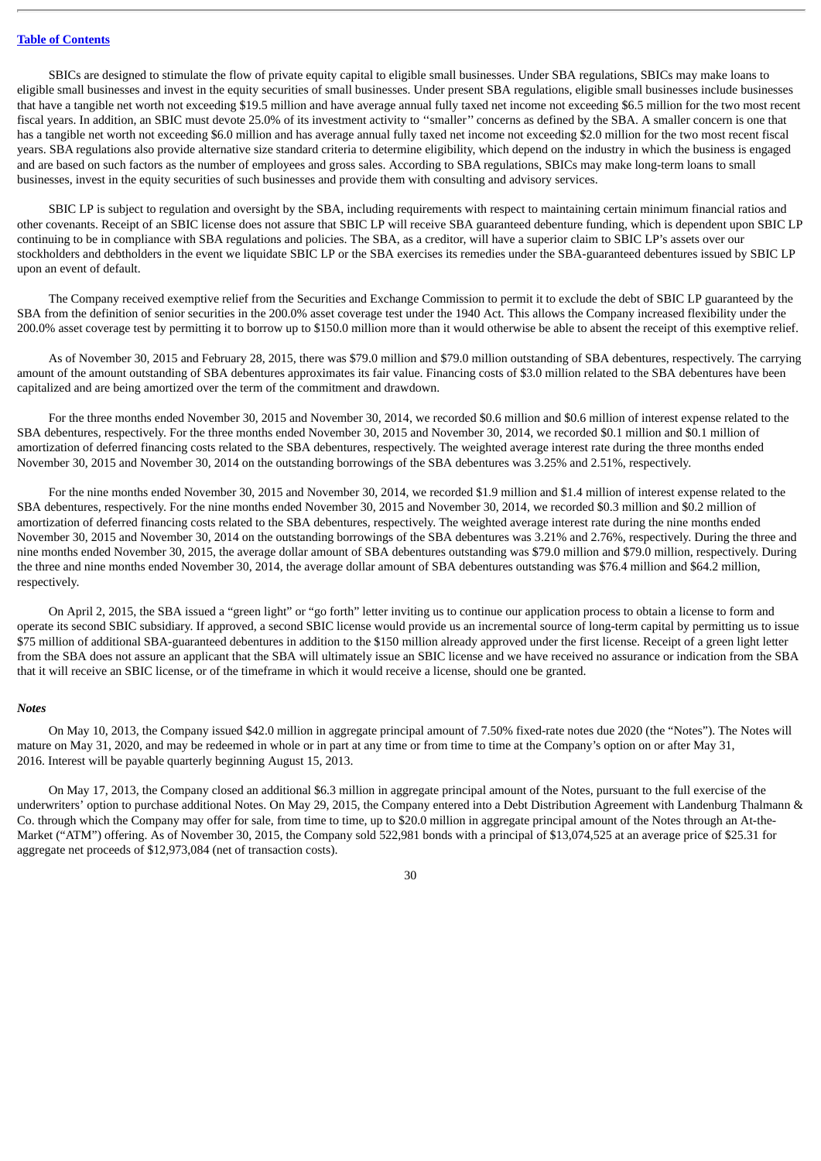SBICs are designed to stimulate the flow of private equity capital to eligible small businesses. Under SBA regulations, SBICs may make loans to eligible small businesses and invest in the equity securities of small businesses. Under present SBA regulations, eligible small businesses include businesses that have a tangible net worth not exceeding \$19.5 million and have average annual fully taxed net income not exceeding \$6.5 million for the two most recent fiscal years. In addition, an SBIC must devote 25.0% of its investment activity to ''smaller'' concerns as defined by the SBA. A smaller concern is one that has a tangible net worth not exceeding \$6.0 million and has average annual fully taxed net income not exceeding \$2.0 million for the two most recent fiscal years. SBA regulations also provide alternative size standard criteria to determine eligibility, which depend on the industry in which the business is engaged and are based on such factors as the number of employees and gross sales. According to SBA regulations, SBICs may make long-term loans to small businesses, invest in the equity securities of such businesses and provide them with consulting and advisory services.

SBIC LP is subject to regulation and oversight by the SBA, including requirements with respect to maintaining certain minimum financial ratios and other covenants. Receipt of an SBIC license does not assure that SBIC LP will receive SBA guaranteed debenture funding, which is dependent upon SBIC LP continuing to be in compliance with SBA regulations and policies. The SBA, as a creditor, will have a superior claim to SBIC LP's assets over our stockholders and debtholders in the event we liquidate SBIC LP or the SBA exercises its remedies under the SBA-guaranteed debentures issued by SBIC LP upon an event of default.

The Company received exemptive relief from the Securities and Exchange Commission to permit it to exclude the debt of SBIC LP guaranteed by the SBA from the definition of senior securities in the 200.0% asset coverage test under the 1940 Act. This allows the Company increased flexibility under the 200.0% asset coverage test by permitting it to borrow up to \$150.0 million more than it would otherwise be able to absent the receipt of this exemptive relief.

As of November 30, 2015 and February 28, 2015, there was \$79.0 million and \$79.0 million outstanding of SBA debentures, respectively. The carrying amount of the amount outstanding of SBA debentures approximates its fair value. Financing costs of \$3.0 million related to the SBA debentures have been capitalized and are being amortized over the term of the commitment and drawdown.

For the three months ended November 30, 2015 and November 30, 2014, we recorded \$0.6 million and \$0.6 million of interest expense related to the SBA debentures, respectively. For the three months ended November 30, 2015 and November 30, 2014, we recorded \$0.1 million and \$0.1 million of amortization of deferred financing costs related to the SBA debentures, respectively. The weighted average interest rate during the three months ended November 30, 2015 and November 30, 2014 on the outstanding borrowings of the SBA debentures was 3.25% and 2.51%, respectively.

For the nine months ended November 30, 2015 and November 30, 2014, we recorded \$1.9 million and \$1.4 million of interest expense related to the SBA debentures, respectively. For the nine months ended November 30, 2015 and November 30, 2014, we recorded \$0.3 million and \$0.2 million of amortization of deferred financing costs related to the SBA debentures, respectively. The weighted average interest rate during the nine months ended November 30, 2015 and November 30, 2014 on the outstanding borrowings of the SBA debentures was 3.21% and 2.76%, respectively. During the three and nine months ended November 30, 2015, the average dollar amount of SBA debentures outstanding was \$79.0 million and \$79.0 million, respectively. During the three and nine months ended November 30, 2014, the average dollar amount of SBA debentures outstanding was \$76.4 million and \$64.2 million, respectively.

On April 2, 2015, the SBA issued a "green light" or "go forth" letter inviting us to continue our application process to obtain a license to form and operate its second SBIC subsidiary. If approved, a second SBIC license would provide us an incremental source of long-term capital by permitting us to issue \$75 million of additional SBA-guaranteed debentures in addition to the \$150 million already approved under the first license. Receipt of a green light letter from the SBA does not assure an applicant that the SBA will ultimately issue an SBIC license and we have received no assurance or indication from the SBA that it will receive an SBIC license, or of the timeframe in which it would receive a license, should one be granted.

#### *Notes*

On May 10, 2013, the Company issued \$42.0 million in aggregate principal amount of 7.50% fixed-rate notes due 2020 (the "Notes"). The Notes will mature on May 31, 2020, and may be redeemed in whole or in part at any time or from time to time at the Company's option on or after May 31, 2016. Interest will be payable quarterly beginning August 15, 2013.

On May 17, 2013, the Company closed an additional \$6.3 million in aggregate principal amount of the Notes, pursuant to the full exercise of the underwriters' option to purchase additional Notes. On May 29, 2015, the Company entered into a Debt Distribution Agreement with Landenburg Thalmann & Co. through which the Company may offer for sale, from time to time, up to \$20.0 million in aggregate principal amount of the Notes through an At-the-Market ("ATM") offering. As of November 30, 2015, the Company sold 522,981 bonds with a principal of \$13,074,525 at an average price of \$25.31 for aggregate net proceeds of \$12,973,084 (net of transaction costs).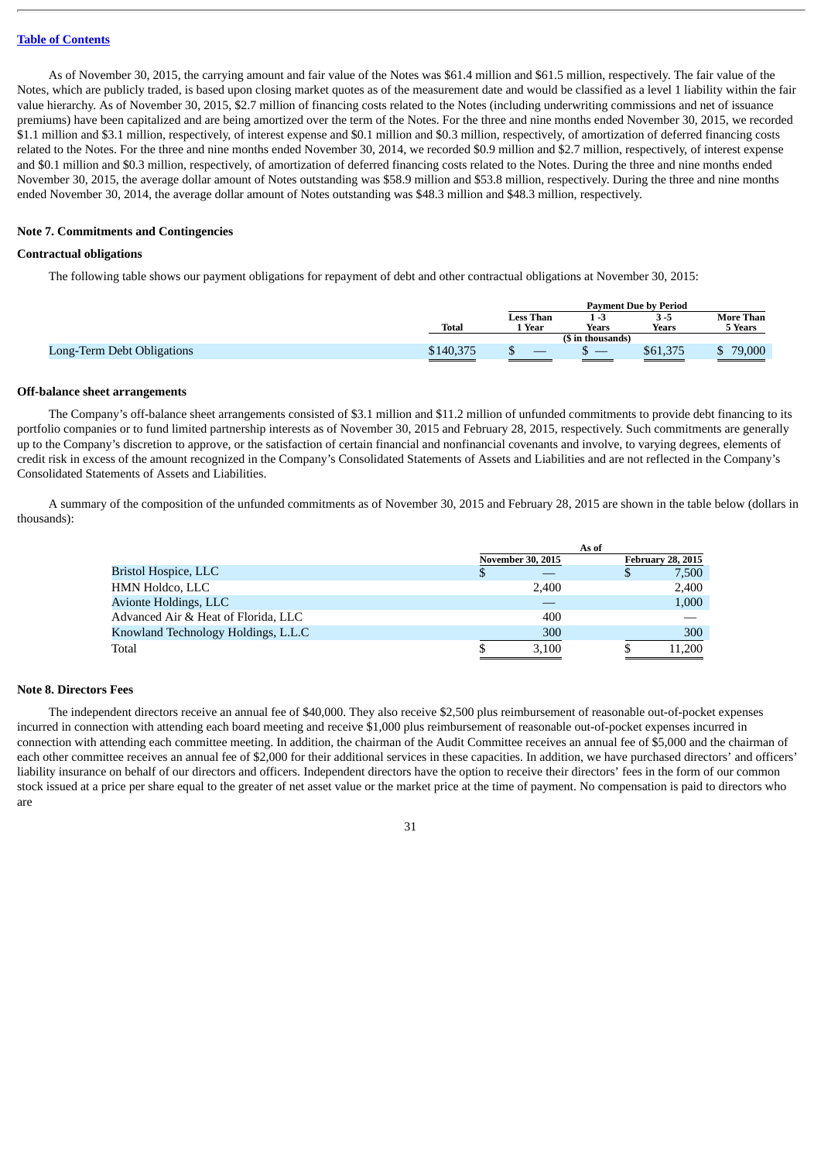As of November 30, 2015, the carrying amount and fair value of the Notes was \$61.4 million and \$61.5 million, respectively. The fair value of the Notes, which are publicly traded, is based upon closing market quotes as of the measurement date and would be classified as a level 1 liability within the fair value hierarchy. As of November 30, 2015, \$2.7 million of financing costs related to the Notes (including underwriting commissions and net of issuance premiums) have been capitalized and are being amortized over the term of the Notes. For the three and nine months ended November 30, 2015, we recorded \$1.1 million and \$3.1 million, respectively, of interest expense and \$0.1 million and \$0.3 million, respectively, of amortization of deferred financing costs related to the Notes. For the three and nine months ended November 30, 2014, we recorded \$0.9 million and \$2.7 million, respectively, of interest expense and \$0.1 million and \$0.3 million, respectively, of amortization of deferred financing costs related to the Notes. During the three and nine months ended November 30, 2015, the average dollar amount of Notes outstanding was \$58.9 million and \$53.8 million, respectively. During the three and nine months ended November 30, 2014, the average dollar amount of Notes outstanding was \$48.3 million and \$48.3 million, respectively.

#### **Note 7. Commitments and Contingencies**

#### **Contractual obligations**

The following table shows our payment obligations for repayment of debt and other contractual obligations at November 30, 2015:

|                                   |              | <b>Payment Due by Period</b> |                   |              |                  |  |  |
|-----------------------------------|--------------|------------------------------|-------------------|--------------|------------------|--|--|
|                                   |              | <b>Less Than</b>             | . - 3             | ა -ა         | <b>More Than</b> |  |  |
|                                   | <b>Total</b> | 1 Year                       | Years             | <b>Years</b> | 5 Years          |  |  |
|                                   |              |                              | (\$ in thousands) |              |                  |  |  |
| <b>Long-Term Debt Obligations</b> | \$140,375    |                              | _                 | \$61,375     | 79,000           |  |  |

#### **Off-balance sheet arrangements**

The Company's off-balance sheet arrangements consisted of \$3.1 million and \$11.2 million of unfunded commitments to provide debt financing to its portfolio companies or to fund limited partnership interests as of November 30, 2015 and February 28, 2015, respectively. Such commitments are generally up to the Company's discretion to approve, or the satisfaction of certain financial and nonfinancial covenants and involve, to varying degrees, elements of credit risk in excess of the amount recognized in the Company's Consolidated Statements of Assets and Liabilities and are not reflected in the Company's Consolidated Statements of Assets and Liabilities.

A summary of the composition of the unfunded commitments as of November 30, 2015 and February 28, 2015 are shown in the table below (dollars in thousands):

|                                     | As of                    |       |  |                          |  |  |
|-------------------------------------|--------------------------|-------|--|--------------------------|--|--|
|                                     | <b>November 30, 2015</b> |       |  | <b>February 28, 2015</b> |  |  |
| <b>Bristol Hospice, LLC</b>         |                          |       |  | 7,500                    |  |  |
| HMN Holdco, LLC                     |                          | 2.400 |  | 2.400                    |  |  |
| Avionte Holdings, LLC               |                          |       |  | 1,000                    |  |  |
| Advanced Air & Heat of Florida, LLC |                          | 400   |  |                          |  |  |
| Knowland Technology Holdings, L.L.C |                          | 300   |  | 300                      |  |  |
| Total                               |                          | 3,100 |  | 11.200                   |  |  |

#### **Note 8. Directors Fees**

The independent directors receive an annual fee of \$40,000. They also receive \$2,500 plus reimbursement of reasonable out-of-pocket expenses incurred in connection with attending each board meeting and receive \$1,000 plus reimbursement of reasonable out-of-pocket expenses incurred in connection with attending each committee meeting. In addition, the chairman of the Audit Committee receives an annual fee of \$5,000 and the chairman of each other committee receives an annual fee of \$2,000 for their additional services in these capacities. In addition, we have purchased directors' and officers' liability insurance on behalf of our directors and officers. Independent directors have the option to receive their directors' fees in the form of our common stock issued at a price per share equal to the greater of net asset value or the market price at the time of payment. No compensation is paid to directors who are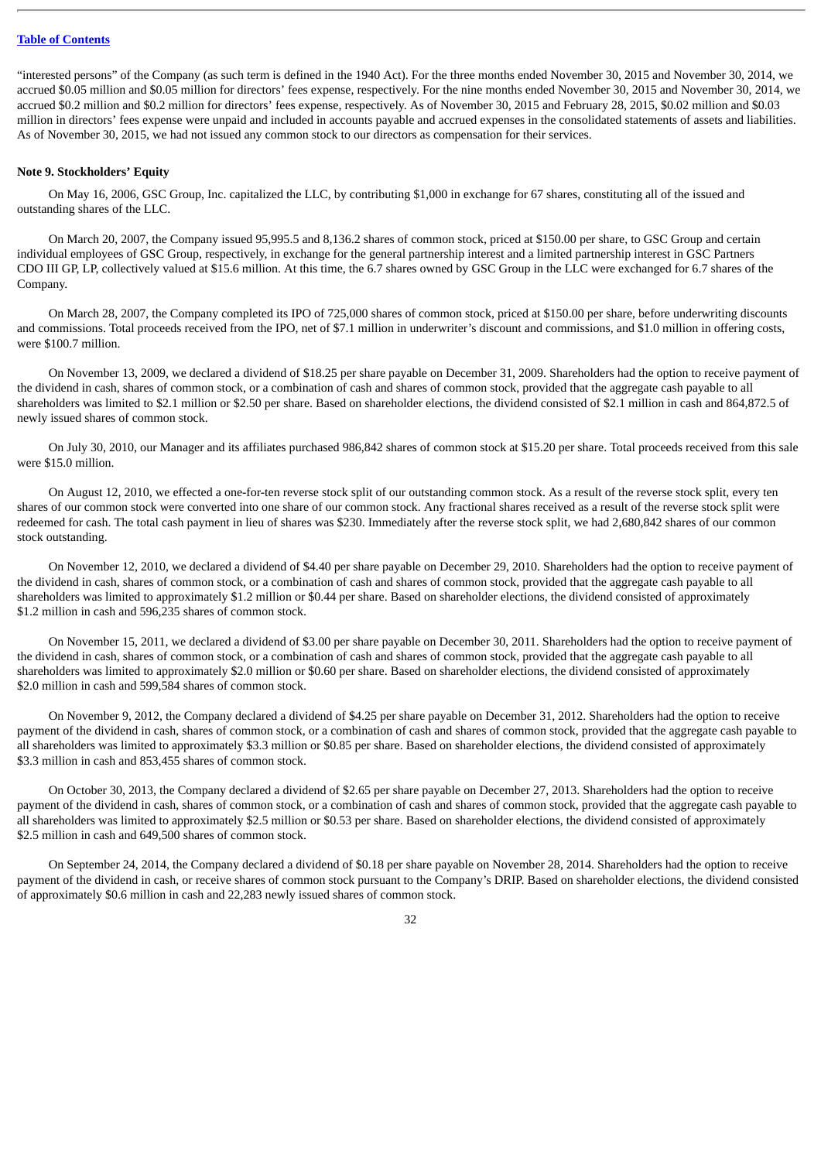"interested persons" of the Company (as such term is defined in the 1940 Act). For the three months ended November 30, 2015 and November 30, 2014, we accrued \$0.05 million and \$0.05 million for directors' fees expense, respectively. For the nine months ended November 30, 2015 and November 30, 2014, we accrued \$0.2 million and \$0.2 million for directors' fees expense, respectively. As of November 30, 2015 and February 28, 2015, \$0.02 million and \$0.03 million in directors' fees expense were unpaid and included in accounts payable and accrued expenses in the consolidated statements of assets and liabilities. As of November 30, 2015, we had not issued any common stock to our directors as compensation for their services.

#### **Note 9. Stockholders' Equity**

On May 16, 2006, GSC Group, Inc. capitalized the LLC, by contributing \$1,000 in exchange for 67 shares, constituting all of the issued and outstanding shares of the LLC.

On March 20, 2007, the Company issued 95,995.5 and 8,136.2 shares of common stock, priced at \$150.00 per share, to GSC Group and certain individual employees of GSC Group, respectively, in exchange for the general partnership interest and a limited partnership interest in GSC Partners CDO III GP, LP, collectively valued at \$15.6 million. At this time, the 6.7 shares owned by GSC Group in the LLC were exchanged for 6.7 shares of the Company.

On March 28, 2007, the Company completed its IPO of 725,000 shares of common stock, priced at \$150.00 per share, before underwriting discounts and commissions. Total proceeds received from the IPO, net of \$7.1 million in underwriter's discount and commissions, and \$1.0 million in offering costs, were \$100.7 million.

On November 13, 2009, we declared a dividend of \$18.25 per share payable on December 31, 2009. Shareholders had the option to receive payment of the dividend in cash, shares of common stock, or a combination of cash and shares of common stock, provided that the aggregate cash payable to all shareholders was limited to \$2.1 million or \$2.50 per share. Based on shareholder elections, the dividend consisted of \$2.1 million in cash and 864,872.5 of newly issued shares of common stock.

On July 30, 2010, our Manager and its affiliates purchased 986,842 shares of common stock at \$15.20 per share. Total proceeds received from this sale were \$15.0 million.

On August 12, 2010, we effected a one-for-ten reverse stock split of our outstanding common stock. As a result of the reverse stock split, every ten shares of our common stock were converted into one share of our common stock. Any fractional shares received as a result of the reverse stock split were redeemed for cash. The total cash payment in lieu of shares was \$230. Immediately after the reverse stock split, we had 2,680,842 shares of our common stock outstanding.

On November 12, 2010, we declared a dividend of \$4.40 per share payable on December 29, 2010. Shareholders had the option to receive payment of the dividend in cash, shares of common stock, or a combination of cash and shares of common stock, provided that the aggregate cash payable to all shareholders was limited to approximately \$1.2 million or \$0.44 per share. Based on shareholder elections, the dividend consisted of approximately \$1.2 million in cash and 596,235 shares of common stock.

On November 15, 2011, we declared a dividend of \$3.00 per share payable on December 30, 2011. Shareholders had the option to receive payment of the dividend in cash, shares of common stock, or a combination of cash and shares of common stock, provided that the aggregate cash payable to all shareholders was limited to approximately \$2.0 million or \$0.60 per share. Based on shareholder elections, the dividend consisted of approximately \$2.0 million in cash and 599,584 shares of common stock.

On November 9, 2012, the Company declared a dividend of \$4.25 per share payable on December 31, 2012. Shareholders had the option to receive payment of the dividend in cash, shares of common stock, or a combination of cash and shares of common stock, provided that the aggregate cash payable to all shareholders was limited to approximately \$3.3 million or \$0.85 per share. Based on shareholder elections, the dividend consisted of approximately \$3.3 million in cash and 853,455 shares of common stock.

On October 30, 2013, the Company declared a dividend of \$2.65 per share payable on December 27, 2013. Shareholders had the option to receive payment of the dividend in cash, shares of common stock, or a combination of cash and shares of common stock, provided that the aggregate cash payable to all shareholders was limited to approximately \$2.5 million or \$0.53 per share. Based on shareholder elections, the dividend consisted of approximately \$2.5 million in cash and 649,500 shares of common stock.

On September 24, 2014, the Company declared a dividend of \$0.18 per share payable on November 28, 2014. Shareholders had the option to receive payment of the dividend in cash, or receive shares of common stock pursuant to the Company's DRIP. Based on shareholder elections, the dividend consisted of approximately \$0.6 million in cash and 22,283 newly issued shares of common stock.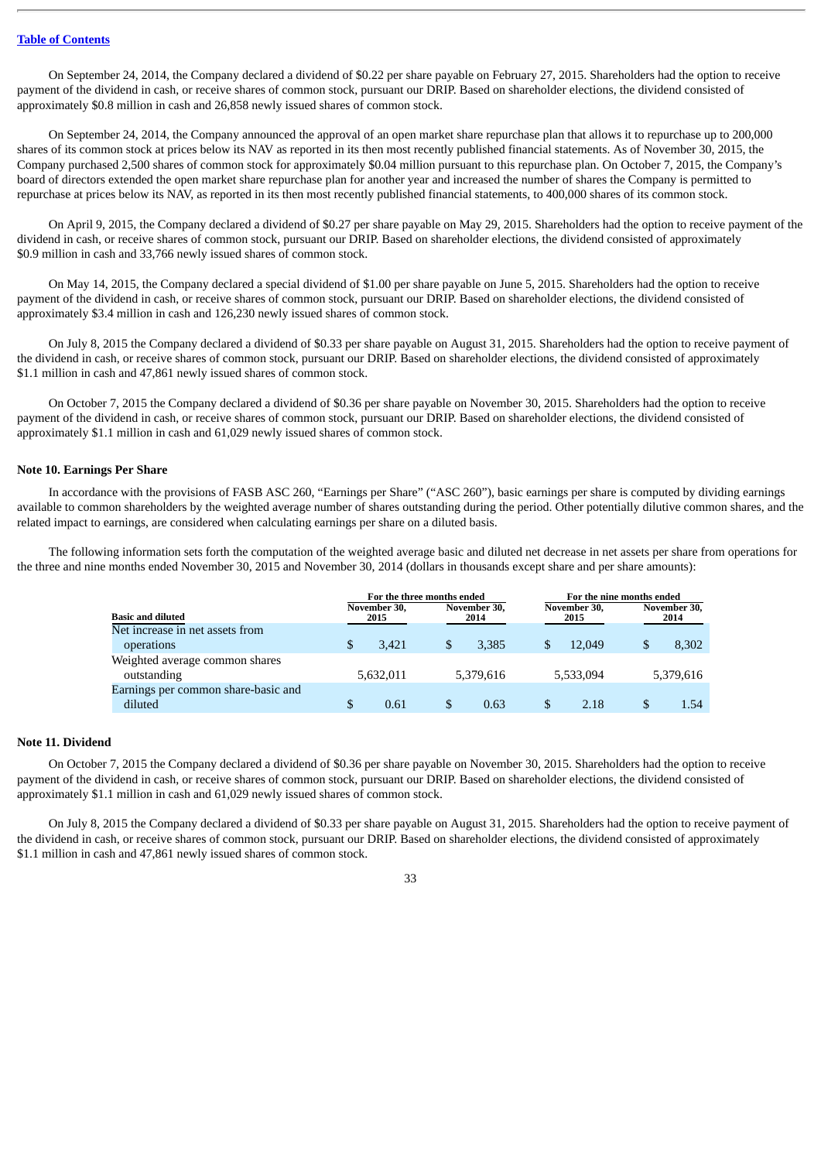On September 24, 2014, the Company declared a dividend of \$0.22 per share payable on February 27, 2015. Shareholders had the option to receive payment of the dividend in cash, or receive shares of common stock, pursuant our DRIP. Based on shareholder elections, the dividend consisted of approximately \$0.8 million in cash and 26,858 newly issued shares of common stock.

On September 24, 2014, the Company announced the approval of an open market share repurchase plan that allows it to repurchase up to 200,000 shares of its common stock at prices below its NAV as reported in its then most recently published financial statements. As of November 30, 2015, the Company purchased 2,500 shares of common stock for approximately \$0.04 million pursuant to this repurchase plan. On October 7, 2015, the Company's board of directors extended the open market share repurchase plan for another year and increased the number of shares the Company is permitted to repurchase at prices below its NAV, as reported in its then most recently published financial statements, to 400,000 shares of its common stock.

On April 9, 2015, the Company declared a dividend of \$0.27 per share payable on May 29, 2015. Shareholders had the option to receive payment of the dividend in cash, or receive shares of common stock, pursuant our DRIP. Based on shareholder elections, the dividend consisted of approximately \$0.9 million in cash and 33,766 newly issued shares of common stock.

On May 14, 2015, the Company declared a special dividend of \$1.00 per share payable on June 5, 2015. Shareholders had the option to receive payment of the dividend in cash, or receive shares of common stock, pursuant our DRIP. Based on shareholder elections, the dividend consisted of approximately \$3.4 million in cash and 126,230 newly issued shares of common stock.

On July 8, 2015 the Company declared a dividend of \$0.33 per share payable on August 31, 2015. Shareholders had the option to receive payment of the dividend in cash, or receive shares of common stock, pursuant our DRIP. Based on shareholder elections, the dividend consisted of approximately \$1.1 million in cash and 47,861 newly issued shares of common stock.

On October 7, 2015 the Company declared a dividend of \$0.36 per share payable on November 30, 2015. Shareholders had the option to receive payment of the dividend in cash, or receive shares of common stock, pursuant our DRIP. Based on shareholder elections, the dividend consisted of approximately \$1.1 million in cash and 61,029 newly issued shares of common stock.

#### **Note 10. Earnings Per Share**

In accordance with the provisions of FASB ASC 260, "Earnings per Share" ("ASC 260"), basic earnings per share is computed by dividing earnings available to common shareholders by the weighted average number of shares outstanding during the period. Other potentially dilutive common shares, and the related impact to earnings, are considered when calculating earnings per share on a diluted basis.

The following information sets forth the computation of the weighted average basic and diluted net decrease in net assets per share from operations for the three and nine months ended November 30, 2015 and November 30, 2014 (dollars in thousands except share and per share amounts):

|                                     | For the three months ended |                      |    | For the nine months ended |  |                      |  |                      |
|-------------------------------------|----------------------------|----------------------|----|---------------------------|--|----------------------|--|----------------------|
| <b>Basic and diluted</b>            |                            | November 30,<br>2015 |    | November 30.<br>2014      |  | November 30,<br>2015 |  | November 30,<br>2014 |
| Net increase in net assets from     |                            |                      |    |                           |  |                      |  |                      |
| operations                          | \$                         | 3.421                | \$ | 3.385                     |  | 12,049               |  | 8.302                |
| Weighted average common shares      |                            |                      |    |                           |  |                      |  |                      |
| outstanding                         |                            | 5,632,011            |    | 5,379,616                 |  | 5,533,094            |  | 5,379,616            |
| Earnings per common share-basic and |                            |                      |    |                           |  |                      |  |                      |
| diluted                             | \$                         | 0.61                 | \$ | 0.63                      |  | 2.18                 |  | 1.54                 |

#### **Note 11. Dividend**

On October 7, 2015 the Company declared a dividend of \$0.36 per share payable on November 30, 2015. Shareholders had the option to receive payment of the dividend in cash, or receive shares of common stock, pursuant our DRIP. Based on shareholder elections, the dividend consisted of approximately \$1.1 million in cash and 61,029 newly issued shares of common stock.

On July 8, 2015 the Company declared a dividend of \$0.33 per share payable on August 31, 2015. Shareholders had the option to receive payment of the dividend in cash, or receive shares of common stock, pursuant our DRIP. Based on shareholder elections, the dividend consisted of approximately \$1.1 million in cash and 47,861 newly issued shares of common stock.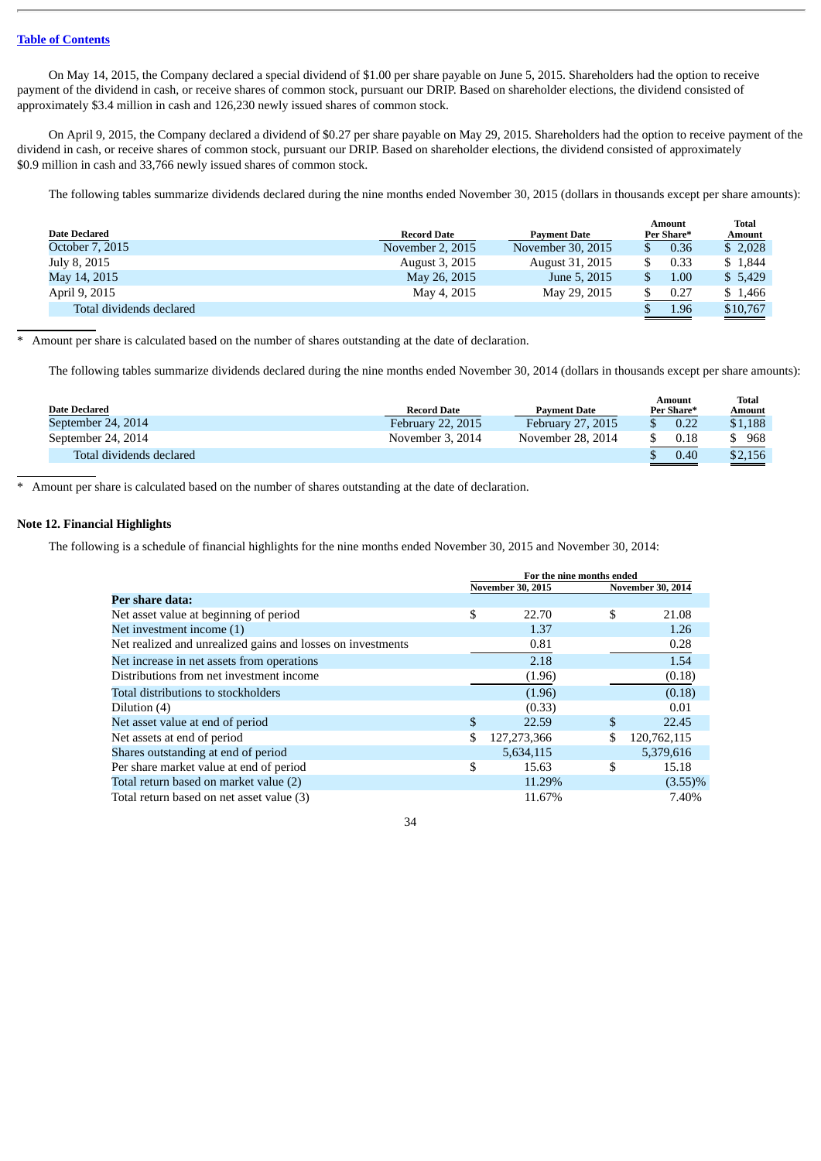On May 14, 2015, the Company declared a special dividend of \$1.00 per share payable on June 5, 2015. Shareholders had the option to receive payment of the dividend in cash, or receive shares of common stock, pursuant our DRIP. Based on shareholder elections, the dividend consisted of approximately \$3.4 million in cash and 126,230 newly issued shares of common stock.

On April 9, 2015, the Company declared a dividend of \$0.27 per share payable on May 29, 2015. Shareholders had the option to receive payment of the dividend in cash, or receive shares of common stock, pursuant our DRIP. Based on shareholder elections, the dividend consisted of approximately \$0.9 million in cash and 33,766 newly issued shares of common stock.

The following tables summarize dividends declared during the nine months ended November 30, 2015 (dollars in thousands except per share amounts):

| <b>Date Declared</b>     | <b>Record Date</b> | <b>Payment Date</b> | Amount<br>Per Share* | <b>Total</b><br>Amount |
|--------------------------|--------------------|---------------------|----------------------|------------------------|
| October 7, 2015          | November 2, 2015   | November 30, 2015   | 0.36                 | \$2,028                |
| July 8, 2015             | August 3, 2015     | August 31, 2015     | 0.33                 | \$1,844                |
| May 14, 2015             | May 26, 2015       | June 5, 2015        | 1.00 <sub>1</sub>    | \$5,429                |
| April 9, 2015            | May 4, 2015        | May 29, 2015        | 0.27                 | \$1,466                |
| Total dividends declared |                    |                     | 1.96                 | \$10,767               |

Amount per share is calculated based on the number of shares outstanding at the date of declaration.

The following tables summarize dividends declared during the nine months ended November 30, 2014 (dollars in thousands except per share amounts):

| <b>Record Date</b> | <b>Payment Date</b>      | Amount<br>Per Share* | Total<br>Amount |
|--------------------|--------------------------|----------------------|-----------------|
| February 22, 2015  | <b>February 27, 2015</b> | 0.22                 | \$1,188         |
| November 3, 2014   | November 28, 2014        | 0.18                 | 968             |
|                    |                          | 0.40                 | \$2,156<br>____ |
|                    |                          |                      |                 |

Amount per share is calculated based on the number of shares outstanding at the date of declaration.

#### **Note 12. Financial Highlights**

The following is a schedule of financial highlights for the nine months ended November 30, 2015 and November 30, 2014:

|                                                             | For the nine months ended |             |     |                          |
|-------------------------------------------------------------|---------------------------|-------------|-----|--------------------------|
|                                                             | <b>November 30, 2015</b>  |             |     | <b>November 30, 2014</b> |
| Per share data:                                             |                           |             |     |                          |
| Net asset value at beginning of period                      | \$                        | 22.70       | \$  | 21.08                    |
| Net investment income (1)                                   |                           | 1.37        |     | 1.26                     |
| Net realized and unrealized gains and losses on investments |                           | 0.81        |     | 0.28                     |
| Net increase in net assets from operations                  |                           | 2.18        |     | 1.54                     |
| Distributions from net investment income                    |                           | (1.96)      |     | (0.18)                   |
| Total distributions to stockholders                         |                           | (1.96)      |     | (0.18)                   |
| Dilution $(4)$                                              |                           | (0.33)      |     | 0.01                     |
| Net asset value at end of period                            | \$                        | 22.59       | \$. | 22.45                    |
| Net assets at end of period                                 | \$                        | 127,273,366 | \$  | 120,762,115              |
| Shares outstanding at end of period                         |                           | 5,634,115   |     | 5,379,616                |
| Per share market value at end of period                     | \$                        | 15.63       | \$. | 15.18                    |
| Total return based on market value (2)                      |                           | 11.29%      |     | $(3.55)\%$               |
| Total return based on net asset value (3)                   |                           | 11.67%      |     | 7.40%                    |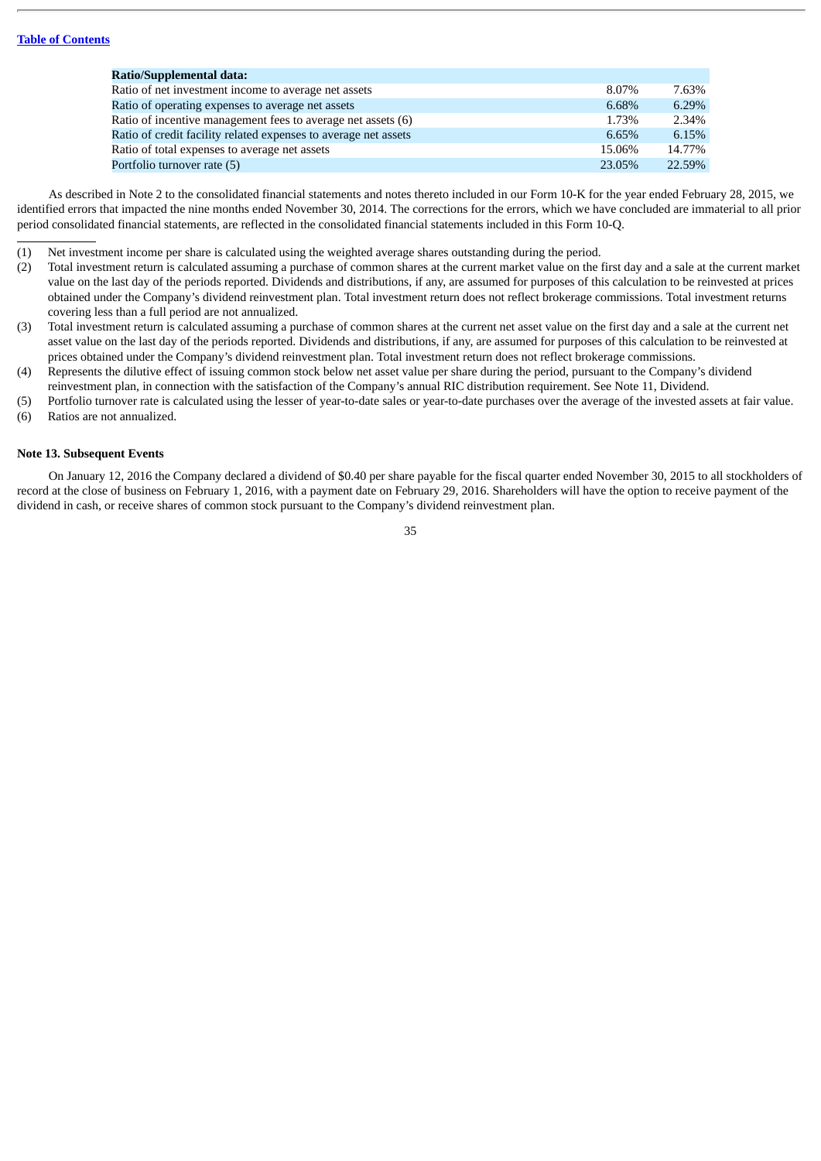| Ratio/Supplemental data:                                        |        |        |
|-----------------------------------------------------------------|--------|--------|
| Ratio of net investment income to average net assets            | 8.07%  | 7.63%  |
| Ratio of operating expenses to average net assets               | 6.68%  | 6.29%  |
| Ratio of incentive management fees to average net assets (6)    | 1.73%  | 2.34%  |
| Ratio of credit facility related expenses to average net assets | 6.65%  | 6.15%  |
| Ratio of total expenses to average net assets                   | 15.06% | 14.77% |
| Portfolio turnover rate (5)                                     | 23.05% | 22.59% |

As described in Note 2 to the consolidated financial statements and notes thereto included in our Form 10-K for the year ended February 28, 2015, we identified errors that impacted the nine months ended November 30, 2014. The corrections for the errors, which we have concluded are immaterial to all prior period consolidated financial statements, are reflected in the consolidated financial statements included in this Form 10-Q.

- (1) Net investment income per share is calculated using the weighted average shares outstanding during the period.
- (2) Total investment return is calculated assuming a purchase of common shares at the current market value on the first day and a sale at the current market value on the last day of the periods reported. Dividends and distributions, if any, are assumed for purposes of this calculation to be reinvested at prices obtained under the Company's dividend reinvestment plan. Total investment return does not reflect brokerage commissions. Total investment returns covering less than a full period are not annualized.
- (3) Total investment return is calculated assuming a purchase of common shares at the current net asset value on the first day and a sale at the current net asset value on the last day of the periods reported. Dividends and distributions, if any, are assumed for purposes of this calculation to be reinvested at prices obtained under the Company's dividend reinvestment plan. Total investment return does not reflect brokerage commissions.
- (4) Represents the dilutive effect of issuing common stock below net asset value per share during the period, pursuant to the Company's dividend reinvestment plan, in connection with the satisfaction of the Company's annual RIC distribution requirement. See Note 11, Dividend.
- (5) Portfolio turnover rate is calculated using the lesser of year-to-date sales or year-to-date purchases over the average of the invested assets at fair value.
- (6) Ratios are not annualized.

#### **Note 13. Subsequent Events**

On January 12, 2016 the Company declared a dividend of \$0.40 per share payable for the fiscal quarter ended November 30, 2015 to all stockholders of record at the close of business on February 1, 2016, with a payment date on February 29, 2016. Shareholders will have the option to receive payment of the dividend in cash, or receive shares of common stock pursuant to the Company's dividend reinvestment plan.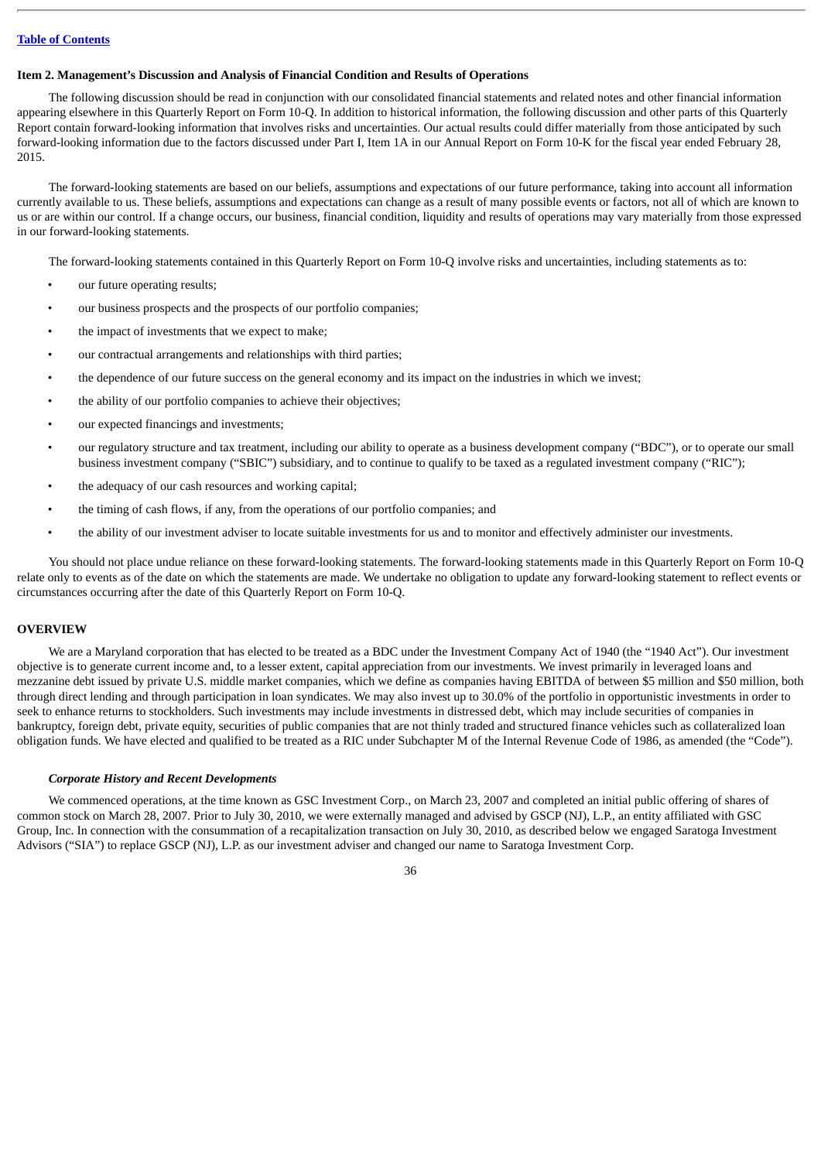#### <span id="page-40-0"></span>**Item 2. Management's Discussion and Analysis of Financial Condition and Results of Operations**

The following discussion should be read in conjunction with our consolidated financial statements and related notes and other financial information appearing elsewhere in this Quarterly Report on Form 10-Q. In addition to historical information, the following discussion and other parts of this Quarterly Report contain forward-looking information that involves risks and uncertainties. Our actual results could differ materially from those anticipated by such forward-looking information due to the factors discussed under Part I, Item 1A in our Annual Report on Form 10-K for the fiscal year ended February 28, 2015.

The forward-looking statements are based on our beliefs, assumptions and expectations of our future performance, taking into account all information currently available to us. These beliefs, assumptions and expectations can change as a result of many possible events or factors, not all of which are known to us or are within our control. If a change occurs, our business, financial condition, liquidity and results of operations may vary materially from those expressed in our forward-looking statements.

The forward-looking statements contained in this Quarterly Report on Form 10-Q involve risks and uncertainties, including statements as to:

- our future operating results;
- our business prospects and the prospects of our portfolio companies;
- the impact of investments that we expect to make;
- our contractual arrangements and relationships with third parties;
- the dependence of our future success on the general economy and its impact on the industries in which we invest;
- the ability of our portfolio companies to achieve their objectives;
- our expected financings and investments;
- our regulatory structure and tax treatment, including our ability to operate as a business development company ("BDC"), or to operate our small business investment company ("SBIC") subsidiary, and to continue to qualify to be taxed as a regulated investment company ("RIC");
- the adequacy of our cash resources and working capital;
- the timing of cash flows, if any, from the operations of our portfolio companies; and
- the ability of our investment adviser to locate suitable investments for us and to monitor and effectively administer our investments.

You should not place undue reliance on these forward-looking statements. The forward-looking statements made in this Quarterly Report on Form 10-Q relate only to events as of the date on which the statements are made. We undertake no obligation to update any forward-looking statement to reflect events or circumstances occurring after the date of this Quarterly Report on Form 10-Q.

#### **OVERVIEW**

We are a Maryland corporation that has elected to be treated as a BDC under the Investment Company Act of 1940 (the "1940 Act"). Our investment objective is to generate current income and, to a lesser extent, capital appreciation from our investments. We invest primarily in leveraged loans and mezzanine debt issued by private U.S. middle market companies, which we define as companies having EBITDA of between \$5 million and \$50 million, both through direct lending and through participation in loan syndicates. We may also invest up to 30.0% of the portfolio in opportunistic investments in order to seek to enhance returns to stockholders. Such investments may include investments in distressed debt, which may include securities of companies in bankruptcy, foreign debt, private equity, securities of public companies that are not thinly traded and structured finance vehicles such as collateralized loan obligation funds. We have elected and qualified to be treated as a RIC under Subchapter M of the Internal Revenue Code of 1986, as amended (the "Code").

#### *Corporate History and Recent Developments*

We commenced operations, at the time known as GSC Investment Corp., on March 23, 2007 and completed an initial public offering of shares of common stock on March 28, 2007. Prior to July 30, 2010, we were externally managed and advised by GSCP (NJ), L.P., an entity affiliated with GSC Group, Inc. In connection with the consummation of a recapitalization transaction on July 30, 2010, as described below we engaged Saratoga Investment Advisors ("SIA") to replace GSCP (NJ), L.P. as our investment adviser and changed our name to Saratoga Investment Corp.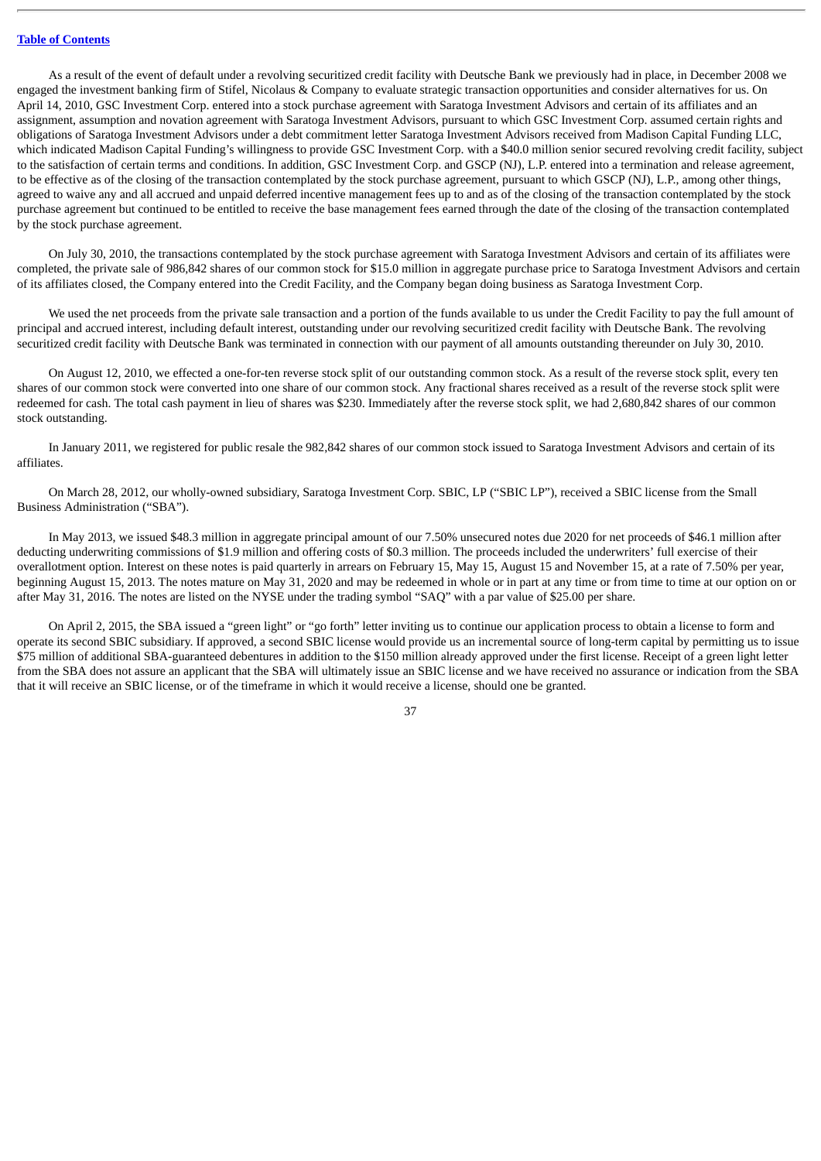As a result of the event of default under a revolving securitized credit facility with Deutsche Bank we previously had in place, in December 2008 we engaged the investment banking firm of Stifel, Nicolaus & Company to evaluate strategic transaction opportunities and consider alternatives for us. On April 14, 2010, GSC Investment Corp. entered into a stock purchase agreement with Saratoga Investment Advisors and certain of its affiliates and an assignment, assumption and novation agreement with Saratoga Investment Advisors, pursuant to which GSC Investment Corp. assumed certain rights and obligations of Saratoga Investment Advisors under a debt commitment letter Saratoga Investment Advisors received from Madison Capital Funding LLC, which indicated Madison Capital Funding's willingness to provide GSC Investment Corp. with a \$40.0 million senior secured revolving credit facility, subject to the satisfaction of certain terms and conditions. In addition, GSC Investment Corp. and GSCP (NJ), L.P. entered into a termination and release agreement, to be effective as of the closing of the transaction contemplated by the stock purchase agreement, pursuant to which GSCP (NJ), L.P., among other things, agreed to waive any and all accrued and unpaid deferred incentive management fees up to and as of the closing of the transaction contemplated by the stock purchase agreement but continued to be entitled to receive the base management fees earned through the date of the closing of the transaction contemplated by the stock purchase agreement.

On July 30, 2010, the transactions contemplated by the stock purchase agreement with Saratoga Investment Advisors and certain of its affiliates were completed, the private sale of 986,842 shares of our common stock for \$15.0 million in aggregate purchase price to Saratoga Investment Advisors and certain of its affiliates closed, the Company entered into the Credit Facility, and the Company began doing business as Saratoga Investment Corp.

We used the net proceeds from the private sale transaction and a portion of the funds available to us under the Credit Facility to pay the full amount of principal and accrued interest, including default interest, outstanding under our revolving securitized credit facility with Deutsche Bank. The revolving securitized credit facility with Deutsche Bank was terminated in connection with our payment of all amounts outstanding thereunder on July 30, 2010.

On August 12, 2010, we effected a one-for-ten reverse stock split of our outstanding common stock. As a result of the reverse stock split, every ten shares of our common stock were converted into one share of our common stock. Any fractional shares received as a result of the reverse stock split were redeemed for cash. The total cash payment in lieu of shares was \$230. Immediately after the reverse stock split, we had 2,680,842 shares of our common stock outstanding.

In January 2011, we registered for public resale the 982,842 shares of our common stock issued to Saratoga Investment Advisors and certain of its affiliates.

On March 28, 2012, our wholly-owned subsidiary, Saratoga Investment Corp. SBIC, LP ("SBIC LP"), received a SBIC license from the Small Business Administration ("SBA").

In May 2013, we issued \$48.3 million in aggregate principal amount of our 7.50% unsecured notes due 2020 for net proceeds of \$46.1 million after deducting underwriting commissions of \$1.9 million and offering costs of \$0.3 million. The proceeds included the underwriters' full exercise of their overallotment option. Interest on these notes is paid quarterly in arrears on February 15, May 15, August 15 and November 15, at a rate of 7.50% per year, beginning August 15, 2013. The notes mature on May 31, 2020 and may be redeemed in whole or in part at any time or from time to time at our option on or after May 31, 2016. The notes are listed on the NYSE under the trading symbol "SAQ" with a par value of \$25.00 per share.

On April 2, 2015, the SBA issued a "green light" or "go forth" letter inviting us to continue our application process to obtain a license to form and operate its second SBIC subsidiary. If approved, a second SBIC license would provide us an incremental source of long-term capital by permitting us to issue \$75 million of additional SBA-guaranteed debentures in addition to the \$150 million already approved under the first license. Receipt of a green light letter from the SBA does not assure an applicant that the SBA will ultimately issue an SBIC license and we have received no assurance or indication from the SBA that it will receive an SBIC license, or of the timeframe in which it would receive a license, should one be granted.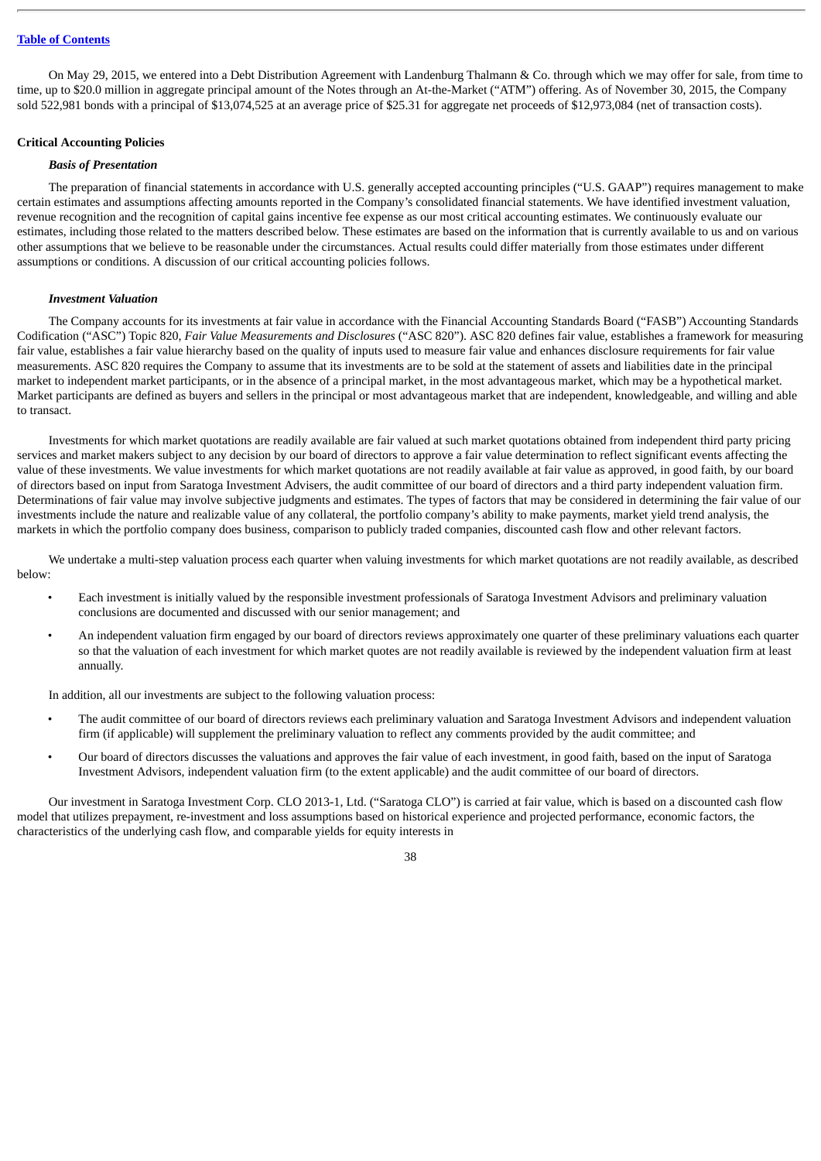On May 29, 2015, we entered into a Debt Distribution Agreement with Landenburg Thalmann & Co. through which we may offer for sale, from time to time, up to \$20.0 million in aggregate principal amount of the Notes through an At-the-Market ("ATM") offering. As of November 30, 2015, the Company sold 522,981 bonds with a principal of \$13,074,525 at an average price of \$25.31 for aggregate net proceeds of \$12,973,084 (net of transaction costs).

#### **Critical Accounting Policies**

#### *Basis of Presentation*

The preparation of financial statements in accordance with U.S. generally accepted accounting principles ("U.S. GAAP") requires management to make certain estimates and assumptions affecting amounts reported in the Company's consolidated financial statements. We have identified investment valuation, revenue recognition and the recognition of capital gains incentive fee expense as our most critical accounting estimates. We continuously evaluate our estimates, including those related to the matters described below. These estimates are based on the information that is currently available to us and on various other assumptions that we believe to be reasonable under the circumstances. Actual results could differ materially from those estimates under different assumptions or conditions. A discussion of our critical accounting policies follows.

#### *Investment Valuation*

The Company accounts for its investments at fair value in accordance with the Financial Accounting Standards Board ("FASB") Accounting Standards Codification ("ASC") Topic 820, *Fair Value Measurements and Disclosures* ("ASC 820"). ASC 820 defines fair value, establishes a framework for measuring fair value, establishes a fair value hierarchy based on the quality of inputs used to measure fair value and enhances disclosure requirements for fair value measurements. ASC 820 requires the Company to assume that its investments are to be sold at the statement of assets and liabilities date in the principal market to independent market participants, or in the absence of a principal market, in the most advantageous market, which may be a hypothetical market. Market participants are defined as buyers and sellers in the principal or most advantageous market that are independent, knowledgeable, and willing and able to transact.

Investments for which market quotations are readily available are fair valued at such market quotations obtained from independent third party pricing services and market makers subject to any decision by our board of directors to approve a fair value determination to reflect significant events affecting the value of these investments. We value investments for which market quotations are not readily available at fair value as approved, in good faith, by our board of directors based on input from Saratoga Investment Advisers, the audit committee of our board of directors and a third party independent valuation firm. Determinations of fair value may involve subjective judgments and estimates. The types of factors that may be considered in determining the fair value of our investments include the nature and realizable value of any collateral, the portfolio company's ability to make payments, market yield trend analysis, the markets in which the portfolio company does business, comparison to publicly traded companies, discounted cash flow and other relevant factors.

We undertake a multi-step valuation process each quarter when valuing investments for which market quotations are not readily available, as described below:

- Each investment is initially valued by the responsible investment professionals of Saratoga Investment Advisors and preliminary valuation conclusions are documented and discussed with our senior management; and
- An independent valuation firm engaged by our board of directors reviews approximately one quarter of these preliminary valuations each quarter so that the valuation of each investment for which market quotes are not readily available is reviewed by the independent valuation firm at least annually.

In addition, all our investments are subject to the following valuation process:

- The audit committee of our board of directors reviews each preliminary valuation and Saratoga Investment Advisors and independent valuation firm (if applicable) will supplement the preliminary valuation to reflect any comments provided by the audit committee; and
- Our board of directors discusses the valuations and approves the fair value of each investment, in good faith, based on the input of Saratoga Investment Advisors, independent valuation firm (to the extent applicable) and the audit committee of our board of directors.

Our investment in Saratoga Investment Corp. CLO 2013-1, Ltd. ("Saratoga CLO") is carried at fair value, which is based on a discounted cash flow model that utilizes prepayment, re-investment and loss assumptions based on historical experience and projected performance, economic factors, the characteristics of the underlying cash flow, and comparable yields for equity interests in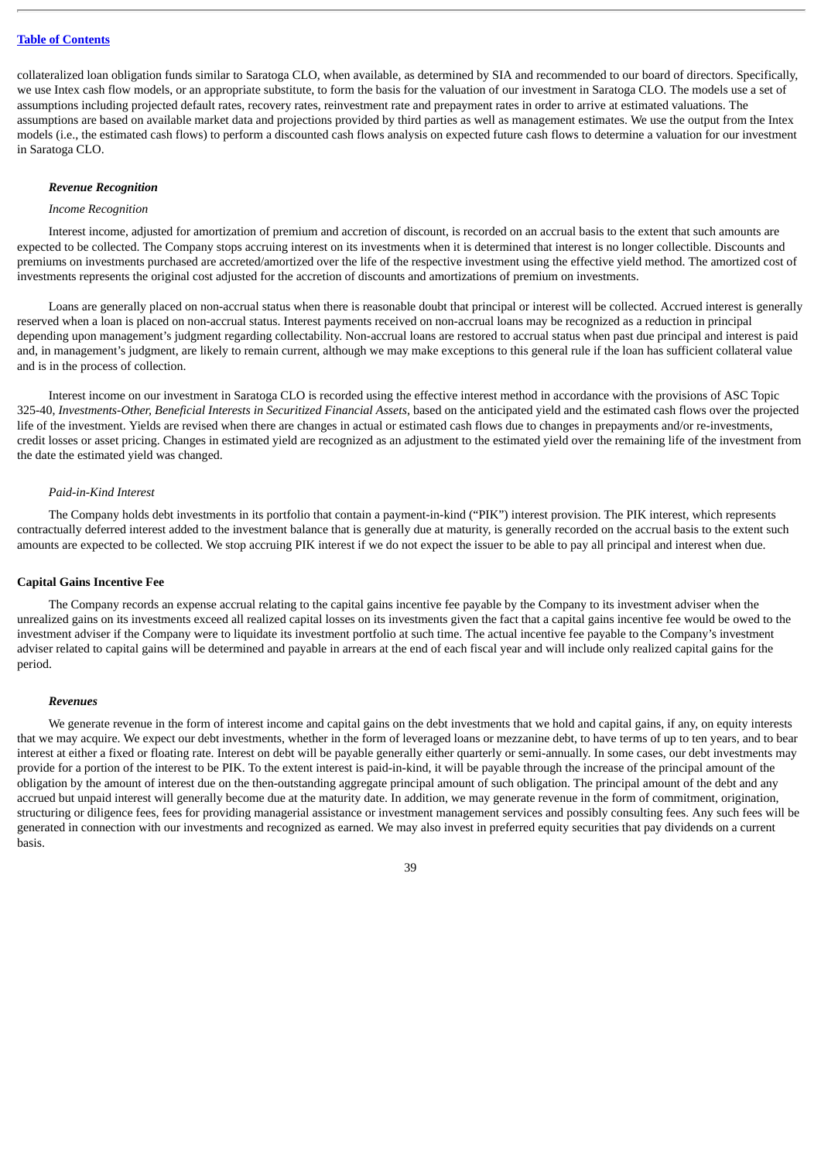collateralized loan obligation funds similar to Saratoga CLO, when available, as determined by SIA and recommended to our board of directors. Specifically, we use Intex cash flow models, or an appropriate substitute, to form the basis for the valuation of our investment in Saratoga CLO. The models use a set of assumptions including projected default rates, recovery rates, reinvestment rate and prepayment rates in order to arrive at estimated valuations. The assumptions are based on available market data and projections provided by third parties as well as management estimates. We use the output from the Intex models (i.e., the estimated cash flows) to perform a discounted cash flows analysis on expected future cash flows to determine a valuation for our investment in Saratoga CLO.

#### *Revenue Recognition*

#### *Income Recognition*

Interest income, adjusted for amortization of premium and accretion of discount, is recorded on an accrual basis to the extent that such amounts are expected to be collected. The Company stops accruing interest on its investments when it is determined that interest is no longer collectible. Discounts and premiums on investments purchased are accreted/amortized over the life of the respective investment using the effective yield method. The amortized cost of investments represents the original cost adjusted for the accretion of discounts and amortizations of premium on investments.

Loans are generally placed on non-accrual status when there is reasonable doubt that principal or interest will be collected. Accrued interest is generally reserved when a loan is placed on non-accrual status. Interest payments received on non-accrual loans may be recognized as a reduction in principal depending upon management's judgment regarding collectability. Non-accrual loans are restored to accrual status when past due principal and interest is paid and, in management's judgment, are likely to remain current, although we may make exceptions to this general rule if the loan has sufficient collateral value and is in the process of collection.

Interest income on our investment in Saratoga CLO is recorded using the effective interest method in accordance with the provisions of ASC Topic 325-40, *Investments-Other, Beneficial Interests in Securitized Financial Assets*, based on the anticipated yield and the estimated cash flows over the projected life of the investment. Yields are revised when there are changes in actual or estimated cash flows due to changes in prepayments and/or re-investments, credit losses or asset pricing. Changes in estimated yield are recognized as an adjustment to the estimated yield over the remaining life of the investment from the date the estimated yield was changed.

#### *Paid-in-Kind Interest*

The Company holds debt investments in its portfolio that contain a payment-in-kind ("PIK") interest provision. The PIK interest, which represents contractually deferred interest added to the investment balance that is generally due at maturity, is generally recorded on the accrual basis to the extent such amounts are expected to be collected. We stop accruing PIK interest if we do not expect the issuer to be able to pay all principal and interest when due.

#### **Capital Gains Incentive Fee**

The Company records an expense accrual relating to the capital gains incentive fee payable by the Company to its investment adviser when the unrealized gains on its investments exceed all realized capital losses on its investments given the fact that a capital gains incentive fee would be owed to the investment adviser if the Company were to liquidate its investment portfolio at such time. The actual incentive fee payable to the Company's investment adviser related to capital gains will be determined and payable in arrears at the end of each fiscal year and will include only realized capital gains for the period.

#### *Revenues*

We generate revenue in the form of interest income and capital gains on the debt investments that we hold and capital gains, if any, on equity interests that we may acquire. We expect our debt investments, whether in the form of leveraged loans or mezzanine debt, to have terms of up to ten years, and to bear interest at either a fixed or floating rate. Interest on debt will be payable generally either quarterly or semi-annually. In some cases, our debt investments may provide for a portion of the interest to be PIK. To the extent interest is paid-in-kind, it will be payable through the increase of the principal amount of the obligation by the amount of interest due on the then-outstanding aggregate principal amount of such obligation. The principal amount of the debt and any accrued but unpaid interest will generally become due at the maturity date. In addition, we may generate revenue in the form of commitment, origination, structuring or diligence fees, fees for providing managerial assistance or investment management services and possibly consulting fees. Any such fees will be generated in connection with our investments and recognized as earned. We may also invest in preferred equity securities that pay dividends on a current basis.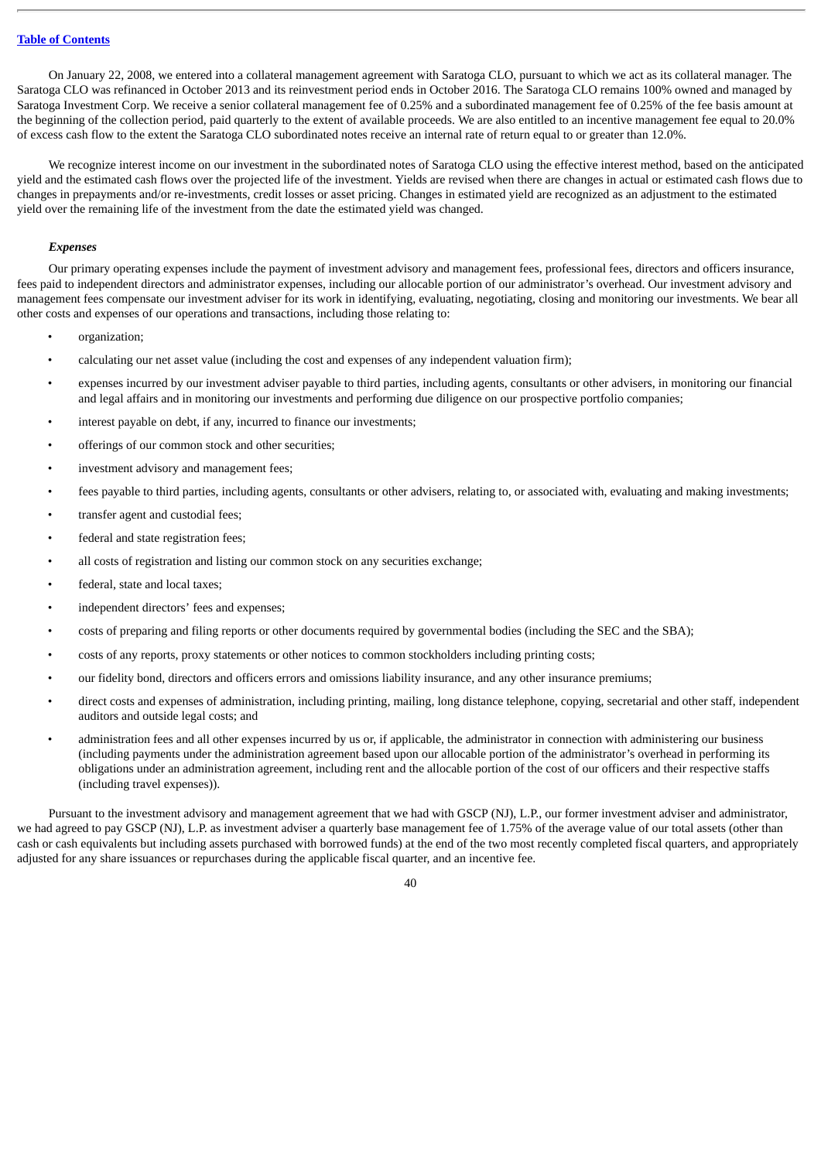On January 22, 2008, we entered into a collateral management agreement with Saratoga CLO, pursuant to which we act as its collateral manager. The Saratoga CLO was refinanced in October 2013 and its reinvestment period ends in October 2016. The Saratoga CLO remains 100% owned and managed by Saratoga Investment Corp. We receive a senior collateral management fee of 0.25% and a subordinated management fee of 0.25% of the fee basis amount at the beginning of the collection period, paid quarterly to the extent of available proceeds. We are also entitled to an incentive management fee equal to 20.0% of excess cash flow to the extent the Saratoga CLO subordinated notes receive an internal rate of return equal to or greater than 12.0%.

We recognize interest income on our investment in the subordinated notes of Saratoga CLO using the effective interest method, based on the anticipated yield and the estimated cash flows over the projected life of the investment. Yields are revised when there are changes in actual or estimated cash flows due to changes in prepayments and/or re-investments, credit losses or asset pricing. Changes in estimated yield are recognized as an adjustment to the estimated yield over the remaining life of the investment from the date the estimated yield was changed.

#### *Expenses*

Our primary operating expenses include the payment of investment advisory and management fees, professional fees, directors and officers insurance, fees paid to independent directors and administrator expenses, including our allocable portion of our administrator's overhead. Our investment advisory and management fees compensate our investment adviser for its work in identifying, evaluating, negotiating, closing and monitoring our investments. We bear all other costs and expenses of our operations and transactions, including those relating to:

- organization;
- calculating our net asset value (including the cost and expenses of any independent valuation firm);
- expenses incurred by our investment adviser payable to third parties, including agents, consultants or other advisers, in monitoring our financial and legal affairs and in monitoring our investments and performing due diligence on our prospective portfolio companies;
- interest payable on debt, if any, incurred to finance our investments;
- offerings of our common stock and other securities;
- investment advisory and management fees;
- fees payable to third parties, including agents, consultants or other advisers, relating to, or associated with, evaluating and making investments;
- transfer agent and custodial fees;
- federal and state registration fees;
- all costs of registration and listing our common stock on any securities exchange;
- federal, state and local taxes;
- independent directors' fees and expenses;
- costs of preparing and filing reports or other documents required by governmental bodies (including the SEC and the SBA);
- costs of any reports, proxy statements or other notices to common stockholders including printing costs;
- our fidelity bond, directors and officers errors and omissions liability insurance, and any other insurance premiums;
- direct costs and expenses of administration, including printing, mailing, long distance telephone, copying, secretarial and other staff, independent auditors and outside legal costs; and
- administration fees and all other expenses incurred by us or, if applicable, the administrator in connection with administering our business (including payments under the administration agreement based upon our allocable portion of the administrator's overhead in performing its obligations under an administration agreement, including rent and the allocable portion of the cost of our officers and their respective staffs (including travel expenses)).

Pursuant to the investment advisory and management agreement that we had with GSCP (NJ), L.P., our former investment adviser and administrator, we had agreed to pay GSCP (NJ), L.P. as investment adviser a quarterly base management fee of 1.75% of the average value of our total assets (other than cash or cash equivalents but including assets purchased with borrowed funds) at the end of the two most recently completed fiscal quarters, and appropriately adjusted for any share issuances or repurchases during the applicable fiscal quarter, and an incentive fee.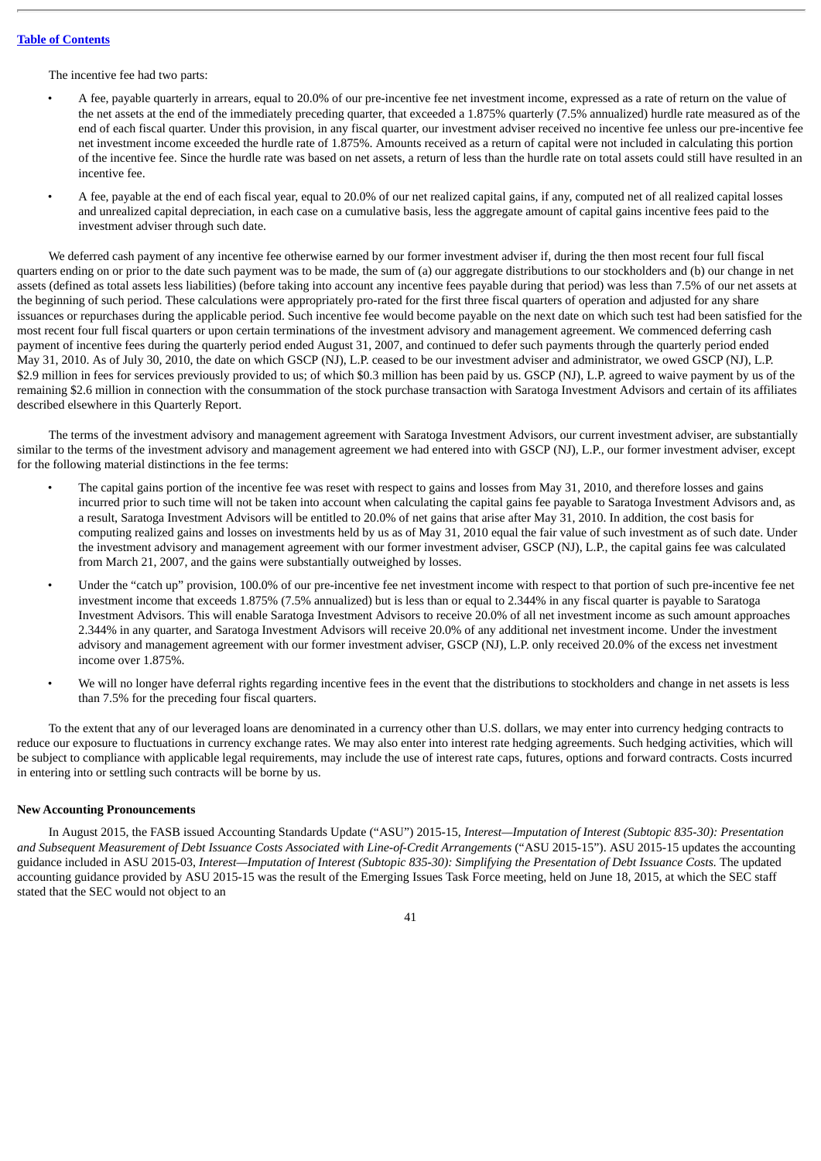The incentive fee had two parts:

- A fee, payable quarterly in arrears, equal to 20.0% of our pre-incentive fee net investment income, expressed as a rate of return on the value of the net assets at the end of the immediately preceding quarter, that exceeded a 1.875% quarterly (7.5% annualized) hurdle rate measured as of the end of each fiscal quarter. Under this provision, in any fiscal quarter, our investment adviser received no incentive fee unless our pre-incentive fee net investment income exceeded the hurdle rate of 1.875%. Amounts received as a return of capital were not included in calculating this portion of the incentive fee. Since the hurdle rate was based on net assets, a return of less than the hurdle rate on total assets could still have resulted in an incentive fee.
- A fee, payable at the end of each fiscal year, equal to 20.0% of our net realized capital gains, if any, computed net of all realized capital losses and unrealized capital depreciation, in each case on a cumulative basis, less the aggregate amount of capital gains incentive fees paid to the investment adviser through such date.

We deferred cash payment of any incentive fee otherwise earned by our former investment adviser if, during the then most recent four full fiscal quarters ending on or prior to the date such payment was to be made, the sum of (a) our aggregate distributions to our stockholders and (b) our change in net assets (defined as total assets less liabilities) (before taking into account any incentive fees payable during that period) was less than 7.5% of our net assets at the beginning of such period. These calculations were appropriately pro-rated for the first three fiscal quarters of operation and adjusted for any share issuances or repurchases during the applicable period. Such incentive fee would become payable on the next date on which such test had been satisfied for the most recent four full fiscal quarters or upon certain terminations of the investment advisory and management agreement. We commenced deferring cash payment of incentive fees during the quarterly period ended August 31, 2007, and continued to defer such payments through the quarterly period ended May 31, 2010. As of July 30, 2010, the date on which GSCP (NJ), L.P. ceased to be our investment adviser and administrator, we owed GSCP (NJ), L.P. \$2.9 million in fees for services previously provided to us; of which \$0.3 million has been paid by us. GSCP (NJ), L.P. agreed to waive payment by us of the remaining \$2.6 million in connection with the consummation of the stock purchase transaction with Saratoga Investment Advisors and certain of its affiliates described elsewhere in this Quarterly Report.

The terms of the investment advisory and management agreement with Saratoga Investment Advisors, our current investment adviser, are substantially similar to the terms of the investment advisory and management agreement we had entered into with GSCP (NJ), L.P., our former investment adviser, except for the following material distinctions in the fee terms:

- The capital gains portion of the incentive fee was reset with respect to gains and losses from May 31, 2010, and therefore losses and gains incurred prior to such time will not be taken into account when calculating the capital gains fee payable to Saratoga Investment Advisors and, as a result, Saratoga Investment Advisors will be entitled to 20.0% of net gains that arise after May 31, 2010. In addition, the cost basis for computing realized gains and losses on investments held by us as of May 31, 2010 equal the fair value of such investment as of such date. Under the investment advisory and management agreement with our former investment adviser, GSCP (NJ), L.P., the capital gains fee was calculated from March 21, 2007, and the gains were substantially outweighed by losses.
- Under the "catch up" provision, 100.0% of our pre-incentive fee net investment income with respect to that portion of such pre-incentive fee net investment income that exceeds 1.875% (7.5% annualized) but is less than or equal to 2.344% in any fiscal quarter is payable to Saratoga Investment Advisors. This will enable Saratoga Investment Advisors to receive 20.0% of all net investment income as such amount approaches 2.344% in any quarter, and Saratoga Investment Advisors will receive 20.0% of any additional net investment income. Under the investment advisory and management agreement with our former investment adviser, GSCP (NJ), L.P. only received 20.0% of the excess net investment income over 1.875%.
- We will no longer have deferral rights regarding incentive fees in the event that the distributions to stockholders and change in net assets is less than 7.5% for the preceding four fiscal quarters.

To the extent that any of our leveraged loans are denominated in a currency other than U.S. dollars, we may enter into currency hedging contracts to reduce our exposure to fluctuations in currency exchange rates. We may also enter into interest rate hedging agreements. Such hedging activities, which will be subject to compliance with applicable legal requirements, may include the use of interest rate caps, futures, options and forward contracts. Costs incurred in entering into or settling such contracts will be borne by us.

#### **New Accounting Pronouncements**

In August 2015, the FASB issued Accounting Standards Update ("ASU") 2015-15, *Interest—Imputation of Interest (Subtopic 835-30): Presentation and Subsequent Measurement of Debt Issuance Costs Associated with Line-of-Credit Arrangements* ("ASU 2015-15"). ASU 2015-15 updates the accounting guidance included in ASU 2015-03, Interest—Imputation of Interest (Subtopic 835-30): Simplifying the Presentation of Debt Issuance Costs. The updated accounting guidance provided by ASU 2015-15 was the result of the Emerging Issues Task Force meeting, held on June 18, 2015, at which the SEC staff stated that the SEC would not object to an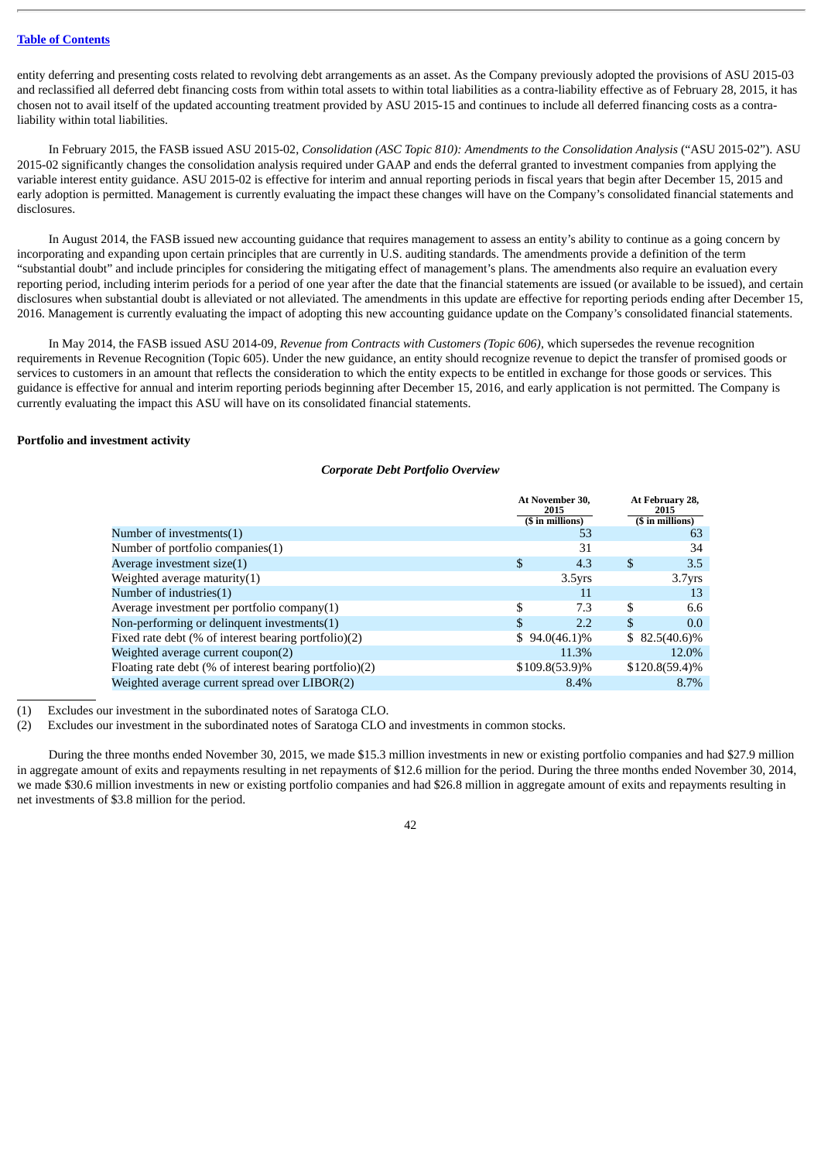entity deferring and presenting costs related to revolving debt arrangements as an asset. As the Company previously adopted the provisions of ASU 2015-03 and reclassified all deferred debt financing costs from within total assets to within total liabilities as a contra-liability effective as of February 28, 2015, it has chosen not to avail itself of the updated accounting treatment provided by ASU 2015-15 and continues to include all deferred financing costs as a contraliability within total liabilities.

In February 2015, the FASB issued ASU 2015-02, *Consolidation (ASC Topic 810): Amendments to the Consolidation Analysis* ("ASU 2015-02"). ASU 2015-02 significantly changes the consolidation analysis required under GAAP and ends the deferral granted to investment companies from applying the variable interest entity guidance. ASU 2015-02 is effective for interim and annual reporting periods in fiscal years that begin after December 15, 2015 and early adoption is permitted. Management is currently evaluating the impact these changes will have on the Company's consolidated financial statements and disclosures.

In August 2014, the FASB issued new accounting guidance that requires management to assess an entity's ability to continue as a going concern by incorporating and expanding upon certain principles that are currently in U.S. auditing standards. The amendments provide a definition of the term "substantial doubt" and include principles for considering the mitigating effect of management's plans. The amendments also require an evaluation every reporting period, including interim periods for a period of one year after the date that the financial statements are issued (or available to be issued), and certain disclosures when substantial doubt is alleviated or not alleviated. The amendments in this update are effective for reporting periods ending after December 15, 2016. Management is currently evaluating the impact of adopting this new accounting guidance update on the Company's consolidated financial statements.

In May 2014, the FASB issued ASU 2014-09, *Revenue from Contracts with Customers (Topic 606)*, which supersedes the revenue recognition requirements in Revenue Recognition (Topic 605). Under the new guidance, an entity should recognize revenue to depict the transfer of promised goods or services to customers in an amount that reflects the consideration to which the entity expects to be entitled in exchange for those goods or services. This guidance is effective for annual and interim reporting periods beginning after December 15, 2016, and early application is not permitted. The Company is currently evaluating the impact this ASU will have on its consolidated financial statements.

#### **Portfolio and investment activity**

#### *Corporate Debt Portfolio Overview*

|                                                         | At November 30,<br>2015 |                  |     | At February 28,<br>2015 |
|---------------------------------------------------------|-------------------------|------------------|-----|-------------------------|
|                                                         |                         | (\$ in millions) |     | (\$ in millions)        |
| Number of investments(1)                                |                         | 53               |     | 63                      |
| Number of portfolio companies(1)                        |                         | 31               |     | 34                      |
| Average investment size $(1)$                           | \$                      | 4.3              | \$  | 3.5                     |
| Weighted average maturity $(1)$                         |                         | $3.5V$ rs        |     | $3.7V$ rs               |
| Number of industries(1)                                 |                         | 11               |     | 13                      |
| Average investment per portfolio company(1)             | \$                      | 7.3              | \$  | 6.6                     |
| Non-performing or delinquent investments(1)             | \$                      | 2.2              | \$. | 0.0                     |
| Fixed rate debt (% of interest bearing portfolio)(2)    |                         | $$94.0(46.1)\%$  |     | $$82.5(40.6)\%$         |
| Weighted average current coupon(2)                      |                         | 11.3%            |     | 12.0%                   |
| Floating rate debt (% of interest bearing portfolio)(2) |                         | \$109.8(53.9)%   |     | $$120.8(59.4)\%$        |
| Weighted average current spread over LIBOR(2)           |                         | 8.4%             |     | 8.7%                    |

(1) Excludes our investment in the subordinated notes of Saratoga CLO.

(2) Excludes our investment in the subordinated notes of Saratoga CLO and investments in common stocks.

During the three months ended November 30, 2015, we made \$15.3 million investments in new or existing portfolio companies and had \$27.9 million in aggregate amount of exits and repayments resulting in net repayments of \$12.6 million for the period. During the three months ended November 30, 2014, we made \$30.6 million investments in new or existing portfolio companies and had \$26.8 million in aggregate amount of exits and repayments resulting in net investments of \$3.8 million for the period.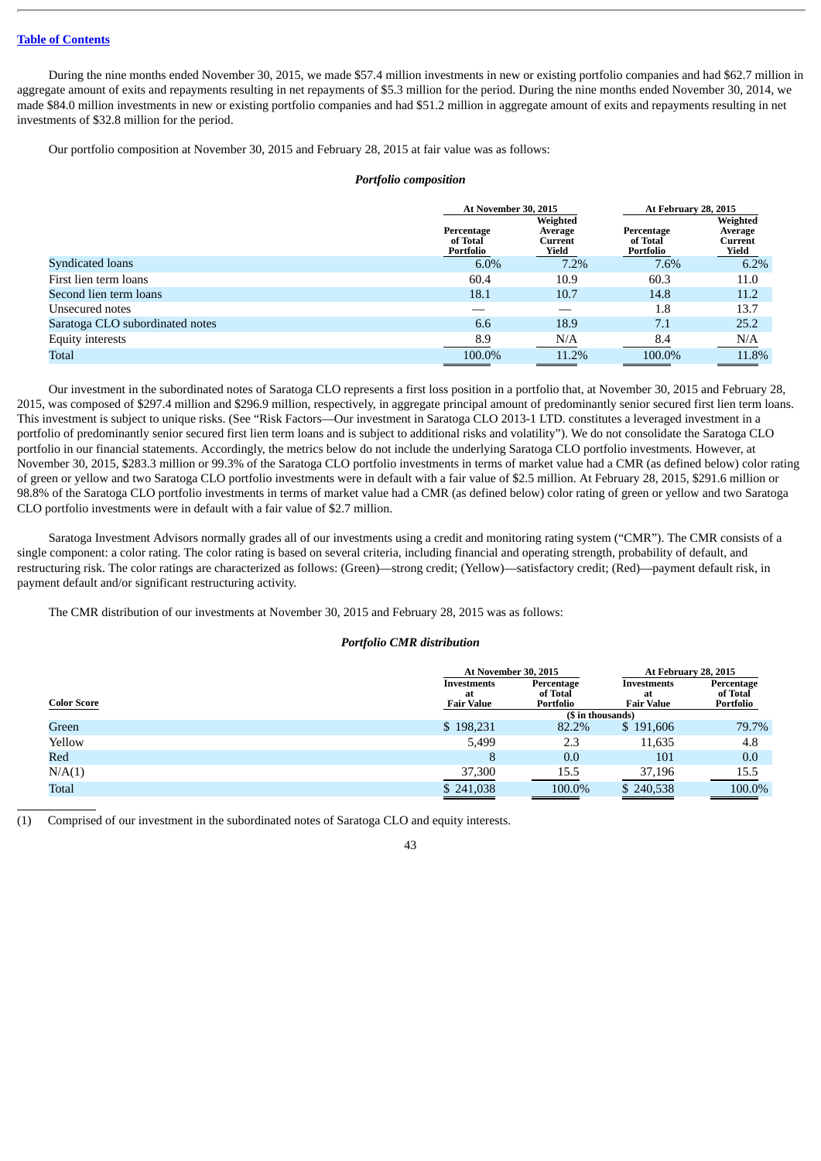During the nine months ended November 30, 2015, we made \$57.4 million investments in new or existing portfolio companies and had \$62.7 million in aggregate amount of exits and repayments resulting in net repayments of \$5.3 million for the period. During the nine months ended November 30, 2014, we made \$84.0 million investments in new or existing portfolio companies and had \$51.2 million in aggregate amount of exits and repayments resulting in net investments of \$32.8 million for the period.

Our portfolio composition at November 30, 2015 and February 28, 2015 at fair value was as follows:

#### *Portfolio composition*

|                                 |                        | At November 30, 2015           |                        | At February 28, 2015           |
|---------------------------------|------------------------|--------------------------------|------------------------|--------------------------------|
|                                 | Percentage<br>of Total | Weighted<br>Average<br>Current | Percentage<br>of Total | Weighted<br>Average<br>Current |
|                                 | Portfolio              | Yield                          | Portfolio              | Yield                          |
| Syndicated loans                | $6.0\%$                | 7.2%                           | 7.6%                   | 6.2%                           |
| First lien term loans           | 60.4                   | 10.9                           | 60.3                   | 11.0                           |
| Second lien term loans          | 18.1                   | 10.7                           | 14.8                   | 11.2                           |
| Unsecured notes                 |                        |                                | 1.8                    | 13.7                           |
| Saratoga CLO subordinated notes | 6.6                    | 18.9                           | 7.1                    | 25.2                           |
| <b>Equity interests</b>         | 8.9                    | N/A                            | 8.4                    | N/A                            |
| Total                           | 100.0%                 | 11.2%                          | 100.0%                 | 11.8%                          |

Our investment in the subordinated notes of Saratoga CLO represents a first loss position in a portfolio that, at November 30, 2015 and February 28, 2015, was composed of \$297.4 million and \$296.9 million, respectively, in aggregate principal amount of predominantly senior secured first lien term loans. This investment is subject to unique risks. (See "Risk Factors—Our investment in Saratoga CLO 2013-1 LTD. constitutes a leveraged investment in a portfolio of predominantly senior secured first lien term loans and is subject to additional risks and volatility"). We do not consolidate the Saratoga CLO portfolio in our financial statements. Accordingly, the metrics below do not include the underlying Saratoga CLO portfolio investments. However, at November 30, 2015, \$283.3 million or 99.3% of the Saratoga CLO portfolio investments in terms of market value had a CMR (as defined below) color rating of green or yellow and two Saratoga CLO portfolio investments were in default with a fair value of \$2.5 million. At February 28, 2015, \$291.6 million or 98.8% of the Saratoga CLO portfolio investments in terms of market value had a CMR (as defined below) color rating of green or yellow and two Saratoga CLO portfolio investments were in default with a fair value of \$2.7 million.

Saratoga Investment Advisors normally grades all of our investments using a credit and monitoring rating system ("CMR"). The CMR consists of a single component: a color rating. The color rating is based on several criteria, including financial and operating strength, probability of default, and restructuring risk. The color ratings are characterized as follows: (Green)—strong credit; (Yellow)—satisfactory credit; (Red)—payment default risk, in payment default and/or significant restructuring activity.

The CMR distribution of our investments at November 30, 2015 and February 28, 2015 was as follows:

#### *Portfolio CMR distribution*

|                    | At November 30, 2015<br>At February 28, 2015 |                        |                         |                       |
|--------------------|----------------------------------------------|------------------------|-------------------------|-----------------------|
|                    | Investments                                  | Percentage<br>of Total | Investments             | Percentage            |
| <b>Color Score</b> | at<br><b>Fair Value</b>                      | Portfolio              | at<br><b>Fair Value</b> | of Total<br>Portfolio |
|                    |                                              | (\$ in thousands)      |                         |                       |
| Green              | \$198,231                                    | 82.2%                  | \$191,606               | 79.7%                 |
| Yellow             | 5,499                                        | 2.3                    | 11,635                  | 4.8                   |
| Red                | 8                                            | 0.0                    | 101                     | 0.0                   |
| N/A(1)             | 37,300                                       | 15.5                   | 37,196                  | 15.5                  |
| <b>Total</b>       | \$241,038                                    | 100.0%                 | \$240,538               | 100.0%                |

(1) Comprised of our investment in the subordinated notes of Saratoga CLO and equity interests.

<sup>43</sup>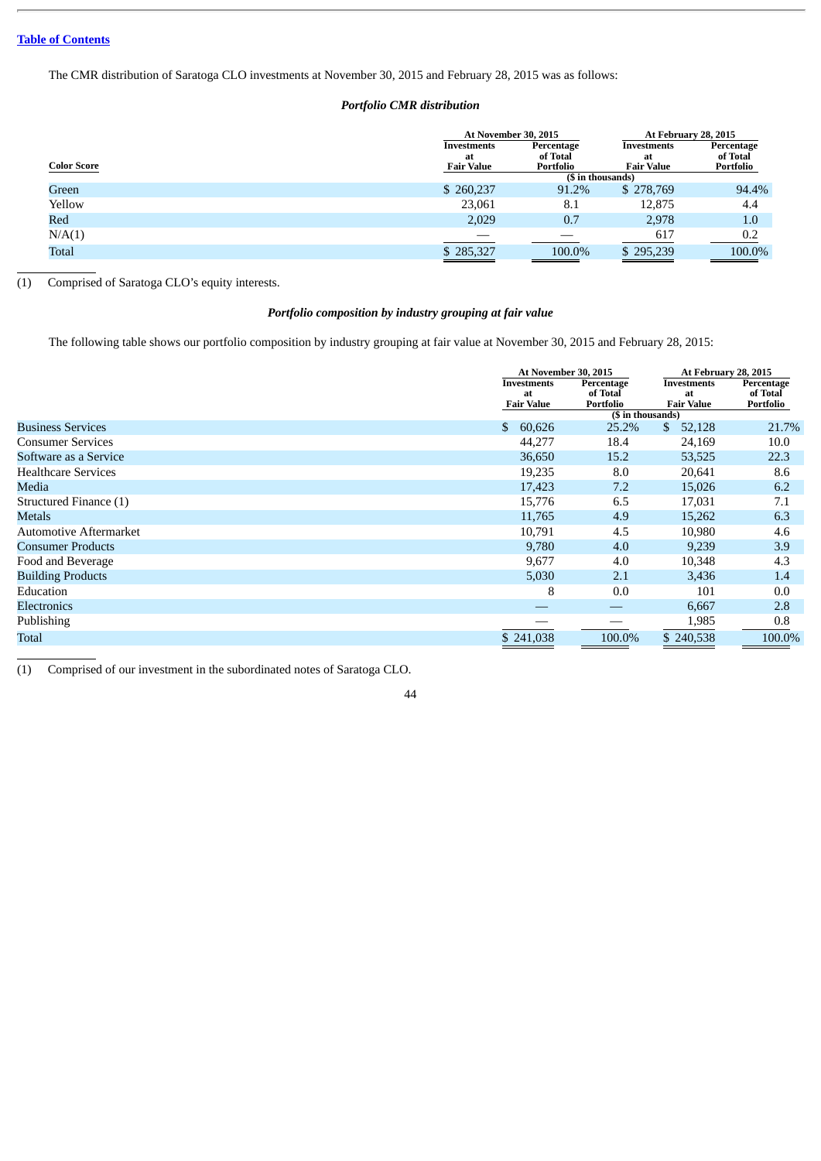The CMR distribution of Saratoga CLO investments at November 30, 2015 and February 28, 2015 was as follows:

### *Portfolio CMR distribution*

|                    |                                        | <b>At November 30, 2015</b>         |                                        | <b>At February 28, 2015</b>         |
|--------------------|----------------------------------------|-------------------------------------|----------------------------------------|-------------------------------------|
| <b>Color Score</b> | Investments<br>at<br><b>Fair Value</b> | Percentage<br>of Total<br>Portfolio | Investments<br>at<br><b>Fair Value</b> | Percentage<br>of Total<br>Portfolio |
|                    |                                        | (\$ in thousands)                   |                                        |                                     |
| Green              | \$260,237                              | 91.2%                               | \$278,769                              | 94.4%                               |
| Yellow             | 23,061                                 | 8.1                                 | 12,875                                 | 4.4                                 |
| Red                | 2,029                                  | 0.7                                 | 2,978                                  | 1.0                                 |
| N/A(1)             |                                        |                                     | 617                                    | 0.2                                 |
| <b>Total</b>       | \$285,327                              | 100.0%                              | \$295,239                              | 100.0%                              |
|                    |                                        |                                     |                                        |                                     |

(1) Comprised of Saratoga CLO's equity interests.

### *Portfolio composition by industry grouping at fair value*

The following table shows our portfolio composition by industry grouping at fair value at November 30, 2015 and February 28, 2015:

|                            | At November 30, 2015                          |                                     | At February 28, 2015                   |                                     |
|----------------------------|-----------------------------------------------|-------------------------------------|----------------------------------------|-------------------------------------|
|                            | <b>Investments</b><br>at<br><b>Fair Value</b> | Percentage<br>of Total<br>Portfolio | Investments<br>at<br><b>Fair Value</b> | Percentage<br>of Total<br>Portfolio |
|                            |                                               | (\$ in thousands)                   |                                        |                                     |
| <b>Business Services</b>   | 60,626<br>\$.                                 | 25.2%                               | \$52,128                               | 21.7%                               |
| <b>Consumer Services</b>   | 44,277                                        | 18.4                                | 24,169                                 | 10.0                                |
| Software as a Service      | 36,650                                        | 15.2                                | 53,525                                 | 22.3                                |
| <b>Healthcare Services</b> | 19,235                                        | 8.0                                 | 20,641                                 | 8.6                                 |
| Media                      | 17,423                                        | 7.2                                 | 15,026                                 | 6.2                                 |
| Structured Finance (1)     | 15,776                                        | 6.5                                 | 17,031                                 | 7.1                                 |
| <b>Metals</b>              | 11,765                                        | 4.9                                 | 15,262                                 | 6.3                                 |
| Automotive Aftermarket     | 10,791                                        | 4.5                                 | 10,980                                 | 4.6                                 |
| <b>Consumer Products</b>   | 9,780                                         | 4.0                                 | 9,239                                  | 3.9                                 |
| Food and Beverage          | 9,677                                         | 4.0                                 | 10,348                                 | 4.3                                 |
| <b>Building Products</b>   | 5,030                                         | 2.1                                 | 3,436                                  | 1.4                                 |
| Education                  | 8                                             | 0.0                                 | 101                                    | 0.0                                 |
| Electronics                |                                               |                                     | 6,667                                  | 2.8                                 |
| Publishing                 |                                               |                                     | 1,985                                  | 0.8                                 |
| Total                      | \$241,038                                     | 100.0%                              | \$240,538                              | 100.0%                              |

(1) Comprised of our investment in the subordinated notes of Saratoga CLO.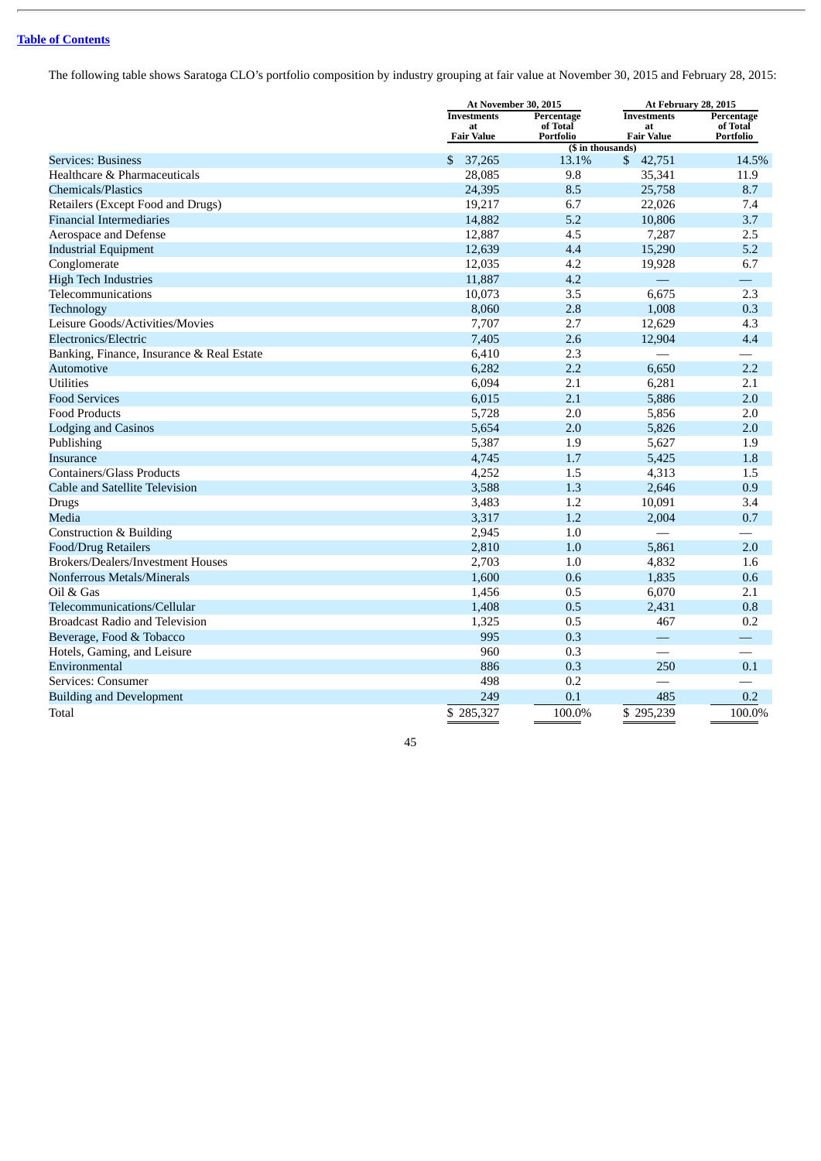The following table shows Saratoga CLO's portfolio composition by industry grouping at fair value at November 30, 2015 and February 28, 2015:

|                                           | At November 30, 2015     |                        | At February 28, 2015     |                          |
|-------------------------------------------|--------------------------|------------------------|--------------------------|--------------------------|
|                                           | <b>Investments</b><br>at | Percentage<br>of Total | <b>Investments</b><br>at | Percentage<br>of Total   |
|                                           | <b>Fair Value</b>        | <b>Portfolio</b>       | <b>Fair Value</b>        | Portfolio                |
|                                           |                          | (\$ in thousands)      |                          |                          |
| <b>Services: Business</b>                 | 37,265<br>\$             | 13.1%                  | \$42,751                 | 14.5%                    |
| Healthcare & Pharmaceuticals              | 28,085                   | 9.8                    | 35,341                   | 11.9                     |
| Chemicals/Plastics                        | 24,395                   | 8.5                    | 25,758                   | 8.7                      |
| Retailers (Except Food and Drugs)         | 19,217                   | 6.7                    | 22,026                   | 7.4                      |
| <b>Financial Intermediaries</b>           | 14,882                   | 5.2                    | 10,806                   | 3.7                      |
| Aerospace and Defense                     | 12,887                   | 4.5                    | 7,287                    | 2.5                      |
| <b>Industrial Equipment</b>               | 12,639                   | 4.4                    | 15,290                   | 5.2                      |
| Conglomerate                              | 12,035                   | 4.2                    | 19,928                   | 6.7                      |
| <b>High Tech Industries</b>               | 11,887                   | 4.2                    | $\equiv$                 | $\overline{\phantom{a}}$ |
| Telecommunications                        | 10,073                   | 3.5                    | 6,675                    | 2.3                      |
| Technology                                | 8,060                    | 2.8                    | 1,008                    | 0.3                      |
| Leisure Goods/Activities/Movies           | 7,707                    | 2.7                    | 12,629                   | 4.3                      |
| Electronics/Electric                      | 7,405                    | 2.6                    | 12,904                   | 4.4                      |
| Banking, Finance, Insurance & Real Estate | 6,410                    | 2.3                    |                          |                          |
| Automotive                                | 6,282                    | 2.2                    | 6,650                    | 2.2                      |
| <b>Utilities</b>                          | 6,094                    | 2.1                    | 6,281                    | 2.1                      |
| <b>Food Services</b>                      | 6,015                    | 2.1                    | 5,886                    | 2.0                      |
| <b>Food Products</b>                      | 5,728                    | 2.0                    | 5,856                    | 2.0                      |
| <b>Lodging and Casinos</b>                | 5,654                    | 2.0                    | 5,826                    | 2.0                      |
| Publishing                                | 5,387                    | 1.9                    | 5,627                    | 1.9                      |
| <b>Insurance</b>                          | 4,745                    | 1.7                    | 5,425                    | 1.8                      |
| <b>Containers/Glass Products</b>          | 4,252                    | 1.5                    | 4,313                    | 1.5                      |
| Cable and Satellite Television            | 3,588                    | 1.3                    | 2,646                    | 0.9                      |
| <b>Drugs</b>                              | 3,483                    | 1.2                    | 10,091                   | 3.4                      |
| Media                                     | 3,317                    | 1.2                    | 2,004                    | 0.7                      |
| <b>Construction &amp; Building</b>        | 2,945                    | 1.0                    |                          |                          |
| <b>Food/Drug Retailers</b>                | 2,810                    | 1.0                    | 5,861                    | 2.0                      |
| <b>Brokers/Dealers/Investment Houses</b>  | 2,703                    | 1.0                    | 4,832                    | 1.6                      |
| Nonferrous Metals/Minerals                | 1,600                    | 0.6                    | 1,835                    | 0.6                      |
| Oil & Gas                                 | 1,456                    | 0.5                    | 6,070                    | 2.1                      |
| Telecommunications/Cellular               | 1,408                    | 0.5                    | 2,431                    | 0.8                      |
| <b>Broadcast Radio and Television</b>     | 1,325                    | 0.5                    | 467                      | 0.2                      |
| Beverage, Food & Tobacco                  | 995                      | 0.3                    | $\equiv$                 |                          |
| Hotels, Gaming, and Leisure               | 960                      | 0.3                    | $\overline{\phantom{0}}$ |                          |
| Environmental                             | 886                      | 0.3                    | 250                      | 0.1                      |
| Services: Consumer                        | 498                      | 0.2                    |                          |                          |
| <b>Building and Development</b>           | 249                      | 0.1                    | 485                      | 0.2                      |
| Total                                     | \$285,327                | 100.0%                 | \$295,239                | 100.0%                   |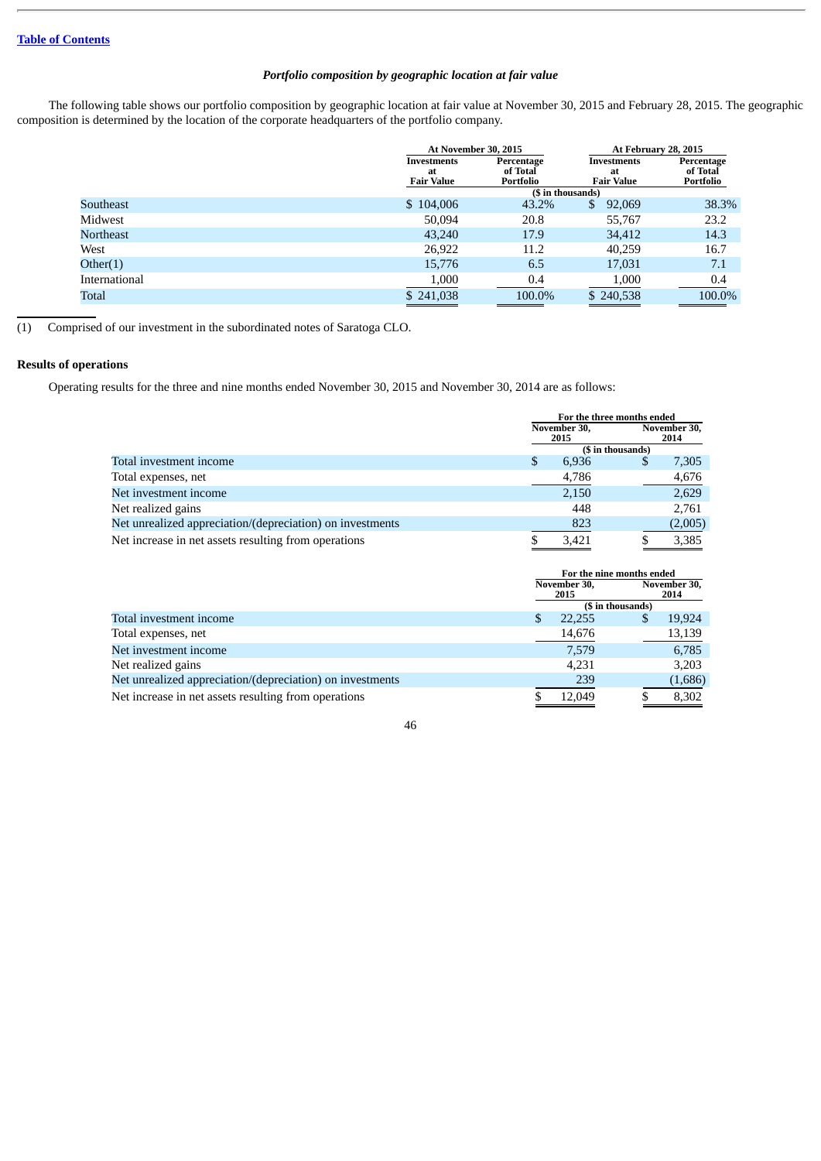### *Portfolio composition by geographic location at fair value*

The following table shows our portfolio composition by geographic location at fair value at November 30, 2015 and February 28, 2015. The geographic composition is determined by the location of the corporate headquarters of the portfolio company.

|               |                                        | At November 30, 2015                |                                        | At February 28, 2015                |
|---------------|----------------------------------------|-------------------------------------|----------------------------------------|-------------------------------------|
|               | Investments<br>at<br><b>Fair Value</b> | Percentage<br>of Total<br>Portfolio | Investments<br>at<br><b>Fair Value</b> | Percentage<br>of Total<br>Portfolio |
|               |                                        |                                     | (\$ in thousands)                      |                                     |
| Southeast     | \$104,006                              | 43.2%                               | 92,069<br>$\mathbb{S}$                 | 38.3%                               |
| Midwest       | 50,094                                 | 20.8                                | 55,767                                 | 23.2                                |
| Northeast     | 43,240                                 | 17.9                                | 34,412                                 | 14.3                                |
| West          | 26,922                                 | 11.2                                | 40.259                                 | 16.7                                |
| Other(1)      | 15,776                                 | 6.5                                 | 17,031                                 | 7.1                                 |
| International | 1,000                                  | 0.4                                 | 1,000                                  | 0.4                                 |
| Total         | \$241,038                              | 100.0%                              | \$240,538                              | 100.0%                              |

(1) Comprised of our investment in the subordinated notes of Saratoga CLO.

### **Results of operations**

Operating results for the three and nine months ended November 30, 2015 and November 30, 2014 are as follows:

|                                                           |              | For the three months ended |                   |              |
|-----------------------------------------------------------|--------------|----------------------------|-------------------|--------------|
|                                                           | November 30, |                            |                   | November 30, |
|                                                           |              | 2015                       | (\$ in thousands) | 2014         |
| Total investment income                                   | S            | 6,936                      |                   | 7,305        |
| Total expenses, net                                       |              | 4,786                      |                   | 4,676        |
| Net investment income                                     |              | 2,150                      |                   | 2.629        |
| Net realized gains                                        |              | 448                        |                   | 2,761        |
| Net unrealized appreciation/(depreciation) on investments |              | 823                        |                   | (2,005)      |
| Net increase in net assets resulting from operations      |              | 3.421                      |                   | 3,385        |

|                                                           |                      | For the nine months ended |                   |                      |  |
|-----------------------------------------------------------|----------------------|---------------------------|-------------------|----------------------|--|
|                                                           | November 30,<br>2015 |                           |                   | November 30,<br>2014 |  |
|                                                           |                      |                           | (\$ in thousands) |                      |  |
| Total investment income                                   | \$                   | 22,255                    |                   | 19,924               |  |
| Total expenses, net                                       |                      | 14,676                    |                   | 13,139               |  |
| Net investment income                                     |                      | 7,579                     |                   | 6,785                |  |
| Net realized gains                                        |                      | 4,231                     |                   | 3,203                |  |
| Net unrealized appreciation/(depreciation) on investments |                      | 239                       |                   | (1,686)              |  |
| Net increase in net assets resulting from operations      |                      | 12,049                    |                   | 8,302                |  |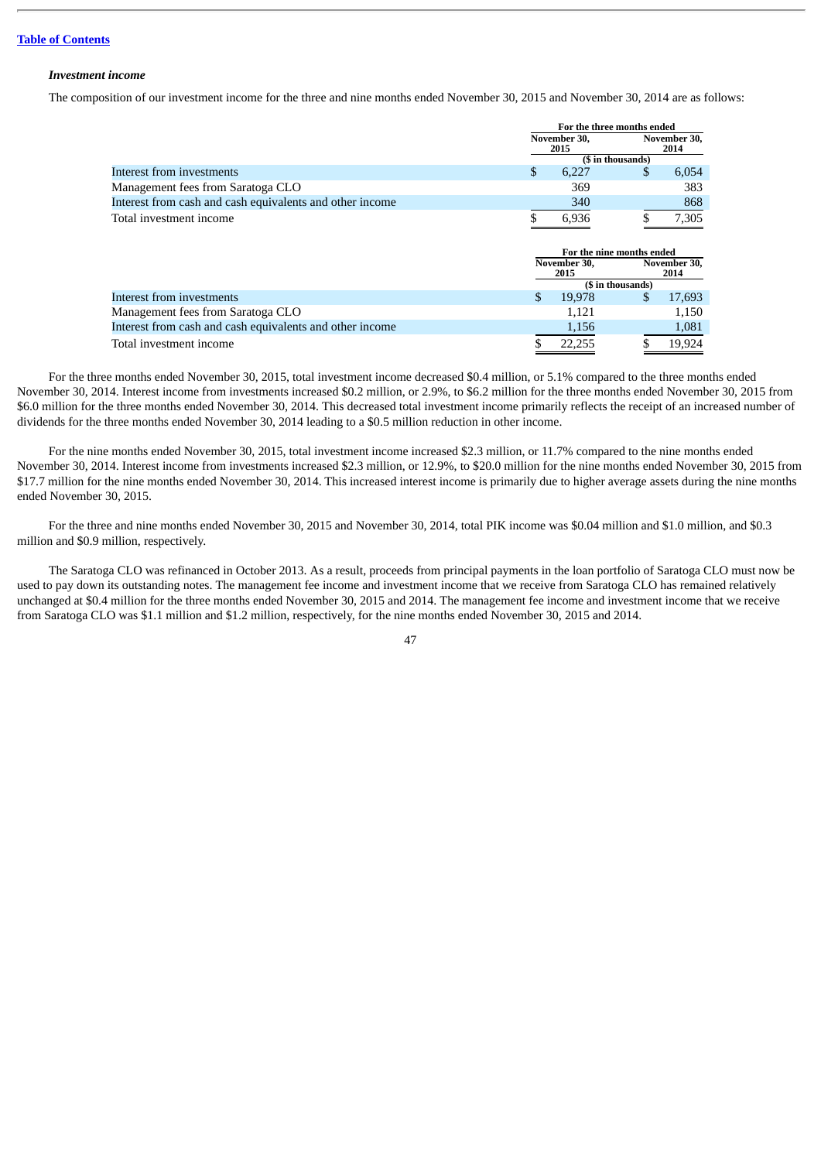#### *Investment income*

The composition of our investment income for the three and nine months ended November 30, 2015 and November 30, 2014 are as follows:

| For the three months ended |        |                                                  |                                                                          |  |
|----------------------------|--------|--------------------------------------------------|--------------------------------------------------------------------------|--|
| November 30,<br>2015       |        |                                                  | November 30,<br>2014                                                     |  |
|                            |        |                                                  |                                                                          |  |
| \$                         | 6.227  | S                                                | 6,054                                                                    |  |
|                            | 369    |                                                  | 383                                                                      |  |
|                            | 340    |                                                  | 868                                                                      |  |
|                            | 6,936  |                                                  | 7,305                                                                    |  |
|                            |        |                                                  |                                                                          |  |
|                            |        |                                                  |                                                                          |  |
|                            |        |                                                  | November 30,                                                             |  |
|                            |        |                                                  | 2014                                                                     |  |
|                            |        |                                                  | 17,693                                                                   |  |
|                            |        |                                                  |                                                                          |  |
|                            |        |                                                  | 1,150                                                                    |  |
|                            |        |                                                  | 1,081                                                                    |  |
|                            | 22,255 |                                                  | 19,924                                                                   |  |
|                            | \$     | November 30,<br>2015<br>19.978<br>1,121<br>1,156 | (\$ in thousands)<br>For the nine months ended<br>(\$ in thousands)<br>S |  |

For the three months ended November 30, 2015, total investment income decreased \$0.4 million, or 5.1% compared to the three months ended November 30, 2014. Interest income from investments increased \$0.2 million, or 2.9%, to \$6.2 million for the three months ended November 30, 2015 from \$6.0 million for the three months ended November 30, 2014. This decreased total investment income primarily reflects the receipt of an increased number of dividends for the three months ended November 30, 2014 leading to a \$0.5 million reduction in other income.

For the nine months ended November 30, 2015, total investment income increased \$2.3 million, or 11.7% compared to the nine months ended November 30, 2014. Interest income from investments increased \$2.3 million, or 12.9%, to \$20.0 million for the nine months ended November 30, 2015 from \$17.7 million for the nine months ended November 30, 2014. This increased interest income is primarily due to higher average assets during the nine months ended November 30, 2015.

For the three and nine months ended November 30, 2015 and November 30, 2014, total PIK income was \$0.04 million and \$1.0 million, and \$0.3 million and \$0.9 million, respectively.

The Saratoga CLO was refinanced in October 2013. As a result, proceeds from principal payments in the loan portfolio of Saratoga CLO must now be used to pay down its outstanding notes. The management fee income and investment income that we receive from Saratoga CLO has remained relatively unchanged at \$0.4 million for the three months ended November 30, 2015 and 2014. The management fee income and investment income that we receive from Saratoga CLO was \$1.1 million and \$1.2 million, respectively, for the nine months ended November 30, 2015 and 2014.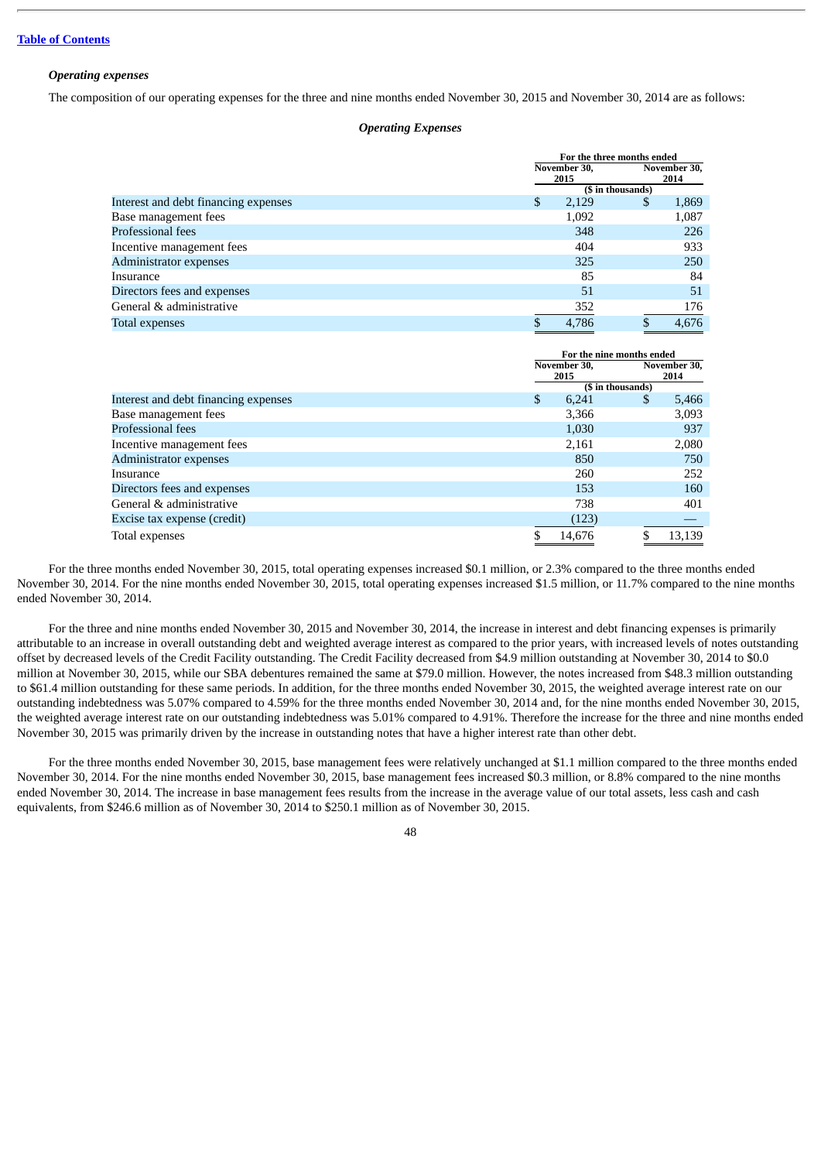#### *Operating expenses*

The composition of our operating expenses for the three and nine months ended November 30, 2015 and November 30, 2014 are as follows:

#### *Operating Expenses*

|                                      | For the three months ended |                   |                      |  |
|--------------------------------------|----------------------------|-------------------|----------------------|--|
|                                      | November 30,<br>2015       |                   | November 30,<br>2014 |  |
|                                      |                            | (\$ in thousands) |                      |  |
| Interest and debt financing expenses | \$<br>2,129                | \$                | 1,869                |  |
| Base management fees                 | 1,092                      |                   | 1,087                |  |
| Professional fees                    | 348                        |                   | 226                  |  |
| Incentive management fees            | 404                        |                   | 933                  |  |
| Administrator expenses               | 325                        |                   | 250                  |  |
| Insurance                            | 85                         |                   | 84                   |  |
| Directors fees and expenses          | 51                         |                   | 51                   |  |
| General & administrative             | 352                        |                   | 176                  |  |
| Total expenses                       | 4,786                      |                   | 4.676                |  |

|                                      | For the nine months ended |                   |                      |  |
|--------------------------------------|---------------------------|-------------------|----------------------|--|
|                                      | November 30,<br>2015      |                   | November 30,<br>2014 |  |
|                                      |                           | (\$ in thousands) |                      |  |
| Interest and debt financing expenses | \$<br>6,241               | S                 | 5,466                |  |
| Base management fees                 | 3,366                     |                   | 3,093                |  |
| Professional fees                    | 1,030                     |                   | 937                  |  |
| Incentive management fees            | 2,161                     |                   | 2,080                |  |
| <b>Administrator expenses</b>        | 850                       |                   | 750                  |  |
| Insurance                            | 260                       |                   | 252                  |  |
| Directors fees and expenses          | 153                       |                   | 160                  |  |
| General & administrative             | 738                       |                   | 401                  |  |
| Excise tax expense (credit)          | (123)                     |                   |                      |  |
| Total expenses                       | 14.676                    |                   | 13,139               |  |

For the three months ended November 30, 2015, total operating expenses increased \$0.1 million, or 2.3% compared to the three months ended November 30, 2014. For the nine months ended November 30, 2015, total operating expenses increased \$1.5 million, or 11.7% compared to the nine months ended November 30, 2014.

For the three and nine months ended November 30, 2015 and November 30, 2014, the increase in interest and debt financing expenses is primarily attributable to an increase in overall outstanding debt and weighted average interest as compared to the prior years, with increased levels of notes outstanding offset by decreased levels of the Credit Facility outstanding. The Credit Facility decreased from \$4.9 million outstanding at November 30, 2014 to \$0.0 million at November 30, 2015, while our SBA debentures remained the same at \$79.0 million. However, the notes increased from \$48.3 million outstanding to \$61.4 million outstanding for these same periods. In addition, for the three months ended November 30, 2015, the weighted average interest rate on our outstanding indebtedness was 5.07% compared to 4.59% for the three months ended November 30, 2014 and, for the nine months ended November 30, 2015, the weighted average interest rate on our outstanding indebtedness was 5.01% compared to 4.91%. Therefore the increase for the three and nine months ended November 30, 2015 was primarily driven by the increase in outstanding notes that have a higher interest rate than other debt.

For the three months ended November 30, 2015, base management fees were relatively unchanged at \$1.1 million compared to the three months ended November 30, 2014. For the nine months ended November 30, 2015, base management fees increased \$0.3 million, or 8.8% compared to the nine months ended November 30, 2014. The increase in base management fees results from the increase in the average value of our total assets, less cash and cash equivalents, from \$246.6 million as of November 30, 2014 to \$250.1 million as of November 30, 2015.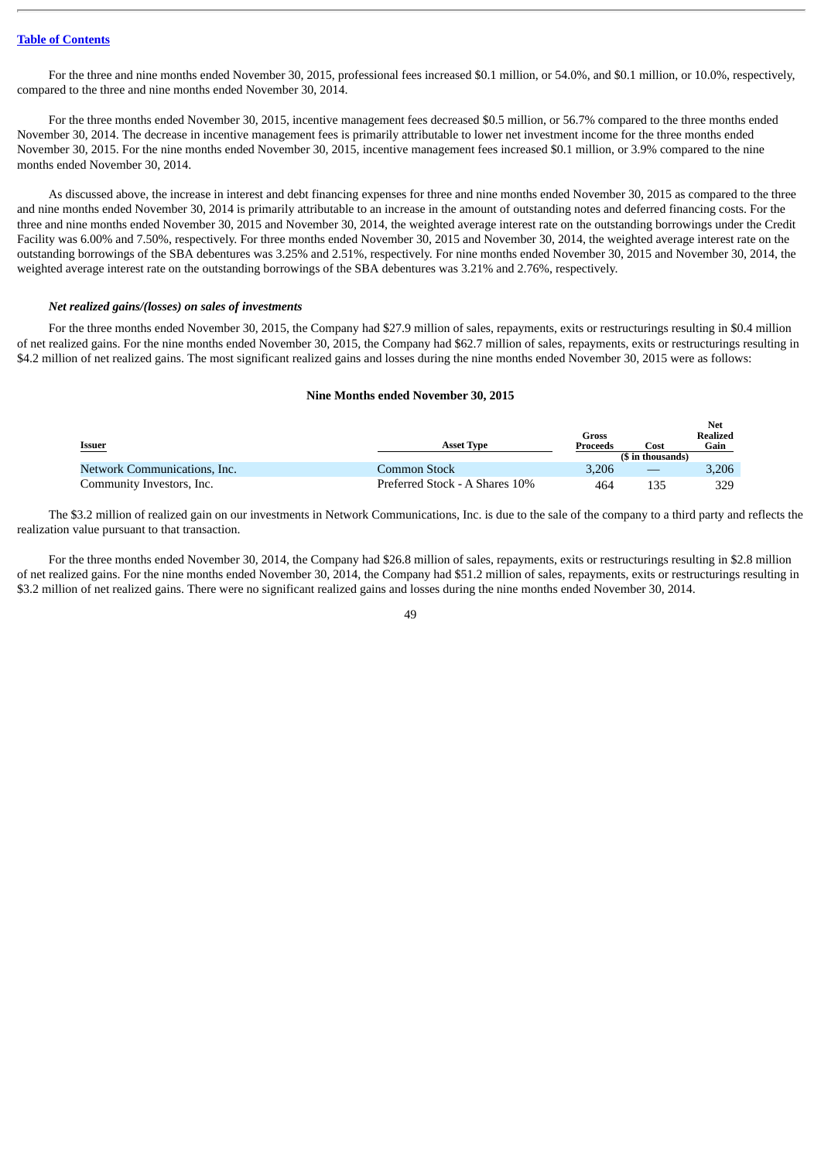For the three and nine months ended November 30, 2015, professional fees increased \$0.1 million, or 54.0%, and \$0.1 million, or 10.0%, respectively, compared to the three and nine months ended November 30, 2014.

For the three months ended November 30, 2015, incentive management fees decreased \$0.5 million, or 56.7% compared to the three months ended November 30, 2014. The decrease in incentive management fees is primarily attributable to lower net investment income for the three months ended November 30, 2015. For the nine months ended November 30, 2015, incentive management fees increased \$0.1 million, or 3.9% compared to the nine months ended November 30, 2014.

As discussed above, the increase in interest and debt financing expenses for three and nine months ended November 30, 2015 as compared to the three and nine months ended November 30, 2014 is primarily attributable to an increase in the amount of outstanding notes and deferred financing costs. For the three and nine months ended November 30, 2015 and November 30, 2014, the weighted average interest rate on the outstanding borrowings under the Credit Facility was 6.00% and 7.50%, respectively. For three months ended November 30, 2015 and November 30, 2014, the weighted average interest rate on the outstanding borrowings of the SBA debentures was 3.25% and 2.51%, respectively. For nine months ended November 30, 2015 and November 30, 2014, the weighted average interest rate on the outstanding borrowings of the SBA debentures was 3.21% and 2.76%, respectively.

#### *Net realized gains/(losses) on sales of investments*

For the three months ended November 30, 2015, the Company had \$27.9 million of sales, repayments, exits or restructurings resulting in \$0.4 million of net realized gains. For the nine months ended November 30, 2015, the Company had \$62.7 million of sales, repayments, exits or restructurings resulting in \$4.2 million of net realized gains. The most significant realized gains and losses during the nine months ended November 30, 2015 were as follows:

#### **Nine Months ended November 30, 2015**

| <u>Issuer</u>                | <b>Asset Type</b>              | Gross<br>Proceeds | Cost              | <b>Net</b><br><b>Realized</b><br>Gain |
|------------------------------|--------------------------------|-------------------|-------------------|---------------------------------------|
|                              |                                |                   | (\$ in thousands) |                                       |
| Network Communications, Inc. | Common Stock                   | 3.206             |                   | 3,206                                 |
| Community Investors, Inc.    | Preferred Stock - A Shares 10% | 464               | 135               | 329                                   |

The \$3.2 million of realized gain on our investments in Network Communications, Inc. is due to the sale of the company to a third party and reflects the realization value pursuant to that transaction.

For the three months ended November 30, 2014, the Company had \$26.8 million of sales, repayments, exits or restructurings resulting in \$2.8 million of net realized gains. For the nine months ended November 30, 2014, the Company had \$51.2 million of sales, repayments, exits or restructurings resulting in \$3.2 million of net realized gains. There were no significant realized gains and losses during the nine months ended November 30, 2014.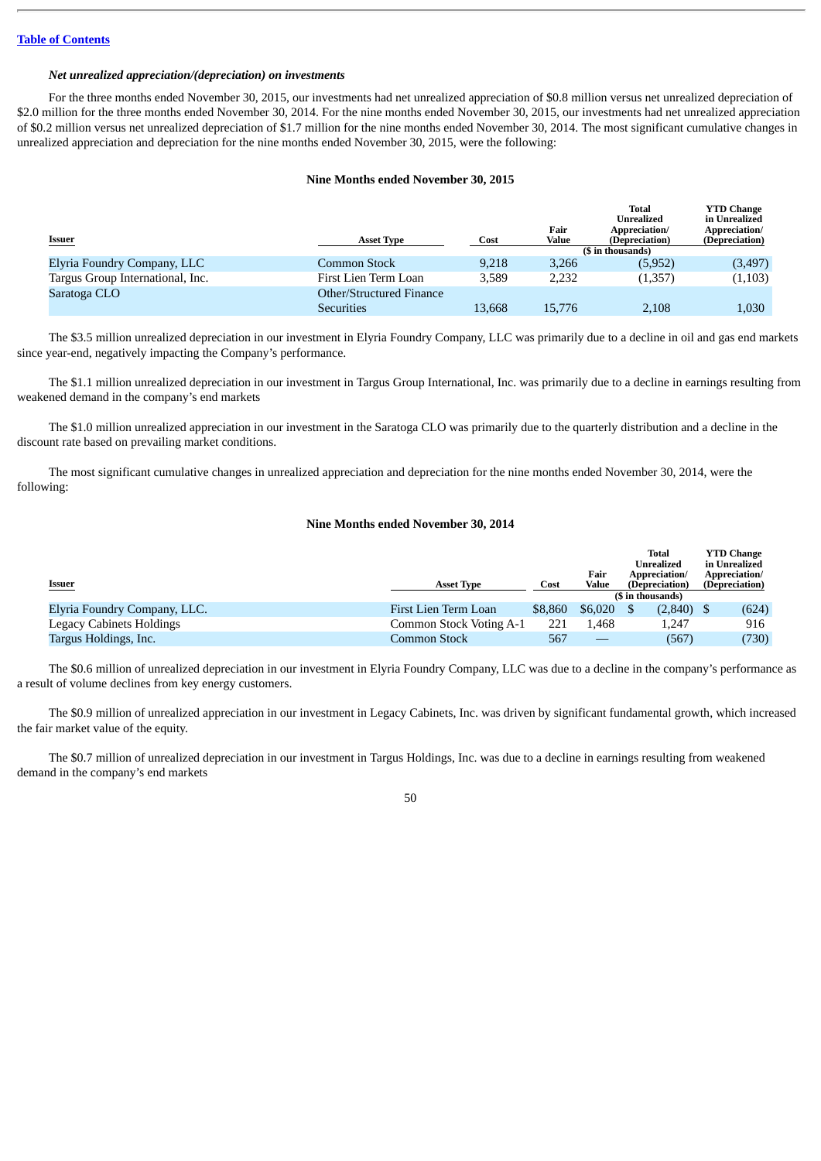### *Net unrealized appreciation/(depreciation) on investments*

For the three months ended November 30, 2015, our investments had net unrealized appreciation of \$0.8 million versus net unrealized depreciation of \$2.0 million for the three months ended November 30, 2014. For the nine months ended November 30, 2015, our investments had net unrealized appreciation of \$0.2 million versus net unrealized depreciation of \$1.7 million for the nine months ended November 30, 2014. The most significant cumulative changes in unrealized appreciation and depreciation for the nine months ended November 30, 2015, were the following:

### **Nine Months ended November 30, 2015**

| <u>Issuer</u>                    | <b>Asset Type</b>        | Cost   | Fair<br>Value | <b>Total</b><br><b>Unrealized</b><br>Appreciation/<br>(Depreciation)<br>(\$ in thousands) | <b>YTD Change</b><br>in Unrealized<br>Appreciation/<br>(Depreciation) |
|----------------------------------|--------------------------|--------|---------------|-------------------------------------------------------------------------------------------|-----------------------------------------------------------------------|
|                                  |                          |        |               |                                                                                           |                                                                       |
| Elyria Foundry Company, LLC      | Common Stock             | 9.218  | 3,266         | (5,952)                                                                                   | (3, 497)                                                              |
| Targus Group International, Inc. | First Lien Term Loan     | 3.589  | 2.232         | (1,357)                                                                                   | (1,103)                                                               |
| Saratoga CLO                     | Other/Structured Finance |        |               |                                                                                           |                                                                       |
|                                  | <b>Securities</b>        | 13,668 | 15.776        | 2,108                                                                                     | 1,030                                                                 |

The \$3.5 million unrealized depreciation in our investment in Elyria Foundry Company, LLC was primarily due to a decline in oil and gas end markets since year-end, negatively impacting the Company's performance.

The \$1.1 million unrealized depreciation in our investment in Targus Group International, Inc. was primarily due to a decline in earnings resulting from weakened demand in the company's end markets

The \$1.0 million unrealized appreciation in our investment in the Saratoga CLO was primarily due to the quarterly distribution and a decline in the discount rate based on prevailing market conditions.

The most significant cumulative changes in unrealized appreciation and depreciation for the nine months ended November 30, 2014, were the following:

#### **Nine Months ended November 30, 2014**

| <u>Issuer</u>                   | <b>Asset Type</b>       | Cost    | Fair<br>Value | Total<br>Unrealized<br>Appreciation/<br>(Depreciation) | <b>YTD Change</b><br>in Unrealized<br>Appreciation/<br>(Depreciation) |
|---------------------------------|-------------------------|---------|---------------|--------------------------------------------------------|-----------------------------------------------------------------------|
|                                 |                         |         |               | (\$ in thousands)                                      |                                                                       |
| Elyria Foundry Company, LLC.    | First Lien Term Loan    | \$8,860 | \$6,020       | (2,840)                                                | (624)                                                                 |
| <b>Legacy Cabinets Holdings</b> | Common Stock Voting A-1 | 221     | .468          | 1,247                                                  | 916                                                                   |
| Targus Holdings, Inc.           | <b>Common Stock</b>     | 567     |               | (567)                                                  | (730)                                                                 |

The \$0.6 million of unrealized depreciation in our investment in Elyria Foundry Company, LLC was due to a decline in the company's performance as a result of volume declines from key energy customers.

The \$0.9 million of unrealized appreciation in our investment in Legacy Cabinets, Inc. was driven by significant fundamental growth, which increased the fair market value of the equity.

The \$0.7 million of unrealized depreciation in our investment in Targus Holdings, Inc. was due to a decline in earnings resulting from weakened demand in the company's end markets

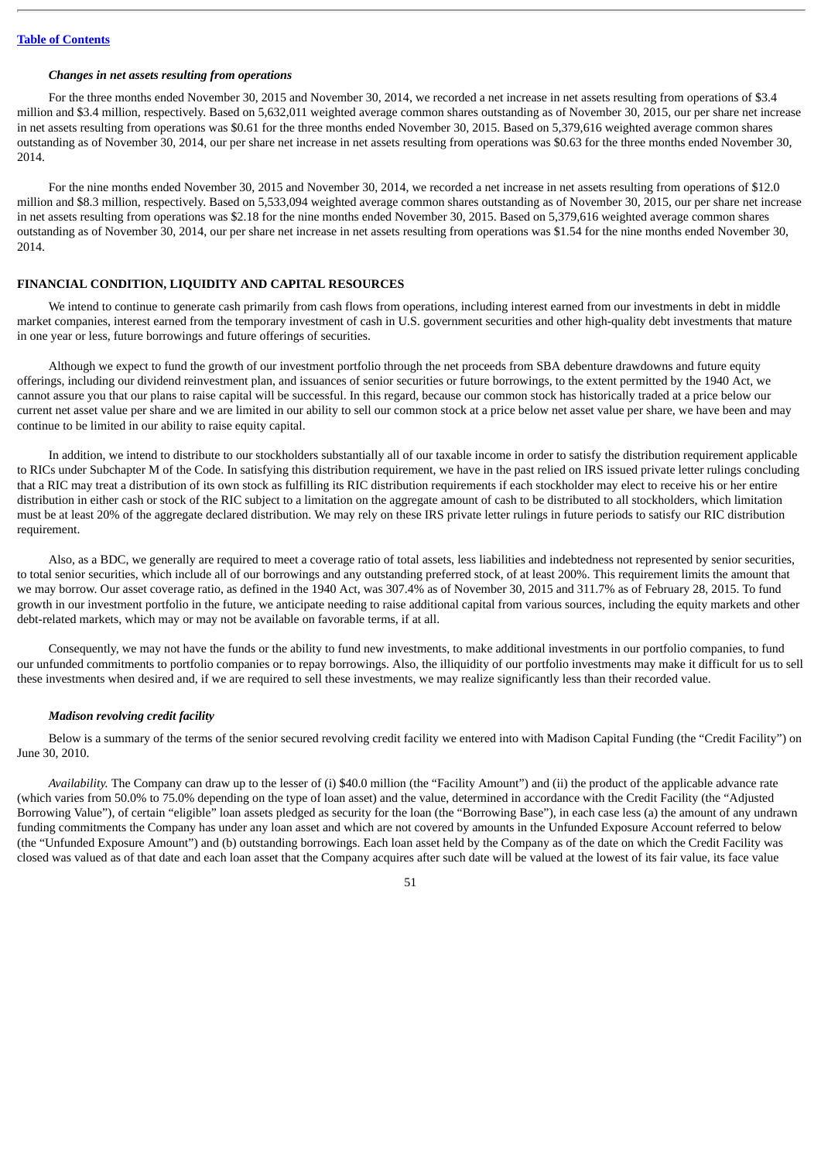#### *Changes in net assets resulting from operations*

For the three months ended November 30, 2015 and November 30, 2014, we recorded a net increase in net assets resulting from operations of \$3.4 million and \$3.4 million, respectively. Based on 5,632,011 weighted average common shares outstanding as of November 30, 2015, our per share net increase in net assets resulting from operations was \$0.61 for the three months ended November 30, 2015. Based on 5,379,616 weighted average common shares outstanding as of November 30, 2014, our per share net increase in net assets resulting from operations was \$0.63 for the three months ended November 30, 2014.

For the nine months ended November 30, 2015 and November 30, 2014, we recorded a net increase in net assets resulting from operations of \$12.0 million and \$8.3 million, respectively. Based on 5,533,094 weighted average common shares outstanding as of November 30, 2015, our per share net increase in net assets resulting from operations was \$2.18 for the nine months ended November 30, 2015. Based on 5,379,616 weighted average common shares outstanding as of November 30, 2014, our per share net increase in net assets resulting from operations was \$1.54 for the nine months ended November 30, 2014.

#### **FINANCIAL CONDITION, LIQUIDITY AND CAPITAL RESOURCES**

We intend to continue to generate cash primarily from cash flows from operations, including interest earned from our investments in debt in middle market companies, interest earned from the temporary investment of cash in U.S. government securities and other high-quality debt investments that mature in one year or less, future borrowings and future offerings of securities.

Although we expect to fund the growth of our investment portfolio through the net proceeds from SBA debenture drawdowns and future equity offerings, including our dividend reinvestment plan, and issuances of senior securities or future borrowings, to the extent permitted by the 1940 Act, we cannot assure you that our plans to raise capital will be successful. In this regard, because our common stock has historically traded at a price below our current net asset value per share and we are limited in our ability to sell our common stock at a price below net asset value per share, we have been and may continue to be limited in our ability to raise equity capital.

In addition, we intend to distribute to our stockholders substantially all of our taxable income in order to satisfy the distribution requirement applicable to RICs under Subchapter M of the Code. In satisfying this distribution requirement, we have in the past relied on IRS issued private letter rulings concluding that a RIC may treat a distribution of its own stock as fulfilling its RIC distribution requirements if each stockholder may elect to receive his or her entire distribution in either cash or stock of the RIC subject to a limitation on the aggregate amount of cash to be distributed to all stockholders, which limitation must be at least 20% of the aggregate declared distribution. We may rely on these IRS private letter rulings in future periods to satisfy our RIC distribution requirement.

Also, as a BDC, we generally are required to meet a coverage ratio of total assets, less liabilities and indebtedness not represented by senior securities, to total senior securities, which include all of our borrowings and any outstanding preferred stock, of at least 200%. This requirement limits the amount that we may borrow. Our asset coverage ratio, as defined in the 1940 Act, was 307.4% as of November 30, 2015 and 311.7% as of February 28, 2015. To fund growth in our investment portfolio in the future, we anticipate needing to raise additional capital from various sources, including the equity markets and other debt-related markets, which may or may not be available on favorable terms, if at all.

Consequently, we may not have the funds or the ability to fund new investments, to make additional investments in our portfolio companies, to fund our unfunded commitments to portfolio companies or to repay borrowings. Also, the illiquidity of our portfolio investments may make it difficult for us to sell these investments when desired and, if we are required to sell these investments, we may realize significantly less than their recorded value.

#### *Madison revolving credit facility*

Below is a summary of the terms of the senior secured revolving credit facility we entered into with Madison Capital Funding (the "Credit Facility") on June 30, 2010.

*Availability.* The Company can draw up to the lesser of (i) \$40.0 million (the "Facility Amount") and (ii) the product of the applicable advance rate (which varies from 50.0% to 75.0% depending on the type of loan asset) and the value, determined in accordance with the Credit Facility (the "Adjusted Borrowing Value"), of certain "eligible" loan assets pledged as security for the loan (the "Borrowing Base"), in each case less (a) the amount of any undrawn funding commitments the Company has under any loan asset and which are not covered by amounts in the Unfunded Exposure Account referred to below (the "Unfunded Exposure Amount") and (b) outstanding borrowings. Each loan asset held by the Company as of the date on which the Credit Facility was closed was valued as of that date and each loan asset that the Company acquires after such date will be valued at the lowest of its fair value, its face value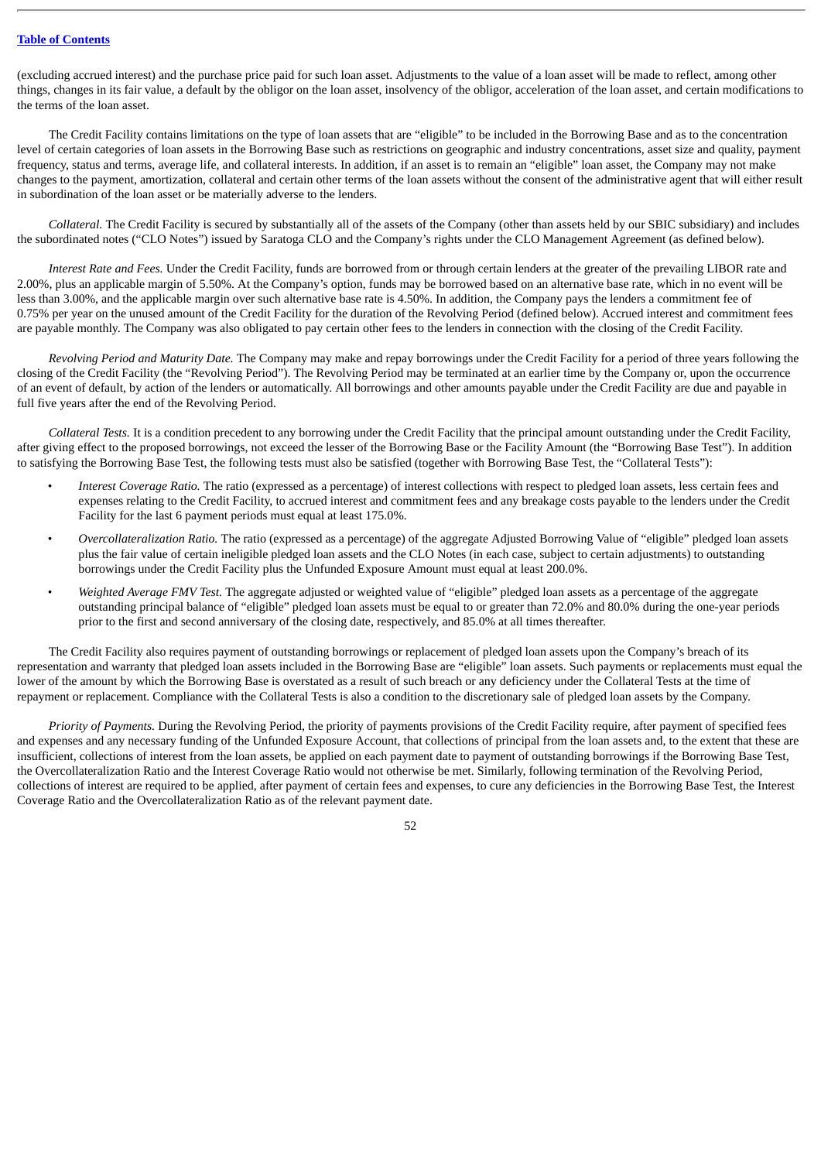(excluding accrued interest) and the purchase price paid for such loan asset. Adjustments to the value of a loan asset will be made to reflect, among other things, changes in its fair value, a default by the obligor on the loan asset, insolvency of the obligor, acceleration of the loan asset, and certain modifications to the terms of the loan asset.

The Credit Facility contains limitations on the type of loan assets that are "eligible" to be included in the Borrowing Base and as to the concentration level of certain categories of loan assets in the Borrowing Base such as restrictions on geographic and industry concentrations, asset size and quality, payment frequency, status and terms, average life, and collateral interests. In addition, if an asset is to remain an "eligible" loan asset, the Company may not make changes to the payment, amortization, collateral and certain other terms of the loan assets without the consent of the administrative agent that will either result in subordination of the loan asset or be materially adverse to the lenders.

*Collateral.* The Credit Facility is secured by substantially all of the assets of the Company (other than assets held by our SBIC subsidiary) and includes the subordinated notes ("CLO Notes") issued by Saratoga CLO and the Company's rights under the CLO Management Agreement (as defined below).

*Interest Rate and Fees.* Under the Credit Facility, funds are borrowed from or through certain lenders at the greater of the prevailing LIBOR rate and 2.00%, plus an applicable margin of 5.50%. At the Company's option, funds may be borrowed based on an alternative base rate, which in no event will be less than 3.00%, and the applicable margin over such alternative base rate is 4.50%. In addition, the Company pays the lenders a commitment fee of 0.75% per year on the unused amount of the Credit Facility for the duration of the Revolving Period (defined below). Accrued interest and commitment fees are payable monthly. The Company was also obligated to pay certain other fees to the lenders in connection with the closing of the Credit Facility.

*Revolving Period and Maturity Date.* The Company may make and repay borrowings under the Credit Facility for a period of three years following the closing of the Credit Facility (the "Revolving Period"). The Revolving Period may be terminated at an earlier time by the Company or, upon the occurrence of an event of default, by action of the lenders or automatically. All borrowings and other amounts payable under the Credit Facility are due and payable in full five years after the end of the Revolving Period.

*Collateral Tests.* It is a condition precedent to any borrowing under the Credit Facility that the principal amount outstanding under the Credit Facility, after giving effect to the proposed borrowings, not exceed the lesser of the Borrowing Base or the Facility Amount (the "Borrowing Base Test"). In addition to satisfying the Borrowing Base Test, the following tests must also be satisfied (together with Borrowing Base Test, the "Collateral Tests"):

- *Interest Coverage Ratio.* The ratio (expressed as a percentage) of interest collections with respect to pledged loan assets, less certain fees and expenses relating to the Credit Facility, to accrued interest and commitment fees and any breakage costs payable to the lenders under the Credit Facility for the last 6 payment periods must equal at least 175.0%.
- *Overcollateralization Ratio.* The ratio (expressed as a percentage) of the aggregate Adjusted Borrowing Value of "eligible" pledged loan assets plus the fair value of certain ineligible pledged loan assets and the CLO Notes (in each case, subject to certain adjustments) to outstanding borrowings under the Credit Facility plus the Unfunded Exposure Amount must equal at least 200.0%.
- *Weighted Average FMV Test.* The aggregate adjusted or weighted value of "eligible" pledged loan assets as a percentage of the aggregate outstanding principal balance of "eligible" pledged loan assets must be equal to or greater than 72.0% and 80.0% during the one-year periods prior to the first and second anniversary of the closing date, respectively, and 85.0% at all times thereafter.

The Credit Facility also requires payment of outstanding borrowings or replacement of pledged loan assets upon the Company's breach of its representation and warranty that pledged loan assets included in the Borrowing Base are "eligible" loan assets. Such payments or replacements must equal the lower of the amount by which the Borrowing Base is overstated as a result of such breach or any deficiency under the Collateral Tests at the time of repayment or replacement. Compliance with the Collateral Tests is also a condition to the discretionary sale of pledged loan assets by the Company.

*Priority of Payments.* During the Revolving Period, the priority of payments provisions of the Credit Facility require, after payment of specified fees and expenses and any necessary funding of the Unfunded Exposure Account, that collections of principal from the loan assets and, to the extent that these are insufficient, collections of interest from the loan assets, be applied on each payment date to payment of outstanding borrowings if the Borrowing Base Test, the Overcollateralization Ratio and the Interest Coverage Ratio would not otherwise be met. Similarly, following termination of the Revolving Period, collections of interest are required to be applied, after payment of certain fees and expenses, to cure any deficiencies in the Borrowing Base Test, the Interest Coverage Ratio and the Overcollateralization Ratio as of the relevant payment date.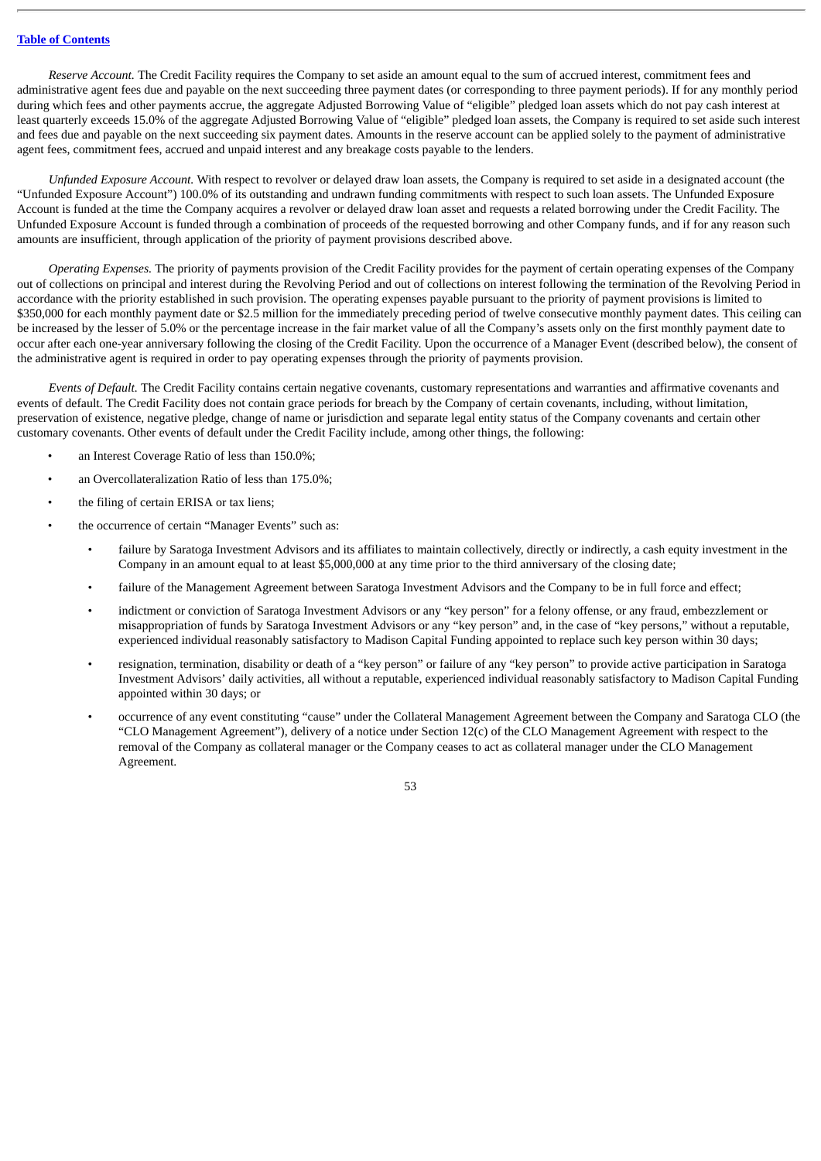*Reserve Account.* The Credit Facility requires the Company to set aside an amount equal to the sum of accrued interest, commitment fees and administrative agent fees due and payable on the next succeeding three payment dates (or corresponding to three payment periods). If for any monthly period during which fees and other payments accrue, the aggregate Adjusted Borrowing Value of "eligible" pledged loan assets which do not pay cash interest at least quarterly exceeds 15.0% of the aggregate Adjusted Borrowing Value of "eligible" pledged loan assets, the Company is required to set aside such interest and fees due and payable on the next succeeding six payment dates. Amounts in the reserve account can be applied solely to the payment of administrative agent fees, commitment fees, accrued and unpaid interest and any breakage costs payable to the lenders.

*Unfunded Exposure Account.* With respect to revolver or delayed draw loan assets, the Company is required to set aside in a designated account (the "Unfunded Exposure Account") 100.0% of its outstanding and undrawn funding commitments with respect to such loan assets. The Unfunded Exposure Account is funded at the time the Company acquires a revolver or delayed draw loan asset and requests a related borrowing under the Credit Facility. The Unfunded Exposure Account is funded through a combination of proceeds of the requested borrowing and other Company funds, and if for any reason such amounts are insufficient, through application of the priority of payment provisions described above.

*Operating Expenses.* The priority of payments provision of the Credit Facility provides for the payment of certain operating expenses of the Company out of collections on principal and interest during the Revolving Period and out of collections on interest following the termination of the Revolving Period in accordance with the priority established in such provision. The operating expenses payable pursuant to the priority of payment provisions is limited to \$350,000 for each monthly payment date or \$2.5 million for the immediately preceding period of twelve consecutive monthly payment dates. This ceiling can be increased by the lesser of 5.0% or the percentage increase in the fair market value of all the Company's assets only on the first monthly payment date to occur after each one-year anniversary following the closing of the Credit Facility. Upon the occurrence of a Manager Event (described below), the consent of the administrative agent is required in order to pay operating expenses through the priority of payments provision.

*Events of Default.* The Credit Facility contains certain negative covenants, customary representations and warranties and affirmative covenants and events of default. The Credit Facility does not contain grace periods for breach by the Company of certain covenants, including, without limitation, preservation of existence, negative pledge, change of name or jurisdiction and separate legal entity status of the Company covenants and certain other customary covenants. Other events of default under the Credit Facility include, among other things, the following:

- an Interest Coverage Ratio of less than 150.0%;
- an Overcollateralization Ratio of less than 175.0%;
- the filing of certain ERISA or tax liens;
- the occurrence of certain "Manager Events" such as:
	- failure by Saratoga Investment Advisors and its affiliates to maintain collectively, directly or indirectly, a cash equity investment in the Company in an amount equal to at least \$5,000,000 at any time prior to the third anniversary of the closing date;
	- failure of the Management Agreement between Saratoga Investment Advisors and the Company to be in full force and effect;
	- indictment or conviction of Saratoga Investment Advisors or any "key person" for a felony offense, or any fraud, embezzlement or misappropriation of funds by Saratoga Investment Advisors or any "key person" and, in the case of "key persons," without a reputable, experienced individual reasonably satisfactory to Madison Capital Funding appointed to replace such key person within 30 days;
	- resignation, termination, disability or death of a "key person" or failure of any "key person" to provide active participation in Saratoga Investment Advisors' daily activities, all without a reputable, experienced individual reasonably satisfactory to Madison Capital Funding appointed within 30 days; or
	- occurrence of any event constituting "cause" under the Collateral Management Agreement between the Company and Saratoga CLO (the "CLO Management Agreement"), delivery of a notice under Section 12(c) of the CLO Management Agreement with respect to the removal of the Company as collateral manager or the Company ceases to act as collateral manager under the CLO Management Agreement.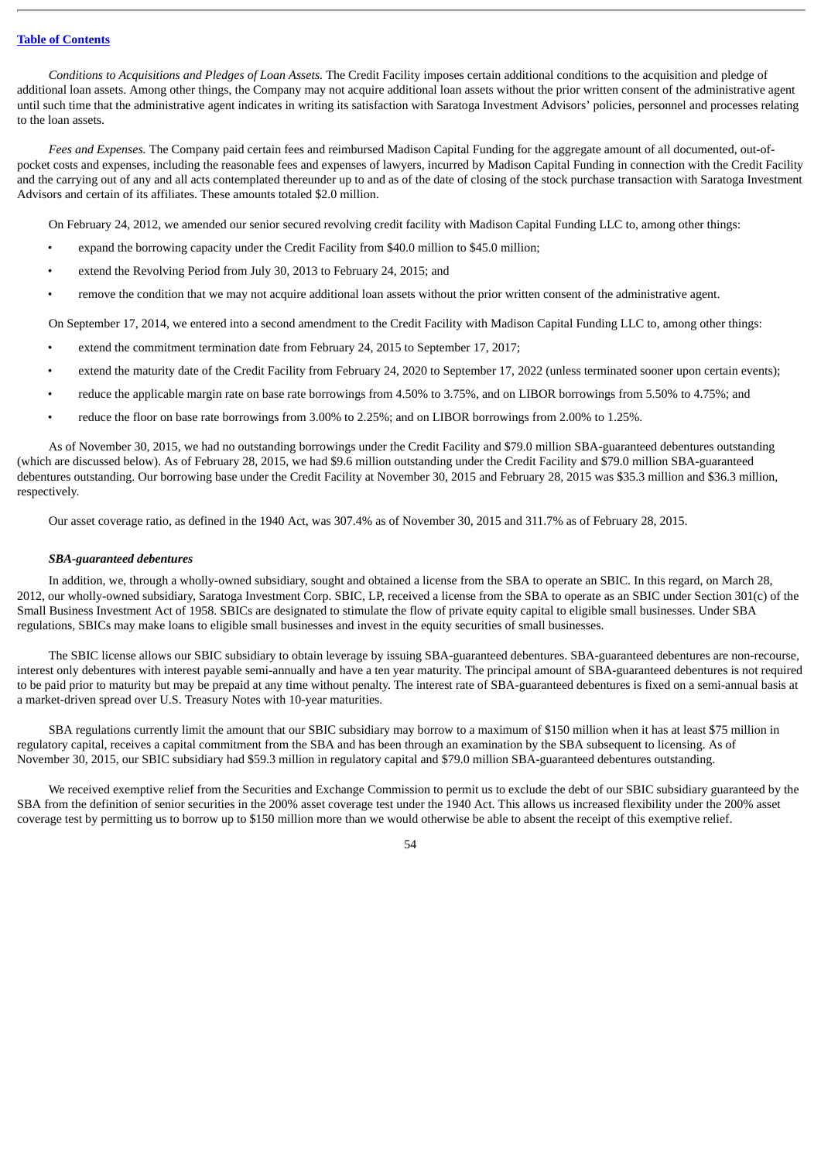*Conditions to Acquisitions and Pledges of Loan Assets.* The Credit Facility imposes certain additional conditions to the acquisition and pledge of additional loan assets. Among other things, the Company may not acquire additional loan assets without the prior written consent of the administrative agent until such time that the administrative agent indicates in writing its satisfaction with Saratoga Investment Advisors' policies, personnel and processes relating to the loan assets.

*Fees and Expenses.* The Company paid certain fees and reimbursed Madison Capital Funding for the aggregate amount of all documented, out-ofpocket costs and expenses, including the reasonable fees and expenses of lawyers, incurred by Madison Capital Funding in connection with the Credit Facility and the carrying out of any and all acts contemplated thereunder up to and as of the date of closing of the stock purchase transaction with Saratoga Investment Advisors and certain of its affiliates. These amounts totaled \$2.0 million.

On February 24, 2012, we amended our senior secured revolving credit facility with Madison Capital Funding LLC to, among other things:

- expand the borrowing capacity under the Credit Facility from \$40.0 million to \$45.0 million;
- extend the Revolving Period from July 30, 2013 to February 24, 2015; and
- remove the condition that we may not acquire additional loan assets without the prior written consent of the administrative agent.

On September 17, 2014, we entered into a second amendment to the Credit Facility with Madison Capital Funding LLC to, among other things:

- extend the commitment termination date from February 24, 2015 to September 17, 2017;
- extend the maturity date of the Credit Facility from February 24, 2020 to September 17, 2022 (unless terminated sooner upon certain events);
- reduce the applicable margin rate on base rate borrowings from 4.50% to 3.75%, and on LIBOR borrowings from 5.50% to 4.75%; and
- reduce the floor on base rate borrowings from 3.00% to 2.25%; and on LIBOR borrowings from 2.00% to 1.25%.

As of November 30, 2015, we had no outstanding borrowings under the Credit Facility and \$79.0 million SBA-guaranteed debentures outstanding (which are discussed below). As of February 28, 2015, we had \$9.6 million outstanding under the Credit Facility and \$79.0 million SBA-guaranteed debentures outstanding. Our borrowing base under the Credit Facility at November 30, 2015 and February 28, 2015 was \$35.3 million and \$36.3 million, respectively.

Our asset coverage ratio, as defined in the 1940 Act, was 307.4% as of November 30, 2015 and 311.7% as of February 28, 2015.

#### *SBA-guaranteed debentures*

In addition, we, through a wholly-owned subsidiary, sought and obtained a license from the SBA to operate an SBIC. In this regard, on March 28, 2012, our wholly-owned subsidiary, Saratoga Investment Corp. SBIC, LP, received a license from the SBA to operate as an SBIC under Section 301(c) of the Small Business Investment Act of 1958. SBICs are designated to stimulate the flow of private equity capital to eligible small businesses. Under SBA regulations, SBICs may make loans to eligible small businesses and invest in the equity securities of small businesses.

The SBIC license allows our SBIC subsidiary to obtain leverage by issuing SBA-guaranteed debentures. SBA-guaranteed debentures are non-recourse, interest only debentures with interest payable semi-annually and have a ten year maturity. The principal amount of SBA-guaranteed debentures is not required to be paid prior to maturity but may be prepaid at any time without penalty. The interest rate of SBA-guaranteed debentures is fixed on a semi-annual basis at a market-driven spread over U.S. Treasury Notes with 10-year maturities.

SBA regulations currently limit the amount that our SBIC subsidiary may borrow to a maximum of \$150 million when it has at least \$75 million in regulatory capital, receives a capital commitment from the SBA and has been through an examination by the SBA subsequent to licensing. As of November 30, 2015, our SBIC subsidiary had \$59.3 million in regulatory capital and \$79.0 million SBA-guaranteed debentures outstanding.

We received exemptive relief from the Securities and Exchange Commission to permit us to exclude the debt of our SBIC subsidiary guaranteed by the SBA from the definition of senior securities in the 200% asset coverage test under the 1940 Act. This allows us increased flexibility under the 200% asset coverage test by permitting us to borrow up to \$150 million more than we would otherwise be able to absent the receipt of this exemptive relief.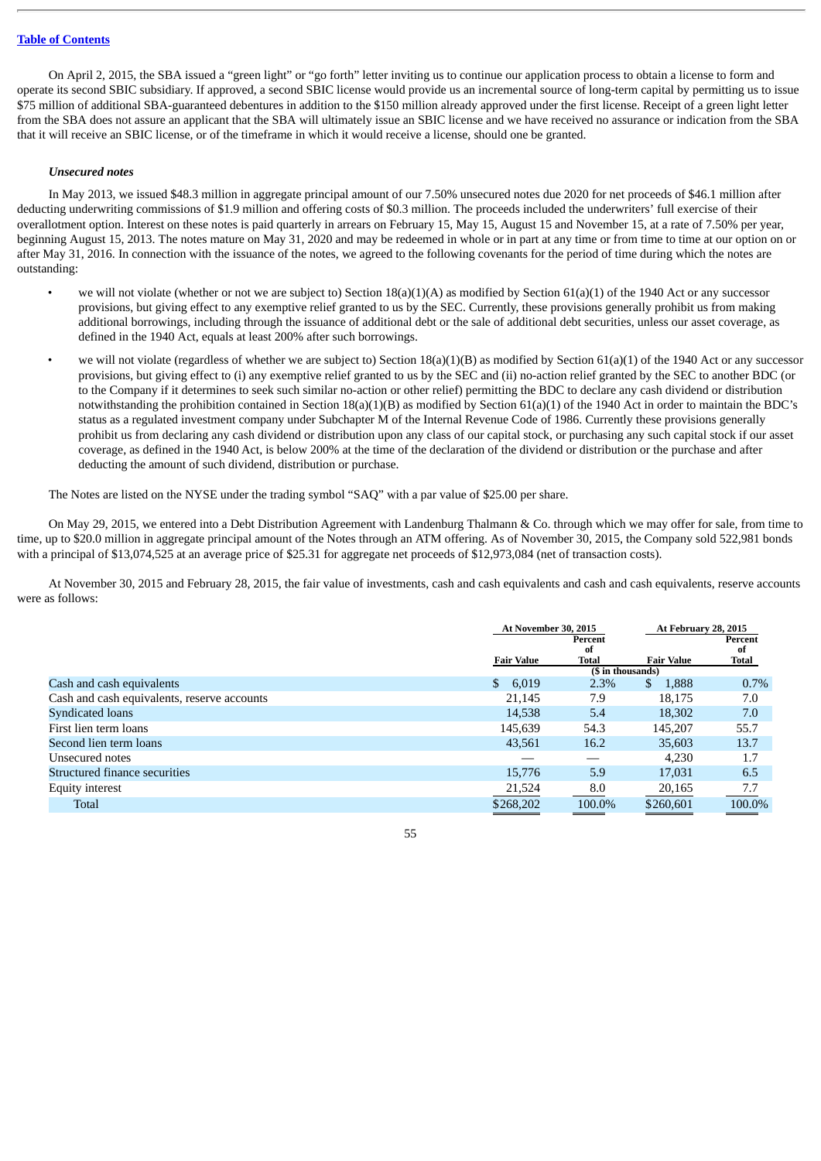On April 2, 2015, the SBA issued a "green light" or "go forth" letter inviting us to continue our application process to obtain a license to form and operate its second SBIC subsidiary. If approved, a second SBIC license would provide us an incremental source of long-term capital by permitting us to issue \$75 million of additional SBA-guaranteed debentures in addition to the \$150 million already approved under the first license. Receipt of a green light letter from the SBA does not assure an applicant that the SBA will ultimately issue an SBIC license and we have received no assurance or indication from the SBA that it will receive an SBIC license, or of the timeframe in which it would receive a license, should one be granted.

#### *Unsecured notes*

In May 2013, we issued \$48.3 million in aggregate principal amount of our 7.50% unsecured notes due 2020 for net proceeds of \$46.1 million after deducting underwriting commissions of \$1.9 million and offering costs of \$0.3 million. The proceeds included the underwriters' full exercise of their overallotment option. Interest on these notes is paid quarterly in arrears on February 15, May 15, August 15 and November 15, at a rate of 7.50% per year, beginning August 15, 2013. The notes mature on May 31, 2020 and may be redeemed in whole or in part at any time or from time to time at our option on or after May 31, 2016. In connection with the issuance of the notes, we agreed to the following covenants for the period of time during which the notes are outstanding:

- we will not violate (whether or not we are subject to) Section 18(a)(1)(A) as modified by Section 61(a)(1) of the 1940 Act or any successor provisions, but giving effect to any exemptive relief granted to us by the SEC. Currently, these provisions generally prohibit us from making additional borrowings, including through the issuance of additional debt or the sale of additional debt securities, unless our asset coverage, as defined in the 1940 Act, equals at least 200% after such borrowings.
- we will not violate (regardless of whether we are subject to) Section 18(a)(1)(B) as modified by Section 61(a)(1) of the 1940 Act or any successor provisions, but giving effect to (i) any exemptive relief granted to us by the SEC and (ii) no-action relief granted by the SEC to another BDC (or to the Company if it determines to seek such similar no-action or other relief) permitting the BDC to declare any cash dividend or distribution notwithstanding the prohibition contained in Section  $18(a)(1)(B)$  as modified by Section  $61(a)(1)$  of the 1940 Act in order to maintain the BDC's status as a regulated investment company under Subchapter M of the Internal Revenue Code of 1986. Currently these provisions generally prohibit us from declaring any cash dividend or distribution upon any class of our capital stock, or purchasing any such capital stock if our asset coverage, as defined in the 1940 Act, is below 200% at the time of the declaration of the dividend or distribution or the purchase and after deducting the amount of such dividend, distribution or purchase.

The Notes are listed on the NYSE under the trading symbol "SAQ" with a par value of \$25.00 per share.

On May 29, 2015, we entered into a Debt Distribution Agreement with Landenburg Thalmann & Co. through which we may offer for sale, from time to time, up to \$20.0 million in aggregate principal amount of the Notes through an ATM offering. As of November 30, 2015, the Company sold 522,981 bonds with a principal of \$13,074,525 at an average price of \$25.31 for aggregate net proceeds of \$12,973,084 (net of transaction costs).

At November 30, 2015 and February 28, 2015, the fair value of investments, cash and cash equivalents and cash and cash equivalents, reserve accounts were as follows:

|                                             |                   | At November 30, 2015 | At February 28, 2015 |               |
|---------------------------------------------|-------------------|----------------------|----------------------|---------------|
|                                             |                   | Percent<br>of        |                      | Percent<br>0t |
|                                             | <b>Fair Value</b> | Total                | <b>Fair Value</b>    | Total         |
|                                             |                   | (\$ in thousands)    |                      |               |
| Cash and cash equivalents                   | 6,019<br>\$       | 2.3%                 | 1,888<br>S.          | $0.7\%$       |
| Cash and cash equivalents, reserve accounts | 21.145            | 7.9                  | 18.175               | 7.0           |
| <b>Syndicated loans</b>                     | 14,538            | 5.4                  | 18,302               | 7.0           |
| First lien term loans                       | 145,639           | 54.3                 | 145.207              | 55.7          |
| Second lien term loans                      | 43,561            | 16.2                 | 35,603               | 13.7          |
| Unsecured notes                             |                   |                      | 4,230                | 1.7           |
| Structured finance securities               | 15,776            | 5.9                  | 17.031               | 6.5           |
| Equity interest                             | 21,524            | 8.0                  | 20,165               | 7.7           |
| Total                                       | \$268,202         | 100.0%               | \$260,601            | 100.0%        |
|                                             |                   |                      |                      |               |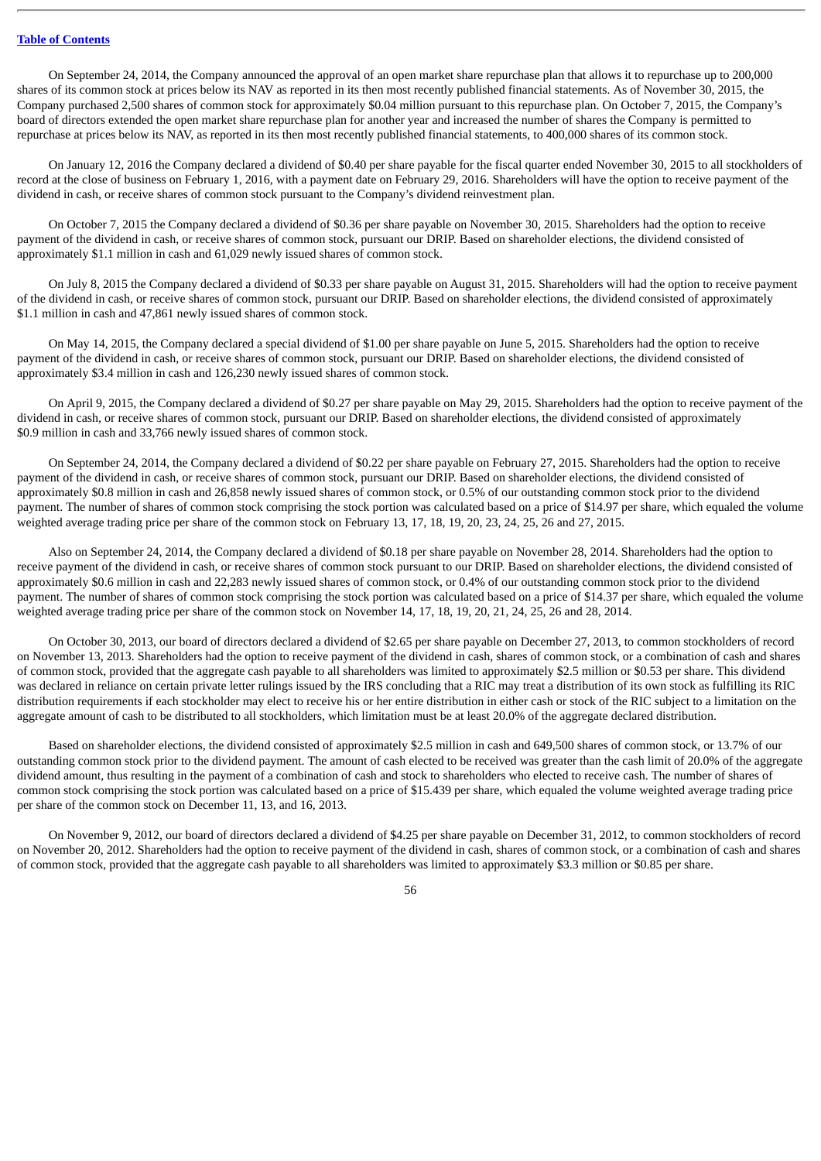On September 24, 2014, the Company announced the approval of an open market share repurchase plan that allows it to repurchase up to 200,000 shares of its common stock at prices below its NAV as reported in its then most recently published financial statements. As of November 30, 2015, the Company purchased 2,500 shares of common stock for approximately \$0.04 million pursuant to this repurchase plan. On October 7, 2015, the Company's board of directors extended the open market share repurchase plan for another year and increased the number of shares the Company is permitted to repurchase at prices below its NAV, as reported in its then most recently published financial statements, to 400,000 shares of its common stock.

On January 12, 2016 the Company declared a dividend of \$0.40 per share payable for the fiscal quarter ended November 30, 2015 to all stockholders of record at the close of business on February 1, 2016, with a payment date on February 29, 2016. Shareholders will have the option to receive payment of the dividend in cash, or receive shares of common stock pursuant to the Company's dividend reinvestment plan.

On October 7, 2015 the Company declared a dividend of \$0.36 per share payable on November 30, 2015. Shareholders had the option to receive payment of the dividend in cash, or receive shares of common stock, pursuant our DRIP. Based on shareholder elections, the dividend consisted of approximately \$1.1 million in cash and 61,029 newly issued shares of common stock.

On July 8, 2015 the Company declared a dividend of \$0.33 per share payable on August 31, 2015. Shareholders will had the option to receive payment of the dividend in cash, or receive shares of common stock, pursuant our DRIP. Based on shareholder elections, the dividend consisted of approximately \$1.1 million in cash and 47,861 newly issued shares of common stock.

On May 14, 2015, the Company declared a special dividend of \$1.00 per share payable on June 5, 2015. Shareholders had the option to receive payment of the dividend in cash, or receive shares of common stock, pursuant our DRIP. Based on shareholder elections, the dividend consisted of approximately \$3.4 million in cash and 126,230 newly issued shares of common stock.

On April 9, 2015, the Company declared a dividend of \$0.27 per share payable on May 29, 2015. Shareholders had the option to receive payment of the dividend in cash, or receive shares of common stock, pursuant our DRIP. Based on shareholder elections, the dividend consisted of approximately \$0.9 million in cash and 33,766 newly issued shares of common stock.

On September 24, 2014, the Company declared a dividend of \$0.22 per share payable on February 27, 2015. Shareholders had the option to receive payment of the dividend in cash, or receive shares of common stock, pursuant our DRIP. Based on shareholder elections, the dividend consisted of approximately \$0.8 million in cash and 26,858 newly issued shares of common stock, or 0.5% of our outstanding common stock prior to the dividend payment. The number of shares of common stock comprising the stock portion was calculated based on a price of \$14.97 per share, which equaled the volume weighted average trading price per share of the common stock on February 13, 17, 18, 19, 20, 23, 24, 25, 26 and 27, 2015.

Also on September 24, 2014, the Company declared a dividend of \$0.18 per share payable on November 28, 2014. Shareholders had the option to receive payment of the dividend in cash, or receive shares of common stock pursuant to our DRIP. Based on shareholder elections, the dividend consisted of approximately \$0.6 million in cash and 22,283 newly issued shares of common stock, or 0.4% of our outstanding common stock prior to the dividend payment. The number of shares of common stock comprising the stock portion was calculated based on a price of \$14.37 per share, which equaled the volume weighted average trading price per share of the common stock on November 14, 17, 18, 19, 20, 21, 24, 25, 26 and 28, 2014.

On October 30, 2013, our board of directors declared a dividend of \$2.65 per share payable on December 27, 2013, to common stockholders of record on November 13, 2013. Shareholders had the option to receive payment of the dividend in cash, shares of common stock, or a combination of cash and shares of common stock, provided that the aggregate cash payable to all shareholders was limited to approximately \$2.5 million or \$0.53 per share. This dividend was declared in reliance on certain private letter rulings issued by the IRS concluding that a RIC may treat a distribution of its own stock as fulfilling its RIC distribution requirements if each stockholder may elect to receive his or her entire distribution in either cash or stock of the RIC subject to a limitation on the aggregate amount of cash to be distributed to all stockholders, which limitation must be at least 20.0% of the aggregate declared distribution.

Based on shareholder elections, the dividend consisted of approximately \$2.5 million in cash and 649,500 shares of common stock, or 13.7% of our outstanding common stock prior to the dividend payment. The amount of cash elected to be received was greater than the cash limit of 20.0% of the aggregate dividend amount, thus resulting in the payment of a combination of cash and stock to shareholders who elected to receive cash. The number of shares of common stock comprising the stock portion was calculated based on a price of \$15.439 per share, which equaled the volume weighted average trading price per share of the common stock on December 11, 13, and 16, 2013.

On November 9, 2012, our board of directors declared a dividend of \$4.25 per share payable on December 31, 2012, to common stockholders of record on November 20, 2012. Shareholders had the option to receive payment of the dividend in cash, shares of common stock, or a combination of cash and shares of common stock, provided that the aggregate cash payable to all shareholders was limited to approximately \$3.3 million or \$0.85 per share.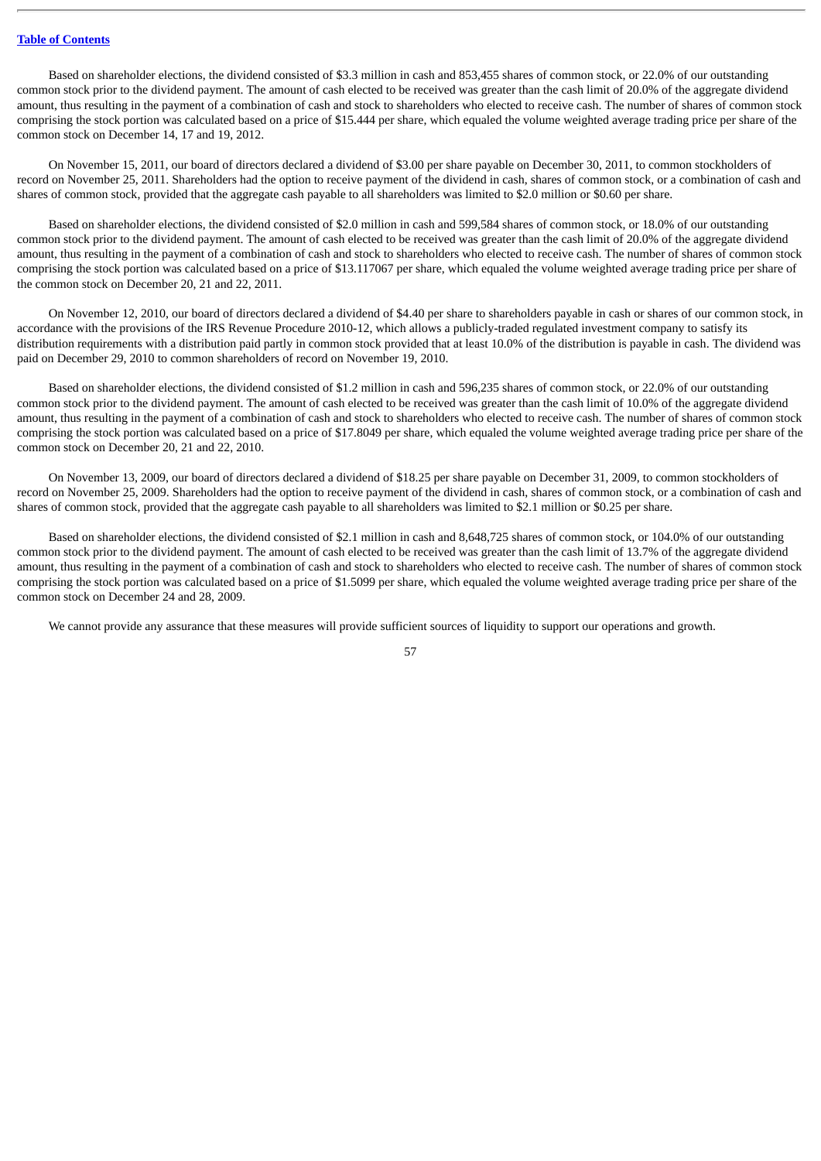Based on shareholder elections, the dividend consisted of \$3.3 million in cash and 853,455 shares of common stock, or 22.0% of our outstanding common stock prior to the dividend payment. The amount of cash elected to be received was greater than the cash limit of 20.0% of the aggregate dividend amount, thus resulting in the payment of a combination of cash and stock to shareholders who elected to receive cash. The number of shares of common stock comprising the stock portion was calculated based on a price of \$15.444 per share, which equaled the volume weighted average trading price per share of the common stock on December 14, 17 and 19, 2012.

On November 15, 2011, our board of directors declared a dividend of \$3.00 per share payable on December 30, 2011, to common stockholders of record on November 25, 2011. Shareholders had the option to receive payment of the dividend in cash, shares of common stock, or a combination of cash and shares of common stock, provided that the aggregate cash payable to all shareholders was limited to \$2.0 million or \$0.60 per share.

Based on shareholder elections, the dividend consisted of \$2.0 million in cash and 599,584 shares of common stock, or 18.0% of our outstanding common stock prior to the dividend payment. The amount of cash elected to be received was greater than the cash limit of 20.0% of the aggregate dividend amount, thus resulting in the payment of a combination of cash and stock to shareholders who elected to receive cash. The number of shares of common stock comprising the stock portion was calculated based on a price of \$13.117067 per share, which equaled the volume weighted average trading price per share of the common stock on December 20, 21 and 22, 2011.

On November 12, 2010, our board of directors declared a dividend of \$4.40 per share to shareholders payable in cash or shares of our common stock, in accordance with the provisions of the IRS Revenue Procedure 2010-12, which allows a publicly-traded regulated investment company to satisfy its distribution requirements with a distribution paid partly in common stock provided that at least 10.0% of the distribution is payable in cash. The dividend was paid on December 29, 2010 to common shareholders of record on November 19, 2010.

Based on shareholder elections, the dividend consisted of \$1.2 million in cash and 596,235 shares of common stock, or 22.0% of our outstanding common stock prior to the dividend payment. The amount of cash elected to be received was greater than the cash limit of 10.0% of the aggregate dividend amount, thus resulting in the payment of a combination of cash and stock to shareholders who elected to receive cash. The number of shares of common stock comprising the stock portion was calculated based on a price of \$17.8049 per share, which equaled the volume weighted average trading price per share of the common stock on December 20, 21 and 22, 2010.

On November 13, 2009, our board of directors declared a dividend of \$18.25 per share payable on December 31, 2009, to common stockholders of record on November 25, 2009. Shareholders had the option to receive payment of the dividend in cash, shares of common stock, or a combination of cash and shares of common stock, provided that the aggregate cash payable to all shareholders was limited to \$2.1 million or \$0.25 per share.

Based on shareholder elections, the dividend consisted of \$2.1 million in cash and 8,648,725 shares of common stock, or 104.0% of our outstanding common stock prior to the dividend payment. The amount of cash elected to be received was greater than the cash limit of 13.7% of the aggregate dividend amount, thus resulting in the payment of a combination of cash and stock to shareholders who elected to receive cash. The number of shares of common stock comprising the stock portion was calculated based on a price of \$1.5099 per share, which equaled the volume weighted average trading price per share of the common stock on December 24 and 28, 2009.

We cannot provide any assurance that these measures will provide sufficient sources of liquidity to support our operations and growth.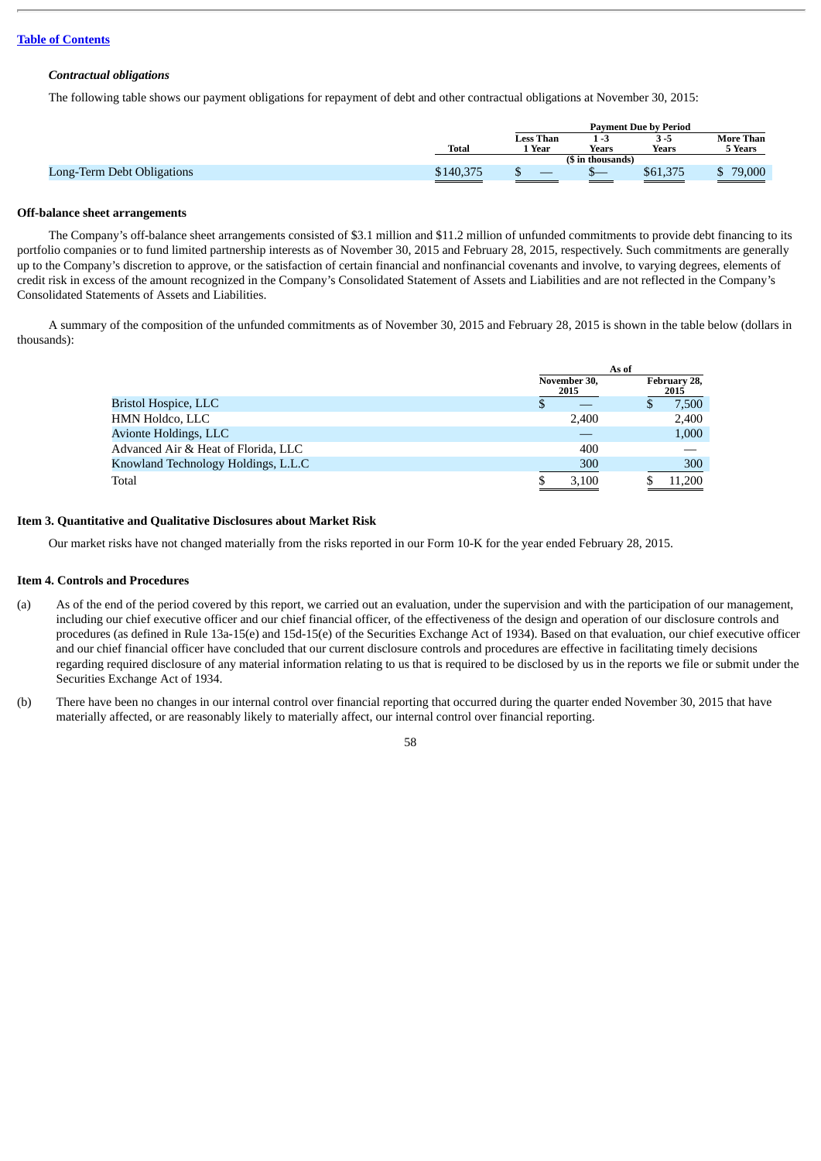#### *Contractual obligations*

The following table shows our payment obligations for repayment of debt and other contractual obligations at November 30, 2015:

|                            |              | <b>Payment Due by Period</b> |                   |          |                  |
|----------------------------|--------------|------------------------------|-------------------|----------|------------------|
|                            |              | Less Than                    | 1-3               | $3 - 5$  | <b>More Than</b> |
|                            | <b>Total</b> | * Year                       | Years             | Years    | 5 Years          |
|                            |              |                              | (\$ in thousands) |          |                  |
| Long-Term Debt Obligations | \$140,375    |                              |                   | \$61,375 | 79,000           |

#### **Off-balance sheet arrangements**

The Company's off-balance sheet arrangements consisted of \$3.1 million and \$11.2 million of unfunded commitments to provide debt financing to its portfolio companies or to fund limited partnership interests as of November 30, 2015 and February 28, 2015, respectively. Such commitments are generally up to the Company's discretion to approve, or the satisfaction of certain financial and nonfinancial covenants and involve, to varying degrees, elements of credit risk in excess of the amount recognized in the Company's Consolidated Statement of Assets and Liabilities and are not reflected in the Company's Consolidated Statements of Assets and Liabilities.

A summary of the composition of the unfunded commitments as of November 30, 2015 and February 28, 2015 is shown in the table below (dollars in thousands):

|                                     | As of |                      |  |   |                      |
|-------------------------------------|-------|----------------------|--|---|----------------------|
|                                     |       | November 30,<br>2015 |  |   | February 28,<br>2015 |
| Bristol Hospice, LLC                |       |                      |  | Ф | 7,500                |
| HMN Holdco, LLC                     |       | 2.400                |  |   | 2.400                |
| Avionte Holdings, LLC               |       |                      |  |   | 1,000                |
| Advanced Air & Heat of Florida, LLC |       | 400                  |  |   |                      |
| Knowland Technology Holdings, L.L.C |       | 300                  |  |   | 300                  |
| Total                               |       | 3.100                |  |   | 11.200               |

#### <span id="page-62-0"></span>**Item 3. Quantitative and Qualitative Disclosures about Market Risk**

Our market risks have not changed materially from the risks reported in our Form 10-K for the year ended February 28, 2015.

#### <span id="page-62-1"></span>**Item 4. Controls and Procedures**

- (a) As of the end of the period covered by this report, we carried out an evaluation, under the supervision and with the participation of our management, including our chief executive officer and our chief financial officer, of the effectiveness of the design and operation of our disclosure controls and procedures (as defined in Rule 13a-15(e) and 15d-15(e) of the Securities Exchange Act of 1934). Based on that evaluation, our chief executive officer and our chief financial officer have concluded that our current disclosure controls and procedures are effective in facilitating timely decisions regarding required disclosure of any material information relating to us that is required to be disclosed by us in the reports we file or submit under the Securities Exchange Act of 1934.
- (b) There have been no changes in our internal control over financial reporting that occurred during the quarter ended November 30, 2015 that have materially affected, or are reasonably likely to materially affect, our internal control over financial reporting.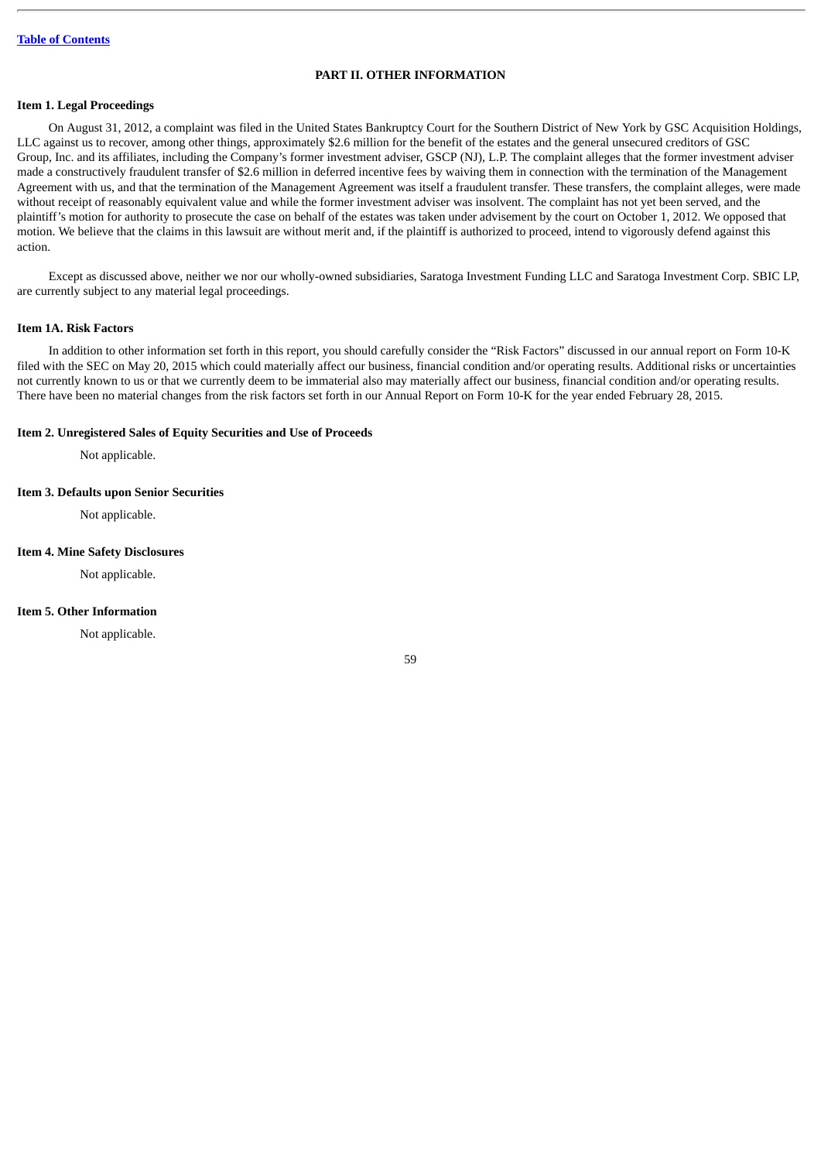#### **PART II. OTHER INFORMATION**

### <span id="page-63-1"></span><span id="page-63-0"></span>**Item 1. Legal Proceedings**

On August 31, 2012, a complaint was filed in the United States Bankruptcy Court for the Southern District of New York by GSC Acquisition Holdings, LLC against us to recover, among other things, approximately \$2.6 million for the benefit of the estates and the general unsecured creditors of GSC Group, Inc. and its affiliates, including the Company's former investment adviser, GSCP (NJ), L.P. The complaint alleges that the former investment adviser made a constructively fraudulent transfer of \$2.6 million in deferred incentive fees by waiving them in connection with the termination of the Management Agreement with us, and that the termination of the Management Agreement was itself a fraudulent transfer. These transfers, the complaint alleges, were made without receipt of reasonably equivalent value and while the former investment adviser was insolvent. The complaint has not yet been served, and the plaintiff's motion for authority to prosecute the case on behalf of the estates was taken under advisement by the court on October 1, 2012. We opposed that motion. We believe that the claims in this lawsuit are without merit and, if the plaintiff is authorized to proceed, intend to vigorously defend against this action.

Except as discussed above, neither we nor our wholly-owned subsidiaries, Saratoga Investment Funding LLC and Saratoga Investment Corp. SBIC LP, are currently subject to any material legal proceedings.

#### <span id="page-63-2"></span>**Item 1A. Risk Factors**

In addition to other information set forth in this report, you should carefully consider the "Risk Factors" discussed in our annual report on Form 10-K filed with the SEC on May 20, 2015 which could materially affect our business, financial condition and/or operating results. Additional risks or uncertainties not currently known to us or that we currently deem to be immaterial also may materially affect our business, financial condition and/or operating results. There have been no material changes from the risk factors set forth in our Annual Report on Form 10-K for the year ended February 28, 2015.

#### <span id="page-63-3"></span>**Item 2. Unregistered Sales of Equity Securities and Use of Proceeds**

Not applicable.

#### <span id="page-63-4"></span>**Item 3. Defaults upon Senior Securities**

Not applicable.

#### <span id="page-63-5"></span>**Item 4. Mine Safety Disclosures**

Not applicable.

#### <span id="page-63-6"></span>**Item 5. Other Information**

Not applicable.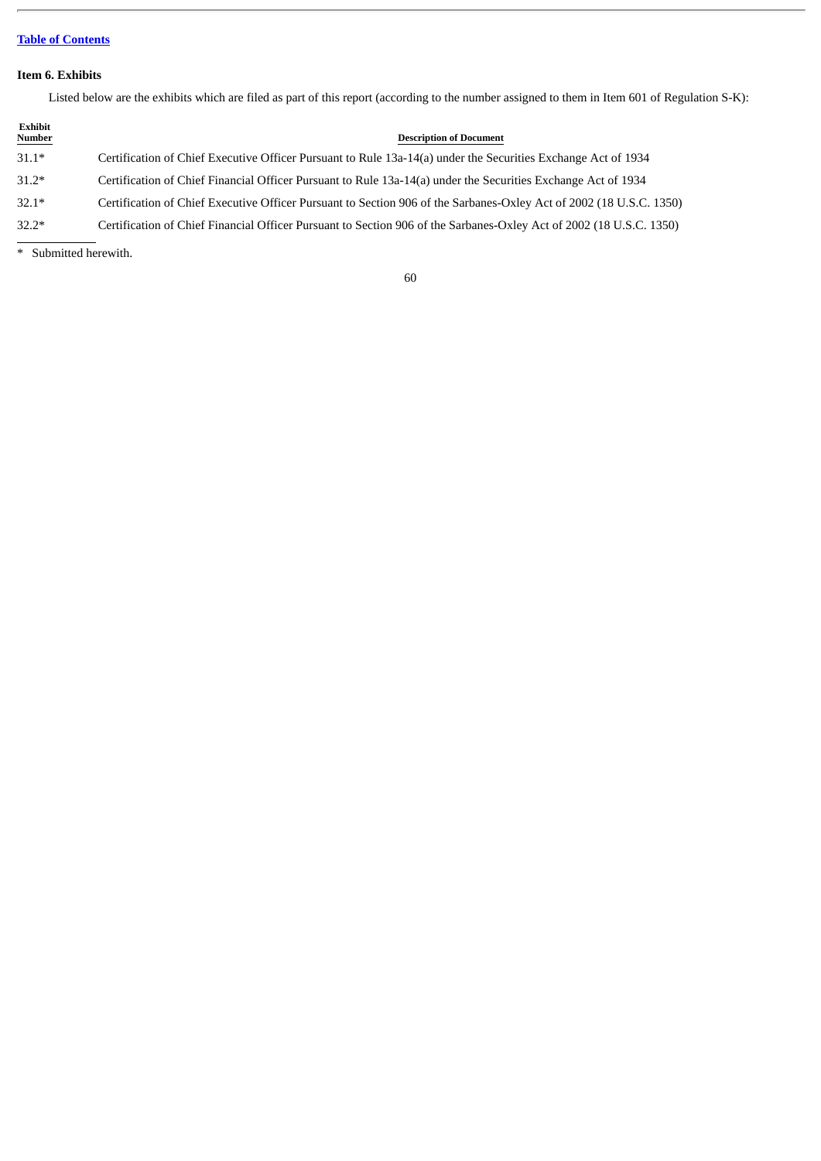### <span id="page-64-0"></span>**Item 6. Exhibits**

Listed below are the exhibits which are filed as part of this report (according to the number assigned to them in Item 601 of Regulation S-K):

| Exhibit<br><u>Number</u> | <b>Description of Document</b>                                                                                      |
|--------------------------|---------------------------------------------------------------------------------------------------------------------|
| $31.1*$                  | Certification of Chief Executive Officer Pursuant to Rule 13a-14(a) under the Securities Exchange Act of 1934       |
| $31.2*$                  | Certification of Chief Financial Officer Pursuant to Rule 13a-14(a) under the Securities Exchange Act of 1934       |
| $32.1*$                  | Certification of Chief Executive Officer Pursuant to Section 906 of the Sarbanes-Oxley Act of 2002 (18 U.S.C. 1350) |
| $32.2*$                  | Certification of Chief Financial Officer Pursuant to Section 906 of the Sarbanes-Oxley Act of 2002 (18 U.S.C. 1350) |

\* Submitted herewith.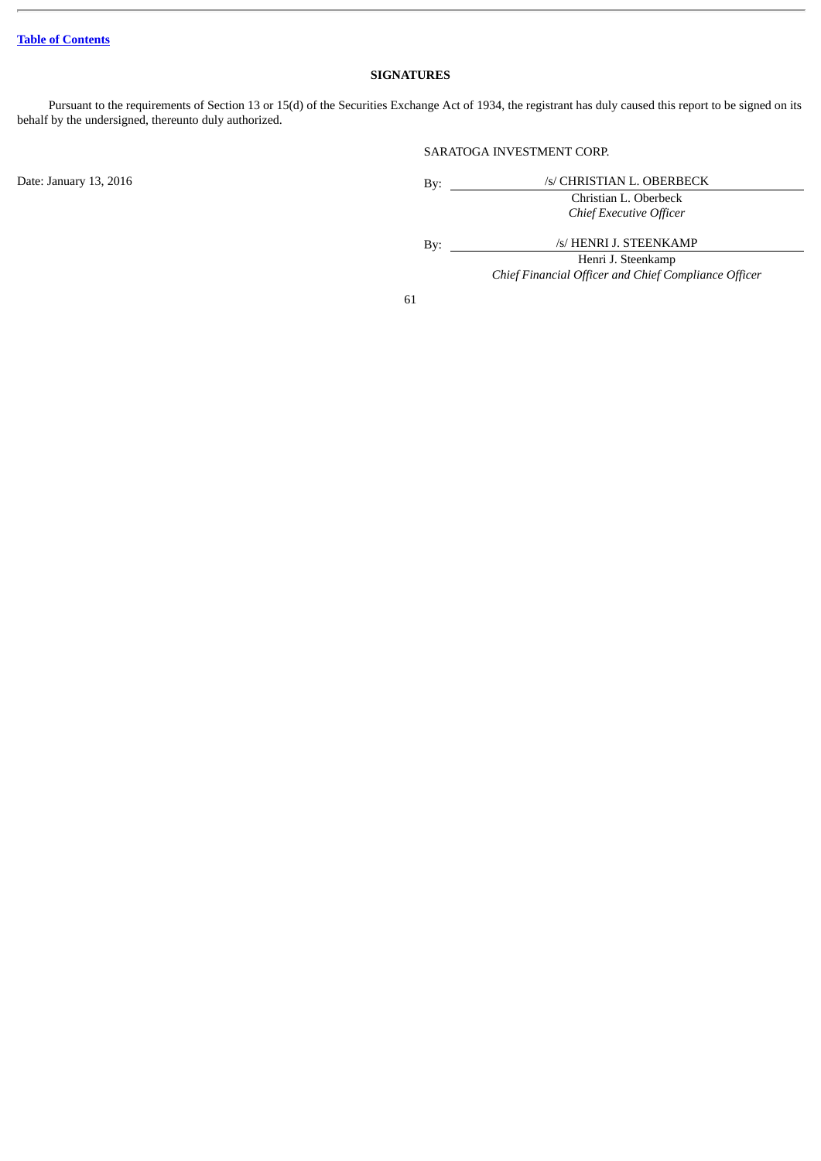### **SIGNATURES**

<span id="page-65-0"></span>Pursuant to the requirements of Section 13 or 15(d) of the Securities Exchange Act of 1934, the registrant has duly caused this report to be signed on its behalf by the undersigned, thereunto duly authorized.

SARATOGA INVESTMENT CORP.

Date: January 13, 2016 By: 2016 /s/ CHRISTIAN L. OBERBECK Christian L. Oberbeck *Chief Executive Officer*

> By: /s/ HENRI J. STEENKAMP

Henri J. Steenkamp *Chief Financial Officer and Chief Compliance Officer*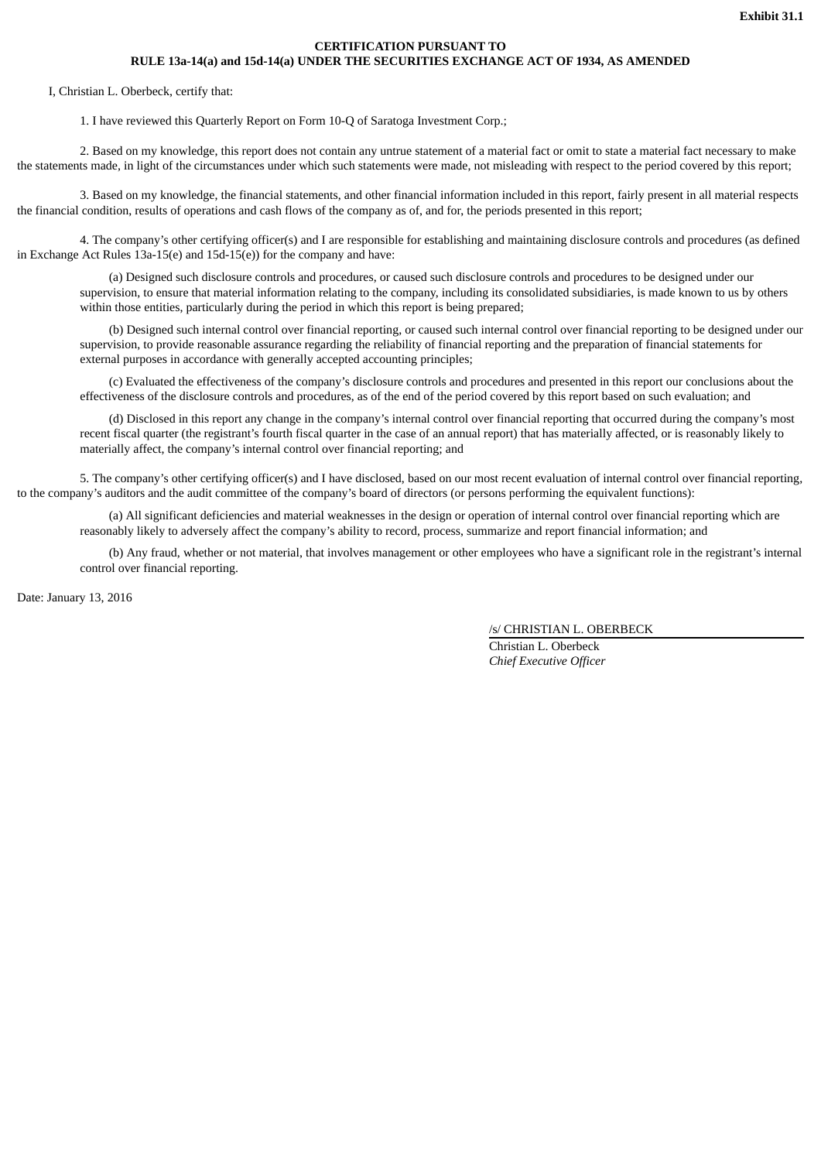#### **CERTIFICATION PURSUANT TO RULE 13a-14(a) and 15d-14(a) UNDER THE SECURITIES EXCHANGE ACT OF 1934, AS AMENDED**

I, Christian L. Oberbeck, certify that:

1. I have reviewed this Quarterly Report on Form 10-Q of Saratoga Investment Corp.;

2. Based on my knowledge, this report does not contain any untrue statement of a material fact or omit to state a material fact necessary to make the statements made, in light of the circumstances under which such statements were made, not misleading with respect to the period covered by this report;

3. Based on my knowledge, the financial statements, and other financial information included in this report, fairly present in all material respects the financial condition, results of operations and cash flows of the company as of, and for, the periods presented in this report;

4. The company's other certifying officer(s) and I are responsible for establishing and maintaining disclosure controls and procedures (as defined in Exchange Act Rules 13a-15(e) and 15d-15(e)) for the company and have:

(a) Designed such disclosure controls and procedures, or caused such disclosure controls and procedures to be designed under our supervision, to ensure that material information relating to the company, including its consolidated subsidiaries, is made known to us by others within those entities, particularly during the period in which this report is being prepared;

(b) Designed such internal control over financial reporting, or caused such internal control over financial reporting to be designed under our supervision, to provide reasonable assurance regarding the reliability of financial reporting and the preparation of financial statements for external purposes in accordance with generally accepted accounting principles;

(c) Evaluated the effectiveness of the company's disclosure controls and procedures and presented in this report our conclusions about the effectiveness of the disclosure controls and procedures, as of the end of the period covered by this report based on such evaluation; and

(d) Disclosed in this report any change in the company's internal control over financial reporting that occurred during the company's most recent fiscal quarter (the registrant's fourth fiscal quarter in the case of an annual report) that has materially affected, or is reasonably likely to materially affect, the company's internal control over financial reporting; and

5. The company's other certifying officer(s) and I have disclosed, based on our most recent evaluation of internal control over financial reporting, to the company's auditors and the audit committee of the company's board of directors (or persons performing the equivalent functions):

(a) All significant deficiencies and material weaknesses in the design or operation of internal control over financial reporting which are reasonably likely to adversely affect the company's ability to record, process, summarize and report financial information; and

(b) Any fraud, whether or not material, that involves management or other employees who have a significant role in the registrant's internal control over financial reporting.

Date: January 13, 2016

/s/ CHRISTIAN L. OBERBECK

Christian L. Oberbeck *Chief Executive Officer*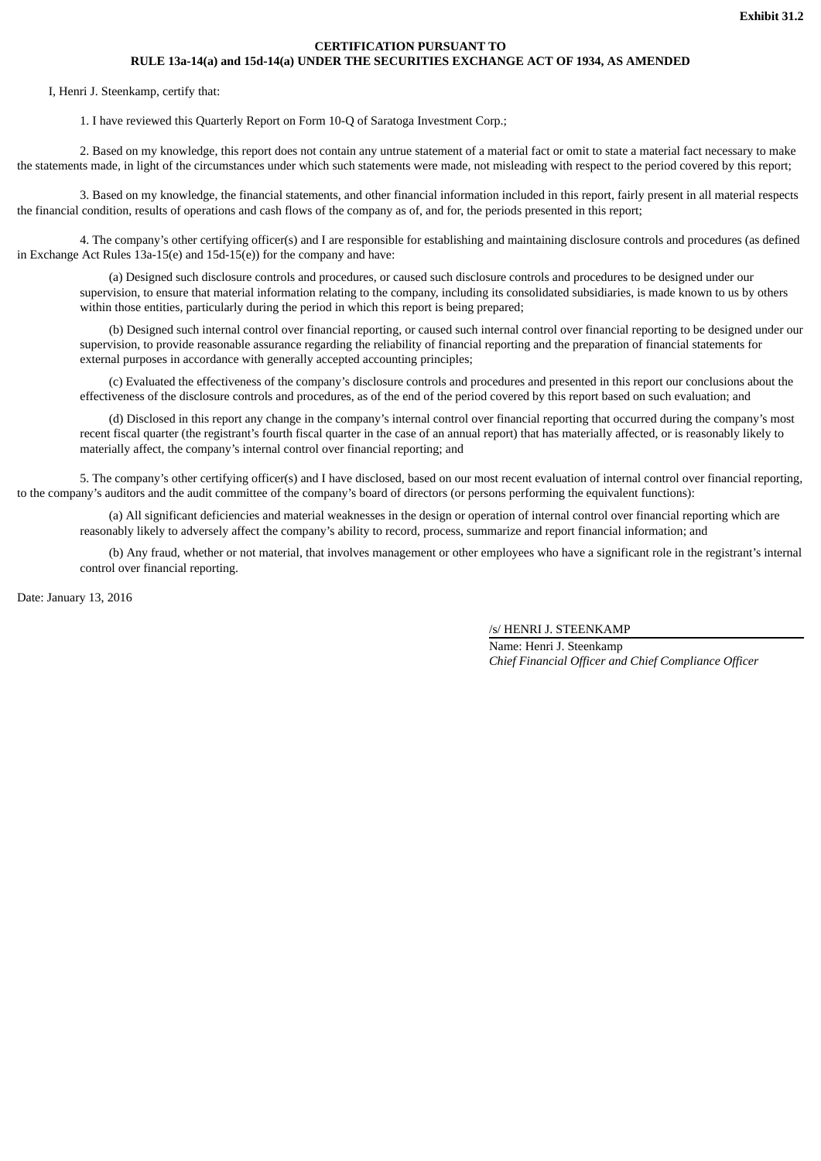#### **CERTIFICATION PURSUANT TO RULE 13a-14(a) and 15d-14(a) UNDER THE SECURITIES EXCHANGE ACT OF 1934, AS AMENDED**

I, Henri J. Steenkamp, certify that:

1. I have reviewed this Quarterly Report on Form 10-Q of Saratoga Investment Corp.;

2. Based on my knowledge, this report does not contain any untrue statement of a material fact or omit to state a material fact necessary to make the statements made, in light of the circumstances under which such statements were made, not misleading with respect to the period covered by this report;

3. Based on my knowledge, the financial statements, and other financial information included in this report, fairly present in all material respects the financial condition, results of operations and cash flows of the company as of, and for, the periods presented in this report;

4. The company's other certifying officer(s) and I are responsible for establishing and maintaining disclosure controls and procedures (as defined in Exchange Act Rules 13a-15(e) and 15d-15(e)) for the company and have:

(a) Designed such disclosure controls and procedures, or caused such disclosure controls and procedures to be designed under our supervision, to ensure that material information relating to the company, including its consolidated subsidiaries, is made known to us by others within those entities, particularly during the period in which this report is being prepared;

(b) Designed such internal control over financial reporting, or caused such internal control over financial reporting to be designed under our supervision, to provide reasonable assurance regarding the reliability of financial reporting and the preparation of financial statements for external purposes in accordance with generally accepted accounting principles;

(c) Evaluated the effectiveness of the company's disclosure controls and procedures and presented in this report our conclusions about the effectiveness of the disclosure controls and procedures, as of the end of the period covered by this report based on such evaluation; and

(d) Disclosed in this report any change in the company's internal control over financial reporting that occurred during the company's most recent fiscal quarter (the registrant's fourth fiscal quarter in the case of an annual report) that has materially affected, or is reasonably likely to materially affect, the company's internal control over financial reporting; and

5. The company's other certifying officer(s) and I have disclosed, based on our most recent evaluation of internal control over financial reporting, to the company's auditors and the audit committee of the company's board of directors (or persons performing the equivalent functions):

(a) All significant deficiencies and material weaknesses in the design or operation of internal control over financial reporting which are reasonably likely to adversely affect the company's ability to record, process, summarize and report financial information; and

(b) Any fraud, whether or not material, that involves management or other employees who have a significant role in the registrant's internal control over financial reporting.

Date: January 13, 2016

/s/ HENRI J. STEENKAMP

Name: Henri J. Steenkamp *Chief Financial Officer and Chief Compliance Officer*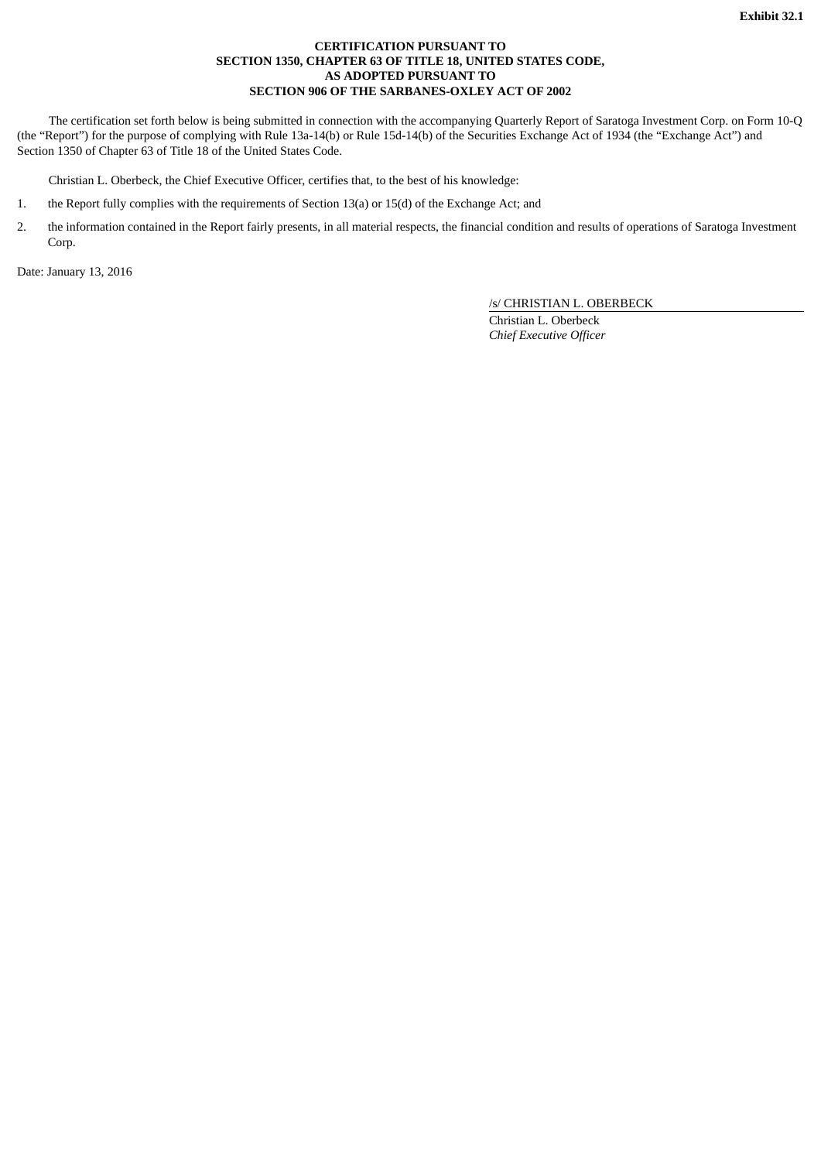#### **CERTIFICATION PURSUANT TO SECTION 1350, CHAPTER 63 OF TITLE 18, UNITED STATES CODE, AS ADOPTED PURSUANT TO SECTION 906 OF THE SARBANES-OXLEY ACT OF 2002**

The certification set forth below is being submitted in connection with the accompanying Quarterly Report of Saratoga Investment Corp. on Form 10-Q (the "Report") for the purpose of complying with Rule 13a-14(b) or Rule 15d-14(b) of the Securities Exchange Act of 1934 (the "Exchange Act") and Section 1350 of Chapter 63 of Title 18 of the United States Code.

Christian L. Oberbeck, the Chief Executive Officer, certifies that, to the best of his knowledge:

- 1. the Report fully complies with the requirements of Section 13(a) or 15(d) of the Exchange Act; and
- 2. the information contained in the Report fairly presents, in all material respects, the financial condition and results of operations of Saratoga Investment Corp.

Date: January 13, 2016

/s/ CHRISTIAN L. OBERBECK

Christian L. Oberbeck *Chief Executive Officer*